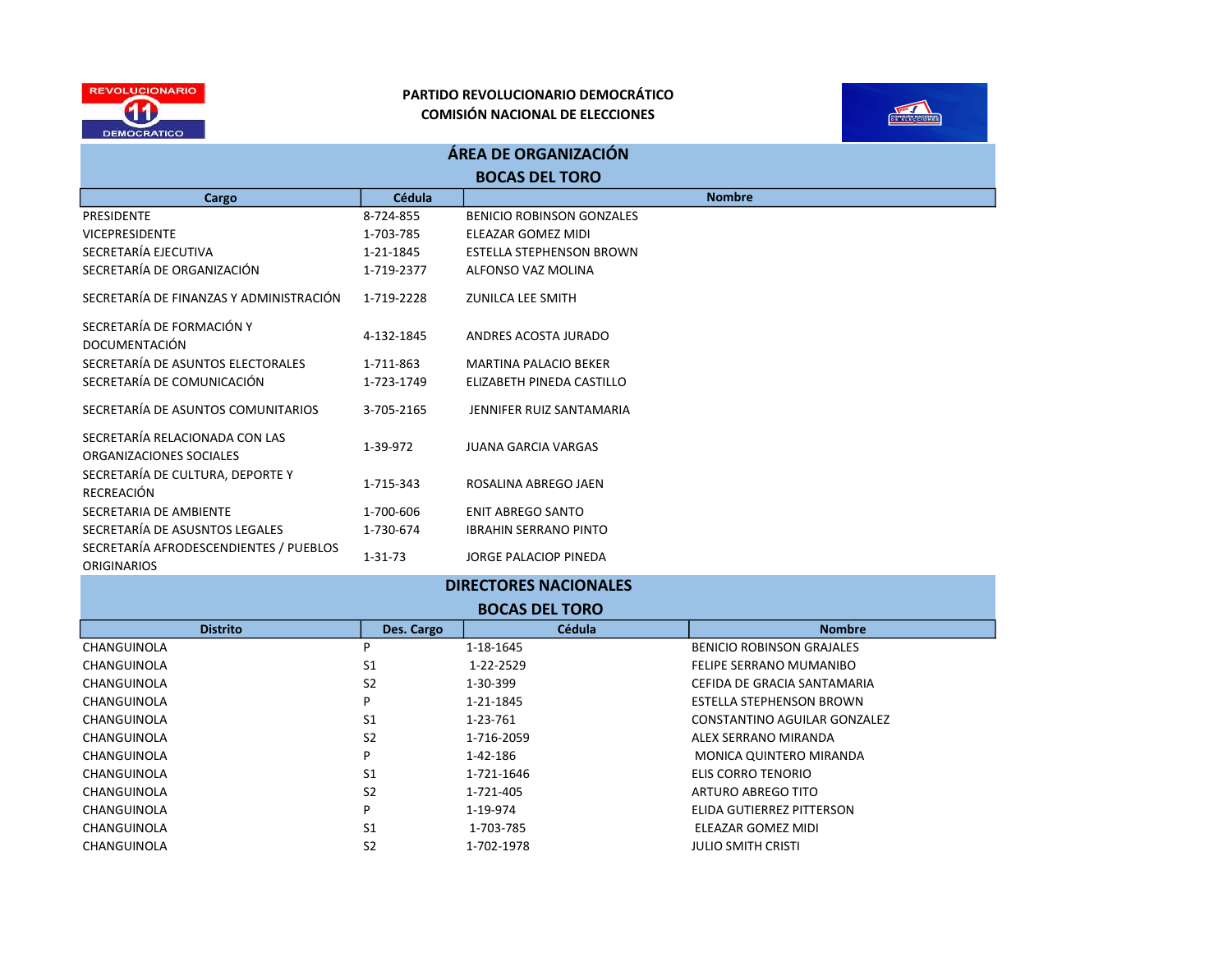



| ÁREA DE ORGANIZACIÓN                                         |               |                                  |  |  |  |
|--------------------------------------------------------------|---------------|----------------------------------|--|--|--|
| <b>BOCAS DEL TORO</b>                                        |               |                                  |  |  |  |
| Cargo                                                        | Cédula        | <b>Nombre</b>                    |  |  |  |
| PRESIDENTE                                                   | 8-724-855     | <b>BENICIO ROBINSON GONZALES</b> |  |  |  |
| <b>VICEPRESIDENTE</b>                                        | 1-703-785     | ELEAZAR GOMEZ MIDI               |  |  |  |
| SECRETARÍA EJECUTIVA                                         | 1-21-1845     | <b>ESTELLA STEPHENSON BROWN</b>  |  |  |  |
| SECRETARÍA DE ORGANIZACIÓN                                   | 1-719-2377    | ALFONSO VAZ MOLINA               |  |  |  |
| SECRETARÍA DE FINANZAS Y ADMINISTRACIÓN                      | 1-719-2228    | ZUNILCA LEE SMITH                |  |  |  |
| SECRETARÍA DE FORMACIÓN Y<br>DOCUMENTACIÓN                   | 4-132-1845    | ANDRES ACOSTA JURADO             |  |  |  |
| SECRETARÍA DE ASUNTOS ELECTORALES                            | 1-711-863     | <b>MARTINA PALACIO BEKER</b>     |  |  |  |
| SECRETARÍA DE COMUNICACIÓN                                   | 1-723-1749    | ELIZABETH PINEDA CASTILLO        |  |  |  |
| SECRETARÍA DE ASUNTOS COMUNITARIOS                           | 3-705-2165    | JENNIFER RUIZ SANTAMARIA         |  |  |  |
| SECRETARÍA RELACIONADA CON LAS<br>ORGANIZACIONES SOCIALES    | 1-39-972      | <b>JUANA GARCIA VARGAS</b>       |  |  |  |
| SECRETARÍA DE CULTURA, DEPORTE Y<br>RECREACIÓN               | 1-715-343     | ROSALINA ABREGO JAEN             |  |  |  |
| SECRETARIA DE AMBIENTE                                       | 1-700-606     | <b>ENIT ABREGO SANTO</b>         |  |  |  |
| SECRETARÍA DE ASUSNTOS LEGALES                               | 1-730-674     | <b>IBRAHIN SERRANO PINTO</b>     |  |  |  |
| SECRETARÍA AFRODESCENDIENTES / PUEBLOS<br><b>ORIGINARIOS</b> | $1 - 31 - 73$ | JORGE PALACIOP PINEDA            |  |  |  |

| <b>DIRECTORES NACIONALES</b> |                |               |                              |  |  |
|------------------------------|----------------|---------------|------------------------------|--|--|
| <b>BOCAS DEL TORO</b>        |                |               |                              |  |  |
| <b>Distrito</b>              | Des. Cargo     | <b>Cédula</b> | <b>Nombre</b>                |  |  |
| CHANGUINOLA                  | Þ              | 1-18-1645     | BENICIO ROBINSON GRAJALES    |  |  |
| CHANGUINOLA                  | S <sub>1</sub> | 1-22-2529     | FELIPE SERRANO MUMANIBO      |  |  |
| CHANGUINOLA                  | S <sub>2</sub> | 1-30-399      | CEFIDA DE GRACIA SANTAMARIA  |  |  |
| CHANGUINOLA                  | P              | 1-21-1845     | ESTELLA STEPHENSON BROWN     |  |  |
| CHANGUINOLA                  | S <sub>1</sub> | 1-23-761      | CONSTANTINO AGUILAR GONZALEZ |  |  |
| CHANGUINOLA                  | S <sub>2</sub> | 1-716-2059    | ALEX SERRANO MIRANDA         |  |  |
| CHANGUINOLA                  | P              | 1-42-186      | MONICA QUINTERO MIRANDA      |  |  |
| CHANGUINOLA                  | S1             | 1-721-1646    | ELIS CORRO TENORIO           |  |  |
| CHANGUINOLA                  | S <sub>2</sub> | 1-721-405     | ARTURO ABREGO TITO           |  |  |
| CHANGUINOLA                  | P              | 1-19-974      | ELIDA GUTIERREZ PITTERSON    |  |  |
| CHANGUINOLA                  | S <sub>1</sub> | 1-703-785     | ELEAZAR GOMEZ MIDI           |  |  |
| CHANGUINOLA                  | S <sub>2</sub> | 1-702-1978    | JULIO SMITH CRISTI           |  |  |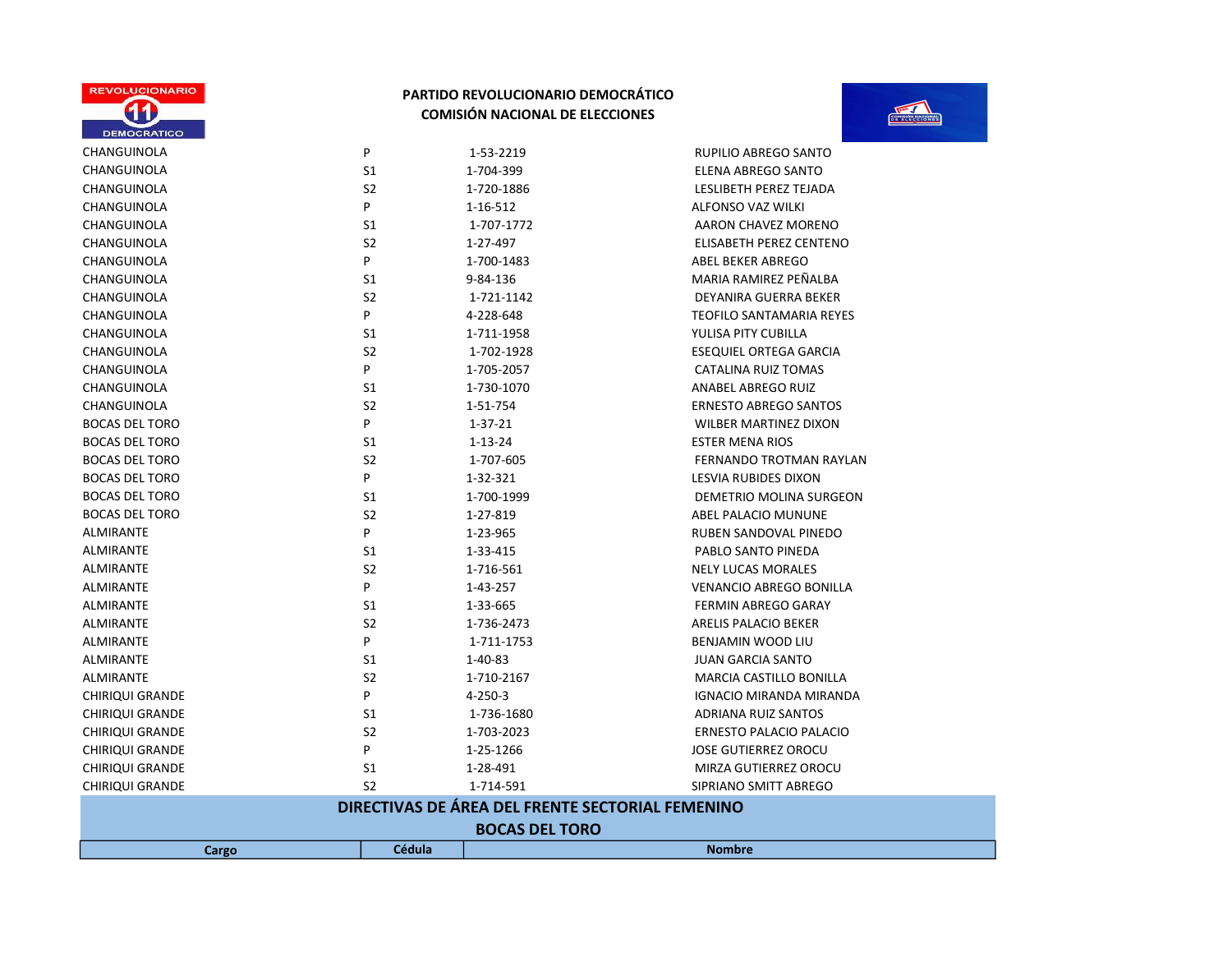



| Cargo                                            | <b>Cédula</b>       |                                                  | <b>Nombre</b>                                  |  |
|--------------------------------------------------|---------------------|--------------------------------------------------|------------------------------------------------|--|
| <b>BOCAS DEL TORO</b>                            |                     |                                                  |                                                |  |
|                                                  |                     | DIRECTIVAS DE ÁREA DEL FRENTE SECTORIAL FEMENINO |                                                |  |
|                                                  |                     |                                                  |                                                |  |
| <b>CHIRIQUI GRANDE</b><br><b>CHIRIQUI GRANDE</b> | S <sub>2</sub>      | 1-28-491<br>1-714-591                            | MIRZA GUTIERREZ OROCU<br>SIPRIANO SMITT ABREGO |  |
| <b>CHIRIQUI GRANDE</b>                           | P<br>S <sub>1</sub> | 1-25-1266                                        | <b>JOSE GUTIERREZ OROCU</b>                    |  |
| <b>CHIRIQUI GRANDE</b>                           | S <sub>2</sub>      | 1-703-2023                                       | <b>ERNESTO PALACIO PALACIO</b>                 |  |
| <b>CHIRIQUI GRANDE</b>                           | S1                  | 1-736-1680                                       | <b>ADRIANA RUIZ SANTOS</b>                     |  |
| <b>CHIRIQUI GRANDE</b>                           | P                   | $4 - 250 - 3$                                    | <b>IGNACIO MIRANDA MIRANDA</b>                 |  |
| ALMIRANTE                                        | S <sub>2</sub>      | 1-710-2167                                       | MARCIA CASTILLO BONILLA                        |  |
| ALMIRANTE                                        | S1                  | 1-40-83                                          | <b>JUAN GARCIA SANTO</b>                       |  |
| ALMIRANTE                                        | P                   | 1-711-1753                                       | BENJAMIN WOOD LIU                              |  |
| <b>ALMIRANTE</b>                                 | S <sub>2</sub>      | 1-736-2473                                       | <b>ARELIS PALACIO BEKER</b>                    |  |
| ALMIRANTE                                        | S1                  | 1-33-665                                         | FERMIN ABREGO GARAY                            |  |
| ALMIRANTE                                        | P                   | 1-43-257                                         | <b>VENANCIO ABREGO BONILLA</b>                 |  |
| ALMIRANTE                                        | S <sub>2</sub>      | 1-716-561                                        | <b>NELY LUCAS MORALES</b>                      |  |
| ALMIRANTE                                        | S <sub>1</sub>      | 1-33-415                                         | PABLO SANTO PINEDA                             |  |
| <b>ALMIRANTE</b>                                 | P                   | 1-23-965                                         | RUBEN SANDOVAL PINEDO                          |  |
| <b>BOCAS DEL TORO</b>                            | S <sub>2</sub>      | 1-27-819                                         | ABEL PALACIO MUNUNE                            |  |
| <b>BOCAS DEL TORO</b>                            | S1                  | 1-700-1999                                       | DEMETRIO MOLINA SURGEON                        |  |
| <b>BOCAS DEL TORO</b>                            | P                   | 1-32-321                                         | <b>LESVIA RUBIDES DIXON</b>                    |  |
| <b>BOCAS DEL TORO</b>                            | S <sub>2</sub>      | 1-707-605                                        | FERNANDO TROTMAN RAYLAN                        |  |
|                                                  | S <sub>1</sub>      | $1 - 13 - 24$                                    | <b>ESTER MENA RIOS</b>                         |  |
| <b>BOCAS DEL TORO</b>                            |                     | $1 - 37 - 21$                                    | WILBER MARTINEZ DIXON                          |  |
| <b>BOCAS DEL TORO</b>                            | P                   | 1-51-754                                         | <b>ERNESTO ABREGO SANTOS</b>                   |  |
| CHANGUINOLA                                      | S <sub>2</sub>      |                                                  |                                                |  |
| CHANGUINOLA                                      | S <sub>1</sub>      | 1-730-1070                                       | ANABEL ABREGO RUIZ                             |  |
| CHANGUINOLA                                      | P                   | 1-705-2057                                       | <b>CATALINA RUIZ TOMAS</b>                     |  |
| CHANGUINOLA                                      | S <sub>2</sub>      | 1-702-1928                                       | <b>ESEQUIEL ORTEGA GARCIA</b>                  |  |
| CHANGUINOLA                                      | S <sub>1</sub>      | 1-711-1958                                       | YULISA PITY CUBILLA                            |  |
| CHANGUINOLA                                      | P                   | 4-228-648                                        | <b>TEOFILO SANTAMARIA REYES</b>                |  |
| CHANGUINOLA                                      | S <sub>2</sub>      | 1-721-1142                                       | DEYANIRA GUERRA BEKER                          |  |
| CHANGUINOLA                                      | S <sub>1</sub>      | 9-84-136                                         | MARIA RAMIREZ PEÑALBA                          |  |
| CHANGUINOLA                                      | P                   | 1-700-1483                                       | <b>ABEL BEKER ABREGO</b>                       |  |
| CHANGUINOLA                                      | S <sub>2</sub>      | 1-27-497                                         | ELISABETH PEREZ CENTENO                        |  |
| CHANGUINOLA                                      | S1                  | 1-707-1772                                       | AARON CHAVEZ MORENO                            |  |
| CHANGUINOLA                                      | P                   | 1-16-512                                         | <b>ALFONSO VAZ WILKI</b>                       |  |
| CHANGUINOLA<br>CHANGUINOLA                       | S <sub>2</sub>      | 1-720-1886                                       | ELENA ABREGO SANTO<br>LESLIBETH PEREZ TEJADA   |  |
|                                                  | S <sub>1</sub>      | 1-704-399                                        |                                                |  |
| CHANGUINOLA                                      | P                   | 1-53-2219                                        | RUPILIO ABREGO SANTO                           |  |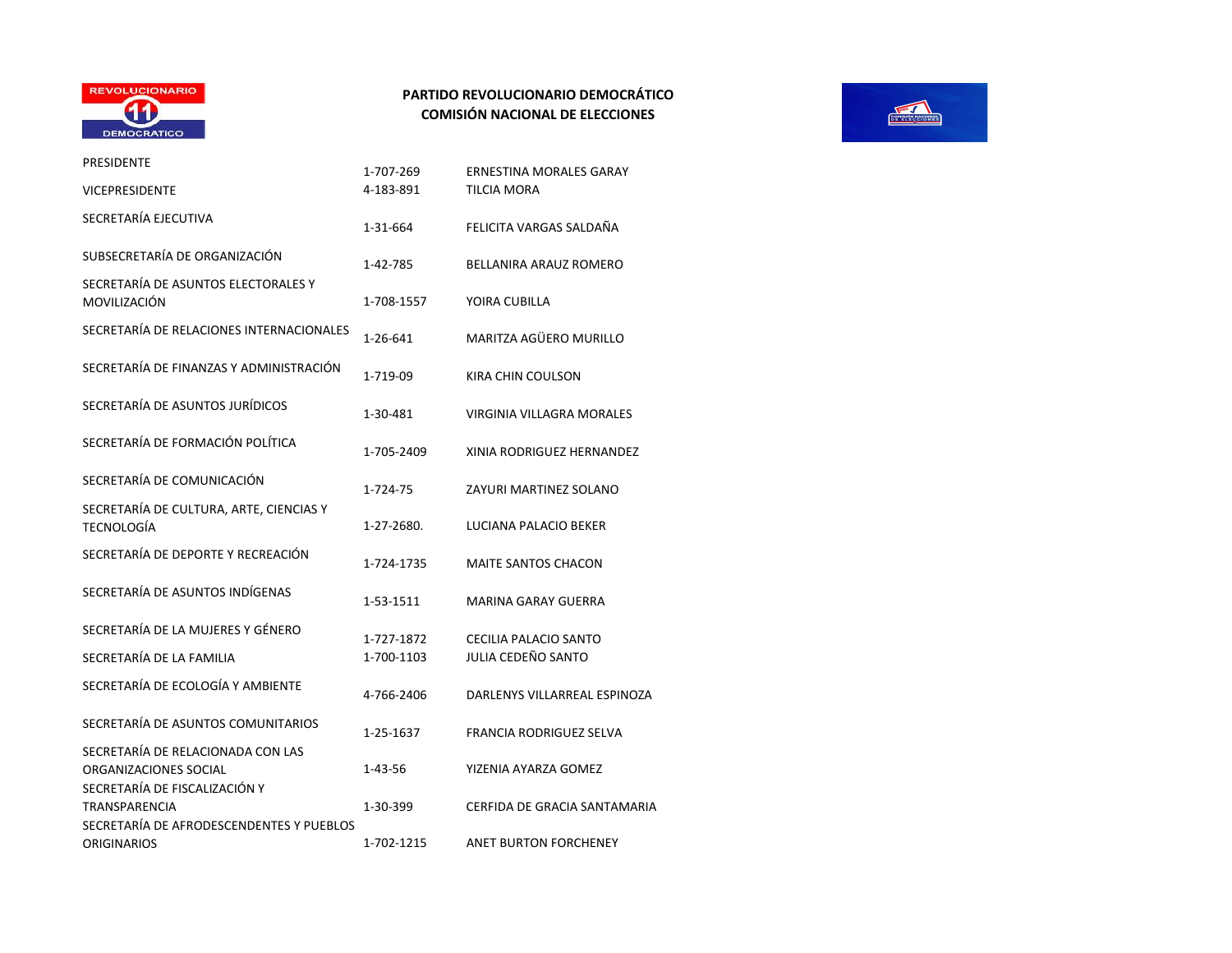

| PRESIDENTE                                                                                  | 1-707-269  | <b>ERNESTINA MORALES GARAY</b>   |
|---------------------------------------------------------------------------------------------|------------|----------------------------------|
| <b>VICEPRESIDENTE</b>                                                                       | 4-183-891  | <b>TILCIA MORA</b>               |
| SECRETARÍA EJECUTIVA                                                                        | 1-31-664   | FELICITA VARGAS SALDAÑA          |
| SUBSECRETARÍA DE ORGANIZACIÓN                                                               | 1-42-785   | BELLANIRA ARAUZ ROMERO           |
| SECRETARÍA DE ASUNTOS ELECTORALES Y<br>MOVILIZACIÓN                                         | 1-708-1557 | YOIRA CUBILLA                    |
| SECRETARÍA DE RELACIONES INTERNACIONALES                                                    | 1-26-641   | MARITZA AGÜERO MURILLO           |
| SECRETARÍA DE FINANZAS Y ADMINISTRACIÓN                                                     | 1-719-09   | KIRA CHIN COULSON                |
| SECRETARÍA DE ASUNTOS JURÍDICOS                                                             | 1-30-481   | <b>VIRGINIA VILLAGRA MORALES</b> |
| SECRETARÍA DE FORMACIÓN POLÍTICA                                                            | 1-705-2409 | XINIA RODRIGUEZ HERNANDEZ        |
| SECRETARÍA DE COMUNICACIÓN                                                                  | 1-724-75   | ZAYURI MARTINEZ SOLANO           |
| SECRETARÍA DE CULTURA, ARTE, CIENCIAS Y<br><b>TECNOLOGÍA</b>                                | 1-27-2680. | LUCIANA PALACIO BEKER            |
| SECRETARÍA DE DEPORTE Y RECREACIÓN                                                          | 1-724-1735 | <b>MAITE SANTOS CHACON</b>       |
| SECRETARÍA DE ASUNTOS INDÍGENAS                                                             | 1-53-1511  | <b>MARINA GARAY GUERRA</b>       |
| SECRETARÍA DE LA MUJERES Y GÉNERO                                                           | 1-727-1872 | <b>CECILIA PALACIO SANTO</b>     |
| SECRETARÍA DE LA FAMILIA                                                                    | 1-700-1103 | JULIA CEDEÑO SANTO               |
| SECRETARÍA DE ECOLOGÍA Y AMBIENTE                                                           | 4-766-2406 | DARLENYS VILLARREAL ESPINOZA     |
| SECRETARÍA DE ASUNTOS COMUNITARIOS                                                          | 1-25-1637  | <b>FRANCIA RODRIGUEZ SELVA</b>   |
| SECRETARÍA DE RELACIONADA CON LAS<br>ORGANIZACIONES SOCIAL<br>SECRETARÍA DE FISCALIZACIÓN Y | 1-43-56    | YIZENIA AYARZA GOMEZ             |
| <b>TRANSPARENCIA</b>                                                                        | 1-30-399   | CERFIDA DE GRACIA SANTAMARIA     |
| SECRETARÍA DE AFRODESCENDENTES Y PUEBLOS<br><b>ORIGINARIOS</b>                              | 1-702-1215 | <b>ANET BURTON FORCHENEY</b>     |

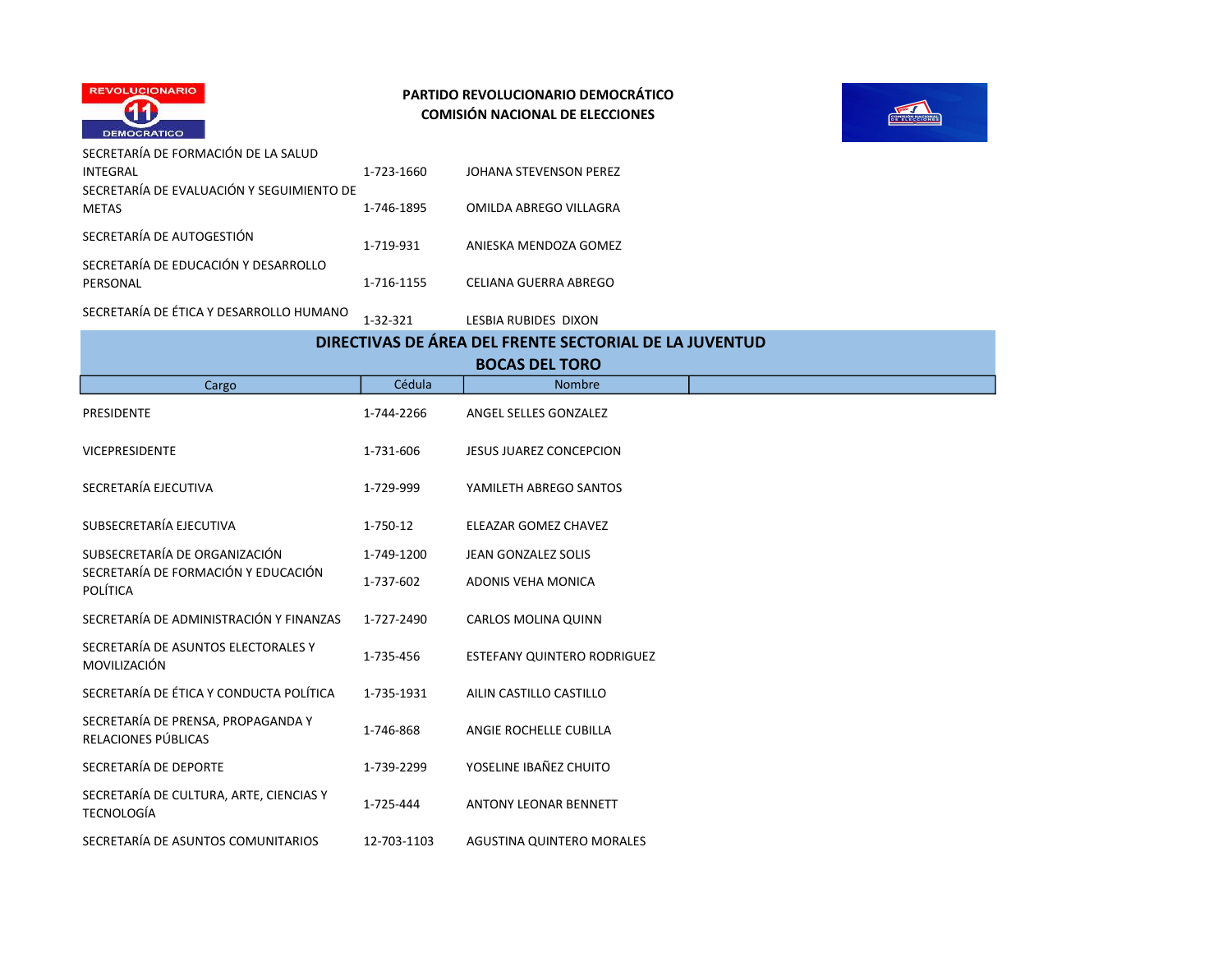



SECRETARÍA DE FORMACIÓN DE LA SALUD INTEGRAL 1-723-1660 JOHANA STEVENSON PEREZ SECRETARÍA DE EVALUACIÓN Y SEGUIMIENTO DE METAS 1-746-1895 OMILDA ABREGO VILLAGRA SECRETARÍA DE AUTOGESTIÓN 1-719-931 ANIESKA MENDOZA GOMEZ SECRETARÍA DE EDUCACIÓN Y DESARROLLO PERSONAL **1-716-1155** CELIANA GUERRA ABREGO

SECRETARÍA DE ÉTICA Y DESARROLLO HUMANO<br>1-32-321 LESBIA RUBIDES DIXON

|                       |                                                              |             | DIRECTIVAS DE ÁREA DEL FRENTE SECTORIAL DE LA JUVENTUD |  |  |
|-----------------------|--------------------------------------------------------------|-------------|--------------------------------------------------------|--|--|
| <b>BOCAS DEL TORO</b> |                                                              |             |                                                        |  |  |
|                       | Cargo                                                        | Cédula      | Nombre                                                 |  |  |
|                       | PRESIDENTE                                                   | 1-744-2266  | ANGEL SELLES GONZALEZ                                  |  |  |
|                       | <b>VICEPRESIDENTE</b>                                        | 1-731-606   | <b>JESUS JUAREZ CONCEPCION</b>                         |  |  |
|                       | SECRETARÍA EJECUTIVA                                         | 1-729-999   | YAMILETH ABREGO SANTOS                                 |  |  |
|                       | SUBSECRETARÍA EJECUTIVA                                      | 1-750-12    | ELEAZAR GOMEZ CHAVEZ                                   |  |  |
|                       | SUBSECRETARÍA DE ORGANIZACIÓN                                | 1-749-1200  | <b>JEAN GONZALEZ SOLIS</b>                             |  |  |
|                       | SECRETARÍA DE FORMACIÓN Y EDUCACIÓN<br>POLÍTICA              | 1-737-602   | ADONIS VEHA MONICA                                     |  |  |
|                       | SECRETARÍA DE ADMINISTRACIÓN Y FINANZAS                      | 1-727-2490  | <b>CARLOS MOLINA QUINN</b>                             |  |  |
|                       | SECRETARÍA DE ASUNTOS ELECTORALES Y<br>MOVILIZACIÓN          | 1-735-456   | ESTEFANY QUINTERO RODRIGUEZ                            |  |  |
|                       | SECRETARÍA DE ÉTICA Y CONDUCTA POLÍTICA                      | 1-735-1931  | AILIN CASTILLO CASTILLO                                |  |  |
|                       | SECRETARÍA DE PRENSA, PROPAGANDA Y<br>RELACIONES PÚBLICAS    | 1-746-868   | ANGIE ROCHELLE CUBILLA                                 |  |  |
|                       | SECRETARÍA DE DEPORTE                                        | 1-739-2299  | YOSELINE IBAÑEZ CHUITO                                 |  |  |
|                       | SECRETARÍA DE CULTURA, ARTE, CIENCIAS Y<br><b>TECNOLOGÍA</b> | 1-725-444   | <b>ANTONY LEONAR BENNETT</b>                           |  |  |
|                       | SECRETARÍA DE ASUNTOS COMUNITARIOS                           | 12-703-1103 | AGUSTINA QUINTERO MORALES                              |  |  |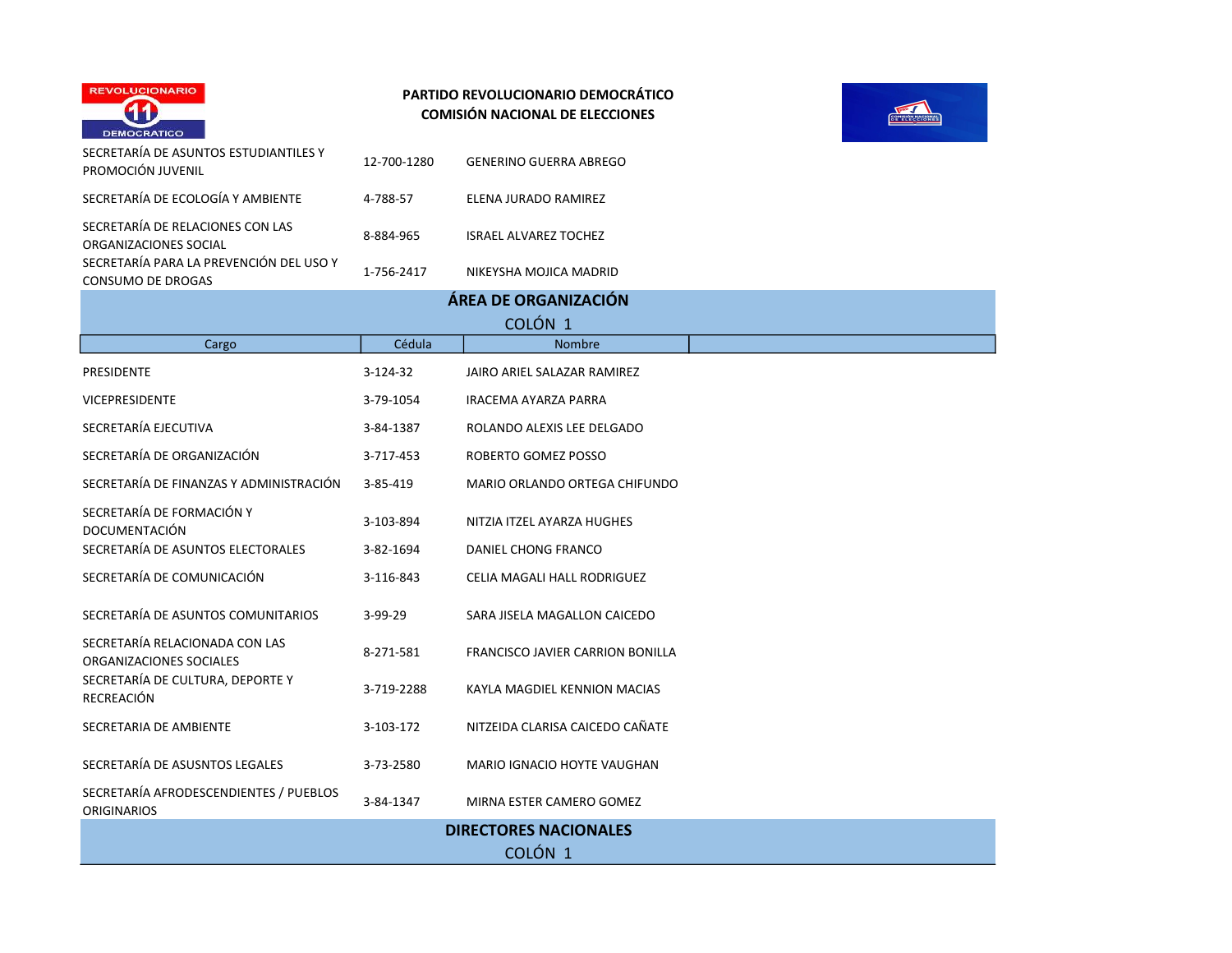



| <b>DEMOCRATICO</b>                                           |             |                                         |  |  |  |
|--------------------------------------------------------------|-------------|-----------------------------------------|--|--|--|
| SECRETARÍA DE ASUNTOS ESTUDIANTILES Y<br>PROMOCIÓN JUVENIL   | 12-700-1280 | <b>GENERINO GUERRA ABREGO</b>           |  |  |  |
| SECRETARÍA DE ECOLOGÍA Y AMBIENTE                            | 4-788-57    | ELENA JURADO RAMIREZ                    |  |  |  |
| SECRETARÍA DE RELACIONES CON LAS<br>ORGANIZACIONES SOCIAL    | 8-884-965   | <b>ISRAEL ALVAREZ TOCHEZ</b>            |  |  |  |
| SECRETARÍA PARA LA PREVENCIÓN DEL USO Y<br>CONSUMO DE DROGAS | 1-756-2417  | NIKEYSHA MOJICA MADRID                  |  |  |  |
|                                                              |             | ÁREA DE ORGANIZACIÓN                    |  |  |  |
|                                                              |             | COLÓN <sub>1</sub>                      |  |  |  |
| Cargo                                                        | Cédula      | Nombre                                  |  |  |  |
| PRESIDENTE                                                   | 3-124-32    | JAIRO ARIEL SALAZAR RAMIREZ             |  |  |  |
| <b>VICEPRESIDENTE</b>                                        | 3-79-1054   | IRACEMA AYARZA PARRA                    |  |  |  |
| SECRETARÍA EJECUTIVA                                         | 3-84-1387   | ROLANDO ALEXIS LEE DELGADO              |  |  |  |
| SECRETARÍA DE ORGANIZACIÓN                                   | 3-717-453   | ROBERTO GOMEZ POSSO                     |  |  |  |
| SECRETARÍA DE FINANZAS Y ADMINISTRACIÓN                      | 3-85-419    | MARIO ORLANDO ORTEGA CHIFUNDO           |  |  |  |
| SECRETARÍA DE FORMACIÓN Y<br><b>DOCUMENTACIÓN</b>            | 3-103-894   | NITZIA ITZEL AYARZA HUGHES              |  |  |  |
| SECRETARÍA DE ASUNTOS ELECTORALES                            | 3-82-1694   | DANIEL CHONG FRANCO                     |  |  |  |
| SECRETARÍA DE COMUNICACIÓN                                   | 3-116-843   | CELIA MAGALI HALL RODRIGUEZ             |  |  |  |
| SECRETARÍA DE ASUNTOS COMUNITARIOS                           | 3-99-29     | SARA JISELA MAGALLON CAICEDO            |  |  |  |
| SECRETARÍA RELACIONADA CON LAS<br>ORGANIZACIONES SOCIALES    | 8-271-581   | <b>FRANCISCO JAVIER CARRION BONILLA</b> |  |  |  |
| SECRETARÍA DE CULTURA, DEPORTE Y<br>RECREACIÓN               | 3-719-2288  | KAYLA MAGDIEL KENNION MACIAS            |  |  |  |
| SECRETARIA DE AMBIENTE                                       | 3-103-172   | NITZEIDA CLARISA CAICEDO CAÑATE         |  |  |  |
| SECRETARÍA DE ASUSNTOS LEGALES                               | 3-73-2580   | MARIO IGNACIO HOYTE VAUGHAN             |  |  |  |
| SECRETARÍA AFRODESCENDIENTES / PUEBLOS<br><b>ORIGINARIOS</b> | 3-84-1347   | MIRNA ESTER CAMERO GOMEZ                |  |  |  |
|                                                              |             | <b>DIRECTORES NACIONALES</b>            |  |  |  |

COLÓN 1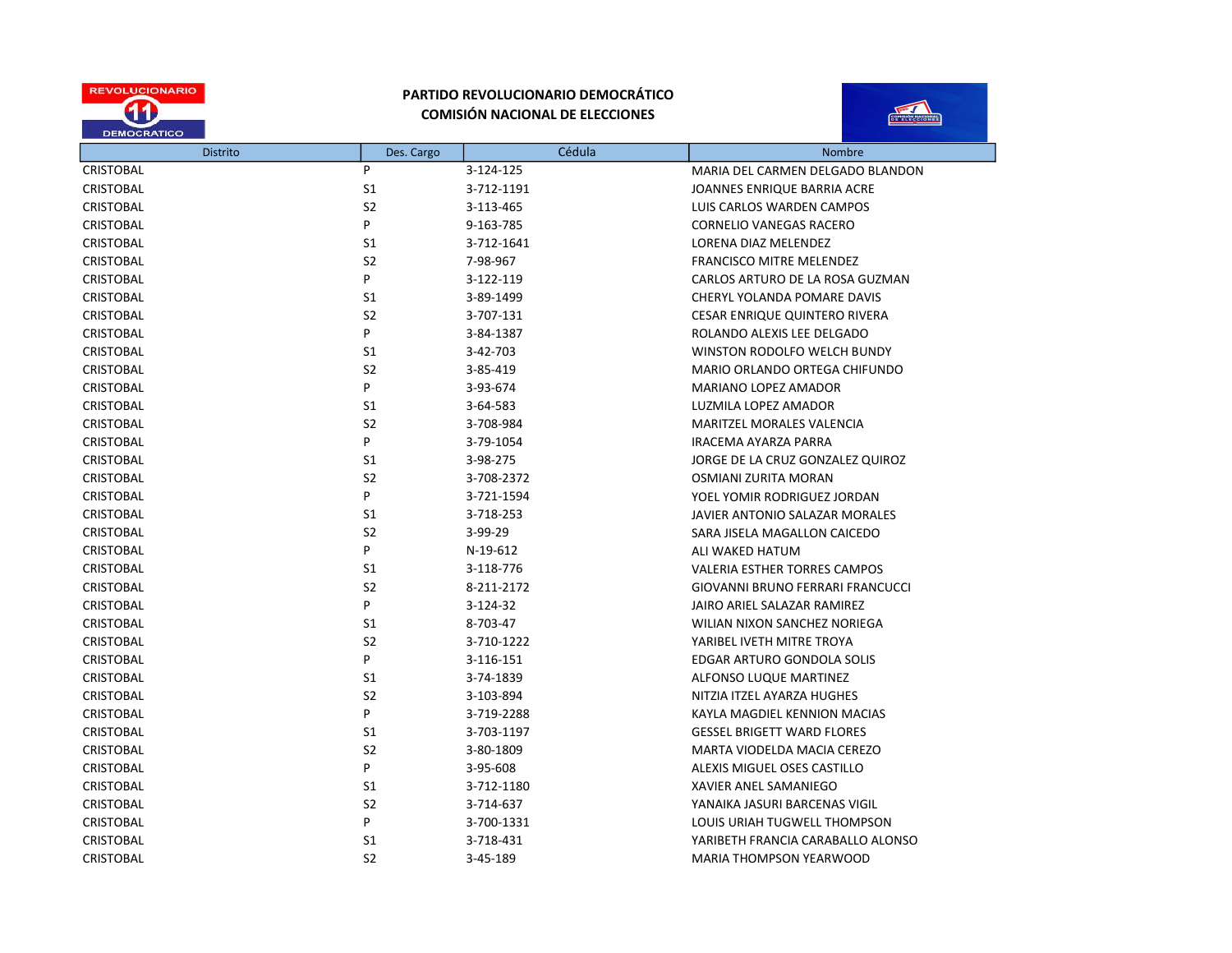



|                  | <b>Distrito</b> | Des. Cargo     | Cédula     | Nombre                                  |
|------------------|-----------------|----------------|------------|-----------------------------------------|
| <b>CRISTOBAL</b> |                 | P              | 3-124-125  | MARIA DEL CARMEN DELGADO BLANDON        |
| <b>CRISTOBAL</b> |                 | S <sub>1</sub> | 3-712-1191 | JOANNES ENRIQUE BARRIA ACRE             |
| <b>CRISTOBAL</b> |                 | S <sub>2</sub> | 3-113-465  | LUIS CARLOS WARDEN CAMPOS               |
| <b>CRISTOBAL</b> |                 | P              | 9-163-785  | <b>CORNELIO VANEGAS RACERO</b>          |
| <b>CRISTOBAL</b> |                 | S1             | 3-712-1641 | LORENA DIAZ MELENDEZ                    |
| <b>CRISTOBAL</b> |                 | S <sub>2</sub> | 7-98-967   | <b>FRANCISCO MITRE MELENDEZ</b>         |
| <b>CRISTOBAL</b> |                 | P              | 3-122-119  | CARLOS ARTURO DE LA ROSA GUZMAN         |
| <b>CRISTOBAL</b> |                 | S1             | 3-89-1499  | CHERYL YOLANDA POMARE DAVIS             |
| <b>CRISTOBAL</b> |                 | S <sub>2</sub> | 3-707-131  | CESAR ENRIQUE QUINTERO RIVERA           |
| <b>CRISTOBAL</b> |                 | P              | 3-84-1387  | ROLANDO ALEXIS LEE DELGADO              |
| <b>CRISTOBAL</b> |                 | S1             | 3-42-703   | WINSTON RODOLFO WELCH BUNDY             |
| <b>CRISTOBAL</b> |                 | S <sub>2</sub> | 3-85-419   | MARIO ORLANDO ORTEGA CHIFUNDO           |
| <b>CRISTOBAL</b> |                 | P              | 3-93-674   | MARIANO LOPEZ AMADOR                    |
| <b>CRISTOBAL</b> |                 | S1             | 3-64-583   | LUZMILA LOPEZ AMADOR                    |
| <b>CRISTOBAL</b> |                 | S <sub>2</sub> | 3-708-984  | <b>MARITZEL MORALES VALENCIA</b>        |
| <b>CRISTOBAL</b> |                 | P              | 3-79-1054  | IRACEMA AYARZA PARRA                    |
| CRISTOBAL        |                 | S1             | 3-98-275   | JORGE DE LA CRUZ GONZALEZ QUIROZ        |
| <b>CRISTOBAL</b> |                 | S <sub>2</sub> | 3-708-2372 | OSMIANI ZURITA MORAN                    |
| <b>CRISTOBAL</b> |                 | P              | 3-721-1594 | YOEL YOMIR RODRIGUEZ JORDAN             |
| <b>CRISTOBAL</b> |                 | S <sub>1</sub> | 3-718-253  | JAVIER ANTONIO SALAZAR MORALES          |
| <b>CRISTOBAL</b> |                 | S <sub>2</sub> | 3-99-29    | SARA JISELA MAGALLON CAICEDO            |
| <b>CRISTOBAL</b> |                 | P              | N-19-612   | ALI WAKED HATUM                         |
| <b>CRISTOBAL</b> |                 | S1             | 3-118-776  | <b>VALERIA ESTHER TORRES CAMPOS</b>     |
| <b>CRISTOBAL</b> |                 | S <sub>2</sub> | 8-211-2172 | <b>GIOVANNI BRUNO FERRARI FRANCUCCI</b> |
| <b>CRISTOBAL</b> |                 | P              | 3-124-32   | JAIRO ARIEL SALAZAR RAMIREZ             |
| <b>CRISTOBAL</b> |                 | S <sub>1</sub> | 8-703-47   | WILIAN NIXON SANCHEZ NORIEGA            |
| <b>CRISTOBAL</b> |                 | S <sub>2</sub> | 3-710-1222 | YARIBEL IVETH MITRE TROYA               |
| <b>CRISTOBAL</b> |                 | P              | 3-116-151  | EDGAR ARTURO GONDOLA SOLIS              |
| <b>CRISTOBAL</b> |                 | S <sub>1</sub> | 3-74-1839  | ALFONSO LUQUE MARTINEZ                  |
| <b>CRISTOBAL</b> |                 | S <sub>2</sub> | 3-103-894  | NITZIA ITZEL AYARZA HUGHES              |
| <b>CRISTOBAL</b> |                 | P              | 3-719-2288 | KAYLA MAGDIEL KENNION MACIAS            |
| <b>CRISTOBAL</b> |                 | S1             | 3-703-1197 | <b>GESSEL BRIGETT WARD FLORES</b>       |
| <b>CRISTOBAL</b> |                 | S <sub>2</sub> | 3-80-1809  | MARTA VIODELDA MACIA CEREZO             |
| <b>CRISTOBAL</b> |                 | P              | 3-95-608   | ALEXIS MIGUEL OSES CASTILLO             |
| <b>CRISTOBAL</b> |                 | S1             | 3-712-1180 | <b>XAVIER ANEL SAMANIEGO</b>            |
| <b>CRISTOBAL</b> |                 | S <sub>2</sub> | 3-714-637  | YANAIKA JASURI BARCENAS VIGIL           |
| <b>CRISTOBAL</b> |                 | P              | 3-700-1331 | LOUIS URIAH TUGWELL THOMPSON            |
| <b>CRISTOBAL</b> |                 | S <sub>1</sub> | 3-718-431  | YARIBETH FRANCIA CARABALLO ALONSO       |
| <b>CRISTOBAL</b> |                 | S <sub>2</sub> | 3-45-189   | <b>MARIA THOMPSON YEARWOOD</b>          |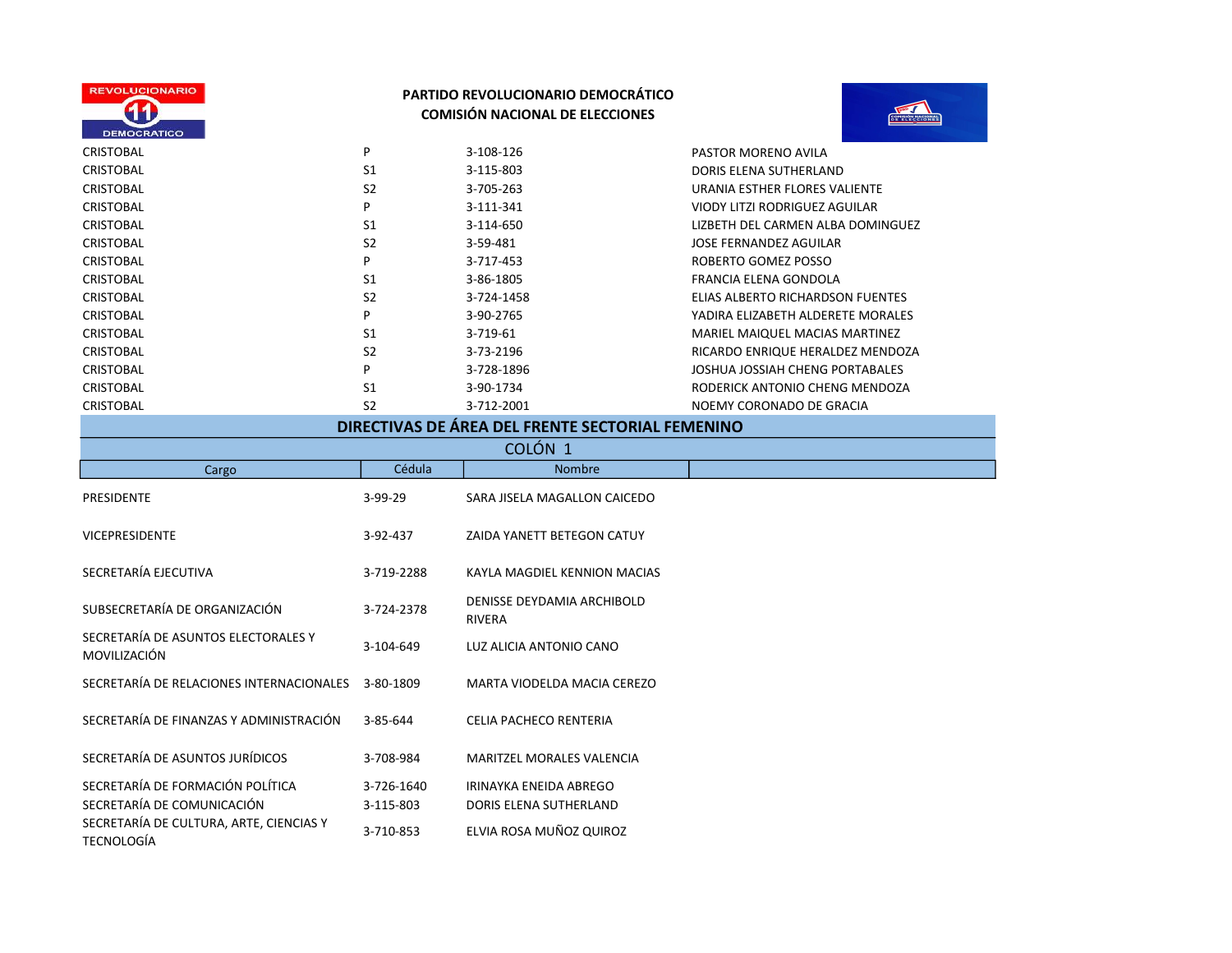



|                |                | NOEMY CORONADO DE GRACIA                                         |
|----------------|----------------|------------------------------------------------------------------|
| S <sub>1</sub> | 3-90-1734      | RODERICK ANTONIO CHENG MENDOZA                                   |
| P              | 3-728-1896     | JOSHUA JOSSIAH CHENG PORTABALES                                  |
| S <sub>2</sub> | 3-73-2196      | RICARDO ENRIQUE HERALDEZ MENDOZA                                 |
| S <sub>1</sub> | 3-719-61       | MARIEL MAIQUEL MACIAS MARTINEZ                                   |
| P              | 3-90-2765      | YADIRA ELIZABETH ALDERETE MORALES                                |
| S <sub>2</sub> | 3-724-1458     | ELIAS ALBERTO RICHARDSON FUENTES                                 |
| S <sub>1</sub> | 3-86-1805      | FRANCIA ELENA GONDOLA                                            |
| P              | 3-717-453      | ROBERTO GOMEZ POSSO                                              |
| S <sub>2</sub> | 3-59-481       | JOSE FERNANDEZ AGUILAR                                           |
| S <sub>1</sub> | 3-114-650      | LIZBETH DEL CARMEN ALBA DOMINGUEZ                                |
| P              | 3-111-341      | VIODY LITZI RODRIGUEZ AGUILAR                                    |
| S <sub>2</sub> | 3-705-263      | URANIA ESTHER FLORES VALIENTE                                    |
| S <sub>1</sub> | 3-115-803      | DORIS ELENA SUTHERLAND                                           |
| P              | 3-108-126      | PASTOR MORENO AVILA                                              |
|                | S <sub>2</sub> | 3-712-2001<br>BIBEATHIAC BE ÁBEA BEI FRENTE CEATABLAI FEAAFAIINA |

| DIRECTIVAS DE AREA DEL FRENTE SECTORIAL FEMENINO               |                         |                                                  |  |  |
|----------------------------------------------------------------|-------------------------|--------------------------------------------------|--|--|
| COLÓN <sub>1</sub>                                             |                         |                                                  |  |  |
| Cargo                                                          | Cédula                  | Nombre                                           |  |  |
| PRESIDENTE                                                     | $3-99-29$               | SARA JISELA MAGALLON CAICEDO                     |  |  |
| <b>VICEPRESIDENTE</b>                                          | 3-92-437                | ZAIDA YANETT BETEGON CATUY                       |  |  |
| SECRETARÍA EJECUTIVA                                           | 3-719-2288              | KAYLA MAGDIEL KENNION MACIAS                     |  |  |
| SUBSECRETARÍA DE ORGANIZACIÓN                                  | 3-724-2378              | DENISSE DEYDAMIA ARCHIBOLD<br><b>RIVERA</b>      |  |  |
| SECRETARÍA DE ASUNTOS ELECTORALES Y<br>MOVILIZACIÓN            | 3-104-649               | LUZ ALICIA ANTONIO CANO                          |  |  |
| SECRETARÍA DE RELACIONES INTERNACIONALES                       | 3-80-1809               | MARTA VIODELDA MACIA CEREZO                      |  |  |
| SECRETARÍA DE FINANZAS Y ADMINISTRACIÓN                        | 3-85-644                | CELIA PACHECO RENTERIA                           |  |  |
| SECRETARÍA DE ASUNTOS JURÍDICOS                                | 3-708-984               | <b>MARITZEL MORALES VALENCIA</b>                 |  |  |
| SECRETARÍA DE FORMACIÓN POLÍTICA<br>SECRETARÍA DE COMUNICACIÓN | 3-726-1640<br>3-115-803 | IRINAYKA ENEIDA ABREGO<br>DORIS ELENA SUTHERLAND |  |  |
| SECRETARÍA DE CULTURA, ARTE, CIENCIAS Y<br><b>TECNOLOGÍA</b>   | 3-710-853               | ELVIA ROSA MUÑOZ QUIROZ                          |  |  |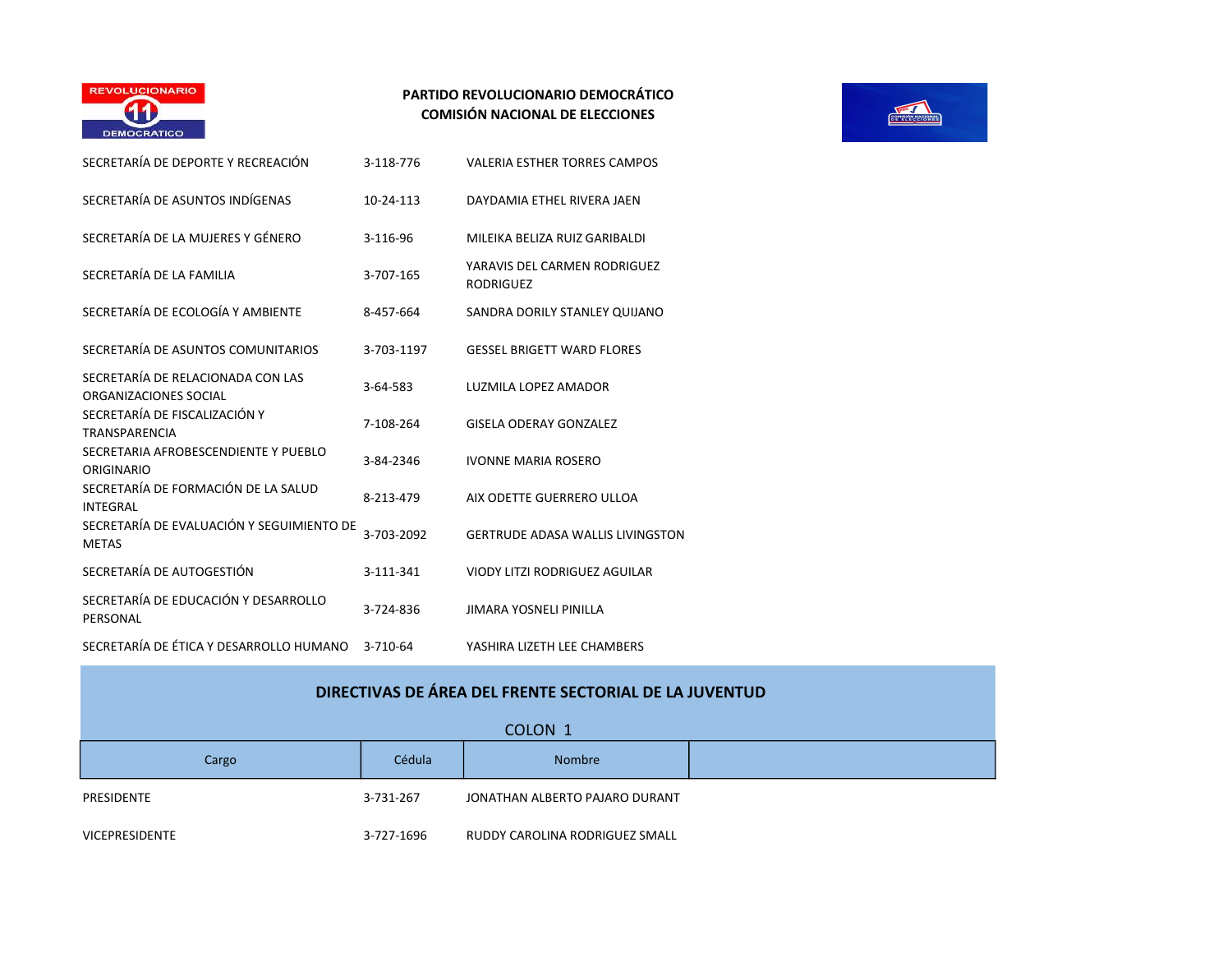

| SECRETARÍA DE DEPORTE Y RECREACIÓN                         | 3-118-776  | <b>VALERIA ESTHER TORRES CAMPOS</b>              |
|------------------------------------------------------------|------------|--------------------------------------------------|
| SECRETARÍA DE ASUNTOS INDÍGENAS                            | 10-24-113  | DAYDAMIA ETHEL RIVERA JAEN                       |
| SECRETARÍA DE LA MUJERES Y GÉNERO                          | 3-116-96   | MILEIKA BELIZA RUIZ GARIBALDI                    |
| SECRETARÍA DE LA FAMILIA                                   | 3-707-165  | YARAVIS DEL CARMEN RODRIGUEZ<br><b>RODRIGUEZ</b> |
| SECRETARÍA DE ECOLOGÍA Y AMBIENTE                          | 8-457-664  | SANDRA DORILY STANLEY QUIJANO                    |
| SECRETARÍA DE ASUNTOS COMUNITARIOS                         | 3-703-1197 | <b>GESSEL BRIGETT WARD FLORES</b>                |
| SECRETARÍA DE RELACIONADA CON LAS<br>ORGANIZACIONES SOCIAL | 3-64-583   | LUZMILA LOPEZ AMADOR                             |
| SECRETARÍA DE FISCALIZACIÓN Y<br>TRANSPARENCIA             | 7-108-264  | <b>GISELA ODERAY GONZALEZ</b>                    |
| SECRETARIA AFROBESCENDIENTE Y PUEBLO<br>ORIGINARIO         | 3-84-2346  | <b>IVONNE MARIA ROSERO</b>                       |
| SECRETARÍA DE FORMACIÓN DE LA SALUD<br>INTEGRAL            | 8-213-479  | AIX ODETTE GUERRERO ULLOA                        |
| SECRETARÍA DE EVALUACIÓN Y SEGUIMIENTO DE<br><b>METAS</b>  | 3-703-2092 | <b>GERTRUDE ADASA WALLIS LIVINGSTON</b>          |
| SECRETARÍA DE AUTOGESTIÓN                                  | 3-111-341  | <b>VIODY LITZI RODRIGUEZ AGUILAR</b>             |
| SECRETARÍA DE EDUCACIÓN Y DESARROLLO<br>PERSONAL           | 3-724-836  | JIMARA YOSNELI PINILLA                           |
| SECRETARÍA DE ÉTICA Y DESARROLLO HUMANO                    | 3-710-64   | YASHIRA LIZETH LEE CHAMBERS                      |
|                                                            |            |                                                  |



| DIRECTIVAS DE ÁREA DEL FRENTE SECTORIAL DE LA JUVENTUD |  |            |                                |  |
|--------------------------------------------------------|--|------------|--------------------------------|--|
|                                                        |  |            | COLON <sub>1</sub>             |  |
| Cargo                                                  |  | Cédula     | <b>Nombre</b>                  |  |
| PRESIDENTE                                             |  | 3-731-267  | JONATHAN ALBERTO PAJARO DURANT |  |
| <b>VICEPRESIDENTE</b>                                  |  | 3-727-1696 | RUDDY CAROLINA RODRIGUEZ SMALL |  |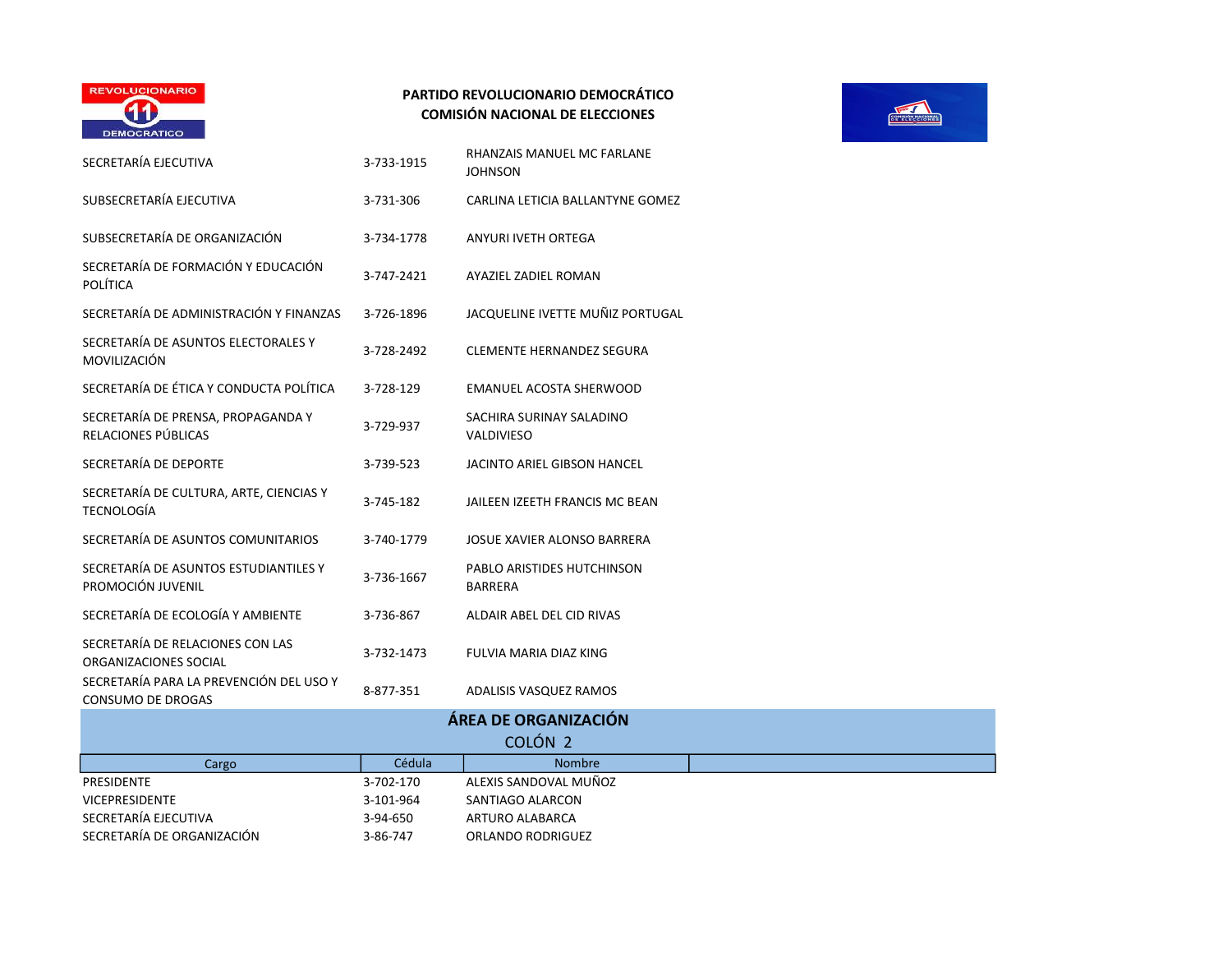

| SECRETARÍA EJECUTIVA                                                | 3-733-1915 | RHANZAIS MANUEL MC FARLANE<br><b>JOHNSON</b>  |
|---------------------------------------------------------------------|------------|-----------------------------------------------|
| SUBSECRETARÍA EJECUTIVA                                             | 3-731-306  | CARLINA LETICIA BALLANTYNE GOMEZ              |
| SUBSECRETARÍA DE ORGANIZACIÓN                                       | 3-734-1778 | ANYURI IVETH ORTEGA                           |
| SECRETARÍA DE FORMACIÓN Y EDUCACIÓN<br><b>POLÍTICA</b>              | 3-747-2421 | AYAZIEL ZADIEL ROMAN                          |
| SECRETARÍA DE ADMINISTRACIÓN Y FINANZAS                             | 3-726-1896 | JACQUELINE IVETTE MUÑIZ PORTUGAL              |
| SECRETARÍA DE ASUNTOS ELECTORALES Y<br>MOVILIZACIÓN                 | 3-728-2492 | <b>CLEMENTE HERNANDEZ SEGURA</b>              |
| SECRETARÍA DE ÉTICA Y CONDUCTA POLÍTICA                             | 3-728-129  | <b>EMANUEL ACOSTA SHERWOOD</b>                |
| SECRETARÍA DE PRENSA, PROPAGANDA Y<br>RELACIONES PÚBLICAS           | 3-729-937  | SACHIRA SURINAY SALADINO<br><b>VALDIVIESO</b> |
| SECRETARÍA DE DEPORTE                                               | 3-739-523  | JACINTO ARIEL GIBSON HANCEL                   |
| SECRETARÍA DE CULTURA, ARTE, CIENCIAS Y<br><b>TECNOLOGÍA</b>        | 3-745-182  | JAILEEN IZEETH FRANCIS MC BEAN                |
| SECRETARÍA DE ASUNTOS COMUNITARIOS                                  | 3-740-1779 | JOSUE XAVIER ALONSO BARRERA                   |
| SECRETARÍA DE ASUNTOS ESTUDIANTILES Y<br>PROMOCIÓN JUVENIL          | 3-736-1667 | PABLO ARISTIDES HUTCHINSON<br><b>BARRERA</b>  |
| SECRETARÍA DE ECOLOGÍA Y AMBIENTE                                   | 3-736-867  | ALDAIR ABEL DEL CID RIVAS                     |
| SECRETARÍA DE RELACIONES CON LAS<br>ORGANIZACIONES SOCIAL           | 3-732-1473 | FULVIA MARIA DIAZ KING                        |
| SECRETARÍA PARA LA PREVENCIÓN DEL USO Y<br><b>CONSUMO DE DROGAS</b> | 8-877-351  | ADALISIS VASQUEZ RAMOS                        |
|                                                                     |            | ÁREA DE ORGANIZACIÓN                          |
|                                                                     |            | COLÓN <sub>2</sub>                            |
| Cargo                                                               | Cédula     | <b>Nombre</b>                                 |
| <b>PRESIDENTE</b>                                                   | 3-702-170  | ALEXIS SANDOVAL MUÑOZ                         |
| <b>VICEPRESIDENTE</b>                                               | 3-101-964  | SANTIAGO ALARCON                              |
| SECRETARÍA EJECUTIVA                                                | 3-94-650   | ARTURO ALABARCA                               |
| SECRETARÍA DE ORGANIZACIÓN                                          | 3-86-747   | ORLANDO RODRIGUEZ                             |

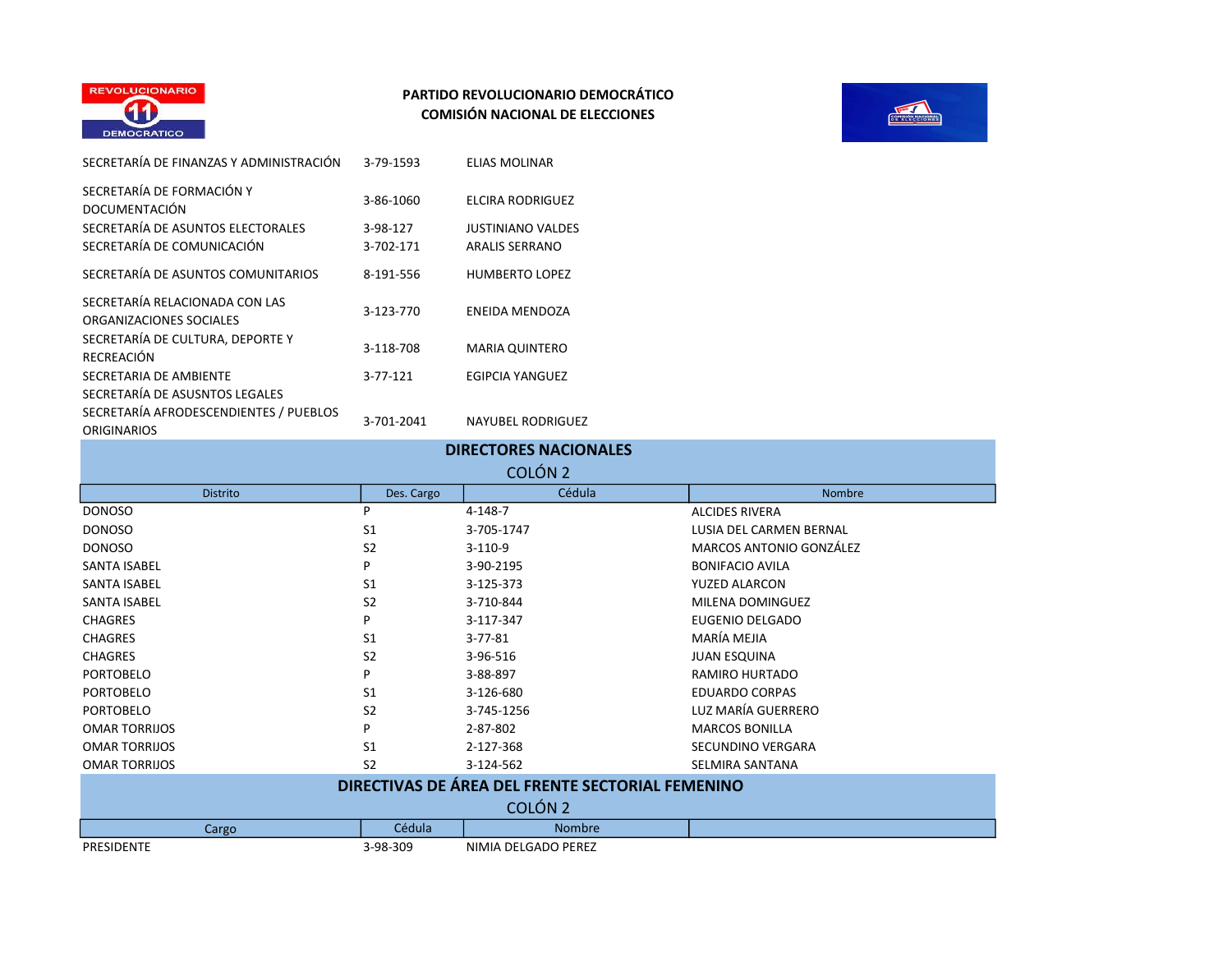



| SECRETARÍA DE FINANZAS Y ADMINISTRACIÓN                   | 3-79-1593  | <b>ELIAS MOLINAR</b>     |
|-----------------------------------------------------------|------------|--------------------------|
| SECRETARÍA DE FORMACIÓN Y<br><b>DOCUMENTACIÓN</b>         | 3-86-1060  | <b>ELCIRA RODRIGUEZ</b>  |
| SECRETARÍA DE ASUNTOS ELECTORALES                         | 3-98-127   | <b>JUSTINIANO VALDES</b> |
| SECRETARÍA DE COMUNICACIÓN                                | 3-702-171  | <b>ARALIS SERRANO</b>    |
| SECRETARÍA DE ASUNTOS COMUNITARIOS                        | 8-191-556  | <b>HUMBERTO LOPEZ</b>    |
| SECRETARÍA RELACIONADA CON LAS<br>ORGANIZACIONES SOCIALES | 3-123-770  | ENEIDA MENDOZA           |
| SECRETARÍA DE CULTURA, DEPORTE Y<br><b>RECREACIÓN</b>     | 3-118-708  | <b>MARIA QUINTERO</b>    |
| SECRETARIA DE AMBIENTE                                    | 3-77-121   | EGIPCIA YANGUEZ          |
| SECRETARÍA DE ASUSNTOS LEGALES                            |            |                          |
| SECRETARÍA AFRODESCENDIENTES / PUEBLOS                    | 3-701-2041 | <b>NAYUBEL RODRIGUEZ</b> |
| ORIGINARIOS                                               |            |                          |

| <b>DIRECTORES NACIONALES</b>                     |                |                     |                         |  |
|--------------------------------------------------|----------------|---------------------|-------------------------|--|
| COLÓN <sub>2</sub>                               |                |                     |                         |  |
| <b>Distrito</b>                                  | Des. Cargo     | Cédula              | Nombre                  |  |
| <b>DONOSO</b>                                    | P              | $4 - 148 - 7$       | <b>ALCIDES RIVERA</b>   |  |
| <b>DONOSO</b>                                    | S <sub>1</sub> | 3-705-1747          | LUSIA DEL CARMEN BERNAL |  |
| <b>DONOSO</b>                                    | S <sub>2</sub> | $3-110-9$           | MARCOS ANTONIO GONZÁLEZ |  |
| <b>SANTA ISABEL</b>                              | P              | 3-90-2195           | <b>BONIFACIO AVILA</b>  |  |
| <b>SANTA ISABEL</b>                              | S <sub>1</sub> | 3-125-373           | YUZED ALARCON           |  |
| <b>SANTA ISABEL</b>                              | S <sub>2</sub> | 3-710-844           | MILENA DOMINGUEZ        |  |
| <b>CHAGRES</b>                                   | P              | 3-117-347           | EUGENIO DELGADO         |  |
| <b>CHAGRES</b>                                   | S <sub>1</sub> | $3 - 77 - 81$       | MARÍA MEJIA             |  |
| <b>CHAGRES</b>                                   | S <sub>2</sub> | 3-96-516            | <b>JUAN ESQUINA</b>     |  |
| <b>PORTOBELO</b>                                 | P              | 3-88-897            | RAMIRO HURTADO          |  |
| <b>PORTOBELO</b>                                 | S <sub>1</sub> | 3-126-680           | <b>EDUARDO CORPAS</b>   |  |
| <b>PORTOBELO</b>                                 | S <sub>2</sub> | 3-745-1256          | LUZ MARÍA GUERRERO      |  |
| <b>OMAR TORRIJOS</b>                             | P              | 2-87-802            | <b>MARCOS BONILLA</b>   |  |
| <b>OMAR TORRIJOS</b>                             | S <sub>1</sub> | 2-127-368           | SECUNDINO VERGARA       |  |
| <b>OMAR TORRIJOS</b>                             | S <sub>2</sub> | 3-124-562           | <b>SELMIRA SANTANA</b>  |  |
| DIRECTIVAS DE ÁREA DEL FRENTE SECTORIAL FEMENINO |                |                     |                         |  |
| COLÓN <sub>2</sub>                               |                |                     |                         |  |
| Cargo                                            | Cédula         | Nombre              |                         |  |
| <b>PRESIDENTE</b>                                | 3-98-309       | NIMIA DELGADO PEREZ |                         |  |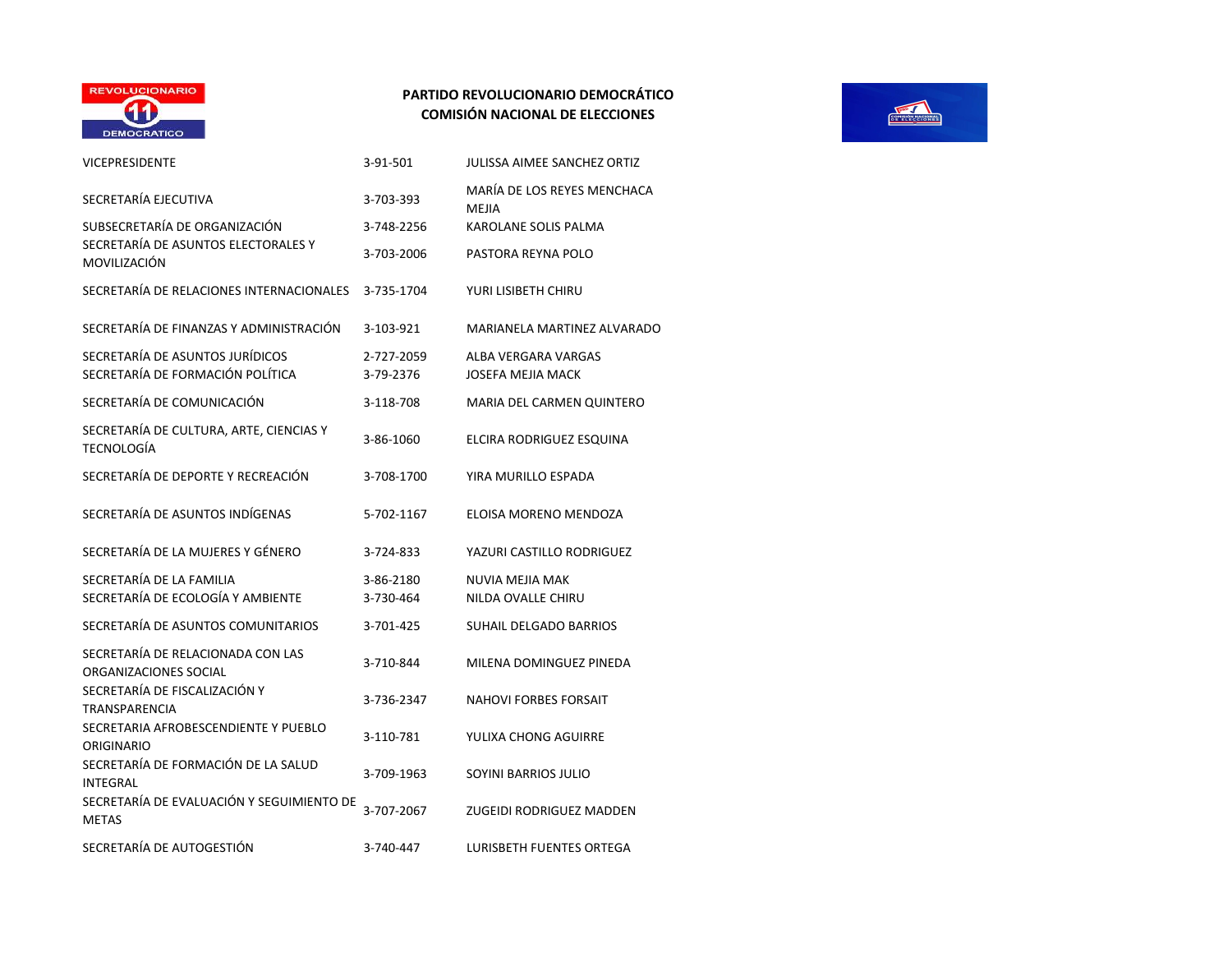

| <b>VICEPRESIDENTE</b>                                               | 3-91-501                | JULISSA AIMEE SANCHEZ ORTIZ                     |
|---------------------------------------------------------------------|-------------------------|-------------------------------------------------|
| SECRETARÍA EJECUTIVA                                                | 3-703-393               | MARÍA DE LOS REYES MENCHACA<br>MEJIA            |
| SUBSECRETARÍA DE ORGANIZACIÓN                                       | 3-748-2256              | KAROLANE SOLIS PALMA                            |
| SECRETARÍA DE ASUNTOS ELECTORALES Y<br>MOVILIZACIÓN                 | 3-703-2006              | PASTORA REYNA POLO                              |
| SECRETARÍA DE RELACIONES INTERNACIONALES                            | 3-735-1704              | YURI LISIBETH CHIRU                             |
| SECRETARÍA DE FINANZAS Y ADMINISTRACIÓN                             | 3-103-921               | MARIANELA MARTINEZ ALVARADO                     |
| SECRETARÍA DE ASUNTOS JURÍDICOS<br>SECRETARÍA DE FORMACIÓN POLÍTICA | 2-727-2059<br>3-79-2376 | ALBA VERGARA VARGAS<br><b>JOSEFA MEJIA MACK</b> |
| SECRETARÍA DE COMUNICACIÓN                                          | 3-118-708               | MARIA DEL CARMEN QUINTERO                       |
| SECRETARÍA DE CULTURA, ARTE, CIENCIAS Y<br><b>TECNOLOGÍA</b>        | 3-86-1060               | ELCIRA RODRIGUEZ ESQUINA                        |
| SECRETARÍA DE DEPORTE Y RECREACIÓN                                  | 3-708-1700              | YIRA MURILLO ESPADA                             |
| SECRETARÍA DE ASUNTOS INDÍGENAS                                     | 5-702-1167              | ELOISA MORENO MENDOZA                           |
| SECRETARÍA DE LA MUJERES Y GÉNERO                                   | 3-724-833               | YAZURI CASTILLO RODRIGUEZ                       |
| SECRETARÍA DE LA FAMILIA                                            | 3-86-2180               | NUVIA MEJIA MAK                                 |
| SECRETARÍA DE ECOLOGÍA Y AMBIENTE                                   | 3-730-464               | NILDA OVALLE CHIRU                              |
| SECRETARÍA DE ASUNTOS COMUNITARIOS                                  | 3-701-425               | SUHAIL DELGADO BARRIOS                          |
| SECRETARÍA DE RELACIONADA CON LAS<br>ORGANIZACIONES SOCIAL          | 3-710-844               | MILENA DOMINGUEZ PINEDA                         |
| SECRETARÍA DE FISCALIZACIÓN Y<br><b>TRANSPARENCIA</b>               | 3-736-2347              | <b>NAHOVI FORBES FORSAIT</b>                    |
| SECRETARIA AFROBESCENDIENTE Y PUEBLO<br>ORIGINARIO                  | 3-110-781               | YULIXA CHONG AGUIRRE                            |
| SECRETARÍA DE FORMACIÓN DE LA SALUD<br><b>INTEGRAL</b>              | 3-709-1963              | SOYINI BARRIOS JULIO                            |
| SECRETARÍA DE EVALUACIÓN Y SEGUIMIENTO DE<br><b>METAS</b>           | 3-707-2067              | ZUGEIDI RODRIGUEZ MADDEN                        |
| SECRETARÍA DE AUTOGESTIÓN                                           | 3-740-447               | <b>LURISBETH FUENTES ORTEGA</b>                 |

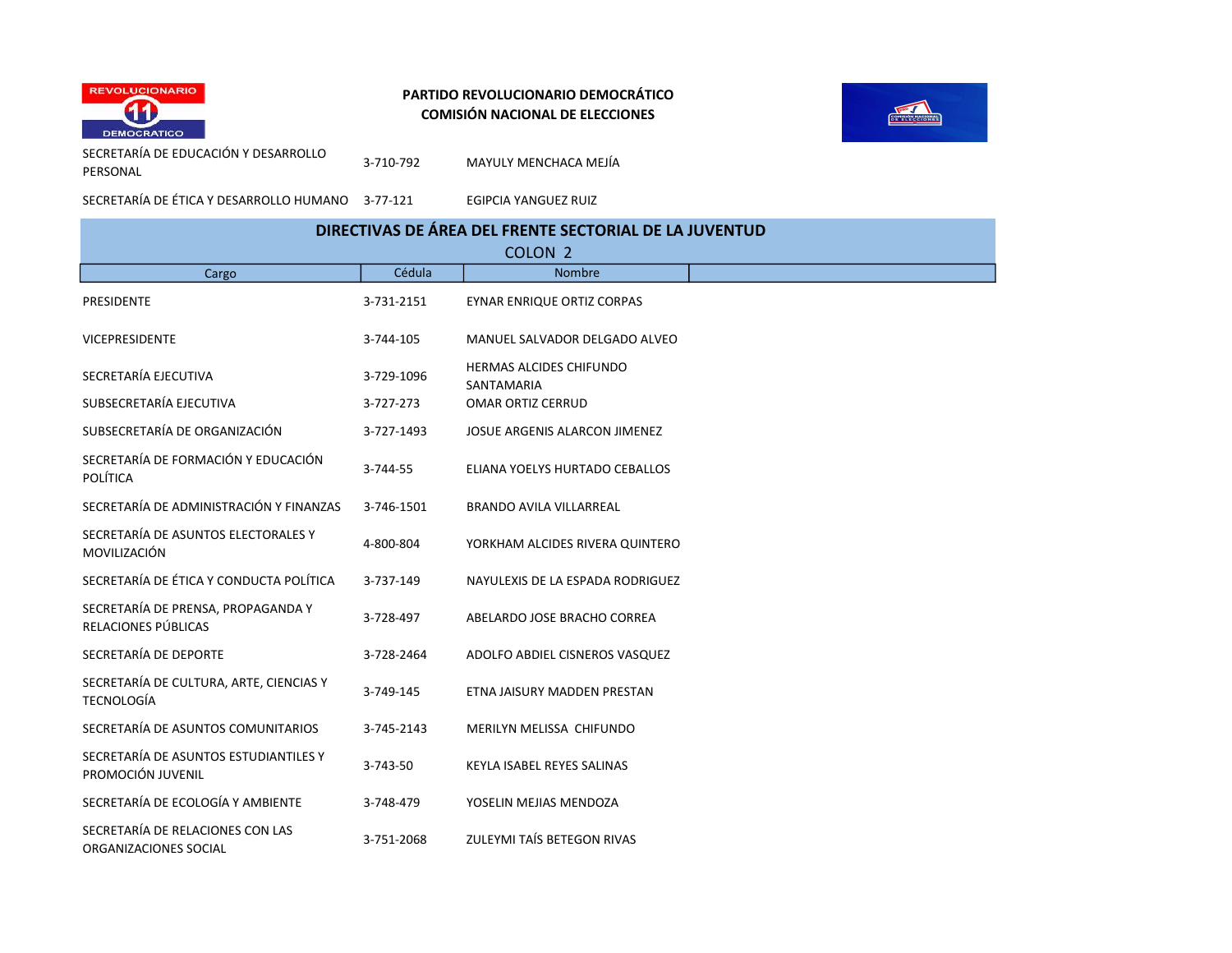



SECRETARÍA DE EDUCACIÓN Y DESARROLLO PERSONAL

3-710-792 MAYULY MENCHACA MEJÍA

SECRETARÍA DE ÉTICA Y DESARROLLO HUMANO 3-77-121 EGIPCIA YANGUEZ RUIZ

# DIRECTIVAS DE ÁREA DEL FRENTE SECTORIAL DE LA JUVENTUD

| COLON <sub>2</sub>                                           |            |                                              |  |
|--------------------------------------------------------------|------------|----------------------------------------------|--|
| Cargo                                                        | Cédula     | Nombre                                       |  |
| <b>PRESIDENTE</b>                                            | 3-731-2151 | EYNAR ENRIQUE ORTIZ CORPAS                   |  |
| <b>VICEPRESIDENTE</b>                                        | 3-744-105  | MANUEL SALVADOR DELGADO ALVEO                |  |
| SECRETARÍA EJECUTIVA                                         | 3-729-1096 | <b>HERMAS ALCIDES CHIFUNDO</b><br>SANTAMARIA |  |
| SUBSECRETARÍA EJECUTIVA                                      | 3-727-273  | <b>OMAR ORTIZ CERRUD</b>                     |  |
| SUBSECRETARÍA DE ORGANIZACIÓN                                | 3-727-1493 | JOSUE ARGENIS ALARCON JIMENEZ                |  |
| SECRETARÍA DE FORMACIÓN Y EDUCACIÓN<br>POLÍTICA              | 3-744-55   | ELIANA YOELYS HURTADO CEBALLOS               |  |
| SECRETARÍA DE ADMINISTRACIÓN Y FINANZAS                      | 3-746-1501 | <b>BRANDO AVILA VILLARREAL</b>               |  |
| SECRETARÍA DE ASUNTOS ELECTORALES Y<br>MOVILIZACIÓN          | 4-800-804  | YORKHAM ALCIDES RIVERA QUINTERO              |  |
| SECRETARÍA DE ÉTICA Y CONDUCTA POLÍTICA                      | 3-737-149  | NAYULEXIS DE LA ESPADA RODRIGUEZ             |  |
| SECRETARÍA DE PRENSA, PROPAGANDA Y<br>RELACIONES PÚBLICAS    | 3-728-497  | ABELARDO JOSE BRACHO CORREA                  |  |
| SECRETARÍA DE DEPORTE                                        | 3-728-2464 | ADOLFO ABDIEL CISNEROS VASQUEZ               |  |
| SECRETARÍA DE CULTURA, ARTE, CIENCIAS Y<br><b>TECNOLOGÍA</b> | 3-749-145  | ETNA JAISURY MADDEN PRESTAN                  |  |
| SECRETARÍA DE ASUNTOS COMUNITARIOS                           | 3-745-2143 | MERILYN MELISSA CHIFUNDO                     |  |
| SECRETARÍA DE ASUNTOS ESTUDIANTILES Y<br>PROMOCIÓN JUVENIL   | 3-743-50   | KEYLA ISABEL REYES SALINAS                   |  |
| SECRETARÍA DE ECOLOGÍA Y AMBIENTE                            | 3-748-479  | YOSELIN MEJIAS MENDOZA                       |  |
| SECRETARÍA DE RELACIONES CON LAS<br>ORGANIZACIONES SOCIAL    | 3-751-2068 | ZULEYMI TAÍS BETEGON RIVAS                   |  |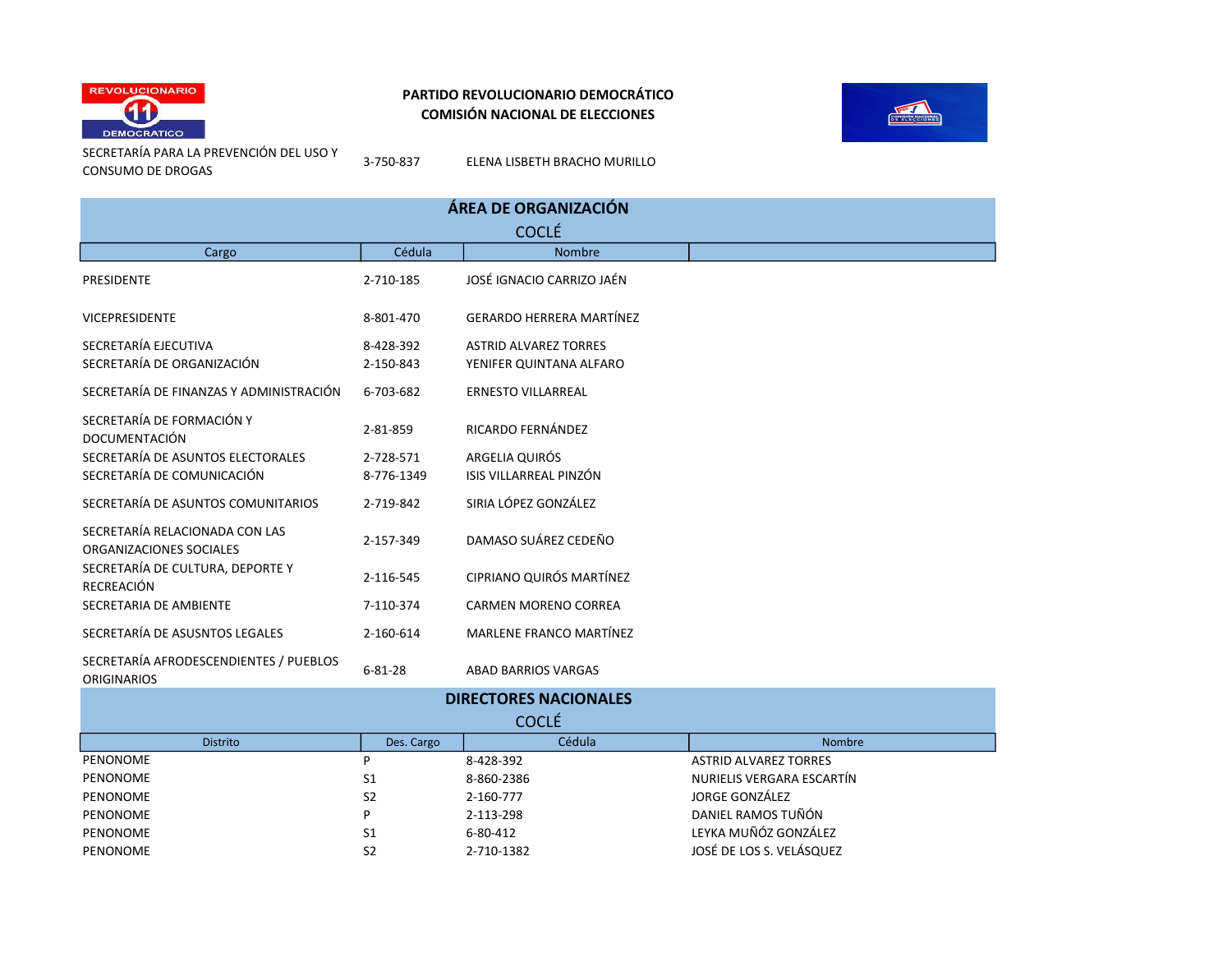



SECRETARÍA PARA LA PREVENCIÓN DEL USO Y CONSUMO DE DROGAS

3-750-837 ELENA LISBETH BRACHO MURILLO

| ÁREA DE ORGANIZACIÓN                                         |               |                                 |        |  |
|--------------------------------------------------------------|---------------|---------------------------------|--------|--|
| <b>COCLÉ</b>                                                 |               |                                 |        |  |
| Cargo                                                        | Cédula        | <b>Nombre</b>                   |        |  |
| PRESIDENTE                                                   | 2-710-185     | JOSÉ IGNACIO CARRIZO JAÉN       |        |  |
| <b>VICEPRESIDENTE</b>                                        | 8-801-470     | <b>GERARDO HERRERA MARTÍNEZ</b> |        |  |
| SECRETARÍA EJECUTIVA                                         | 8-428-392     | <b>ASTRID ALVAREZ TORRES</b>    |        |  |
| SECRETARÍA DE ORGANIZACIÓN                                   | 2-150-843     | YENIFER QUINTANA ALFARO         |        |  |
| SECRETARÍA DE FINANZAS Y ADMINISTRACIÓN                      | 6-703-682     | <b>ERNESTO VILLARREAL</b>       |        |  |
| SECRETARÍA DE FORMACIÓN Y<br><b>DOCUMENTACIÓN</b>            | 2-81-859      | RICARDO FERNÁNDEZ               |        |  |
| SECRETARÍA DE ASUNTOS ELECTORALES                            | 2-728-571     | ARGELIA QUIRÓS                  |        |  |
| SECRETARÍA DE COMUNICACIÓN                                   | 8-776-1349    | ISIS VILLARREAL PINZÓN          |        |  |
| SECRETARÍA DE ASUNTOS COMUNITARIOS                           | 2-719-842     | SIRIA LÓPEZ GONZÁLEZ            |        |  |
| SECRETARÍA RELACIONADA CON LAS<br>ORGANIZACIONES SOCIALES    | 2-157-349     | DAMASO SUÁREZ CEDEÑO            |        |  |
| SECRETARÍA DE CULTURA, DEPORTE Y<br>RECREACIÓN               | 2-116-545     | CIPRIANO QUIRÓS MARTÍNEZ        |        |  |
| SECRETARIA DE AMBIENTE                                       | 7-110-374     | <b>CARMEN MORENO CORREA</b>     |        |  |
| SECRETARÍA DE ASUSNTOS LEGALES                               | 2-160-614     | MARLENE FRANCO MARTÍNEZ         |        |  |
| SECRETARÍA AFRODESCENDIENTES / PUEBLOS<br><b>ORIGINARIOS</b> | $6 - 81 - 28$ | <b>ABAD BARRIOS VARGAS</b>      |        |  |
| <b>DIRECTORES NACIONALES</b>                                 |               |                                 |        |  |
| <b>COCLÉ</b>                                                 |               |                                 |        |  |
| <b>Distrito</b>                                              | Des. Cargo    | Cédula                          | Nombre |  |

PENONOME P 8-428-392 ASTRID ALVAREZ TORRES PENONOME S1 8-860-2386 NURIELIS VERGARA ESCARTÍN

PENONOME S2 2-160-777 SERVICES SONZÁLEZ PENONOME P P 2-113-298 DANIEL RAMOS TUÑÓN PENONOME S1 6-80-412 LEYKA MUÑÓZ GONZÁLEZ PENONOME S2 2-710-1382 JOSÉ DE LOS S. VELÁSQUEZ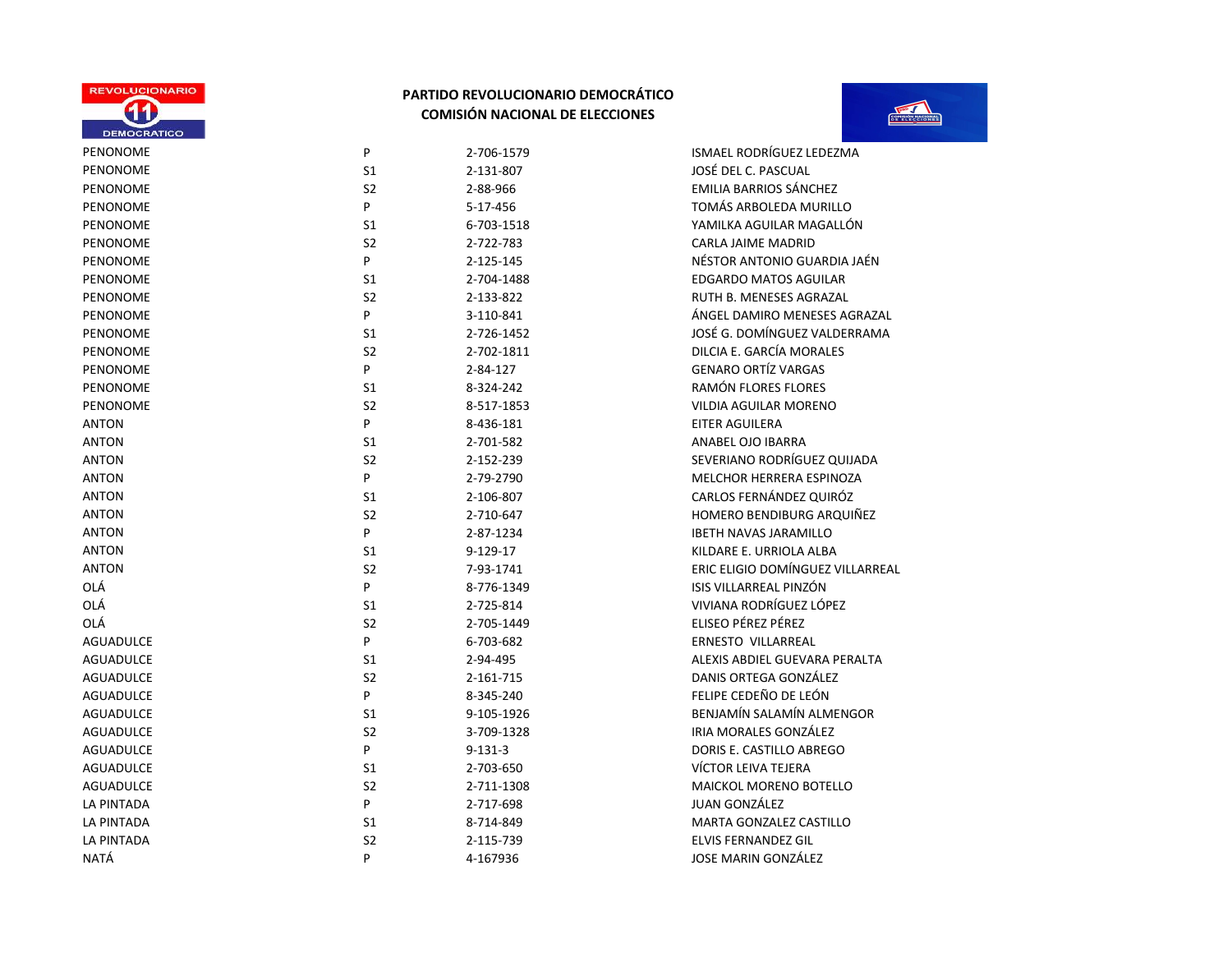



| <b>DEMOCRATICO</b>                      |
|-----------------------------------------|
| PENONOME                                |
| PENONOME                                |
| PENONOME                                |
| PENONOME                                |
| PENONOME                                |
| PENONOME                                |
| PENONOME                                |
| PENONOME                                |
| PENONOME                                |
| PENONOME                                |
| PENONOME                                |
| PENONOME                                |
| PENONOME                                |
| PENONOME                                |
| PENONOME                                |
| ANTON                                   |
| ANTON                                   |
| <b>ANTON</b>                            |
| ANTON                                   |
| <b>ANTON</b>                            |
| ANTON                                   |
| ANTON                                   |
| <b>ANTON</b>                            |
| <b>ANTON</b>                            |
| OLÁ                                     |
| OLÁ                                     |
| OLÁ                                     |
| AGUADULCE                               |
| AGUADULCE                               |
| AGUADULCE                               |
| AGUADULCE                               |
| AGUADULCE                               |
| AGUADULCE                               |
| AGUADULCE                               |
| AGUADULCE                               |
| AGUADULCE                               |
| LA PINTADA                              |
| LA PINTADA                              |
| $I$ $A$ $D$ $I$ $I$ $I$ $T$ $A$ $D$ $A$ |

| P              | 2-706-1579    | ISMAEL RODRÍGUEZ LEDEZMA      |
|----------------|---------------|-------------------------------|
| S1             | 2-131-807     | JOSÉ DEL C. PASCUAL           |
| S <sub>2</sub> | 2-88-966      | <b>EMILIA BARRIOS SÁNCHEZ</b> |
| P              | 5-17-456      | TOMÁS ARBOLEDA MURILLO        |
| S <sub>1</sub> | 6-703-1518    | YAMILKA AGUILAR MAGALLÓN      |
| S <sub>2</sub> | 2-722-783     | CARLA JAIME MADRID            |
| P              | 2-125-145     | NÉSTOR ANTONIO GUARDIA JA     |
| S1             | 2-704-1488    | <b>EDGARDO MATOS AGUILAR</b>  |
| S <sub>2</sub> | 2-133-822     | RUTH B. MENESES AGRAZAL       |
| P              | 3-110-841     | ÁNGEL DAMIRO MENESES AGR      |
| S1             | 2-726-1452    | JOSÉ G. DOMÍNGUEZ VALDERR     |
| S <sub>2</sub> | 2-702-1811    | DILCIA E. GARCÍA MORALES      |
| P              | 2-84-127      | <b>GENARO ORTÍZ VARGAS</b>    |
| S <sub>1</sub> | 8-324-242     | RAMÓN FLORES FLORES           |
| S <sub>2</sub> | 8-517-1853    | <b>VILDIA AGUILAR MORENO</b>  |
| P              | 8-436-181     | <b>EITER AGUILERA</b>         |
| S1             | 2-701-582     | ANABEL OJO IBARRA             |
| S <sub>2</sub> | 2-152-239     | SEVERIANO RODRÍGUEZ QUIJA     |
| P              | 2-79-2790     | MELCHOR HERRERA ESPINOZA      |
| S <sub>1</sub> | 2-106-807     | CARLOS FERNÁNDEZ QUIRÓZ       |
| S <sub>2</sub> | 2-710-647     | HOMERO BENDIBURG ARQUIÑ       |
| P              | 2-87-1234     | <b>IBETH NAVAS JARAMILLO</b>  |
| S1             | $9-129-17$    | KILDARE E. URRIOLA ALBA       |
| S <sub>2</sub> | 7-93-1741     | ERIC ELIGIO DOMÍNGUEZ VILLA   |
| P              | 8-776-1349    | ISIS VILLARREAL PINZÓN        |
| S1             | 2-725-814     | VIVIANA RODRÍGUEZ LÓPEZ       |
| S <sub>2</sub> | 2-705-1449    | ELISEO PÉREZ PÉREZ            |
| P              | 6-703-682     | ERNESTO VILLARREAL            |
| S1             | 2-94-495      | ALEXIS ABDIEL GUEVARA PERA    |
| S <sub>2</sub> | 2-161-715     | DANIS ORTEGA GONZÁLEZ         |
| P              | 8-345-240     | FELIPE CEDEÑO DE LEÓN         |
| S1             | 9-105-1926    | BENJAMÍN SALAMÍN ALMENGO      |
| S <sub>2</sub> | 3-709-1328    | IRIA MORALES GONZÁLEZ         |
| P              | $9 - 131 - 3$ | DORIS E. CASTILLO ABREGO      |
| S <sub>1</sub> | 2-703-650     | VÍCTOR LEIVA TEJERA           |
| S <sub>2</sub> | 2-711-1308    | <b>MAICKOL MORENO BOTELLO</b> |
| P              | 2-717-698     | JUAN GONZÁLEZ                 |
| S <sub>1</sub> | 8-714-849     | MARTA GONZALEZ CASTILLO       |
|                |               |                               |

S1 6-703-1518 6-703-1518 YAMILKA AGUILAR MAGALLÓN P
2-125-145
P
and the contract of the SES NÉSTOR ANTONIO GUARDIA JAÉN P
B
2-110-841

P
and the set of the set of the set of the set of the set of the set of the set of the set of the set of the set of the set of the set of the set of the set of the set of the set of the set of the set of the S1 2-726-1452 2-726-1452 JOSÉ G. DOMÍNGUEZ VALDERRAMA S2 2-152-239 2-152-239 SEVERIANO RODRÍGUEZ QUIJADA S2 2-710-647 HOMERO BENDIBURG ARQUIÑEZ S2 7-93-1741 7-93-1741 ERIC ELIGIO DOMÍNGUEZ VILLARREAL S1 2-94-495 2-94-495 ALEXIS ABDIEL GUEVARA PERALTA S1 9-105-1926 BENJAMÍN SALAMÍN ALMENGOR LA PINTADA S2 2-115-739 ELVIS FERNANDEZ GIL NATÁ P 4-167936 JOSE MARIN GONZÁLEZ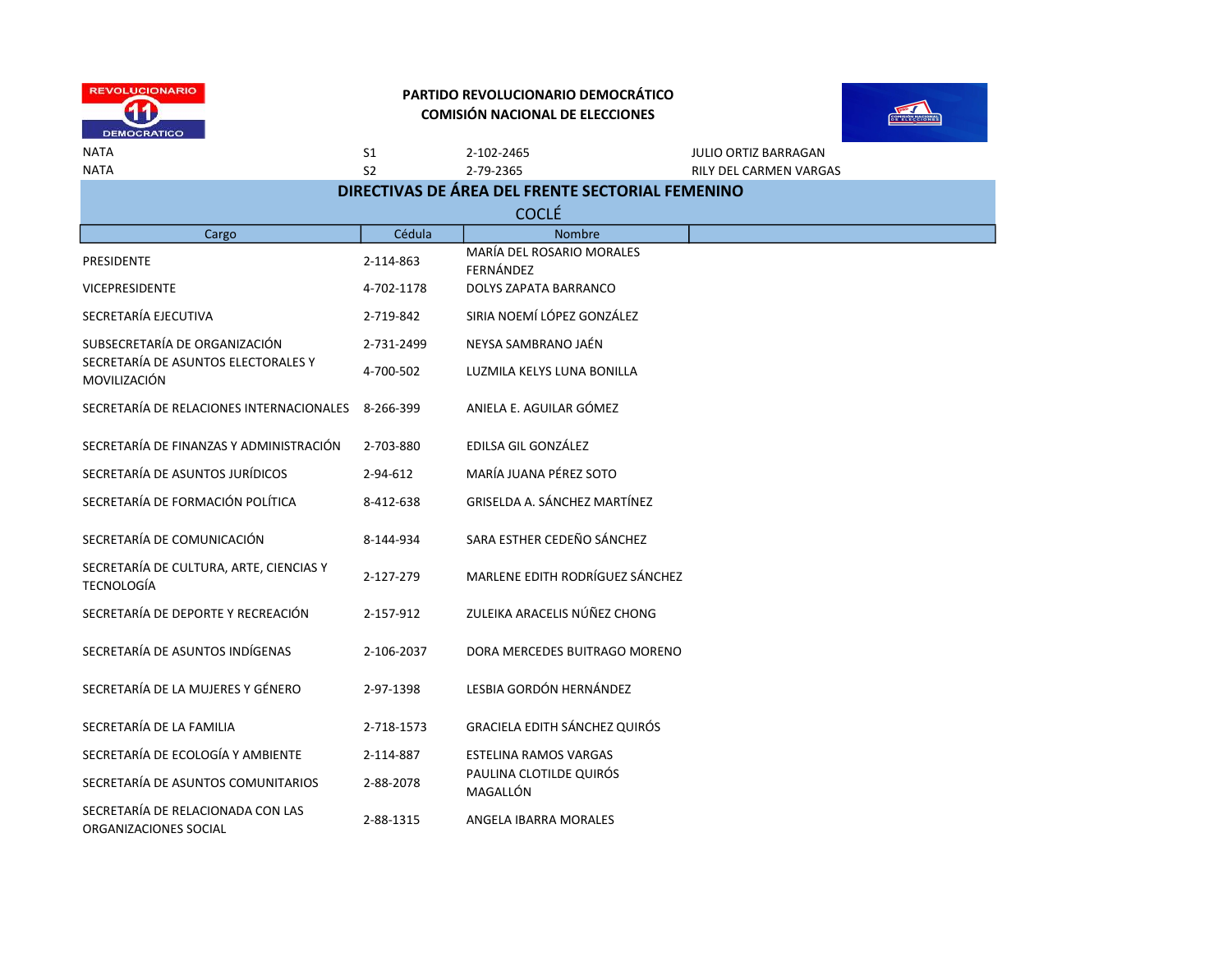



NATA S1 2-102-2465 JULIO ORTIZ BARRAGAN

NATA S2 2-79-2365 RILY DEL CARMEN VARGAS

| DIRECTIVAS DE ÁREA DEL FRENTE SECTORIAL FEMENINO             |            |                                            |  |  |
|--------------------------------------------------------------|------------|--------------------------------------------|--|--|
| <b>COCLÉ</b>                                                 |            |                                            |  |  |
| Cargo                                                        | Cédula     | <b>Nombre</b><br>MARÍA DEL ROSARIO MORALES |  |  |
| <b>PRESIDENTE</b>                                            | 2-114-863  | FERNÁNDEZ                                  |  |  |
| <b>VICEPRESIDENTE</b>                                        | 4-702-1178 | DOLYS ZAPATA BARRANCO                      |  |  |
| SECRETARÍA EJECUTIVA                                         | 2-719-842  | SIRIA NOEMÍ LÓPEZ GONZÁLEZ                 |  |  |
| SUBSECRETARÍA DE ORGANIZACIÓN                                | 2-731-2499 | NEYSA SAMBRANO JAÉN                        |  |  |
| SECRETARÍA DE ASUNTOS ELECTORALES Y<br>MOVILIZACIÓN          | 4-700-502  | LUZMILA KELYS LUNA BONILLA                 |  |  |
| SECRETARÍA DE RELACIONES INTERNACIONALES                     | 8-266-399  | ANIELA E. AGUILAR GÓMEZ                    |  |  |
| SECRETARÍA DE FINANZAS Y ADMINISTRACIÓN                      | 2-703-880  | EDILSA GIL GONZÁLEZ                        |  |  |
| SECRETARÍA DE ASUNTOS JURÍDICOS                              | 2-94-612   | MARÍA JUANA PÉREZ SOTO                     |  |  |
| SECRETARÍA DE FORMACIÓN POLÍTICA                             | 8-412-638  | GRISELDA A. SÁNCHEZ MARTÍNEZ               |  |  |
| SECRETARÍA DE COMUNICACIÓN                                   | 8-144-934  | SARA ESTHER CEDEÑO SÁNCHEZ                 |  |  |
| SECRETARÍA DE CULTURA, ARTE, CIENCIAS Y<br><b>TECNOLOGÍA</b> | 2-127-279  | MARLENE EDITH RODRÍGUEZ SÁNCHEZ            |  |  |
| SECRETARÍA DE DEPORTE Y RECREACIÓN                           | 2-157-912  | ZULEIKA ARACELIS NÚÑEZ CHONG               |  |  |
| SECRETARÍA DE ASUNTOS INDÍGENAS                              | 2-106-2037 | DORA MERCEDES BUITRAGO MORENO              |  |  |
| SECRETARÍA DE LA MUJERES Y GÉNERO                            | 2-97-1398  | LESBIA GORDÓN HERNÁNDEZ                    |  |  |
| SECRETARÍA DE LA FAMILIA                                     | 2-718-1573 | <b>GRACIELA EDITH SÁNCHEZ QUIRÓS</b>       |  |  |
| SECRETARÍA DE ECOLOGÍA Y AMBIENTE                            | 2-114-887  | <b>ESTELINA RAMOS VARGAS</b>               |  |  |
| SECRETARÍA DE ASUNTOS COMUNITARIOS                           | 2-88-2078  | PAULINA CLOTILDE QUIRÓS<br>MAGALLÓN        |  |  |
| SECRETARÍA DE RELACIONADA CON LAS<br>ORGANIZACIONES SOCIAL   | 2-88-1315  | ANGELA IBARRA MORALES                      |  |  |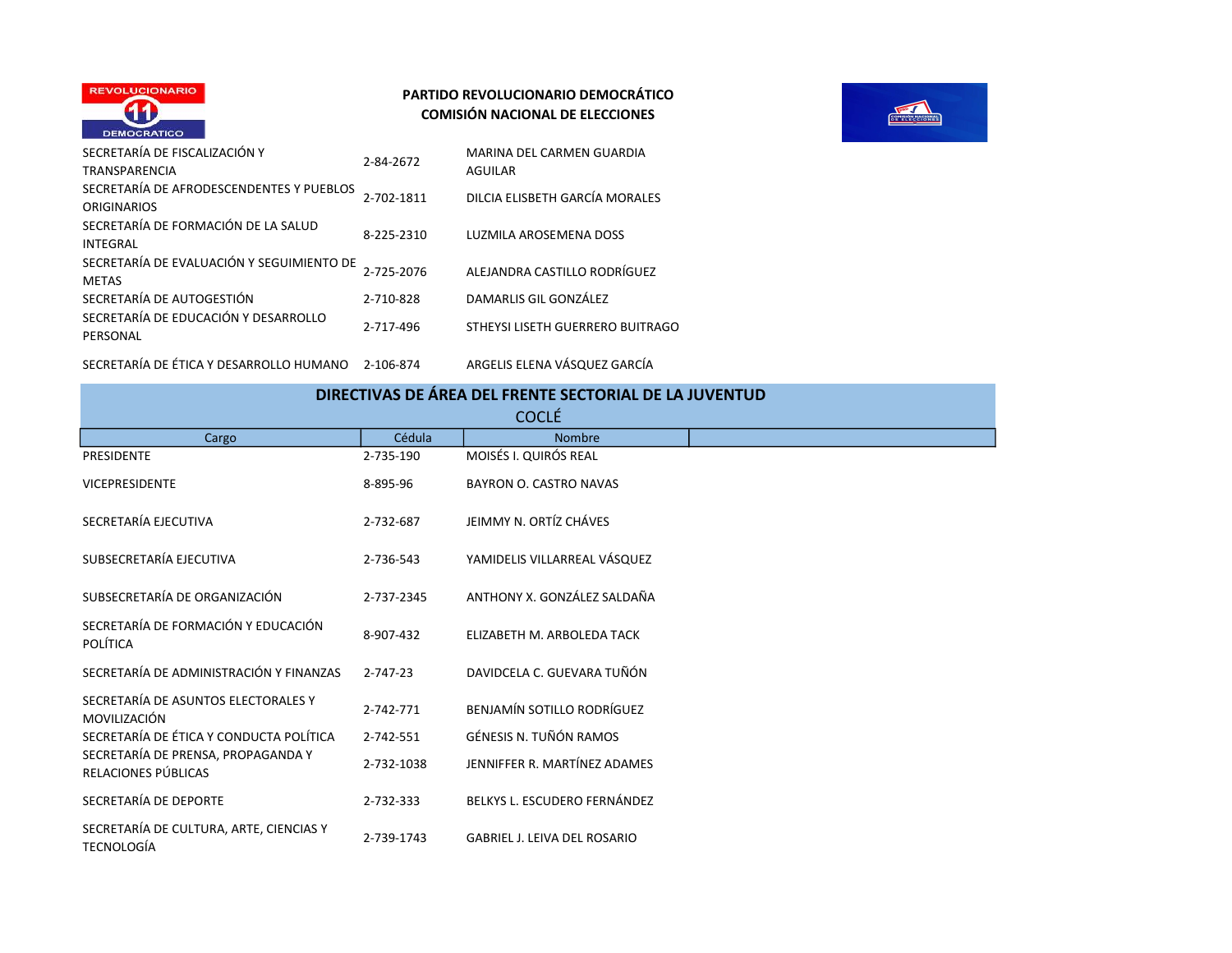



|              | SECRETARÍA DE FISCALIZACIÓN Y<br><b>TRANSPARENCIA</b>          | 2-84-2672  | MARINA DEL CARMEN GUARDIA<br><b>AGUILAR</b> |
|--------------|----------------------------------------------------------------|------------|---------------------------------------------|
|              | SECRETARÍA DE AFRODESCENDENTES Y PUEBLOS<br><b>ORIGINARIOS</b> | 2-702-1811 | DILCIA ELISBETH GARCÍA MORALES              |
|              | SECRETARÍA DE FORMACIÓN DE LA SALUD<br><b>INTEGRAL</b>         | 8-225-2310 | LUZMILA AROSEMENA DOSS                      |
| <b>METAS</b> | SECRETARÍA DE EVALUACIÓN Y SEGUIMIENTO DE                      | 2-725-2076 | ALEJANDRA CASTILLO RODRÍGUEZ                |
|              | SECRETARÍA DE AUTOGESTIÓN                                      | 2-710-828  | DAMARLIS GIL GONZÁLEZ                       |
|              | SECRETARÍA DE EDUCACIÓN Y DESARROLLO<br>PERSONAL               | 2-717-496  | STHEYSI LISETH GUERRERO BUITRAGO            |
|              |                                                                |            |                                             |

SECRETARÍA DE ÉTICA Y DESARROLLO HUMANO 2-106-874 ARGELIS ELENA VÁSQUEZ GARCÍA

| DIRECTIVAS DE ÁREA DEL FRENTE SECTORIAL DE LA JUVENTUD       |                |                                     |  |  |
|--------------------------------------------------------------|----------------|-------------------------------------|--|--|
| <b>COCLÉ</b>                                                 |                |                                     |  |  |
| Cargo                                                        | Cédula         | <b>Nombre</b>                       |  |  |
| <b>PRESIDENTE</b>                                            | 2-735-190      | MOISÉS I. QUIRÓS REAL               |  |  |
| <b>VICEPRESIDENTE</b>                                        | 8-895-96       | <b>BAYRON O. CASTRO NAVAS</b>       |  |  |
| SECRETARÍA EJECUTIVA                                         | 2-732-687      | JEIMMY N. ORTÍZ CHÁVES              |  |  |
| SUBSECRETARÍA EJECUTIVA                                      | 2-736-543      | YAMIDELIS VILLARREAL VÁSQUEZ        |  |  |
| SUBSECRETARÍA DE ORGANIZACIÓN                                | 2-737-2345     | ANTHONY X. GONZÁLEZ SALDAÑA         |  |  |
| SECRETARÍA DE FORMACIÓN Y EDUCACIÓN<br><b>POLÍTICA</b>       | 8-907-432      | ELIZABETH M. ARBOLEDA TACK          |  |  |
| SECRETARÍA DE ADMINISTRACIÓN Y FINANZAS                      | $2 - 747 - 23$ | DAVIDCELA C. GUEVARA TUÑÓN          |  |  |
| SECRETARÍA DE ASUNTOS ELECTORALES Y<br>MOVILIZACIÓN          | 2-742-771      | BENJAMÍN SOTILLO RODRÍGUEZ          |  |  |
| SECRETARÍA DE ÉTICA Y CONDUCTA POLÍTICA                      | 2-742-551      | GÉNESIS N. TUÑÓN RAMOS              |  |  |
| SECRETARÍA DE PRENSA, PROPAGANDA Y<br>RELACIONES PÚBLICAS    | 2-732-1038     | JENNIFFER R. MARTÍNEZ ADAMES        |  |  |
| SECRETARÍA DE DEPORTE                                        | 2-732-333      | BELKYS L. ESCUDERO FERNÁNDEZ        |  |  |
| SECRETARÍA DE CULTURA, ARTE, CIENCIAS Y<br><b>TECNOLOGÍA</b> | 2-739-1743     | <b>GABRIEL J. LEIVA DEL ROSARIO</b> |  |  |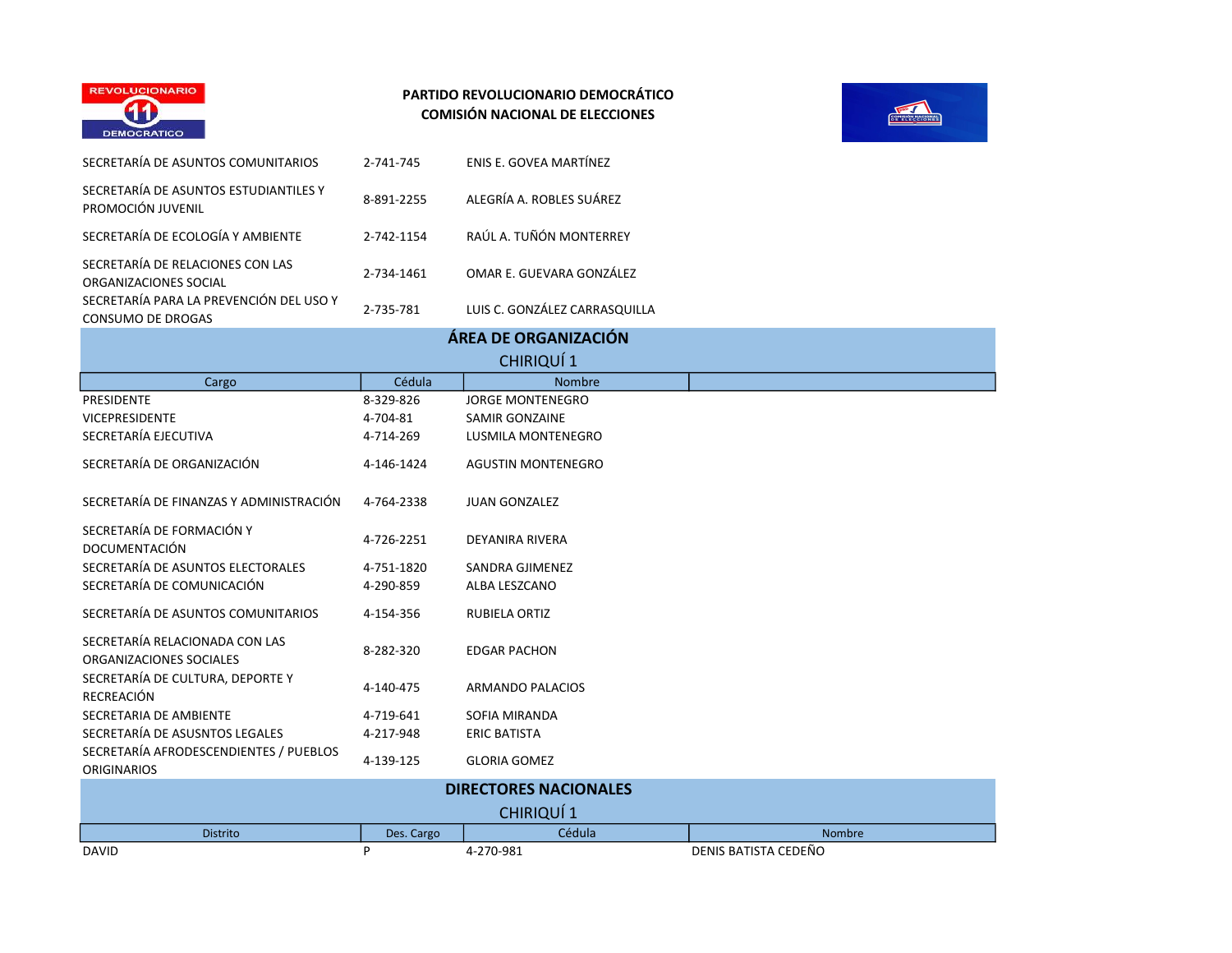



| SECRETARÍA DE ASUNTOS COMUNITARIOS                                  | 2-741-745                    | ENIS E. GOVEA MARTÍNEZ        |                      |  |  |
|---------------------------------------------------------------------|------------------------------|-------------------------------|----------------------|--|--|
| SECRETARÍA DE ASUNTOS ESTUDIANTILES Y<br>PROMOCIÓN JUVENIL          | 8-891-2255                   | ALEGRÍA A. ROBLES SUÁREZ      |                      |  |  |
| SECRETARÍA DE ECOLOGÍA Y AMBIENTE                                   | 2-742-1154                   | RAÚL A. TUÑÓN MONTERREY       |                      |  |  |
| SECRETARÍA DE RELACIONES CON LAS<br>ORGANIZACIONES SOCIAL           | 2-734-1461                   | OMAR E. GUEVARA GONZÁLEZ      |                      |  |  |
| SECRETARÍA PARA LA PREVENCIÓN DEL USO Y<br><b>CONSUMO DE DROGAS</b> | 2-735-781                    | LUIS C. GONZÁLEZ CARRASQUILLA |                      |  |  |
|                                                                     |                              | ÁREA DE ORGANIZACIÓN          |                      |  |  |
|                                                                     |                              | <b>CHIRIQUÍ1</b>              |                      |  |  |
| Cargo                                                               | Cédula                       | Nombre                        |                      |  |  |
| <b>PRESIDENTE</b>                                                   | 8-329-826                    | <b>JORGE MONTENEGRO</b>       |                      |  |  |
| <b>VICEPRESIDENTE</b>                                               | 4-704-81                     | <b>SAMIR GONZAINE</b>         |                      |  |  |
| SECRETARÍA EJECUTIVA                                                | 4-714-269                    | LUSMILA MONTENEGRO            |                      |  |  |
| SECRETARÍA DE ORGANIZACIÓN                                          | 4-146-1424                   | <b>AGUSTIN MONTENEGRO</b>     |                      |  |  |
| SECRETARÍA DE FINANZAS Y ADMINISTRACIÓN                             | 4-764-2338                   | <b>JUAN GONZALEZ</b>          |                      |  |  |
| SECRETARÍA DE FORMACIÓN Y<br>DOCUMENTACIÓN                          | 4-726-2251                   | <b>DEYANIRA RIVERA</b>        |                      |  |  |
| SECRETARÍA DE ASUNTOS ELECTORALES                                   | 4-751-1820                   | SANDRA GJIMENEZ               |                      |  |  |
| SECRETARÍA DE COMUNICACIÓN                                          | 4-290-859                    | ALBA LESZCANO                 |                      |  |  |
| SECRETARÍA DE ASUNTOS COMUNITARIOS                                  | 4-154-356                    | RUBIELA ORTIZ                 |                      |  |  |
| SECRETARÍA RELACIONADA CON LAS<br>ORGANIZACIONES SOCIALES           | 8-282-320                    | <b>EDGAR PACHON</b>           |                      |  |  |
| SECRETARÍA DE CULTURA, DEPORTE Y<br><b>RECREACIÓN</b>               | 4-140-475                    | <b>ARMANDO PALACIOS</b>       |                      |  |  |
| SECRETARIA DE AMBIENTE                                              | 4-719-641                    | SOFIA MIRANDA                 |                      |  |  |
| SECRETARÍA DE ASUSNTOS LEGALES                                      | 4-217-948                    | <b>ERIC BATISTA</b>           |                      |  |  |
| SECRETARÍA AFRODESCENDIENTES / PUEBLOS<br><b>ORIGINARIOS</b>        | 4-139-125                    | <b>GLORIA GOMEZ</b>           |                      |  |  |
|                                                                     | <b>DIRECTORES NACIONALES</b> |                               |                      |  |  |
|                                                                     | <b>CHIRIQUÍ 1</b>            |                               |                      |  |  |
| <b>Distrito</b>                                                     | Des. Cargo                   | Cédula                        | Nombre               |  |  |
| <b>DAVID</b>                                                        | P                            | 4-270-981                     | DENIS BATISTA CEDEÑO |  |  |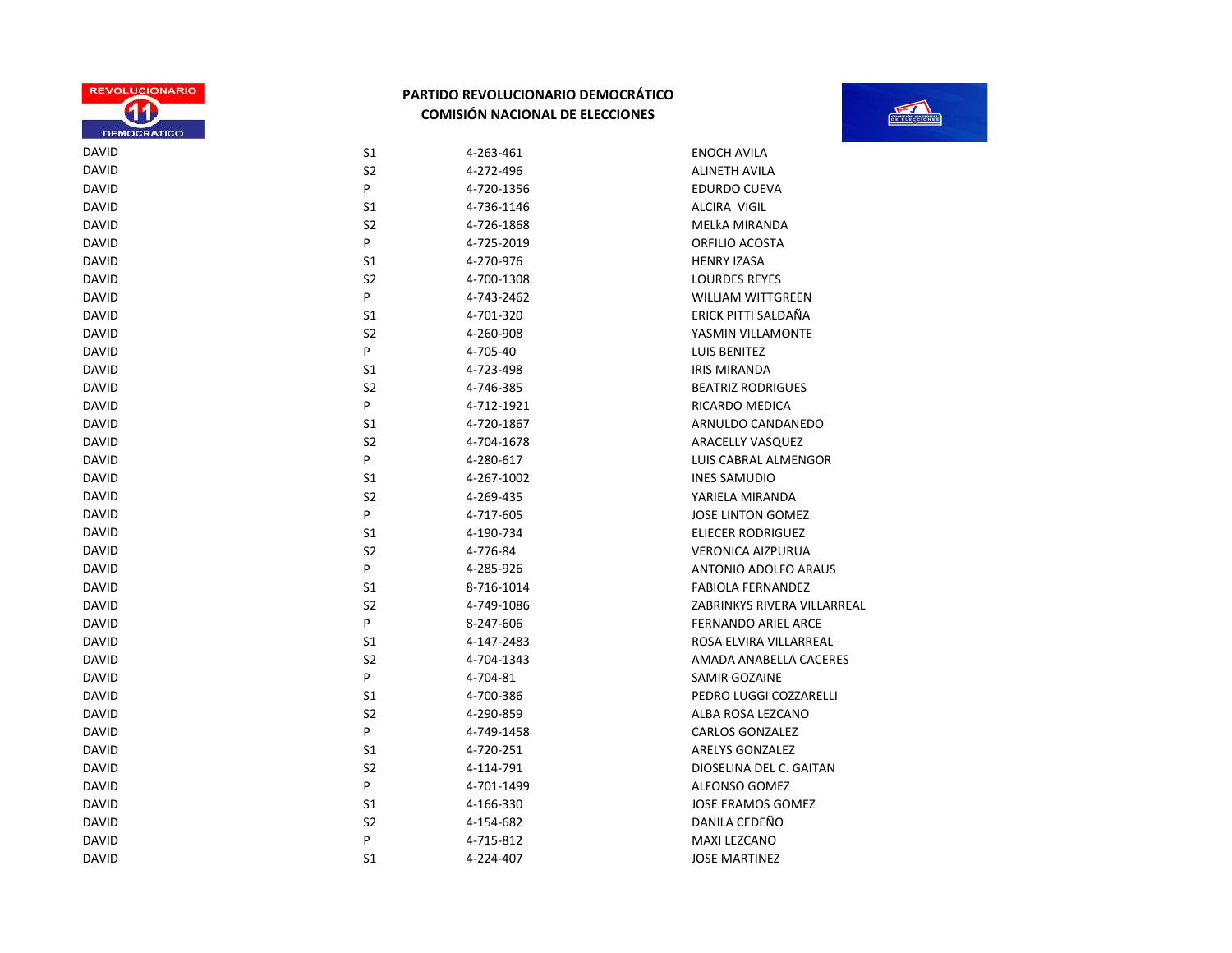

|                                                             | <b>TOOP</b> |
|-------------------------------------------------------------|-------------|
| 1 AVILA                                                     |             |
| TH AVILA                                                    |             |
| <b>OO CUEVA</b>                                             |             |
| A VIGIL                                                     |             |
| <b>MIRANDA</b>                                              |             |
| $\bigcap$ $\bigcap$ $\bigcap$ $\bigcap$ $\bigcap$ $\bigcap$ |             |

| DAVID        |
|--------------|
| DAVID        |
| DAVID        |
| DAVID        |
| DAVID        |
| DAVID        |
| DAVID        |
| DAVID        |
| <b>DAVID</b> |
| <b>DAVID</b> |
| DAVID        |
| DAVID        |
| DAVID        |
| DAVID        |
| DAVID        |
| DAVID        |
| DAVID        |
| DAVID        |
| DAVID        |
| DAVID        |
| DAVID        |
| DAVID        |
| DAVID        |
| <b>DAVID</b> |
| DAVID        |
| DAVID        |
| DAVID        |
| DAVID        |
| DAVID        |
| DAVID        |
| DAVID        |
| DAVID        |
| DAVID        |
| DAVID        |
| DAVID        |
| DAVID        |
| DAVID        |
| DAVID        |
|              |

| <b>DAVID</b> | S1             | 4-263-461  | <b>ENOCH AVILA</b>          |
|--------------|----------------|------------|-----------------------------|
| <b>DAVID</b> | S <sub>2</sub> | 4-272-496  | <b>ALINETH AVILA</b>        |
| <b>DAVID</b> | P              | 4-720-1356 | <b>EDURDO CUEVA</b>         |
| <b>DAVID</b> | S1             | 4-736-1146 | ALCIRA VIGIL                |
| <b>DAVID</b> | S2             | 4-726-1868 | MELkA MIRANDA               |
| <b>DAVID</b> | P              | 4-725-2019 | ORFILIO ACOSTA              |
| <b>DAVID</b> | S1             | 4-270-976  | <b>HENRY IZASA</b>          |
| <b>DAVID</b> | S2             | 4-700-1308 | <b>LOURDES REYES</b>        |
| <b>DAVID</b> | P              | 4-743-2462 | <b>WILLIAM WITTGREEN</b>    |
| <b>DAVID</b> | S1             | 4-701-320  | ERICK PITTI SALDAÑA         |
| <b>DAVID</b> | S <sub>2</sub> | 4-260-908  | YASMIN VILLAMONTE           |
| <b>DAVID</b> | P              | 4-705-40   | LUIS BENITEZ                |
| <b>DAVID</b> | S1             | 4-723-498  | <b>IRIS MIRANDA</b>         |
| <b>DAVID</b> | S2             | 4-746-385  | <b>BEATRIZ RODRIGUES</b>    |
| <b>DAVID</b> | P              | 4-712-1921 | RICARDO MEDICA              |
| <b>DAVID</b> | S <sub>1</sub> | 4-720-1867 | ARNULDO CANDANEDO           |
| <b>DAVID</b> | S <sub>2</sub> | 4-704-1678 | ARACELLY VASQUEZ            |
| <b>DAVID</b> | P              | 4-280-617  | LUIS CABRAL ALMENGOR        |
| <b>DAVID</b> | S1             | 4-267-1002 | <b>INES SAMUDIO</b>         |
| <b>DAVID</b> | S <sub>2</sub> | 4-269-435  | YARIELA MIRANDA             |
| <b>DAVID</b> | P              | 4-717-605  | <b>JOSE LINTON GOMEZ</b>    |
| <b>DAVID</b> | S <sub>1</sub> | 4-190-734  | <b>ELIECER RODRIGUEZ</b>    |
| <b>DAVID</b> | S <sub>2</sub> | 4-776-84   | <b>VERONICA AIZPURUA</b>    |
| <b>DAVID</b> | P              | 4-285-926  | ANTONIO ADOLFO ARAUS        |
| <b>DAVID</b> | S1             | 8-716-1014 | <b>FABIOLA FERNANDEZ</b>    |
| <b>DAVID</b> | S <sub>2</sub> | 4-749-1086 | ZABRINKYS RIVERA VILLARREAL |
| <b>DAVID</b> | P              | 8-247-606  | <b>FERNANDO ARIEL ARCE</b>  |
| <b>DAVID</b> | S1             | 4-147-2483 | ROSA ELVIRA VILLARREAL      |
| <b>DAVID</b> | S <sub>2</sub> | 4-704-1343 | AMADA ANABELLA CACERES      |
| <b>DAVID</b> | P              | 4-704-81   | <b>SAMIR GOZAINE</b>        |
| <b>DAVID</b> | S1             | 4-700-386  | PEDRO LUGGI COZZARELLI      |
| <b>DAVID</b> | S <sub>2</sub> | 4-290-859  | ALBA ROSA LEZCANO           |
| <b>DAVID</b> | P              | 4-749-1458 | <b>CARLOS GONZALEZ</b>      |
| <b>DAVID</b> | S1             | 4-720-251  | <b>ARELYS GONZALEZ</b>      |
| <b>DAVID</b> | S <sub>2</sub> | 4-114-791  | DIOSELINA DEL C. GAITAN     |
| <b>DAVID</b> | P              | 4-701-1499 | <b>ALFONSO GOMEZ</b>        |
| <b>DAVID</b> | S1             | 4-166-330  | <b>JOSE ERAMOS GOMEZ</b>    |
| <b>DAVID</b> | S <sub>2</sub> | 4-154-682  | DANILA CEDEÑO               |
| <b>DAVID</b> | P              | 4-715-812  | MAXI LEZCANO                |
| <b>DAVID</b> | S <sub>1</sub> | 4-224-407  | <b>JOSE MARTINEZ</b>        |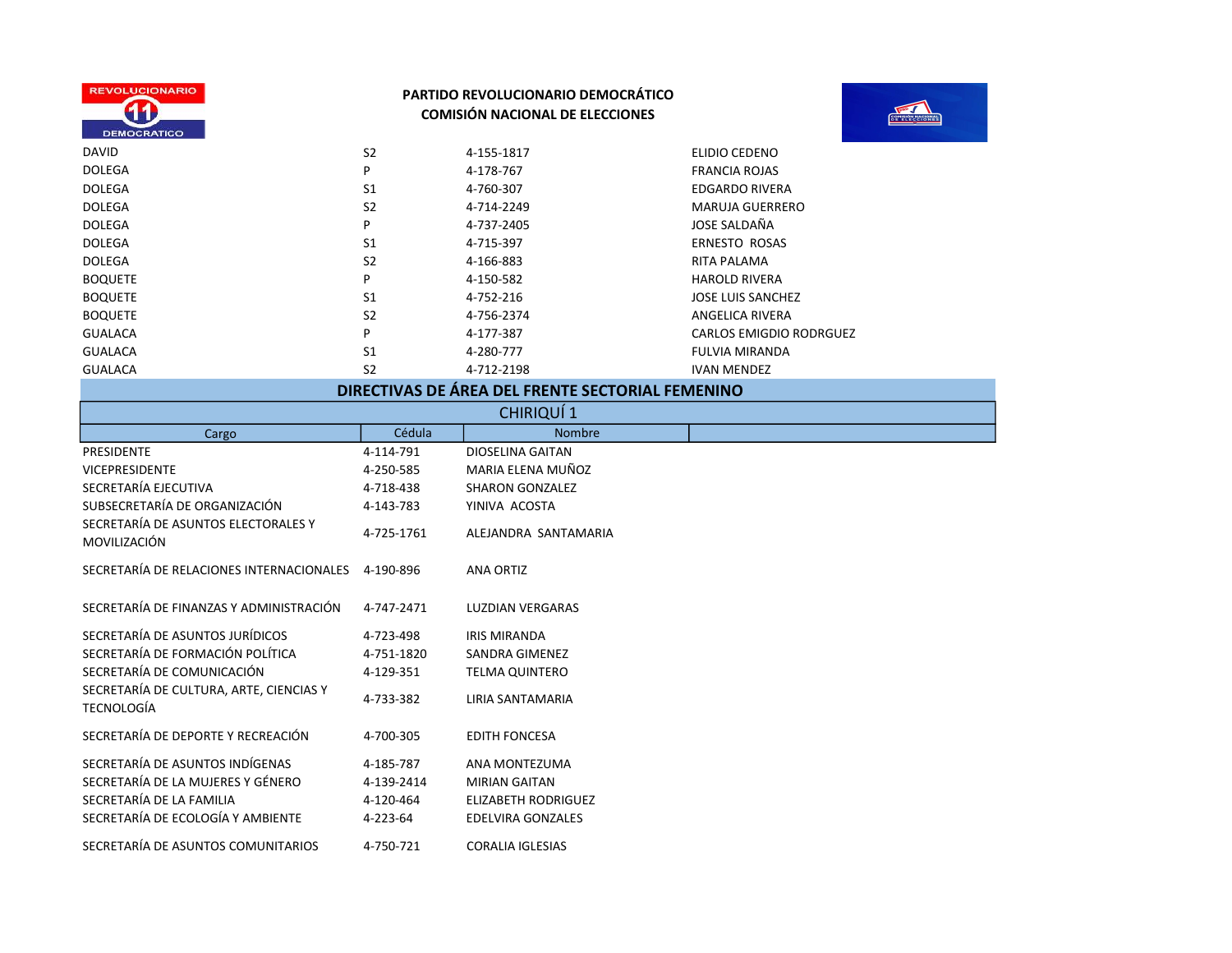



| <b>DAVID</b>   | S <sub>2</sub> | 4-155-1817 | ELIDIO CEDENO            |
|----------------|----------------|------------|--------------------------|
| <b>DOLEGA</b>  | P              | 4-178-767  | <b>FRANCIA ROJAS</b>     |
| <b>DOLEGA</b>  | S <sub>1</sub> | 4-760-307  | EDGARDO RIVERA           |
| <b>DOLEGA</b>  | S <sub>2</sub> | 4-714-2249 | <b>MARUJA GUERRERO</b>   |
| <b>DOLEGA</b>  | P              | 4-737-2405 | JOSE SALDAÑA             |
| <b>DOLEGA</b>  | S <sub>1</sub> | 4-715-397  | <b>ERNESTO ROSAS</b>     |
| <b>DOLEGA</b>  | S <sub>2</sub> | 4-166-883  | RITA PALAMA              |
| <b>BOQUETE</b> | P              | 4-150-582  | <b>HAROLD RIVERA</b>     |
| <b>BOQUETE</b> | S <sub>1</sub> | 4-752-216  | <b>JOSE LUIS SANCHEZ</b> |
| <b>BOQUETE</b> | S <sub>2</sub> | 4-756-2374 | ANGELICA RIVERA          |
| <b>GUALACA</b> | P              | 4-177-387  | CARLOS EMIGDIO RODRGUEZ  |
| <b>GUALACA</b> | S <sub>1</sub> | 4-280-777  | <b>FULVIA MIRANDA</b>    |
| <b>GUALACA</b> | S <sub>2</sub> | 4-712-2198 | <b>IVAN MENDEZ</b>       |

# DIRECTIVAS DE ÁREA DEL FRENTE SECTORIAL FEMENINO

| CHIRIQUÍ 1                                            |            |                            |  |  |
|-------------------------------------------------------|------------|----------------------------|--|--|
| Cargo                                                 | Cédula     | <b>Nombre</b>              |  |  |
| PRESIDENTE                                            | 4-114-791  | <b>DIOSELINA GAITAN</b>    |  |  |
| <b>VICEPRESIDENTE</b>                                 | 4-250-585  | MARIA ELENA MUÑOZ          |  |  |
| SECRETARÍA EJECUTIVA                                  | 4-718-438  | <b>SHARON GONZALEZ</b>     |  |  |
| SUBSECRETARÍA DE ORGANIZACIÓN                         | 4-143-783  | YINIVA ACOSTA              |  |  |
| SECRETARÍA DE ASUNTOS ELECTORALES Y<br>MOVILIZACIÓN   | 4-725-1761 | ALEJANDRA SANTAMARIA       |  |  |
| SECRETARÍA DE RELACIONES INTERNACIONALES              | 4-190-896  | <b>ANA ORTIZ</b>           |  |  |
| SECRETARÍA DE FINANZAS Y ADMINISTRACIÓN               | 4-747-2471 | <b>LUZDIAN VERGARAS</b>    |  |  |
| SECRETARÍA DE ASUNTOS JURÍDICOS                       | 4-723-498  | <b>IRIS MIRANDA</b>        |  |  |
| SECRETARÍA DE FORMACIÓN POLÍTICA                      | 4-751-1820 | <b>SANDRA GIMENEZ</b>      |  |  |
| SECRETARÍA DE COMUNICACIÓN                            | 4-129-351  | <b>TELMA QUINTERO</b>      |  |  |
| SECRETARÍA DE CULTURA, ARTE, CIENCIAS Y<br>TECNOLOGÍA | 4-733-382  | <b>LIRIA SANTAMARIA</b>    |  |  |
| SECRETARÍA DE DEPORTE Y RECREACIÓN                    | 4-700-305  | <b>EDITH FONCESA</b>       |  |  |
| SECRETARÍA DE ASUNTOS INDÍGENAS                       | 4-185-787  | ANA MONTEZUMA              |  |  |
| SECRETARÍA DE LA MUJERES Y GÉNERO                     | 4-139-2414 | <b>MIRIAN GAITAN</b>       |  |  |
| SECRETARÍA DE LA FAMILIA                              | 4-120-464  | <b>ELIZABETH RODRIGUEZ</b> |  |  |
| SECRETARÍA DE ECOLOGÍA Y AMBIENTE                     | 4-223-64   | <b>EDELVIRA GONZALES</b>   |  |  |
| SECRETARÍA DE ASUNTOS COMUNITARIOS                    | 4-750-721  | <b>CORALIA IGLESIAS</b>    |  |  |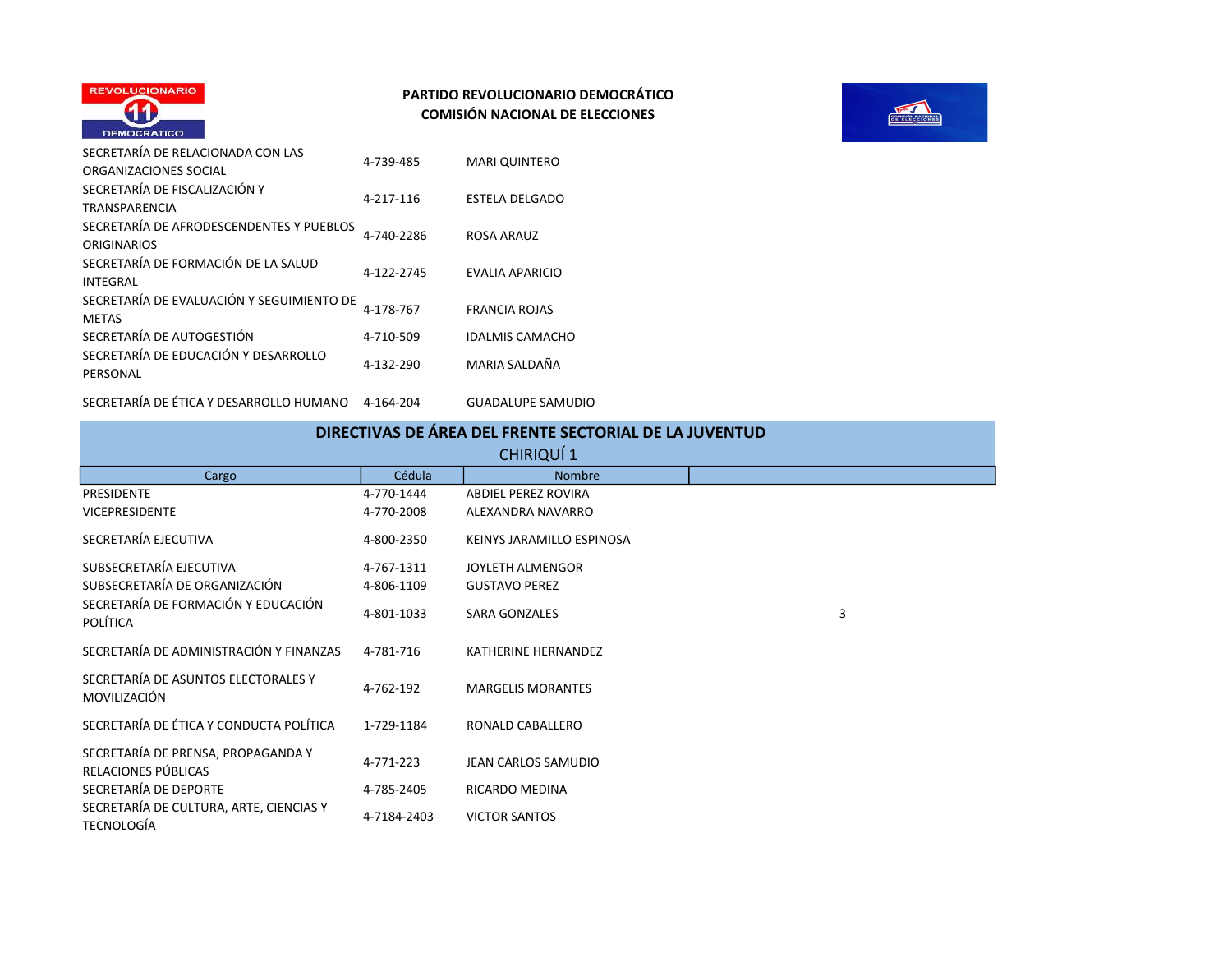



| SECRETARÍA DE RELACIONADA CON LAS         | 4-739-485  | <b>MARI QUINTERO</b>   |
|-------------------------------------------|------------|------------------------|
| ORGANIZACIONES SOCIAL                     |            |                        |
| SECRETARÍA DE FISCALIZACIÓN Y             | 4-217-116  | <b>ESTELA DELGADO</b>  |
| TRANSPARENCIA                             |            |                        |
| SECRETARÍA DE AFRODESCENDENTES Y PUEBLOS  | 4-740-2286 | ROSA ARAUZ             |
| <b>ORIGINARIOS</b>                        |            |                        |
| SECRETARÍA DE FORMACIÓN DE LA SALUD       | 4-122-2745 | EVALIA APARICIO        |
| <b>INTEGRAL</b>                           |            |                        |
| SECRETARÍA DE EVALUACIÓN Y SEGUIMIENTO DE | 4-178-767  | <b>FRANCIA ROJAS</b>   |
| <b>METAS</b>                              |            |                        |
| SECRETARÍA DE AUTOGESTIÓN                 | 4-710-509  | <b>IDALMIS CAMACHO</b> |
| SECRETARÍA DE EDUCACIÓN Y DESARROLLO      | 4-132-290  | MARIA SALDAÑA          |
| PERSONAL                                  |            |                        |
|                                           |            |                        |

SECRETARÍA DE ÉTICA Y DESARROLLO HUMANO 4-164-204 GUADALUPE SAMUDIO

| DIRECTIVAS DE AREA DEL FRENTE SECTORIAL DE LA JUVENTUD       |             |                            |   |  |
|--------------------------------------------------------------|-------------|----------------------------|---|--|
| CHIRIQUÍ 1                                                   |             |                            |   |  |
| Cargo                                                        | Cédula      | <b>Nombre</b>              |   |  |
| <b>PRESIDENTE</b>                                            | 4-770-1444  | <b>ABDIEL PEREZ ROVIRA</b> |   |  |
| <b>VICEPRESIDENTE</b>                                        | 4-770-2008  | ALEXANDRA NAVARRO          |   |  |
| SECRETARÍA EJECUTIVA                                         | 4-800-2350  | KEINYS JARAMILLO ESPINOSA  |   |  |
| SUBSECRETARÍA EJECUTIVA                                      | 4-767-1311  | JOYLETH ALMENGOR           |   |  |
| SUBSECRETARÍA DE ORGANIZACIÓN                                | 4-806-1109  | <b>GUSTAVO PEREZ</b>       |   |  |
| SECRETARÍA DE FORMACIÓN Y EDUCACIÓN<br>POLÍTICA              | 4-801-1033  | <b>SARA GONZALES</b>       | 3 |  |
| SECRETARÍA DE ADMINISTRACIÓN Y FINANZAS                      | 4-781-716   | <b>KATHERINE HERNANDEZ</b> |   |  |
| SECRETARÍA DE ASUNTOS ELECTORALES Y<br>MOVILIZACIÓN          | 4-762-192   | <b>MARGELIS MORANTES</b>   |   |  |
| SECRETARÍA DE ÉTICA Y CONDUCTA POLÍTICA                      | 1-729-1184  | RONALD CABALLERO           |   |  |
| SECRETARÍA DE PRENSA, PROPAGANDA Y<br>RELACIONES PÚBLICAS    | 4-771-223   | <b>JEAN CARLOS SAMUDIO</b> |   |  |
| SECRETARÍA DE DEPORTE                                        | 4-785-2405  | RICARDO MEDINA             |   |  |
| SECRETARÍA DE CULTURA, ARTE, CIENCIAS Y<br><b>TECNOLOGÍA</b> | 4-7184-2403 | <b>VICTOR SANTOS</b>       |   |  |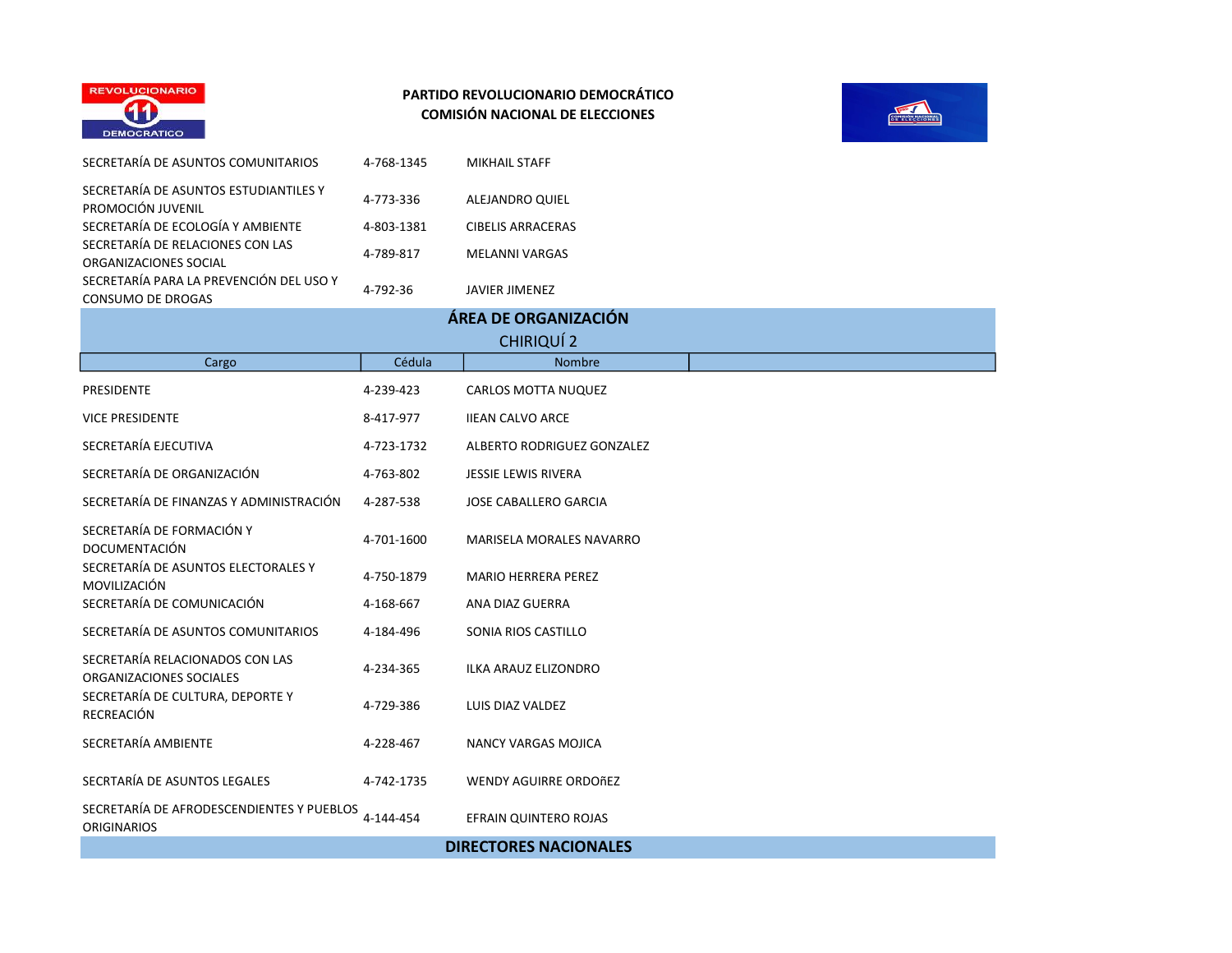



| SECRETARÍA DE ASUNTOS COMUNITARIOS                                  | 4-768-1345 | <b>MIKHAIL STAFF</b>            |
|---------------------------------------------------------------------|------------|---------------------------------|
| SECRETARÍA DE ASUNTOS ESTUDIANTILES Y<br>PROMOCIÓN JUVENIL          | 4-773-336  | ALEJANDRO QUIEL                 |
| SECRETARÍA DE ECOLOGÍA Y AMBIENTE                                   | 4-803-1381 | <b>CIBELIS ARRACERAS</b>        |
| SECRETARÍA DE RELACIONES CON LAS<br>ORGANIZACIONES SOCIAL           | 4-789-817  | <b>MELANNI VARGAS</b>           |
| SECRETARÍA PARA LA PREVENCIÓN DEL USO Y<br><b>CONSUMO DE DROGAS</b> | 4-792-36   | <b>JAVIER JIMENEZ</b>           |
|                                                                     |            | ÁREA DE ORGANIZACIÓN            |
|                                                                     |            | CHIRIQUÍ 2                      |
| Cargo                                                               | Cédula     | Nombre                          |
| PRESIDENTE                                                          | 4-239-423  | CARLOS MOTTA NUQUEZ             |
| <b>VICE PRESIDENTE</b>                                              | 8-417-977  | <b>IIEAN CALVO ARCE</b>         |
| SECRETARÍA EJECUTIVA                                                | 4-723-1732 | ALBERTO RODRIGUEZ GONZALEZ      |
| SECRETARÍA DE ORGANIZACIÓN                                          | 4-763-802  | <b>JESSIE LEWIS RIVERA</b>      |
| SECRETARÍA DE FINANZAS Y ADMINISTRACIÓN                             | 4-287-538  | <b>JOSE CABALLERO GARCIA</b>    |
| SECRETARÍA DE FORMACIÓN Y<br><b>DOCUMENTACIÓN</b>                   | 4-701-1600 | <b>MARISELA MORALES NAVARRO</b> |
| SECRETARÍA DE ASUNTOS ELECTORALES Y<br>MOVILIZACIÓN                 | 4-750-1879 | <b>MARIO HERRERA PEREZ</b>      |
| SECRETARÍA DE COMUNICACIÓN                                          | 4-168-667  | ANA DIAZ GUERRA                 |
| SECRETARÍA DE ASUNTOS COMUNITARIOS                                  | 4-184-496  | SONIA RIOS CASTILLO             |
| SECRETARÍA RELACIONADOS CON LAS<br>ORGANIZACIONES SOCIALES          | 4-234-365  | ILKA ARAUZ ELIZONDRO            |
| SECRETARÍA DE CULTURA, DEPORTE Y<br>RECREACIÓN                      | 4-729-386  | LUIS DIAZ VALDEZ                |
| SECRETARÍA AMBIENTE                                                 | 4-228-467  | NANCY VARGAS MOJICA             |
| SECRTARÍA DE ASUNTOS LEGALES                                        | 4-742-1735 | <b>WENDY AGUIRRE ORDOÑEZ</b>    |
| SECRETARÍA DE AFRODESCENDIENTES Y PUEBLOS<br><b>ORIGINARIOS</b>     | 4-144-454  | EFRAIN QUINTERO ROJAS           |
|                                                                     |            | <b>DIRECTORES NACIONALES</b>    |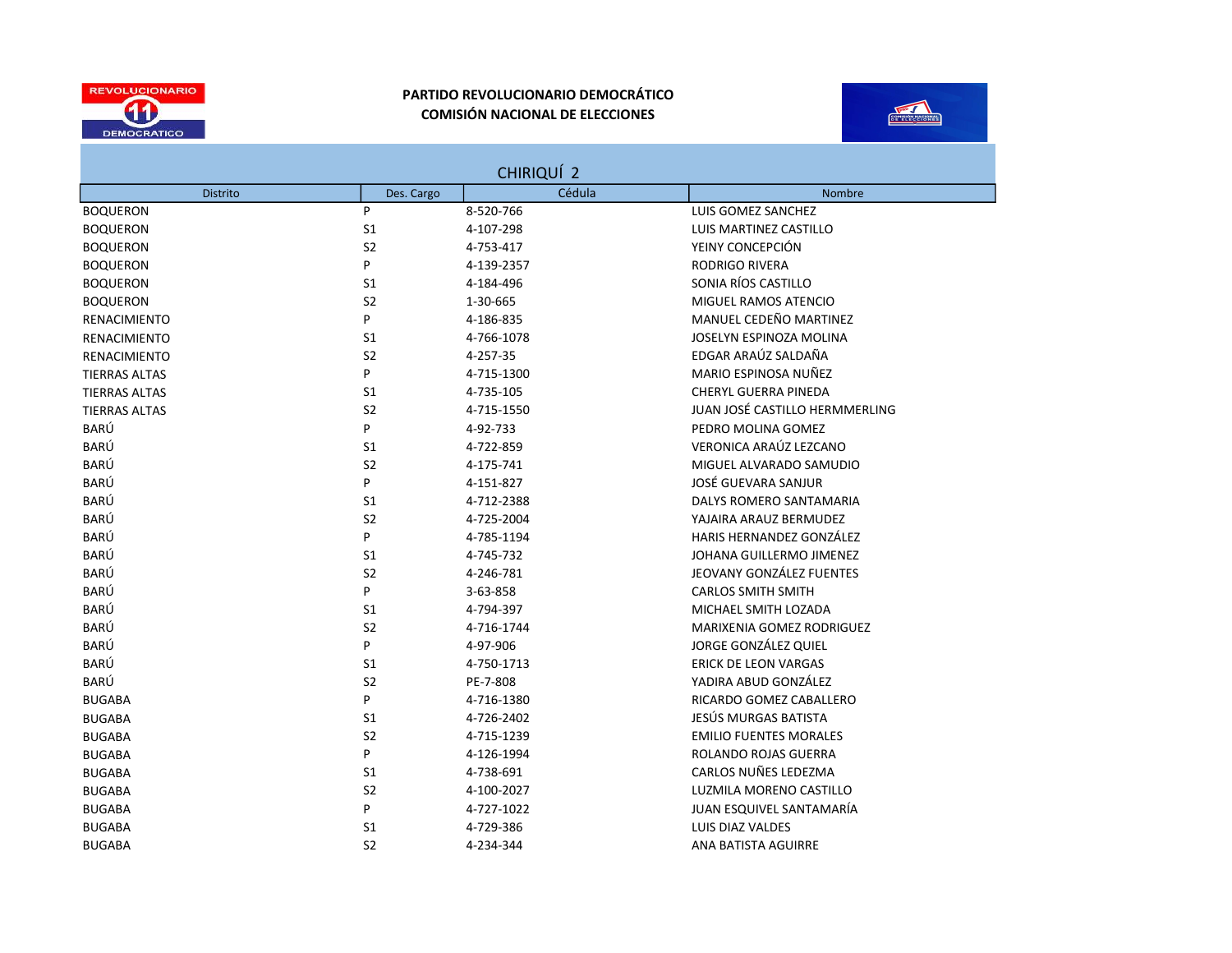



| CHIRIQUÍ 2           |                |            |                                |  |
|----------------------|----------------|------------|--------------------------------|--|
| <b>Distrito</b>      | Des. Cargo     | Cédula     | Nombre                         |  |
| <b>BOQUERON</b>      | P              | 8-520-766  | LUIS GOMEZ SANCHEZ             |  |
| <b>BOQUERON</b>      | S1             | 4-107-298  | LUIS MARTINEZ CASTILLO         |  |
| <b>BOQUERON</b>      | S <sub>2</sub> | 4-753-417  | YEINY CONCEPCIÓN               |  |
| <b>BOQUERON</b>      | P              | 4-139-2357 | <b>RODRIGO RIVERA</b>          |  |
| <b>BOQUERON</b>      | S1             | 4-184-496  | SONIA RÍOS CASTILLO            |  |
| <b>BOQUERON</b>      | S <sub>2</sub> | 1-30-665   | MIGUEL RAMOS ATENCIO           |  |
| <b>RENACIMIENTO</b>  | P              | 4-186-835  | MANUEL CEDEÑO MARTINEZ         |  |
| <b>RENACIMIENTO</b>  | S1             | 4-766-1078 | JOSELYN ESPINOZA MOLINA        |  |
| <b>RENACIMIENTO</b>  | S <sub>2</sub> | 4-257-35   | EDGAR ARAÚZ SALDAÑA            |  |
| <b>TIERRAS ALTAS</b> | P              | 4-715-1300 | MARIO ESPINOSA NUÑEZ           |  |
| <b>TIERRAS ALTAS</b> | S1             | 4-735-105  | <b>CHERYL GUERRA PINEDA</b>    |  |
| <b>TIERRAS ALTAS</b> | S <sub>2</sub> | 4-715-1550 | JUAN JOSÉ CASTILLO HERMMERLING |  |
| BARÚ                 | P              | 4-92-733   | PEDRO MOLINA GOMEZ             |  |
| BARÚ                 | S <sub>1</sub> | 4-722-859  | VERONICA ARAÚZ LEZCANO         |  |
| BARÚ                 | S <sub>2</sub> | 4-175-741  | MIGUEL ALVARADO SAMUDIO        |  |
| BARÚ                 | P              | 4-151-827  | JOSÉ GUEVARA SANJUR            |  |
| BARÚ                 | S <sub>1</sub> | 4-712-2388 | DALYS ROMERO SANTAMARIA        |  |
| BARÚ                 | S <sub>2</sub> | 4-725-2004 | YAJAIRA ARAUZ BERMUDEZ         |  |
| BARÚ                 | P              | 4-785-1194 | HARIS HERNANDEZ GONZÁLEZ       |  |
| BARÚ                 | S1             | 4-745-732  | JOHANA GUILLERMO JIMENEZ       |  |
| BARÚ                 | S <sub>2</sub> | 4-246-781  | JEOVANY GONZÁLEZ FUENTES       |  |
| BARÚ                 | P              | 3-63-858   | <b>CARLOS SMITH SMITH</b>      |  |
| BARÚ                 | S1             | 4-794-397  | MICHAEL SMITH LOZADA           |  |
| BARÚ                 | S <sub>2</sub> | 4-716-1744 | MARIXENIA GOMEZ RODRIGUEZ      |  |
| BARÚ                 | P              | 4-97-906   | <b>JORGE GONZÁLEZ QUIEL</b>    |  |
| BARÚ                 | S <sub>1</sub> | 4-750-1713 | <b>ERICK DE LEON VARGAS</b>    |  |
| BARÚ                 | S <sub>2</sub> | PE-7-808   | YADIRA ABUD GONZÁLEZ           |  |
| <b>BUGABA</b>        | P              | 4-716-1380 | RICARDO GOMEZ CABALLERO        |  |
| <b>BUGABA</b>        | S <sub>1</sub> | 4-726-2402 | JESÚS MURGAS BATISTA           |  |
| <b>BUGABA</b>        | S <sub>2</sub> | 4-715-1239 | <b>EMILIO FUENTES MORALES</b>  |  |
| <b>BUGABA</b>        | P              | 4-126-1994 | ROLANDO ROJAS GUERRA           |  |
| <b>BUGABA</b>        | S <sub>1</sub> | 4-738-691  | CARLOS NUÑES LEDEZMA           |  |
| <b>BUGABA</b>        | S <sub>2</sub> | 4-100-2027 | LUZMILA MORENO CASTILLO        |  |
| <b>BUGABA</b>        | P              | 4-727-1022 | JUAN ESQUIVEL SANTAMARÍA       |  |
| <b>BUGABA</b>        | S1             | 4-729-386  | LUIS DIAZ VALDES               |  |
| <b>BUGABA</b>        | S <sub>2</sub> | 4-234-344  | ANA BATISTA AGUIRRE            |  |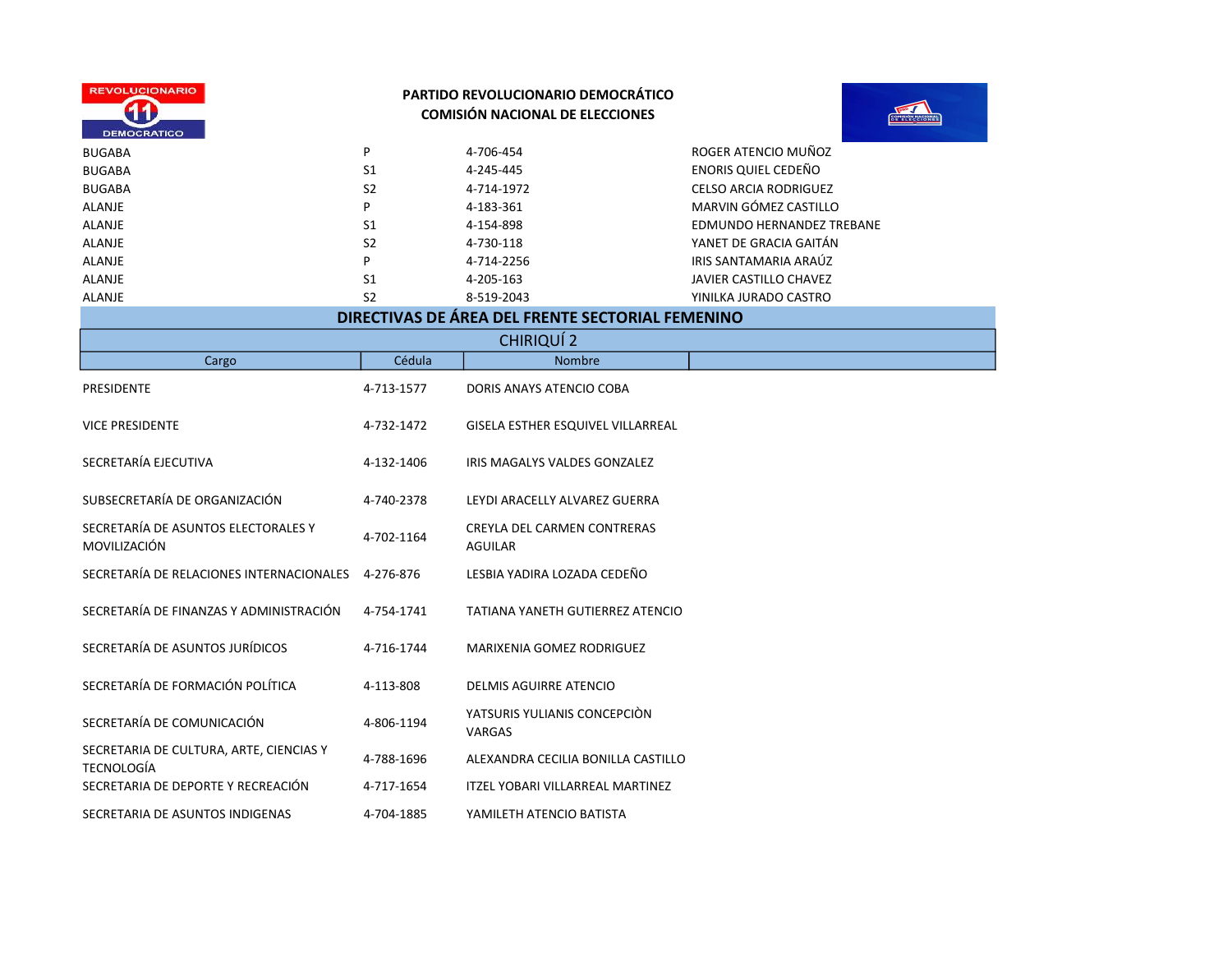| <b>REVOLUCIONARIO</b><br><b>DEMOCRATICO</b>                  |                | <b>PARTIDO REVOLUCIONARIO DEMOCRÁTICO</b><br><b>COMISIÓN NACIONAL DE ELECCIONES</b> |                                  |
|--------------------------------------------------------------|----------------|-------------------------------------------------------------------------------------|----------------------------------|
| <b>BUGABA</b>                                                | P              | 4-706-454                                                                           | ROGER ATENCIO MUÑOZ              |
| <b>BUGABA</b>                                                | S <sub>1</sub> | 4-245-445                                                                           | <b>ENORIS QUIEL CEDEÑO</b>       |
| <b>BUGABA</b>                                                | S <sub>2</sub> | 4-714-1972                                                                          | <b>CELSO ARCIA RODRIGUEZ</b>     |
| <b>ALANJE</b>                                                | P              | 4-183-361                                                                           | MARVIN GÓMEZ CASTILLO            |
| <b>ALANJE</b>                                                | S1             | 4-154-898                                                                           | <b>EDMUNDO HERNANDEZ TREBANE</b> |
| <b>ALANJE</b>                                                | S <sub>2</sub> | 4-730-118                                                                           | YANET DE GRACIA GAITÁN           |
| <b>ALANJE</b>                                                | P              | 4-714-2256                                                                          | IRIS SANTAMARIA ARAÚZ            |
| <b>ALANJE</b>                                                | S1             | 4-205-163                                                                           | JAVIER CASTILLO CHAVEZ           |
| <b>ALANJE</b>                                                | S <sub>2</sub> | 8-519-2043                                                                          | YINILKA JURADO CASTRO            |
|                                                              |                | DIRECTIVAS DE ÁREA DEL FRENTE SECTORIAL FEMENINO                                    |                                  |
|                                                              |                | <b>CHIRIQUÍ 2</b>                                                                   |                                  |
| Cargo                                                        | Cédula         | <b>Nombre</b>                                                                       |                                  |
| <b>PRESIDENTE</b>                                            | 4-713-1577     | DORIS ANAYS ATENCIO COBA                                                            |                                  |
| <b>VICE PRESIDENTE</b>                                       | 4-732-1472     | GISELA ESTHER ESQUIVEL VILLARREAL                                                   |                                  |
| SECRETARÍA EJECUTIVA                                         | 4-132-1406     | IRIS MAGALYS VALDES GONZALEZ                                                        |                                  |
| SUBSECRETARÍA DE ORGANIZACIÓN                                | 4-740-2378     | LEYDI ARACELLY ALVAREZ GUERRA                                                       |                                  |
| SECRETARÍA DE ASUNTOS ELECTORALES Y<br>MOVILIZACIÓN          | 4-702-1164     | CREYLA DEL CARMEN CONTRERAS<br><b>AGUILAR</b>                                       |                                  |
| SECRETARÍA DE RELACIONES INTERNACIONALES                     | 4-276-876      | LESBIA YADIRA LOZADA CEDEÑO                                                         |                                  |
| SECRETARÍA DE FINANZAS Y ADMINISTRACIÓN                      | 4-754-1741     | <b>TATIANA YANETH GUTIERREZ ATENCIO</b>                                             |                                  |
| SECRETARÍA DE ASUNTOS JURÍDICOS                              | 4-716-1744     | MARIXENIA GOMEZ RODRIGUEZ                                                           |                                  |
| SECRETARÍA DE FORMACIÓN POLÍTICA                             | 4-113-808      | <b>DELMIS AGUIRRE ATENCIO</b>                                                       |                                  |
| SECRETARÍA DE COMUNICACIÓN                                   | 4-806-1194     | YATSURIS YULIANIS CONCEPCIÓN<br>VARGAS                                              |                                  |
| SECRETARIA DE CULTURA, ARTE, CIENCIAS Y<br><b>TECNOLOGÍA</b> | 4-788-1696     | ALEXANDRA CECILIA BONILLA CASTILLO                                                  |                                  |
| SECRETARIA DE DEPORTE Y RECREACIÓN                           | 4-717-1654     | ITZEL YOBARI VILLARREAL MARTINEZ                                                    |                                  |
| SECRETARIA DE ASUNTOS INDIGENAS                              | 4-704-1885     | YAMILETH ATENCIO BATISTA                                                            |                                  |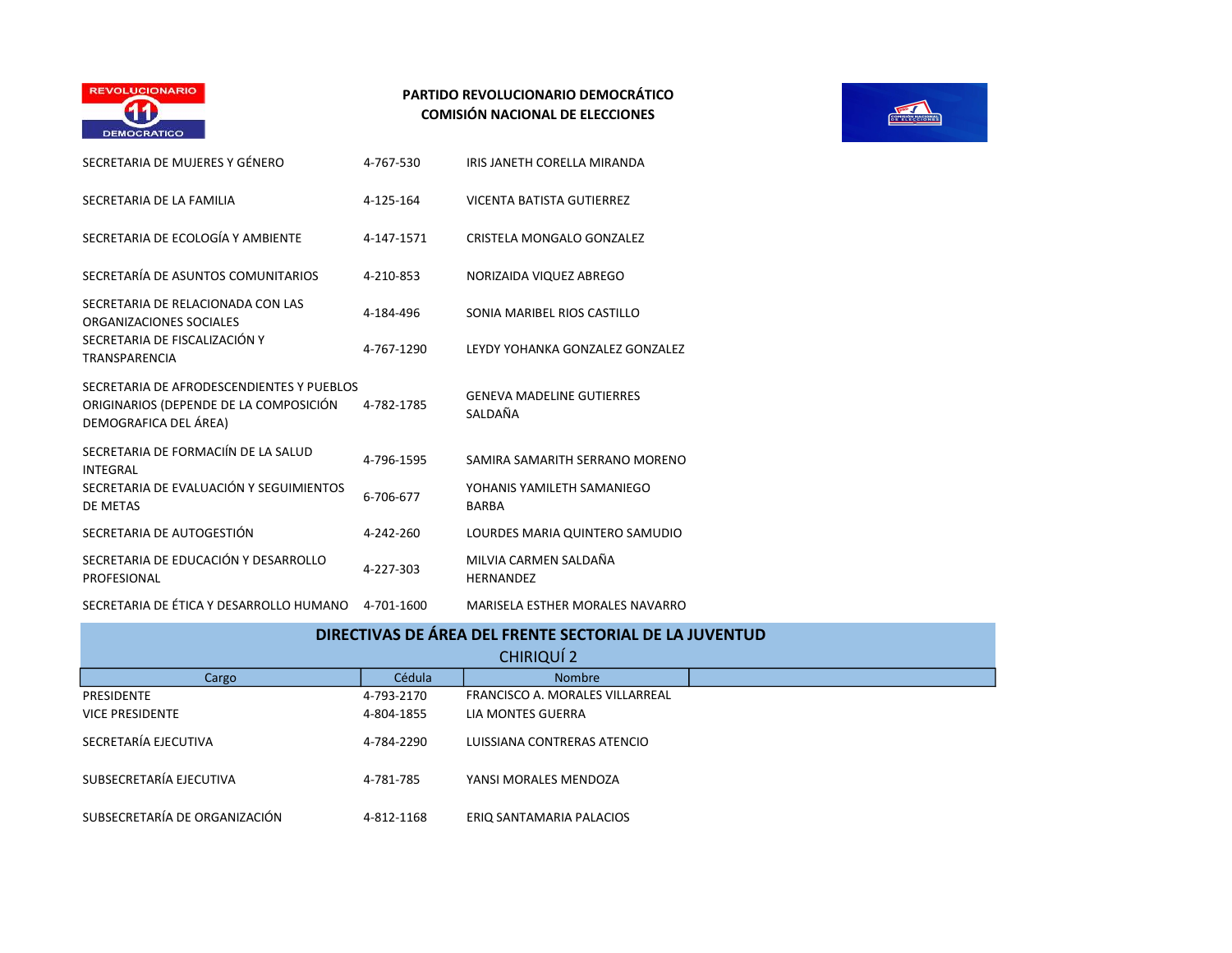

| SECRETARIA DE MUJERES Y GÉNERO                                                                               | 4-767-530  | IRIS JANETH CORELLA MIRANDA                 |
|--------------------------------------------------------------------------------------------------------------|------------|---------------------------------------------|
| SECRETARIA DE LA FAMILIA                                                                                     | 4-125-164  | VICENTA BATISTA GUTIERREZ                   |
| SECRETARIA DE ECOLOGÍA Y AMBIENTE                                                                            | 4-147-1571 | CRISTELA MONGALO GONZALEZ                   |
| SECRETARÍA DE ASUNTOS COMUNITARIOS                                                                           | 4-210-853  | NORIZAIDA VIQUEZ ABREGO                     |
| SECRETARIA DE RELACIONADA CON LAS<br>ORGANIZACIONES SOCIALES                                                 | 4-184-496  | SONIA MARIBEL RIOS CASTILLO                 |
| SECRETARIA DE FISCALIZACIÓN Y<br>TRANSPARENCIA                                                               | 4-767-1290 | LEYDY YOHANKA GONZALEZ GONZALEZ             |
| SECRETARIA DE AFRODESCENDIENTES Y PUEBLOS<br>ORIGINARIOS (DEPENDE DE LA COMPOSICIÓN<br>DEMOGRAFICA DEL ÁREA) | 4-782-1785 | <b>GENEVA MADELINE GUTIERRES</b><br>SALDAÑA |
| SECRETARIA DE FORMACIÍN DE LA SALUD<br>INTEGRAL                                                              | 4-796-1595 | SAMIRA SAMARITH SERRANO MORENO              |
| SECRETARIA DE EVALUACIÓN Y SEGUIMIENTOS<br>DE METAS                                                          | 6-706-677  | YOHANIS YAMILETH SAMANIEGO<br><b>BARBA</b>  |
| SECRETARIA DE AUTOGESTIÓN                                                                                    | 4-242-260  | LOURDES MARIA QUINTERO SAMUDIO              |
| SECRETARIA DE EDUCACIÓN Y DESARROLLO<br>PROFESIONAL                                                          | 4-227-303  | MILVIA CARMEN SALDAÑA<br><b>HERNANDEZ</b>   |
| SECRETARIA DE ÉTICA Y DESARROLLO HUMANO                                                                      | 4-701-1600 | MARISELA ESTHER MORALES NAVARRO             |



| <u>JECNETANIA DE ETICA E DEJANNOELO HUIVIANO</u>       | <b>+701-1000</b> | IVIANDELA EJITIEN IVIONALEJ IVAVANNO |  |  |
|--------------------------------------------------------|------------------|--------------------------------------|--|--|
| DIRECTIVAS DE ÁREA DEL FRENTE SECTORIAL DE LA JUVENTUD |                  |                                      |  |  |
|                                                        |                  | CHIRIQUÍ 2                           |  |  |
| Cargo                                                  | Cédula           | <b>Nombre</b>                        |  |  |
| PRESIDENTE                                             | 4-793-2170       | FRANCISCO A. MORALES VILLARREAL      |  |  |
| <b>VICE PRESIDENTE</b>                                 | 4-804-1855       | LIA MONTES GUERRA                    |  |  |
| SECRETARÍA EJECUTIVA                                   | 4-784-2290       | LUISSIANA CONTRERAS ATENCIO          |  |  |
| SUBSECRETARÍA EJECUTIVA                                | 4-781-785        | YANSI MORALES MENDOZA                |  |  |
| SUBSECRETARÍA DE ORGANIZACIÓN                          | 4-812-1168       | ERIO SANTAMARIA PALACIOS             |  |  |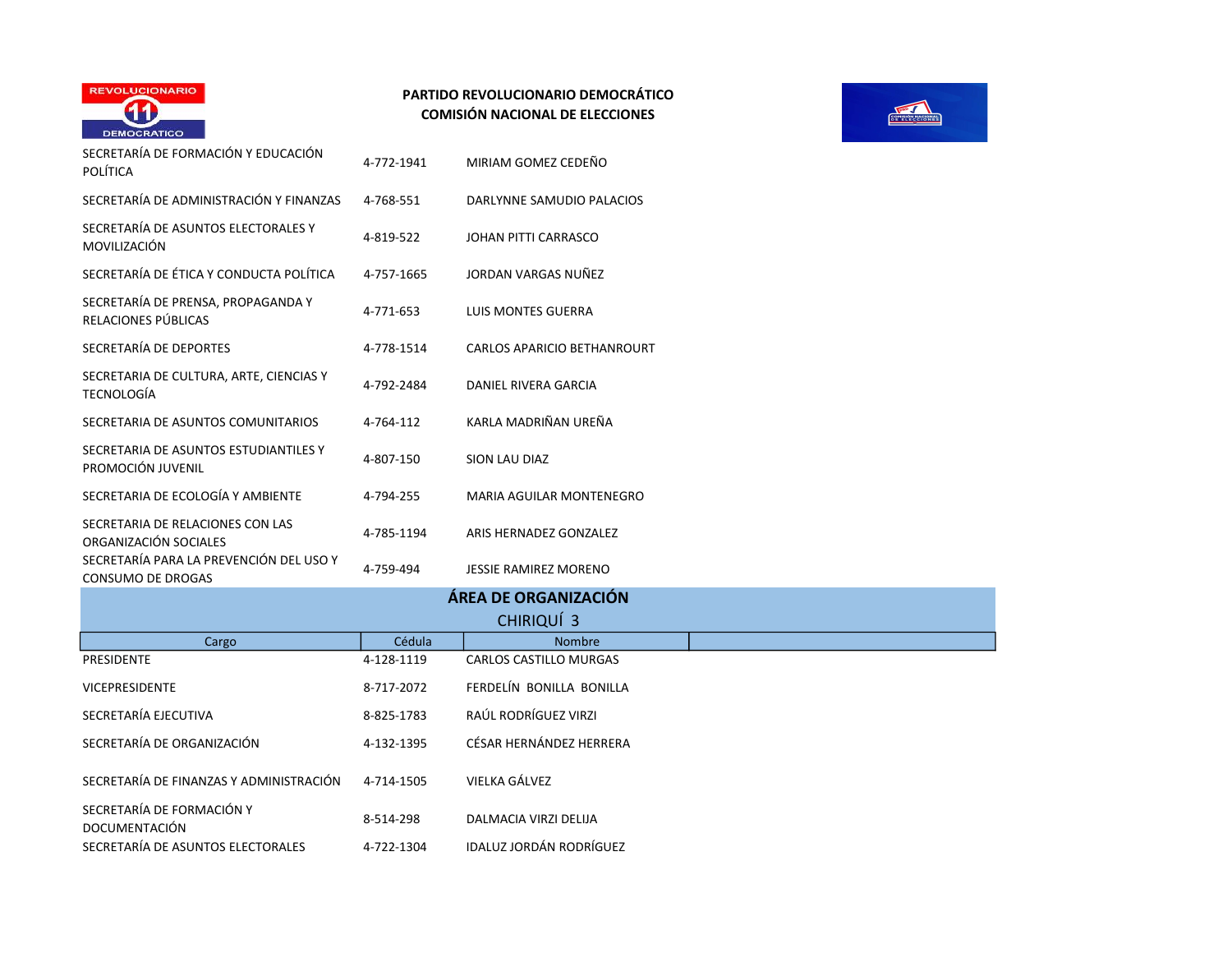

|                                                              |            | ÁREA DE ORGANIZACIÓN               |
|--------------------------------------------------------------|------------|------------------------------------|
| SECRETARÍA PARA LA PREVENCIÓN DEL USO Y<br>CONSUMO DE DROGAS | 4-759-494  | <b>JESSIE RAMIREZ MORENO</b>       |
| SECRETARIA DE RELACIONES CON LAS<br>ORGANIZACIÓN SOCIALES    | 4-785-1194 | ARIS HERNADEZ GONZALEZ             |
| SECRETARIA DE ECOLOGÍA Y AMBIENTE                            | 4-794-255  | MARIA AGUILAR MONTENEGRO           |
| SECRETARIA DE ASUNTOS ESTUDIANTILES Y<br>PROMOCIÓN JUVENIL   | 4-807-150  | <b>SION LAU DIAZ</b>               |
| SECRETARIA DE ASUNTOS COMUNITARIOS                           | 4-764-112  | KARLA MADRIÑAN UREÑA               |
| SECRETARIA DE CULTURA, ARTE, CIENCIAS Y<br>TECNOLOGÍA        | 4-792-2484 | DANIEL RIVERA GARCIA               |
| SECRETARÍA DE DEPORTES                                       | 4-778-1514 | <b>CARLOS APARICIO BETHANROURT</b> |
| SECRETARÍA DE PRENSA, PROPAGANDA Y<br>RELACIONES PÚBLICAS    | 4-771-653  | <b>LUIS MONTES GUERRA</b>          |
| SECRETARÍA DE ÉTICA Y CONDUCTA POLÍTICA                      | 4-757-1665 | JORDAN VARGAS NUÑEZ                |
| SECRETARÍA DE ASUNTOS ELECTORALES Y<br>MOVILIZACIÓN          | 4-819-522  | JOHAN PITTI CARRASCO               |
| SECRETARÍA DE ADMINISTRACIÓN Y FINANZAS                      | 4-768-551  | DARLYNNE SAMUDIO PALACIOS          |
| SECRETARÍA DE FORMACIÓN Y EDUCACIÓN<br>POLÍTICA              | 4-772-1941 | MIRIAM GOMEZ CEDEÑO                |

SECRETARÍA DE ASUNTOS ELECTORALES  $4$ -722-1304 IDALUZ JORDÁN RODRÍGUEZ



| SECRETARÍA DE ASUNTOS ELECTORALES Y<br>MOVILIZACIÓN                 | 4-819-522  | JOHAN PITTI CARRASCO            |  |
|---------------------------------------------------------------------|------------|---------------------------------|--|
| SECRETARÍA DE ÉTICA Y CONDUCTA POLÍTICA                             | 4-757-1665 | JORDAN VARGAS NUÑEZ             |  |
| SECRETARÍA DE PRENSA, PROPAGANDA Y<br>RELACIONES PÚBLICAS           | 4-771-653  | <b>LUIS MONTES GUERRA</b>       |  |
| SECRETARÍA DE DEPORTES                                              | 4-778-1514 | CARLOS APARICIO BETHANROURT     |  |
| SECRETARIA DE CULTURA, ARTE, CIENCIAS Y<br><b>TECNOLOGÍA</b>        | 4-792-2484 | DANIEL RIVERA GARCIA            |  |
| SECRETARIA DE ASUNTOS COMUNITARIOS                                  | 4-764-112  | KARLA MADRIÑAN UREÑA            |  |
| SECRETARIA DE ASUNTOS ESTUDIANTILES Y<br>PROMOCIÓN JUVENIL          | 4-807-150  | <b>SION LAU DIAZ</b>            |  |
| SECRETARIA DE ECOLOGÍA Y AMBIENTE                                   | 4-794-255  | <b>MARIA AGUILAR MONTENEGRO</b> |  |
| SECRETARIA DE RELACIONES CON LAS<br>ORGANIZACIÓN SOCIALES           | 4-785-1194 | ARIS HERNADEZ GONZALEZ          |  |
| SECRETARÍA PARA LA PREVENCIÓN DEL USO Y<br><b>CONSUMO DE DROGAS</b> | 4-759-494  | JESSIE RAMIREZ MORENO           |  |
|                                                                     |            | ÁREA DE ORGANIZACIÓN            |  |
|                                                                     |            | CHIRIQUÍ 3                      |  |
| Cargo                                                               | Cédula     | Nombre                          |  |
| PRESIDENTE                                                          | 4-128-1119 | <b>CARLOS CASTILLO MURGAS</b>   |  |
| <b>VICEPRESIDENTE</b>                                               | 8-717-2072 | FERDELÍN BONILLA BONILLA        |  |
| SECRETARÍA EJECUTIVA                                                | 8-825-1783 | RAÚL RODRÍGUEZ VIRZI            |  |
| SECRETARÍA DE ORGANIZACIÓN                                          | 4-132-1395 | CÉSAR HERNÁNDEZ HERRERA         |  |
| SECRETARÍA DE FINANZAS Y ADMINISTRACIÓN                             | 4-714-1505 | VIELKA GÁLVEZ                   |  |
| SECRETARÍA DE FORMACIÓN Y<br>DOCUMENTACIÓN                          | 8-514-298  | DALMACIA VIRZI DELIJA           |  |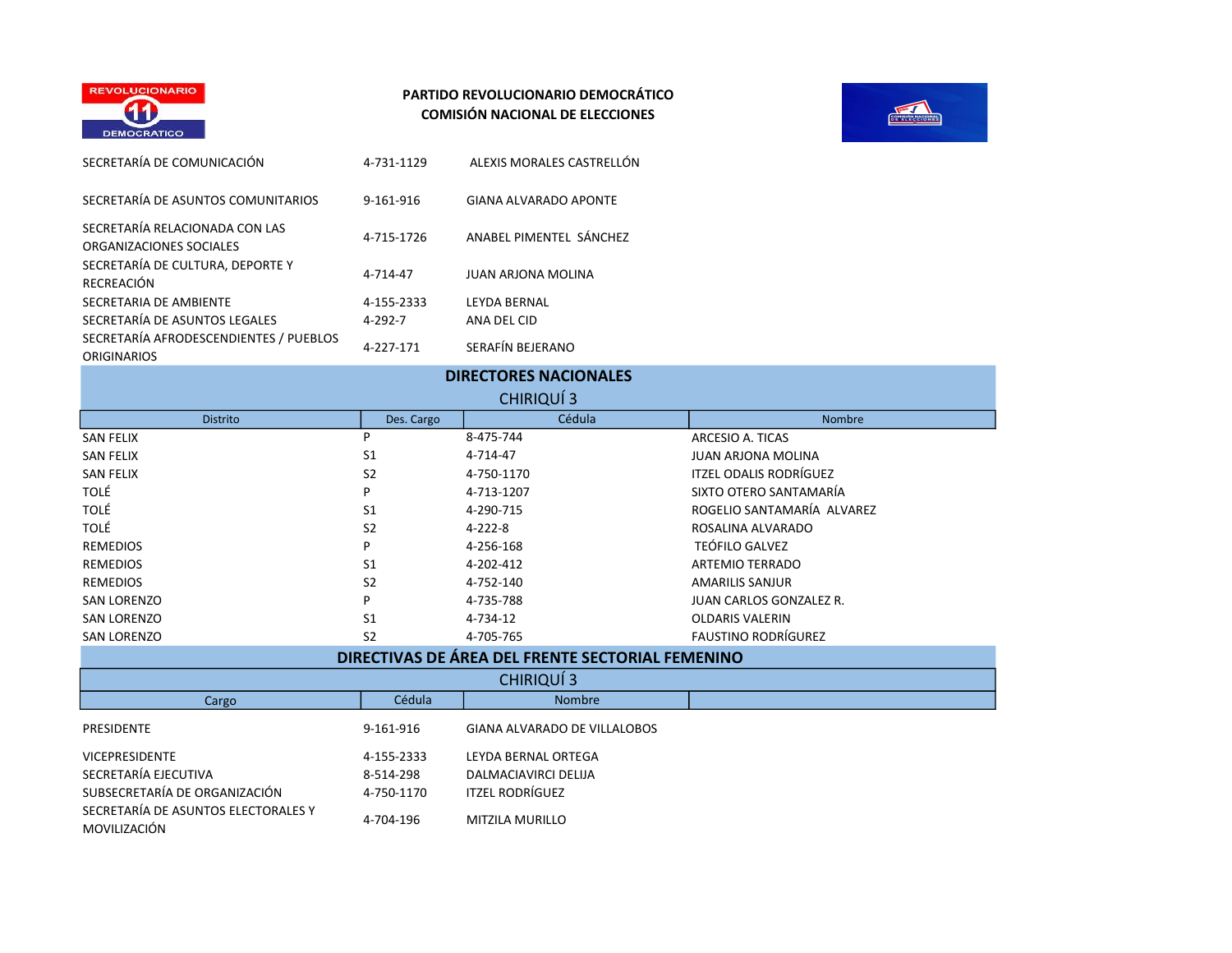



| SECRETARÍA DE COMUNICACIÓN                                   | 4-731-1129    | ALEXIS MORALES CASTRELLÓN    |
|--------------------------------------------------------------|---------------|------------------------------|
| SECRETARÍA DE ASUNTOS COMUNITARIOS                           | 9-161-916     | <b>GIANA ALVARADO APONTE</b> |
| SECRETARÍA RELACIONADA CON LAS<br>ORGANIZACIONES SOCIALES    | 4-715-1726    | ANABEL PIMENTEL SÁNCHEZ      |
| SECRETARÍA DE CULTURA, DEPORTE Y<br>RECREACIÓN               | 4-714-47      | <b>JUAN ARJONA MOLINA</b>    |
| SECRETARIA DE AMBIENTE                                       | 4-155-2333    | <b>LEYDA BERNAL</b>          |
| SECRETARÍA DE ASUNTOS LEGALES                                | $4 - 292 - 7$ | ANA DEL CID                  |
| SECRETARÍA AFRODESCENDIENTES / PUEBLOS<br><b>ORIGINARIOS</b> | 4-227-171     | SERAFÍN BEJERANO             |

| <b>DIRECTORES NACIONALES</b>                        |                |               |                               |  |
|-----------------------------------------------------|----------------|---------------|-------------------------------|--|
| CHIRIQUÍ 3                                          |                |               |                               |  |
| <b>Distrito</b>                                     | Des. Cargo     | Cédula        | Nombre                        |  |
| SAN FELIX                                           | P              | 8-475-744     | ARCESIO A. TICAS              |  |
| <b>SAN FELIX</b>                                    | S <sub>1</sub> | 4-714-47      | <b>JUAN ARJONA MOLINA</b>     |  |
| <b>SAN FELIX</b>                                    | S <sub>2</sub> | 4-750-1170    | <b>ITZEL ODALIS RODRÍGUEZ</b> |  |
| <b>TOLÉ</b>                                         | P              | 4-713-1207    | SIXTO OTERO SANTAMARÍA        |  |
| <b>TOLÉ</b>                                         | S <sub>1</sub> | 4-290-715     | ROGELIO SANTAMARÍA ALVAREZ    |  |
| <b>TOLÉ</b>                                         | S <sub>2</sub> | $4 - 222 - 8$ | ROSALINA ALVARADO             |  |
| <b>REMEDIOS</b>                                     | P              | 4-256-168     | <b>TEÓFILO GALVEZ</b>         |  |
| <b>REMEDIOS</b>                                     | S <sub>1</sub> | 4-202-412     | <b>ARTEMIO TERRADO</b>        |  |
| <b>REMEDIOS</b>                                     | S <sub>2</sub> | 4-752-140     | <b>AMARILIS SANJUR</b>        |  |
| <b>SAN LORENZO</b>                                  | P              | 4-735-788     | JUAN CARLOS GONZALEZ R.       |  |
| <b>SAN LORENZO</b>                                  | S <sub>1</sub> | 4-734-12      | <b>OLDARIS VALERIN</b>        |  |
| <b>SAN LORENZO</b>                                  | S <sub>2</sub> | 4-705-765     | <b>FAUSTINO RODRÍGUREZ</b>    |  |
| BIBEATH (10 BE 1851 BE) EBELITE CEATABLE EELIFLULIA |                |               |                               |  |

| DIRECTIVAS DE ÁREA DEL FRENTE SECTORIAL FEMENINO    |            |                                     |  |
|-----------------------------------------------------|------------|-------------------------------------|--|
|                                                     |            | CHIRIQUÍ 3                          |  |
| Cargo                                               | Cédula     | <b>Nombre</b>                       |  |
| PRESIDENTE                                          | 9-161-916  | <b>GIANA ALVARADO DE VILLALOBOS</b> |  |
| <b>VICEPRESIDENTE</b>                               | 4-155-2333 | LEYDA BERNAL ORTEGA                 |  |
| SECRETARÍA EJECUTIVA                                | 8-514-298  | DALMACIAVIRCI DELIJA                |  |
| SUBSECRETARÍA DE ORGANIZACIÓN                       | 4-750-1170 | <b>ITZEL RODRÍGUEZ</b>              |  |
| SECRETARÍA DE ASUNTOS ELECTORALES Y<br>MOVILIZACIÓN | 4-704-196  | MITZILA MURILLO                     |  |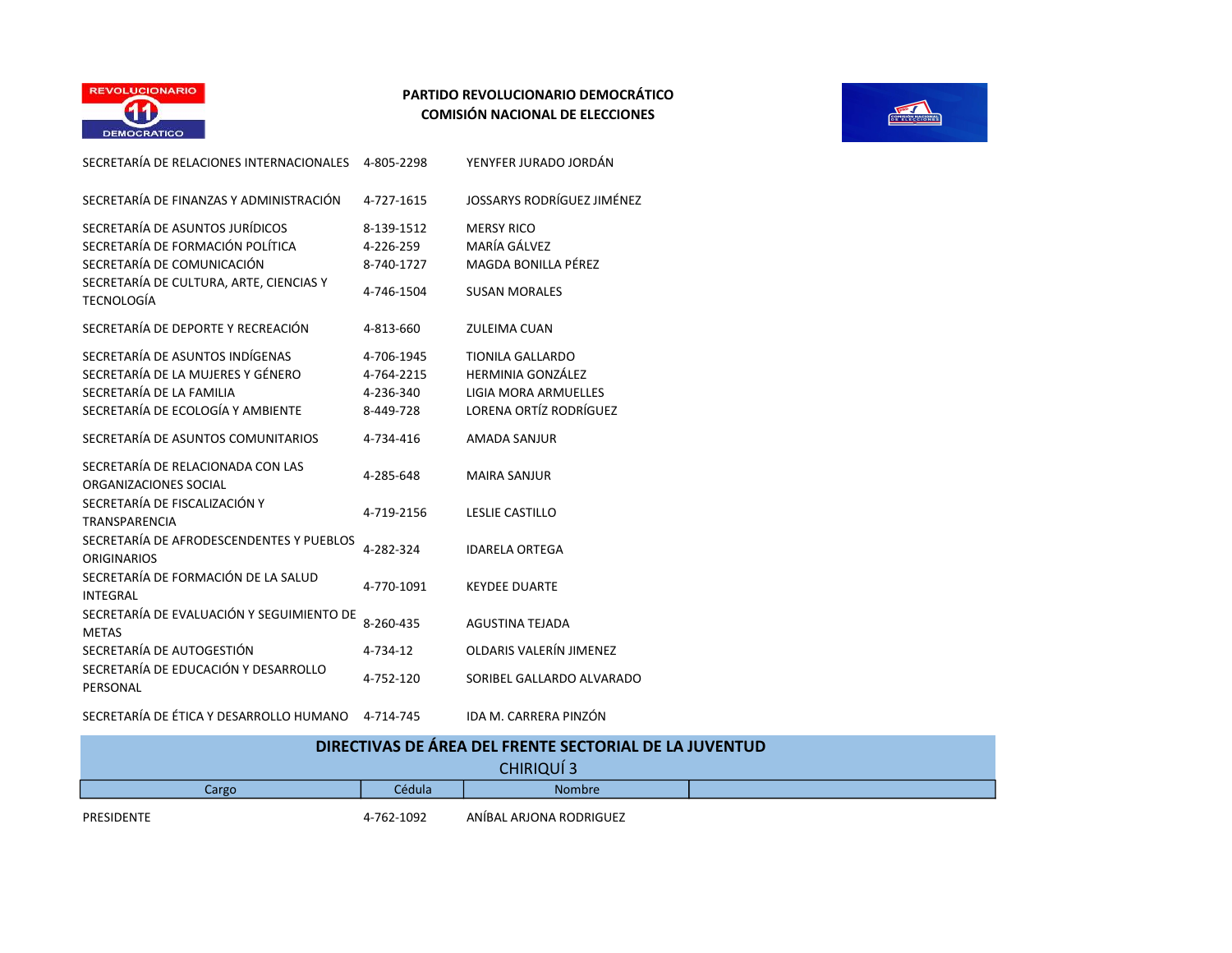



| SECRETARÍA DE RELACIONES INTERNACIONALES                       | 4-805-2298 | YENYFER JURADO JORDÁN       |
|----------------------------------------------------------------|------------|-----------------------------|
| SECRETARÍA DE FINANZAS Y ADMINISTRACIÓN                        | 4-727-1615 | JOSSARYS RODRÍGUEZ JIMÉNEZ  |
| SECRETARÍA DE ASUNTOS JURÍDICOS                                | 8-139-1512 | <b>MERSY RICO</b>           |
| SECRETARÍA DE FORMACIÓN POLÍTICA                               | 4-226-259  | MARÍA GÁLVEZ                |
| SECRETARÍA DE COMUNICACIÓN                                     | 8-740-1727 | MAGDA BONILLA PÉREZ         |
| SECRETARÍA DE CULTURA, ARTE, CIENCIAS Y<br><b>TECNOLOGÍA</b>   | 4-746-1504 | <b>SUSAN MORALES</b>        |
| SECRETARÍA DE DEPORTE Y RECREACIÓN                             | 4-813-660  | <b>ZULEIMA CUAN</b>         |
| SECRETARÍA DE ASUNTOS INDÍGENAS                                | 4-706-1945 | <b>TIONILA GALLARDO</b>     |
| SECRETARÍA DE LA MUJERES Y GÉNERO                              | 4-764-2215 | <b>HERMINIA GONZÁLEZ</b>    |
| SECRETARÍA DE LA FAMILIA                                       | 4-236-340  | <b>LIGIA MORA ARMUELLES</b> |
| SECRETARÍA DE ECOLOGÍA Y AMBIENTE                              | 8-449-728  | LORENA ORTÍZ RODRÍGUEZ      |
| SECRETARÍA DE ASUNTOS COMUNITARIOS                             | 4-734-416  | <b>AMADA SANJUR</b>         |
| SECRETARÍA DE RELACIONADA CON LAS                              | 4-285-648  | <b>MAIRA SANJUR</b>         |
| ORGANIZACIONES SOCIAL                                          |            |                             |
| SECRETARÍA DE FISCALIZACIÓN Y<br><b>TRANSPARENCIA</b>          | 4-719-2156 | <b>LESLIE CASTILLO</b>      |
| SECRETARÍA DE AFRODESCENDENTES Y PUEBLOS<br><b>ORIGINARIOS</b> | 4-282-324  | <b>IDARELA ORTEGA</b>       |
| SECRETARÍA DE FORMACIÓN DE LA SALUD                            |            |                             |
| <b>INTEGRAL</b>                                                | 4-770-1091 | <b>KEYDEE DUARTE</b>        |
| SECRETARÍA DE EVALUACIÓN Y SEGUIMIENTO DE<br><b>METAS</b>      | 8-260-435  | <b>AGUSTINA TEJADA</b>      |
| SECRETARÍA DE AUTOGESTIÓN                                      | 4-734-12   | OLDARIS VALERÍN JIMENEZ     |
| SECRETARÍA DE EDUCACIÓN Y DESARROLLO                           |            |                             |
| PERSONAL                                                       | 4-752-120  | SORIBEL GALLARDO ALVARADO   |
| SECRETARÍA DE ÉTICA Y DESARROLLO HUMANO                        | 4-714-745  | IDA M. CARRERA PINZÓN       |

|                                  |           | DIRECTIVAS DE ÁREA DEL FRENTE SECTORIA |
|----------------------------------|-----------|----------------------------------------|
| CA Y DESARROLLO HUMANO 4-714-745 |           | IDA M. CARRERA PINZÓN                  |
|                                  | 4-732-120 | SUNIDEL GALLANDU ALVANAD               |

| DIRECTIVAS DE ÁREA DEL FRENTE SECTORIAL DE LA JUVENTUD |  |
|--------------------------------------------------------|--|
| CHIRIOUÍ 3                                             |  |

| CHIBIOLII 3                      |            |                         |  |
|----------------------------------|------------|-------------------------|--|
| Cédula<br><b>Nombre</b><br>Cargo |            |                         |  |
| <b>PRESIDENTE</b>                | 4-762-1092 | ANIBAL ARJONA RODRIGUEZ |  |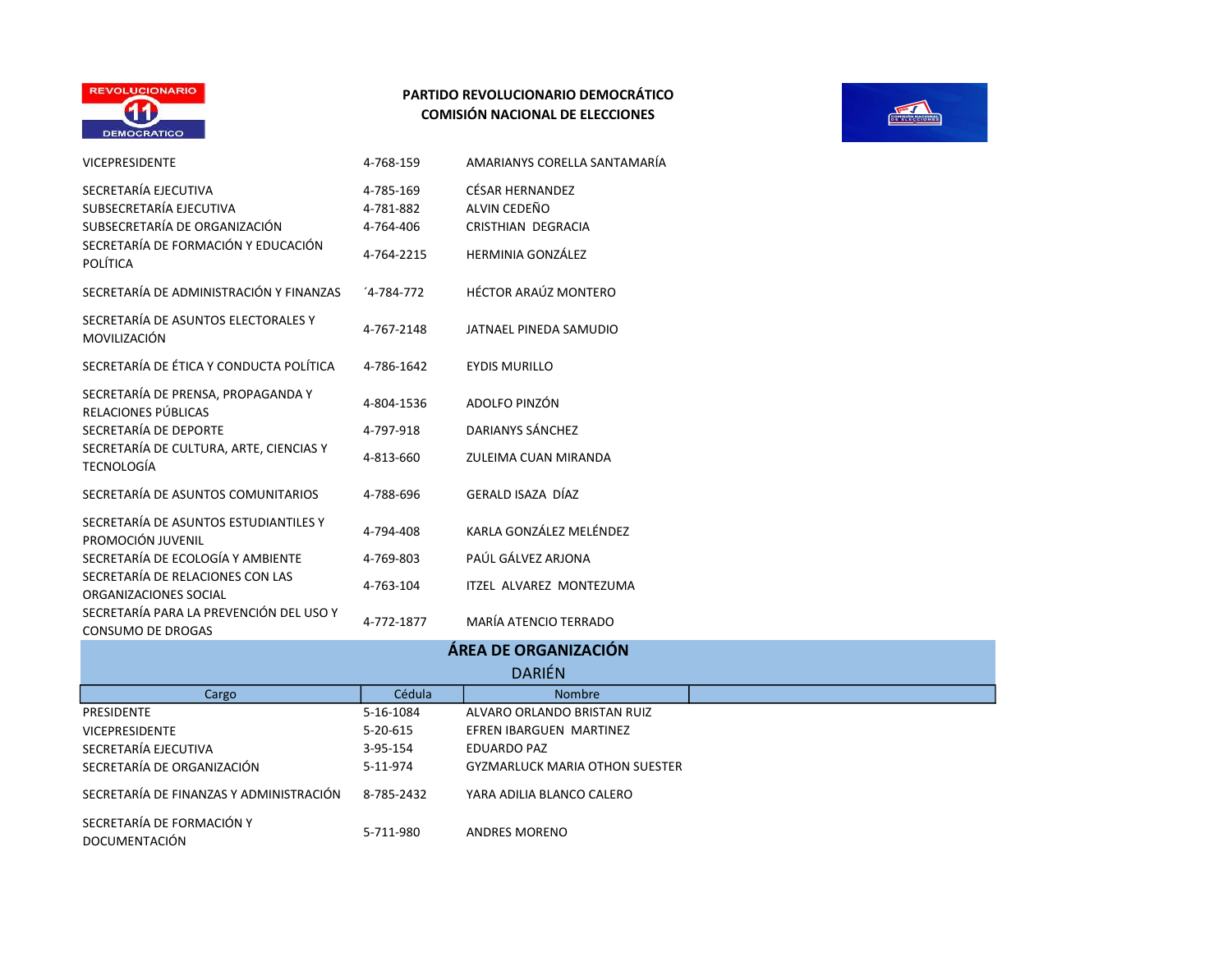

| <b>VICEPRESIDENTE</b>                                                                                                   | 4-768-159                                         | AMARIANYS CORELLA SANTAMARÍA                                                       |
|-------------------------------------------------------------------------------------------------------------------------|---------------------------------------------------|------------------------------------------------------------------------------------|
| SECRETARÍA EJECUTIVA<br>SUBSECRETARÍA EJECUTIVA<br>SUBSECRETARÍA DE ORGANIZACIÓN<br>SECRETARÍA DE FORMACIÓN Y EDUCACIÓN | 4-785-169<br>4-781-882<br>4-764-406<br>4-764-2215 | CÉSAR HERNANDEZ<br>AI VIN CEDEÑO<br>CRISTHIAN DEGRACIA<br><b>HERMINIA GONZÁLEZ</b> |
| <b>POLÍTICA</b><br>SECRETARÍA DE ADMINISTRACIÓN Y FINANZAS                                                              | $4-784-772$                                       | <b>HÉCTOR ARAÚZ MONTERO</b>                                                        |
| SECRETARÍA DE ASUNTOS ELECTORALES Y<br>MOVILIZACIÓN                                                                     | 4-767-2148                                        | JATNAEL PINEDA SAMUDIO                                                             |
| SECRETARÍA DE ÉTICA Y CONDUCTA POLÍTICA                                                                                 | 4-786-1642                                        | <b>EYDIS MURILLO</b>                                                               |
| SECRETARÍA DE PRENSA, PROPAGANDA Y<br>RELACIONES PÚBLICAS                                                               | 4-804-1536                                        | ADOLFO PINZÓN                                                                      |
| SECRETARÍA DE DEPORTE                                                                                                   | 4-797-918                                         | DARIANYS SÁNCHEZ                                                                   |
| SECRETARÍA DE CULTURA, ARTE, CIENCIAS Y<br><b>TECNOLOGÍA</b>                                                            | 4-813-660                                         | ZULEIMA CUAN MIRANDA                                                               |
| SECRETARÍA DE ASUNTOS COMUNITARIOS                                                                                      | 4-788-696                                         | GERALD ISAZA DÍAZ                                                                  |
| SECRETARÍA DE ASUNTOS ESTUDIANTILES Y<br>PROMOCIÓN JUVENIL                                                              | 4-794-408                                         | KARLA GONZÁLEZ MELÉNDEZ                                                            |
| SECRETARÍA DE ECOLOGÍA Y AMBIENTE                                                                                       | 4-769-803                                         | PAÚL GÁLVEZ ARJONA                                                                 |
| SECRETARÍA DE RELACIONES CON LAS<br>ORGANIZACIONES SOCIAL                                                               | 4-763-104                                         | ITZEL ALVAREZ MONTEZUMA                                                            |
| SECRETARÍA PARA LA PREVENCIÓN DEL USO Y<br>CONSUMO DE DROGAS                                                            | 4-772-1877                                        | MARÍA ATENCIO TERRADO                                                              |



# **DARIÉN** ÁREA DE ORGANIZACIÓN

|                                            |                | PANEM                                 |  |
|--------------------------------------------|----------------|---------------------------------------|--|
| Cargo                                      | Cédula         | <b>Nombre</b>                         |  |
| <b>PRESIDENTE</b>                          | 5-16-1084      | ALVARO ORLANDO BRISTAN RUIZ           |  |
| <b>VICEPRESIDENTE</b>                      | $5 - 20 - 615$ | EFREN IBARGUEN MARTINEZ               |  |
| SECRETARÍA EJECUTIVA                       | 3-95-154       | EDUARDO PAZ                           |  |
| SECRETARÍA DE ORGANIZACIÓN                 | 5-11-974       | <b>GYZMARLUCK MARIA OTHON SUESTER</b> |  |
| SECRETARÍA DE FINANZAS Y ADMINISTRACIÓN    | 8-785-2432     | YARA ADILIA BLANCO CALERO             |  |
| SECRETARÍA DE FORMACIÓN Y<br>DOCUMENTACIÓN | 5-711-980      | <b>ANDRES MORENO</b>                  |  |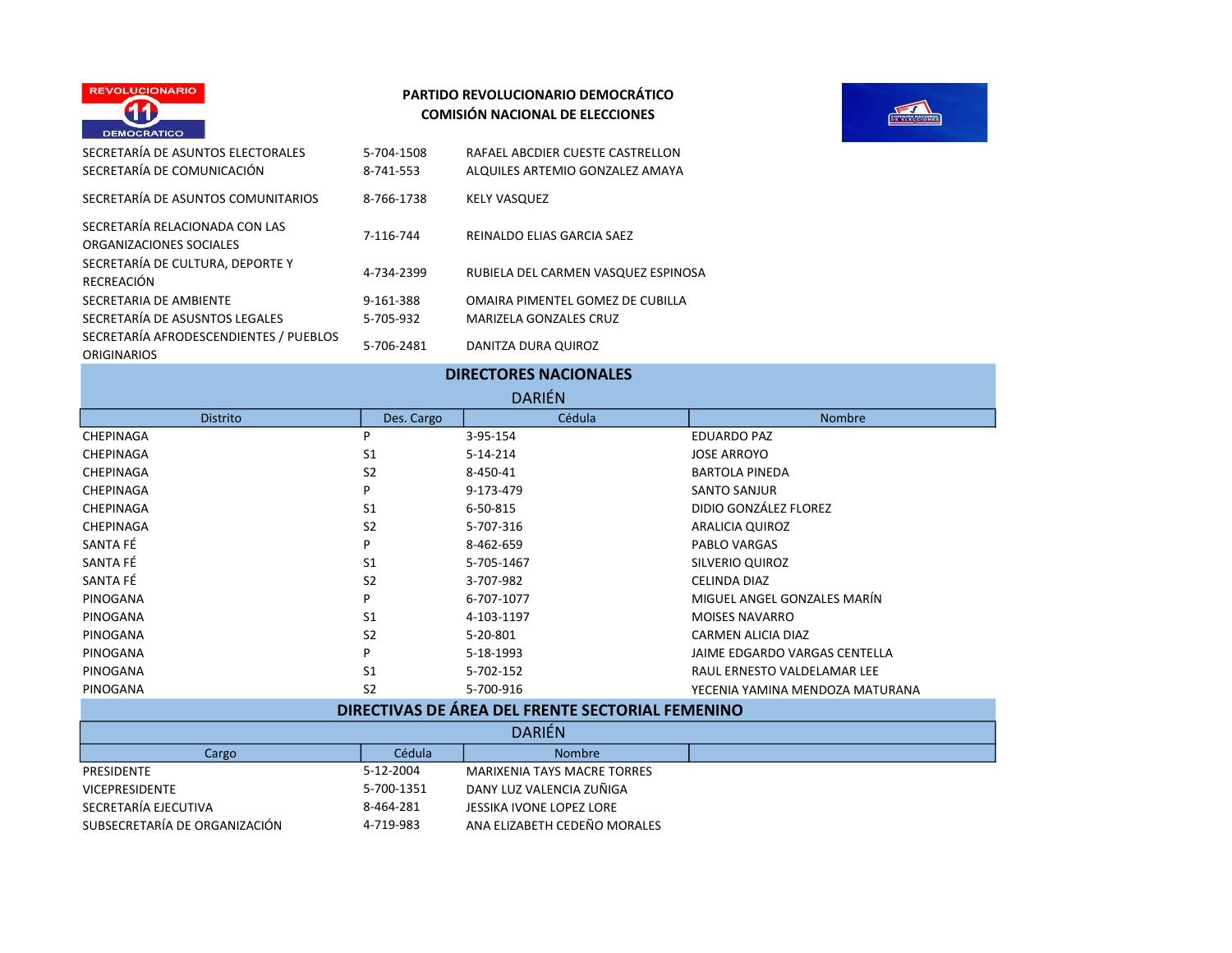



| SECRETARÍA DE ASUNTOS ELECTORALES<br>SECRETARÍA DE COMUNICACIÓN | 5-704-1508<br>8-741-553 | RAFAEL ABCDIER CUESTE CASTRELLON<br>ALQUILES ARTEMIO GONZALEZ AMAYA |
|-----------------------------------------------------------------|-------------------------|---------------------------------------------------------------------|
| SECRETARÍA DE ASUNTOS COMUNITARIOS                              | 8-766-1738              | <b>KELY VASQUEZ</b>                                                 |
| SECRETARÍA RELACIONADA CON LAS<br>ORGANIZACIONES SOCIALES       | 7-116-744               | REINALDO ELIAS GARCIA SAEZ                                          |
| SECRETARÍA DE CULTURA, DEPORTE Y<br>RECREACIÓN                  | 4-734-2399              | RUBIELA DEL CARMEN VASQUEZ ESPINOSA                                 |
| SECRETARIA DE AMBIENTE                                          | 9-161-388               | OMAIRA PIMENTEL GOMEZ DE CUBILLA                                    |
| SECRETARÍA DE ASUSNTOS LEGALES                                  | 5-705-932               | <b>MARIZELA GONZALES CRUZ</b>                                       |
| SECRETARÍA AFRODESCENDIENTES / PUEBLOS<br><b>ORIGINARIOS</b>    | 5-706-2481              | DANITZA DURA QUIROZ                                                 |

VICEPRESIDENTE 5-700-1351 DANY LUZ VALENCIA ZUÑIGA

SUBSECRETARÍA DE ORGANIZACIÓN 4-719-983 ANA ELIZABETH CEDEÑO MORALES

| <b>DIRECTORES NACIONALES</b>                     |                |                                    |                                 |  |
|--------------------------------------------------|----------------|------------------------------------|---------------------------------|--|
| <b>DARIÉN</b>                                    |                |                                    |                                 |  |
| <b>Distrito</b>                                  | Des. Cargo     | Cédula                             | Nombre                          |  |
| CHEPINAGA                                        | P              | 3-95-154                           | <b>EDUARDO PAZ</b>              |  |
| CHEPINAGA                                        | S <sub>1</sub> | $5 - 14 - 214$                     | <b>JOSE ARROYO</b>              |  |
| CHEPINAGA                                        | S <sub>2</sub> | 8-450-41                           | <b>BARTOLA PINEDA</b>           |  |
| CHEPINAGA                                        | P              | 9-173-479                          | <b>SANTO SANJUR</b>             |  |
| CHEPINAGA                                        | S <sub>1</sub> | 6-50-815                           | DIDIO GONZÁLEZ FLOREZ           |  |
| CHEPINAGA                                        | S <sub>2</sub> | 5-707-316                          | ARALICIA QUIROZ                 |  |
| SANTA FÉ                                         | Þ              | 8-462-659                          | PABLO VARGAS                    |  |
| SANTA FÉ                                         | S <sub>1</sub> | 5-705-1467                         | <b>SILVERIO QUIROZ</b>          |  |
| SANTA FÉ                                         | S <sub>2</sub> | 3-707-982                          | <b>CELINDA DIAZ</b>             |  |
| PINOGANA                                         | P              | 6-707-1077                         | MIGUEL ANGEL GONZALES MARÍN     |  |
| PINOGANA                                         | S <sub>1</sub> | 4-103-1197                         | <b>MOISES NAVARRO</b>           |  |
| PINOGANA                                         | S <sub>2</sub> | 5-20-801                           | CARMEN ALICIA DIAZ              |  |
| PINOGANA                                         | P              | 5-18-1993                          | JAIME EDGARDO VARGAS CENTELLA   |  |
| PINOGANA                                         | S <sub>1</sub> | 5-702-152                          | RAUL ERNESTO VALDELAMAR LEE     |  |
| PINOGANA                                         | S <sub>2</sub> | 5-700-916                          | YECENIA YAMINA MENDOZA MATURANA |  |
| DIRECTIVAS DE ÁREA DEL FRENTE SECTORIAL FEMENINO |                |                                    |                                 |  |
| <b>DARIÉN</b>                                    |                |                                    |                                 |  |
| Cargo                                            | Cédula         | <b>Nombre</b>                      |                                 |  |
| PRESIDENTE                                       | 5-12-2004      | <b>MARIXENIA TAYS MACRE TORRES</b> |                                 |  |

8-464-281 JESSIKA IVONE LOPEZ LORE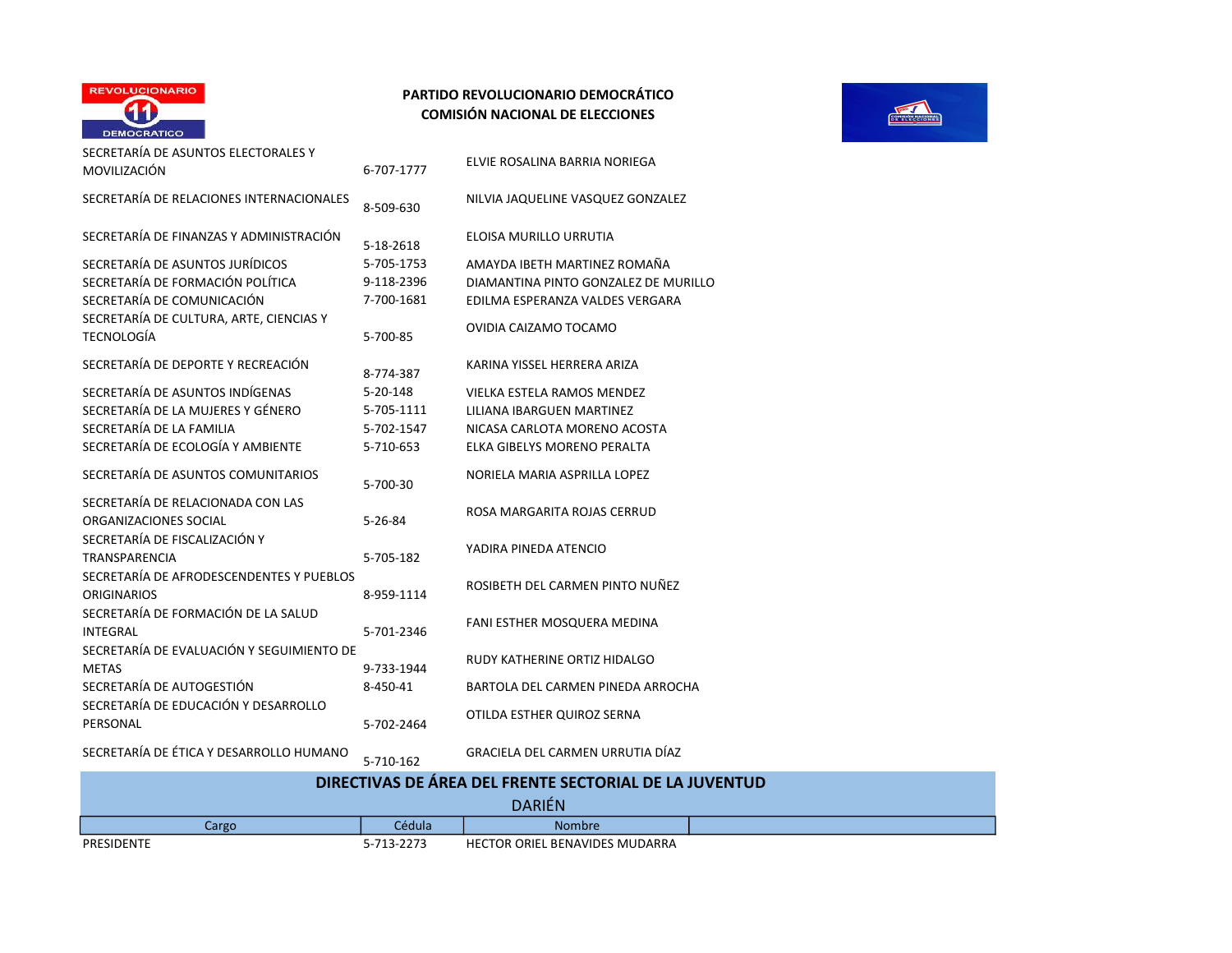

| SECRETARÍA DE ASUNTOS ELECTORALES Y<br>MOVILIZACIÓN            | 6-707-1777     | ELVIE ROSALINA BARRIA NORIEGA        |
|----------------------------------------------------------------|----------------|--------------------------------------|
| SECRETARÍA DE RELACIONES INTERNACIONALES                       | 8-509-630      | NILVIA JAQUELINE VASQUEZ GONZALEZ    |
| SECRETARÍA DE FINANZAS Y ADMINISTRACIÓN                        | 5-18-2618      | ELOISA MURILLO URRUTIA               |
| SECRETARÍA DE ASUNTOS JURÍDICOS                                | 5-705-1753     | AMAYDA IBETH MARTINEZ ROMAÑA         |
| SECRETARÍA DE FORMACIÓN POLÍTICA                               | 9-118-2396     | DIAMANTINA PINTO GONZALEZ DE MURILLO |
| SECRETARÍA DE COMUNICACIÓN                                     | 7-700-1681     | EDILMA ESPERANZA VALDES VERGARA      |
| SECRETARÍA DE CULTURA, ARTE, CIENCIAS Y<br>TECNOLOGÍA          | 5-700-85       | OVIDIA CAIZAMO TOCAMO                |
| SECRETARÍA DE DEPORTE Y RECREACIÓN                             | 8-774-387      | KARINA YISSEL HERRERA ARIZA          |
| SECRETARÍA DE ASUNTOS INDÍGENAS                                | $5 - 20 - 148$ | <b>VIELKA ESTELA RAMOS MENDEZ</b>    |
| SECRETARÍA DE LA MUJERES Y GÉNERO                              | 5-705-1111     | LILIANA IBARGUEN MARTINEZ            |
| SECRETARÍA DE LA FAMILIA                                       | 5-702-1547     | NICASA CARLOTA MORENO ACOSTA         |
| SECRETARÍA DE ECOLOGÍA Y AMBIENTE                              | 5-710-653      | ELKA GIBELYS MORENO PERALTA          |
| SECRETARÍA DE ASUNTOS COMUNITARIOS                             | 5-700-30       | NORIELA MARIA ASPRILLA LOPEZ         |
| SECRETARÍA DE RELACIONADA CON LAS<br>ORGANIZACIONES SOCIAL     | $5 - 26 - 84$  | ROSA MARGARITA ROJAS CERRUD          |
| SECRETARÍA DE FISCALIZACIÓN Y<br>TRANSPARENCIA                 | 5-705-182      | YADIRA PINEDA ATENCIO                |
| SECRETARÍA DE AFRODESCENDENTES Y PUEBLOS<br><b>ORIGINARIOS</b> | 8-959-1114     | ROSIBETH DEL CARMEN PINTO NUÑEZ      |
| SECRETARÍA DE FORMACIÓN DE LA SALUD<br><b>INTEGRAL</b>         | 5-701-2346     | <b>FANI ESTHER MOSQUERA MEDINA</b>   |
| SECRETARÍA DE EVALUACIÓN Y SEGUIMIENTO DE<br><b>METAS</b>      | 9-733-1944     | RUDY KATHERINE ORTIZ HIDALGO         |
| SECRETARÍA DE AUTOGESTIÓN                                      | 8-450-41       | BARTOLA DEL CARMEN PINEDA ARROCHA    |
| SECRETARÍA DE EDUCACIÓN Y DESARROLLO<br>PERSONAL               | 5-702-2464     | OTILDA ESTHER QUIROZ SERNA           |
|                                                                |                |                                      |



SECRETARÍA DE ÉTICA Y DESARROLLO HUMANO 5-710-162 GRACIELA DEL CARMEN URRUTIA DÍAZ

|            |            | DIRECTIVAS DE AREA DEL FRENTE SECTORIAL DE LA JUVENTUD |  |
|------------|------------|--------------------------------------------------------|--|
|            |            | <b>DARIÉN</b>                                          |  |
| Cargo      | Cédula     | <b>Nombre</b>                                          |  |
| PRESIDENTE | 5-713-2273 | <b>HECTOR ORIEL BENAVIDES MUDARRA</b>                  |  |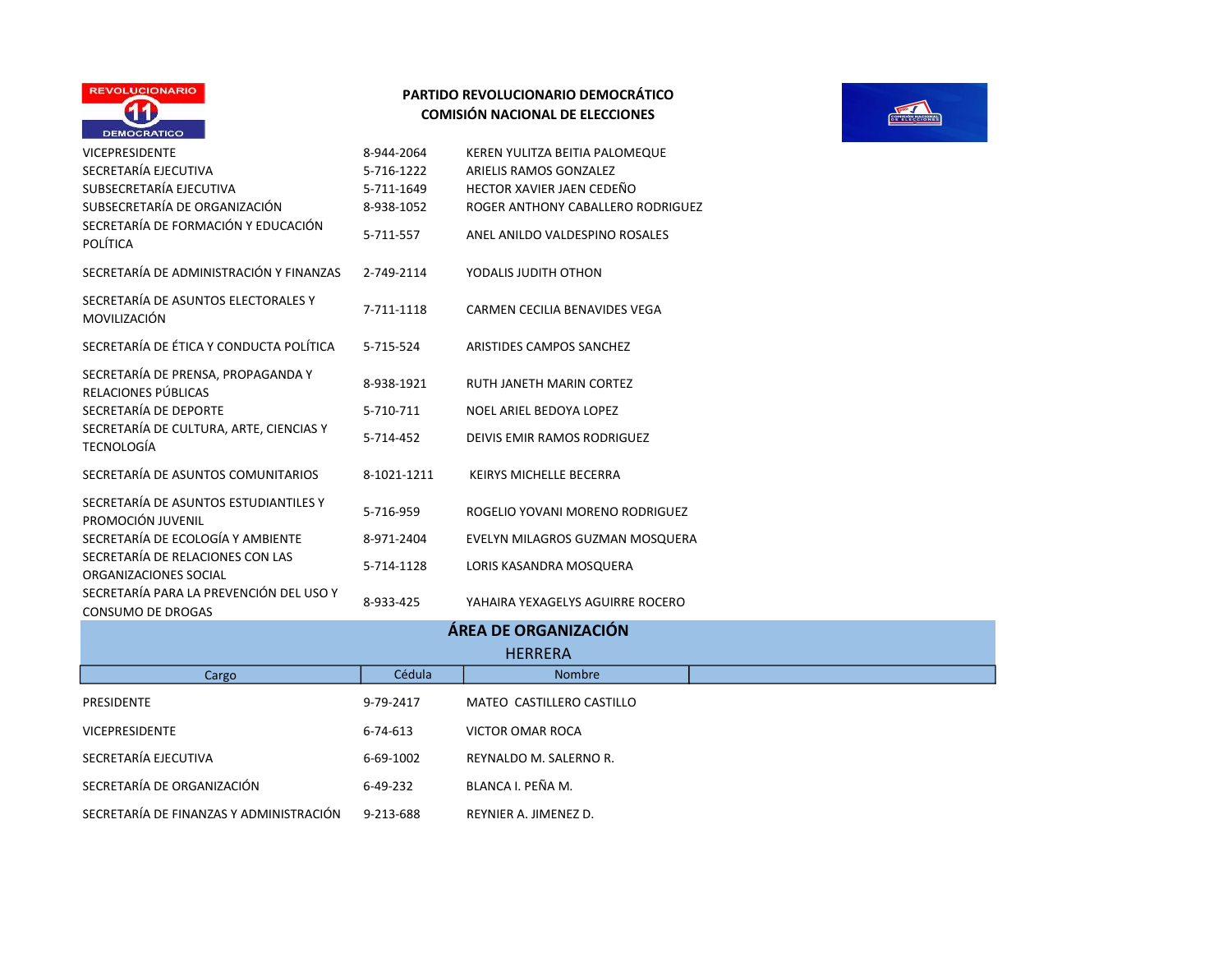



|                                                                     |             | ÁREA DE ORGANIZACIÓN               |
|---------------------------------------------------------------------|-------------|------------------------------------|
| SECRETARÍA PARA LA PREVENCIÓN DEL USO Y<br><b>CONSUMO DE DROGAS</b> | 8-933-425   | YAHAIRA YEXAGELYS AGUIRRE ROCERO   |
| SECRETARÍA DE RELACIONES CON LAS<br>ORGANIZACIONES SOCIAL           | 5-714-1128  | LORIS KASANDRA MOSQUERA            |
| SECRETARÍA DE ECOLOGÍA Y AMBIENTE                                   | 8-971-2404  | EVELYN MILAGROS GUZMAN MOSQUERA    |
| SECRETARÍA DE ASUNTOS ESTUDIANTILES Y<br>PROMOCIÓN JUVENIL          | 5-716-959   | ROGELIO YOVANI MORENO RODRIGUEZ    |
| SECRETARÍA DE ASUNTOS COMUNITARIOS                                  | 8-1021-1211 | KEIRYS MICHELLE BECERRA            |
| SECRETARÍA DE CULTURA, ARTE, CIENCIAS Y<br><b>TECNOLOGÍA</b>        | 5-714-452   | <b>DEIVIS EMIR RAMOS RODRIGUEZ</b> |
| SECRETARÍA DE DEPORTE                                               | 5-710-711   | NOEL ARIEL BEDOYA LOPEZ            |
| SECRETARÍA DE PRENSA, PROPAGANDA Y<br>RELACIONES PÚBLICAS           | 8-938-1921  | RUTH JANETH MARIN CORTEZ           |
| SECRETARÍA DE ÉTICA Y CONDUCTA POLÍTICA                             | 5-715-524   | ARISTIDES CAMPOS SANCHEZ           |
| SECRETARÍA DE ASUNTOS ELECTORALES Y<br>MOVILIZACIÓN                 | 7-711-1118  | CARMEN CECILIA BENAVIDES VEGA      |
| SECRETARÍA DE ADMINISTRACIÓN Y FINANZAS                             | 2-749-2114  | YODALIS JUDITH OTHON               |
| SECRETARÍA DE FORMACIÓN Y EDUCACIÓN<br><b>POLÍTICA</b>              | 5-711-557   | ANEL ANILDO VALDESPINO ROSALES     |
| SUBSECRETARÍA DE ORGANIZACIÓN                                       | 8-938-1052  | ROGER ANTHONY CABALLERO RODRIGUEZ  |
| SUBSECRETARÍA EJECUTIVA                                             | 5-711-1649  | HECTOR XAVIER JAEN CEDEÑO          |
| SECRETARÍA EJECUTIVA                                                | 5-716-1222  | ARIELIS RAMOS GONZALEZ             |
| <b>VICEPRESIDENTE</b>                                               | 8-944-2064  | KEREN YULITZA BEITIA PALOMEQUE     |

|                                         |           | <b>ÁREA DE ORGANIZACIÓN</b> |
|-----------------------------------------|-----------|-----------------------------|
|                                         |           | <b>HERRERA</b>              |
| Cargo                                   | Cédula    | Nombre                      |
| PRESIDENTE                              | 9-79-2417 | MATEO CASTILLERO CASTILLO   |
| <b>VICEPRESIDENTE</b>                   | 6-74-613  | VICTOR OMAR ROCA            |
| SECRETARÍA EJECUTIVA                    | 6-69-1002 | REYNALDO M. SALERNO R.      |
| SECRETARÍA DE ORGANIZACIÓN              | 6-49-232  | BLANCA I. PEÑA M.           |
| SECRETARÍA DE FINANZAS Y ADMINISTRACIÓN | 9-213-688 | REYNIER A. JIMENEZ D.       |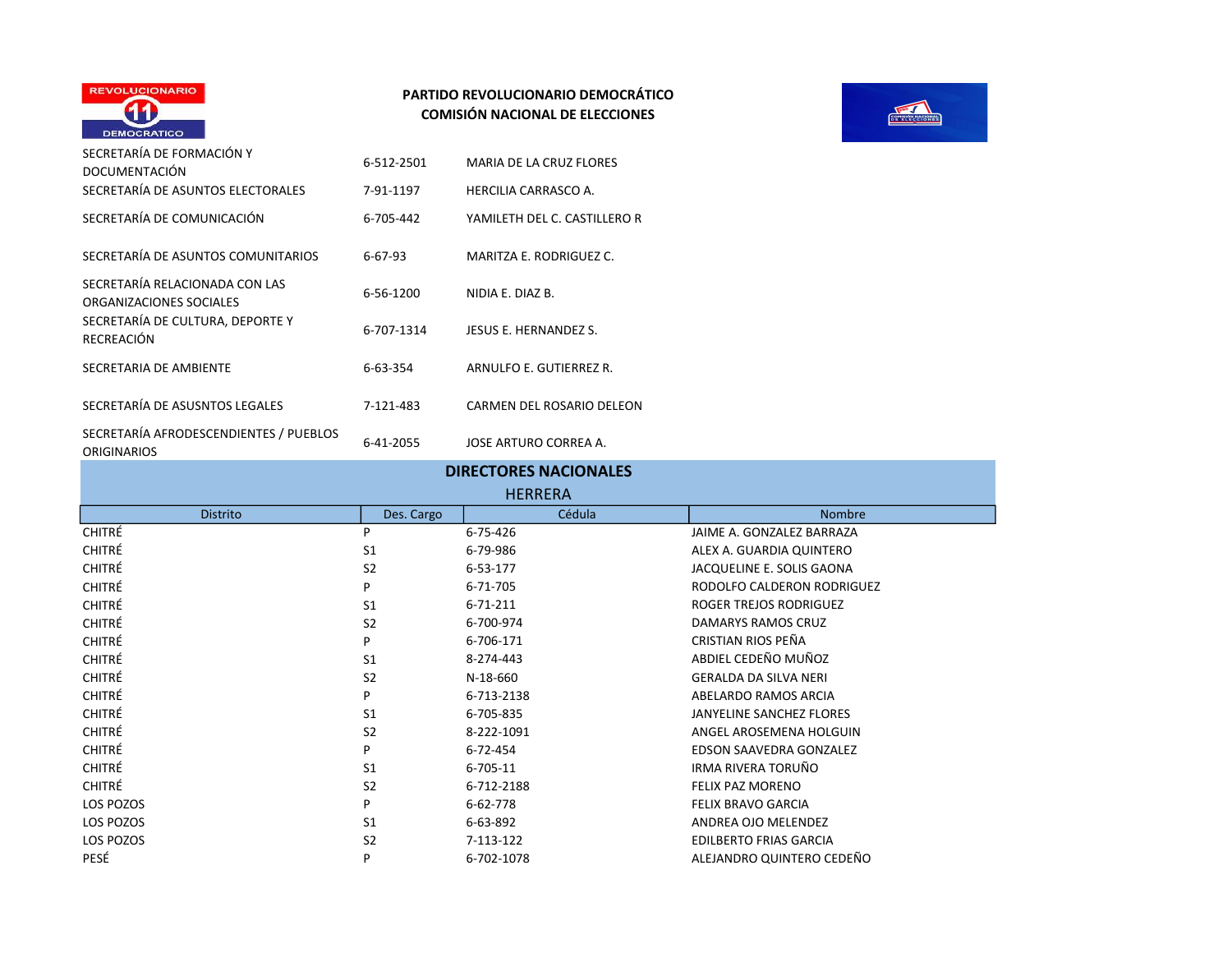

| SECRETARÍA DE FORMACIÓN Y                                 | 6-512-2501    | <b>MARIA DE LA CRUZ FLORES</b> |
|-----------------------------------------------------------|---------------|--------------------------------|
| <b>DOCUMENTACIÓN</b>                                      |               |                                |
| SECRETARÍA DE ASUNTOS ELECTORALES                         | 7-91-1197     | HERCILIA CARRASCO A.           |
| SECRETARÍA DE COMUNICACIÓN                                | 6-705-442     | YAMILETH DEL C. CASTILLERO R   |
| SECRETARÍA DE ASUNTOS COMUNITARIOS                        | $6 - 67 - 93$ | MARITZA E. RODRIGUEZ C.        |
| SECRETARÍA RELACIONADA CON LAS<br>ORGANIZACIONES SOCIALES | 6-56-1200     | NIDIA F. DIAZ B.               |
| SECRETARÍA DE CULTURA, DEPORTE Y<br>RECREACIÓN            | 6-707-1314    | JESUS E. HERNANDEZ S.          |
| SECRETARIA DE AMBIENTE                                    | 6-63-354      | ARNULFO E. GUTIERREZ R.        |
| SECRETARÍA DE ASUSNTOS LEGALES                            | 7-121-483     | CARMEN DEL ROSARIO DELEON      |
| SECRETARÍA AFRODESCENDIENTES / PUEBLOS<br>ORIGINARIOS     | 6-41-2055     | JOSE ARTURO CORREA A.          |

|                 |                | <b>DIRECTORES NACIONALES</b><br><b>HERRERA</b> |                               |
|-----------------|----------------|------------------------------------------------|-------------------------------|
| <b>Distrito</b> | Des. Cargo     | Cédula                                         | <b>Nombre</b>                 |
| <b>CHITRÉ</b>   | P              | 6-75-426                                       | JAIME A. GONZALEZ BARRAZA     |
| <b>CHITRÉ</b>   | S <sub>1</sub> | 6-79-986                                       | ALEX A. GUARDIA QUINTERO      |
| CHITRÉ          | S <sub>2</sub> | 6-53-177                                       | JACQUELINE E. SOLIS GAONA     |
| <b>CHITRÉ</b>   | P              | 6-71-705                                       | RODOLFO CALDERON RODRIGUEZ    |
| <b>CHITRÉ</b>   | S <sub>1</sub> | $6 - 71 - 211$                                 | ROGER TREJOS RODRIGUEZ        |
| CHITRÉ          | S <sub>2</sub> | 6-700-974                                      | <b>DAMARYS RAMOS CRUZ</b>     |
| <b>CHITRÉ</b>   | P              | 6-706-171                                      | CRISTIAN RIOS PEÑA            |
| <b>CHITRÉ</b>   | S <sub>1</sub> | 8-274-443                                      | ABDIEL CEDEÑO MUÑOZ           |
| CHITRÉ          | S <sub>2</sub> | N-18-660                                       | <b>GERALDA DA SILVA NERI</b>  |
| <b>CHITRÉ</b>   | P              | 6-713-2138                                     | ABELARDO RAMOS ARCIA          |
| <b>CHITRÉ</b>   | S <sub>1</sub> | 6-705-835                                      | JANYELINE SANCHEZ FLORES      |
| CHITRÉ          | S <sub>2</sub> | 8-222-1091                                     | ANGEL AROSEMENA HOLGUIN       |
| <b>CHITRÉ</b>   | P              | 6-72-454                                       | EDSON SAAVEDRA GONZALEZ       |
| <b>CHITRÉ</b>   | S <sub>1</sub> | 6-705-11                                       | IRMA RIVERA TORUÑO            |
| <b>CHITRÉ</b>   | S <sub>2</sub> | 6-712-2188                                     | FELIX PAZ MORENO              |
| LOS POZOS       | P              | 6-62-778                                       | <b>FELIX BRAVO GARCIA</b>     |
| LOS POZOS       | S <sub>1</sub> | 6-63-892                                       | ANDREA OJO MELENDEZ           |
| LOS POZOS       | S <sub>2</sub> | 7-113-122                                      | <b>EDILBERTO FRIAS GARCIA</b> |
| PESÉ            | P              | 6-702-1078                                     | ALEJANDRO QUINTERO CEDEÑO     |

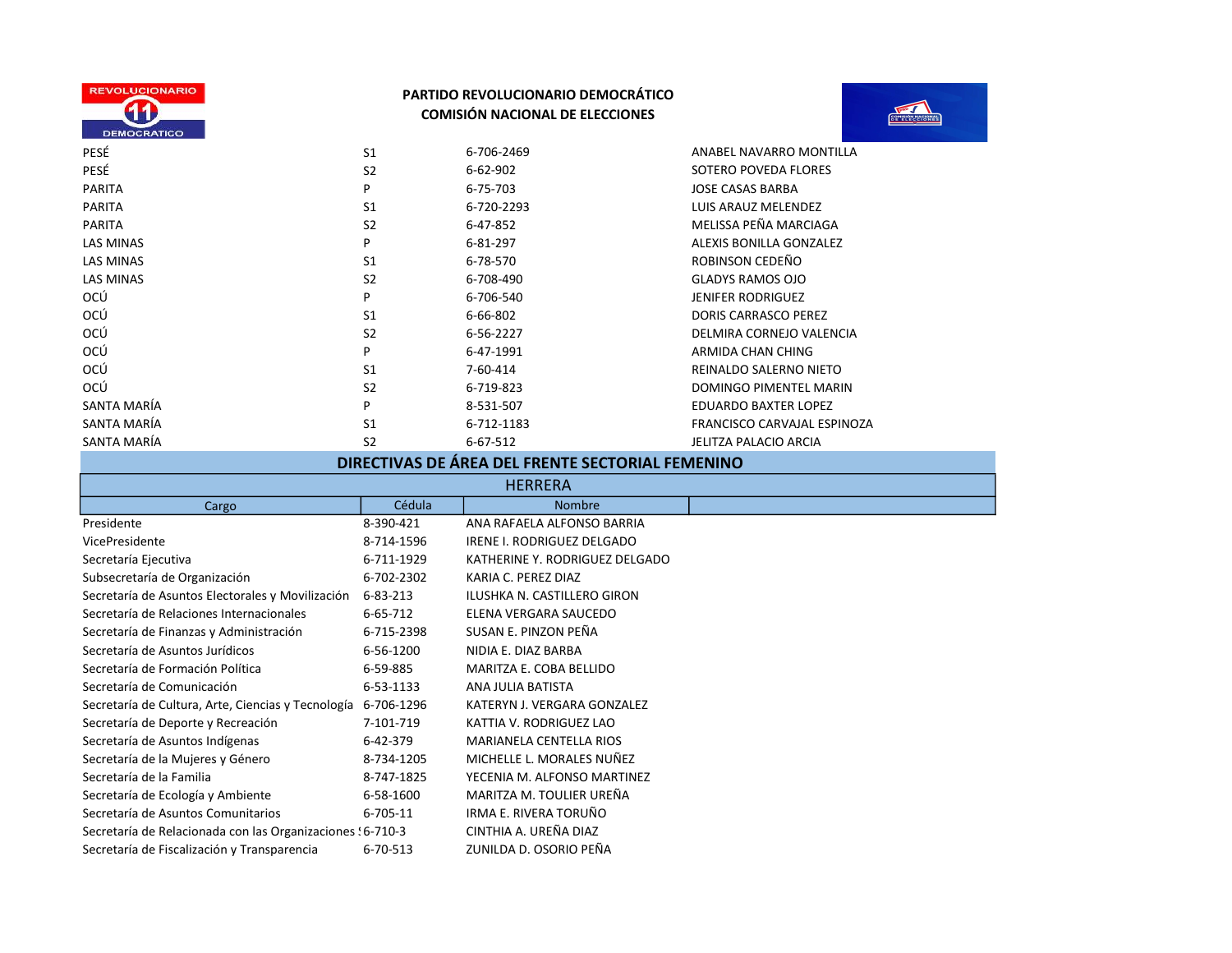



| PESÉ             | S <sub>1</sub> | 6-706-2469 | ANABEL NAVARRO MONTILLA        |
|------------------|----------------|------------|--------------------------------|
| PESÉ             | S <sub>2</sub> | 6-62-902   | SOTERO POVEDA FLORES           |
| <b>PARITA</b>    | P              | 6-75-703   | <b>JOSE CASAS BARBA</b>        |
| <b>PARITA</b>    | S <sub>1</sub> | 6-720-2293 | LUIS ARAUZ MELENDEZ            |
| <b>PARITA</b>    | S <sub>2</sub> | 6-47-852   | MELISSA PEÑA MARCIAGA          |
| <b>LAS MINAS</b> | P              | 6-81-297   | <b>ALEXIS BONILLA GONZALEZ</b> |
| <b>LAS MINAS</b> | S <sub>1</sub> | 6-78-570   | ROBINSON CEDEÑO                |
| <b>LAS MINAS</b> | S <sub>2</sub> | 6-708-490  | <b>GLADYS RAMOS OJO</b>        |
| OCÚ              | P              | 6-706-540  | <b>JENIFER RODRIGUEZ</b>       |
| OCÚ              | S <sub>1</sub> | 6-66-802   | DORIS CARRASCO PEREZ           |
| OCÚ              | S <sub>2</sub> | 6-56-2227  | DELMIRA CORNEJO VALENCIA       |
| OCÚ              | P              | 6-47-1991  | ARMIDA CHAN CHING              |
| OCÚ              | S <sub>1</sub> | 7-60-414   | REINALDO SALERNO NIETO         |
| OCÚ              | S <sub>2</sub> | 6-719-823  | DOMINGO PIMENTEL MARIN         |
| SANTA MARÍA      | P              | 8-531-507  | EDUARDO BAXTER LOPEZ           |
| SANTA MARÍA      | S <sub>1</sub> | 6-712-1183 | FRANCISCO CARVAJAL ESPINOZA    |
| SANTA MARÍA      | S <sub>2</sub> | 6-67-512   | JELITZA PALACIO ARCIA          |

# DIRECTIVAS DE ÁREA DEL FRENTE SECTORIAL FEMENINO

| <b>HERRERA</b>                                                |            |                                |
|---------------------------------------------------------------|------------|--------------------------------|
| Cargo                                                         | Cédula     | <b>Nombre</b>                  |
| Presidente                                                    | 8-390-421  | ANA RAFAELA ALFONSO BARRIA     |
| VicePresidente                                                | 8-714-1596 | IRENE I. RODRIGUEZ DELGADO     |
| Secretaría Ejecutiva                                          | 6-711-1929 | KATHERINE Y. RODRIGUEZ DELGADO |
| Subsecretaría de Organización                                 | 6-702-2302 | KARIA C. PEREZ DIAZ            |
| Secretaría de Asuntos Electorales y Movilización              | 6-83-213   | ILUSHKA N. CASTILLERO GIRON    |
| Secretaría de Relaciones Internacionales                      | 6-65-712   | ELENA VERGARA SAUCEDO          |
| Secretaría de Finanzas y Administración                       | 6-715-2398 | SUSAN E. PINZON PEÑA           |
| Secretaría de Asuntos Jurídicos                               | 6-56-1200  | NIDIA E. DIAZ BARBA            |
| Secretaría de Formación Política                              | 6-59-885   | MARITZA E. COBA BELLIDO        |
| Secretaría de Comunicación                                    | 6-53-1133  | ANA JULIA BATISTA              |
| Secretaría de Cultura, Arte, Ciencias y Tecnología 6-706-1296 |            | KATERYN J. VERGARA GONZALEZ    |
| Secretaría de Deporte y Recreación                            | 7-101-719  | KATTIA V. RODRIGUEZ LAO        |
| Secretaría de Asuntos Indígenas                               | 6-42-379   | <b>MARIANELA CENTELLA RIOS</b> |
| Secretaría de la Mujeres y Género                             | 8-734-1205 | MICHELLE L. MORALES NUÑEZ      |
| Secretaría de la Familia                                      | 8-747-1825 | YECENIA M. ALFONSO MARTINEZ    |
| Secretaría de Ecología y Ambiente                             | 6-58-1600  | MARITZA M. TOULIER UREÑA       |
| Secretaría de Asuntos Comunitarios                            | 6-705-11   | IRMA E. RIVERA TORUÑO          |
| Secretaría de Relacionada con las Organizaciones : 6-710-3    |            | CINTHIA A. UREÑA DIAZ          |
| Secretaría de Fiscalización y Transparencia                   | 6-70-513   | ZUNILDA D. OSORIO PEÑA         |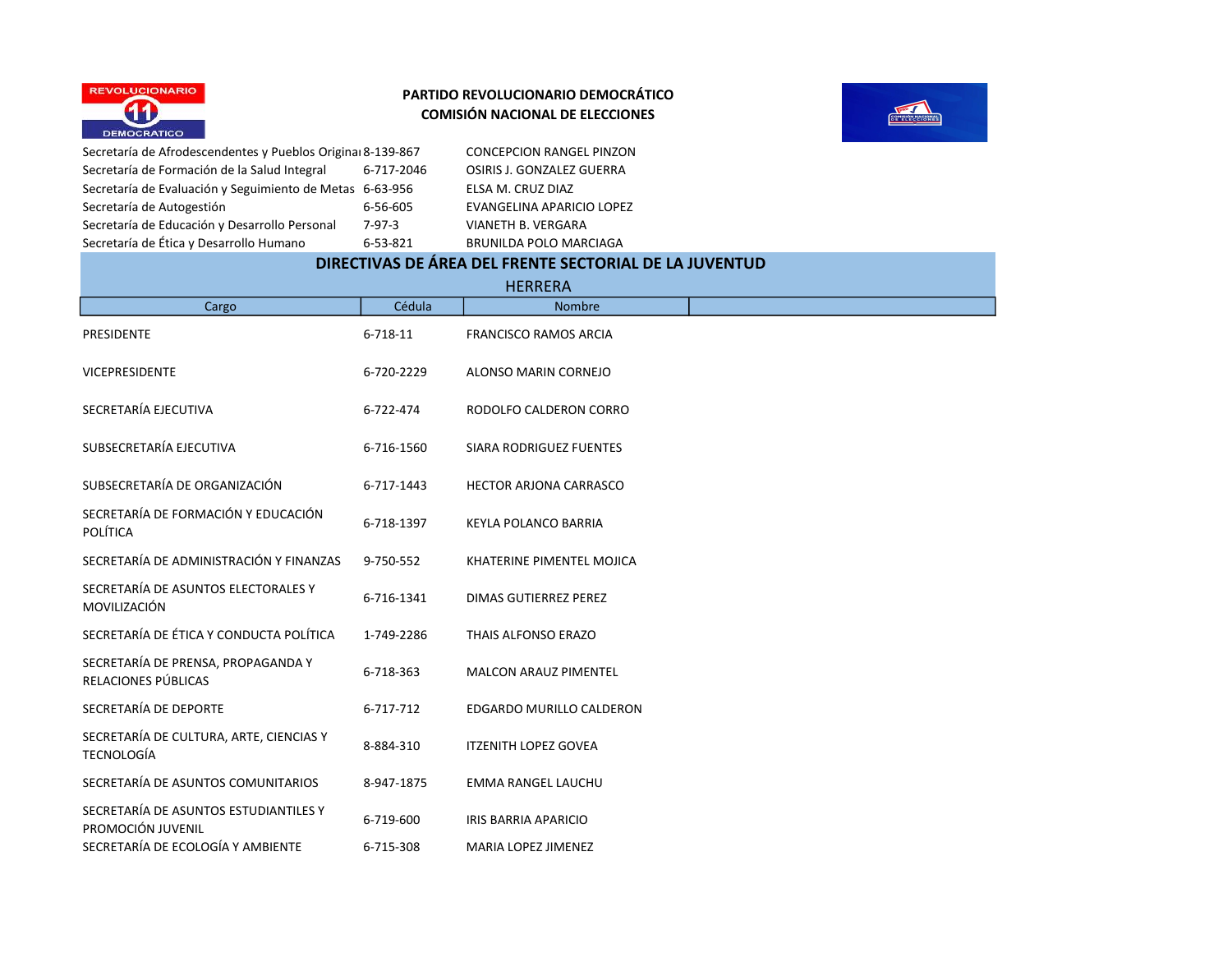



Secretaría de Formación de la Salud Integral 6-717-2046 OSIRIS J. GONZALEZ GUERRA Secretaría de Evaluación y Seguimiento de Metas 6-63-956 ELSA M. CRUZ DIAZ Secretaría de Autogestión  $6-56-605$  EVANGELINA APARICIO LOPEZ Secretaría de Educación y Desarrollo Personal 7-97-3 VIANETH B. VERGARA Secretaría de Ética y Desarrollo Humano 6-53-821 BRUNILDA POLO MARCIAGA

Secretaría de Afrodescendentes y Pueblos Original 8-139-867 CONCEPCION RANGEL PINZON

# DIRECTIVAS DE ÁREA DEL FRENTE SECTORIAL DE LA JUVENTUD

|                                                              |            | <b>HERRERA</b>               |
|--------------------------------------------------------------|------------|------------------------------|
| Cargo                                                        | Cédula     | <b>Nombre</b>                |
| PRESIDENTE                                                   | 6-718-11   | <b>FRANCISCO RAMOS ARCIA</b> |
| <b>VICEPRESIDENTE</b>                                        | 6-720-2229 | ALONSO MARIN CORNEJO         |
| SECRETARÍA EJECUTIVA                                         | 6-722-474  | RODOLFO CALDERON CORRO       |
| SUBSECRETARÍA EJECUTIVA                                      | 6-716-1560 | SIARA RODRIGUEZ FUENTES      |
| SUBSECRETARÍA DE ORGANIZACIÓN                                | 6-717-1443 | HECTOR ARJONA CARRASCO       |
| SECRETARÍA DE FORMACIÓN Y EDUCACIÓN<br>POLÍTICA              | 6-718-1397 | KEYLA POLANCO BARRIA         |
| SECRETARÍA DE ADMINISTRACIÓN Y FINANZAS                      | 9-750-552  | KHATERINE PIMENTEL MOJICA    |
| SECRETARÍA DE ASUNTOS ELECTORALES Y<br>MOVILIZACIÓN          | 6-716-1341 | <b>DIMAS GUTIERREZ PEREZ</b> |
| SECRETARÍA DE ÉTICA Y CONDUCTA POLÍTICA                      | 1-749-2286 | THAIS ALFONSO ERAZO          |
| SECRETARÍA DE PRENSA, PROPAGANDA Y<br>RELACIONES PÚBLICAS    | 6-718-363  | MALCON ARAUZ PIMENTEL        |
| SECRETARÍA DE DEPORTE                                        | 6-717-712  | EDGARDO MURILLO CALDERON     |
| SECRETARÍA DE CULTURA, ARTE, CIENCIAS Y<br><b>TECNOLOGÍA</b> | 8-884-310  | <b>ITZENITH LOPEZ GOVEA</b>  |
| SECRETARÍA DE ASUNTOS COMUNITARIOS                           | 8-947-1875 | <b>EMMA RANGEL LAUCHU</b>    |
| SECRETARÍA DE ASUNTOS ESTUDIANTILES Y<br>PROMOCIÓN JUVENIL   | 6-719-600  | <b>IRIS BARRIA APARICIO</b>  |
| SECRETARÍA DE ECOLOGÍA Y AMBIENTE                            | 6-715-308  | MARIA LOPEZ JIMENEZ          |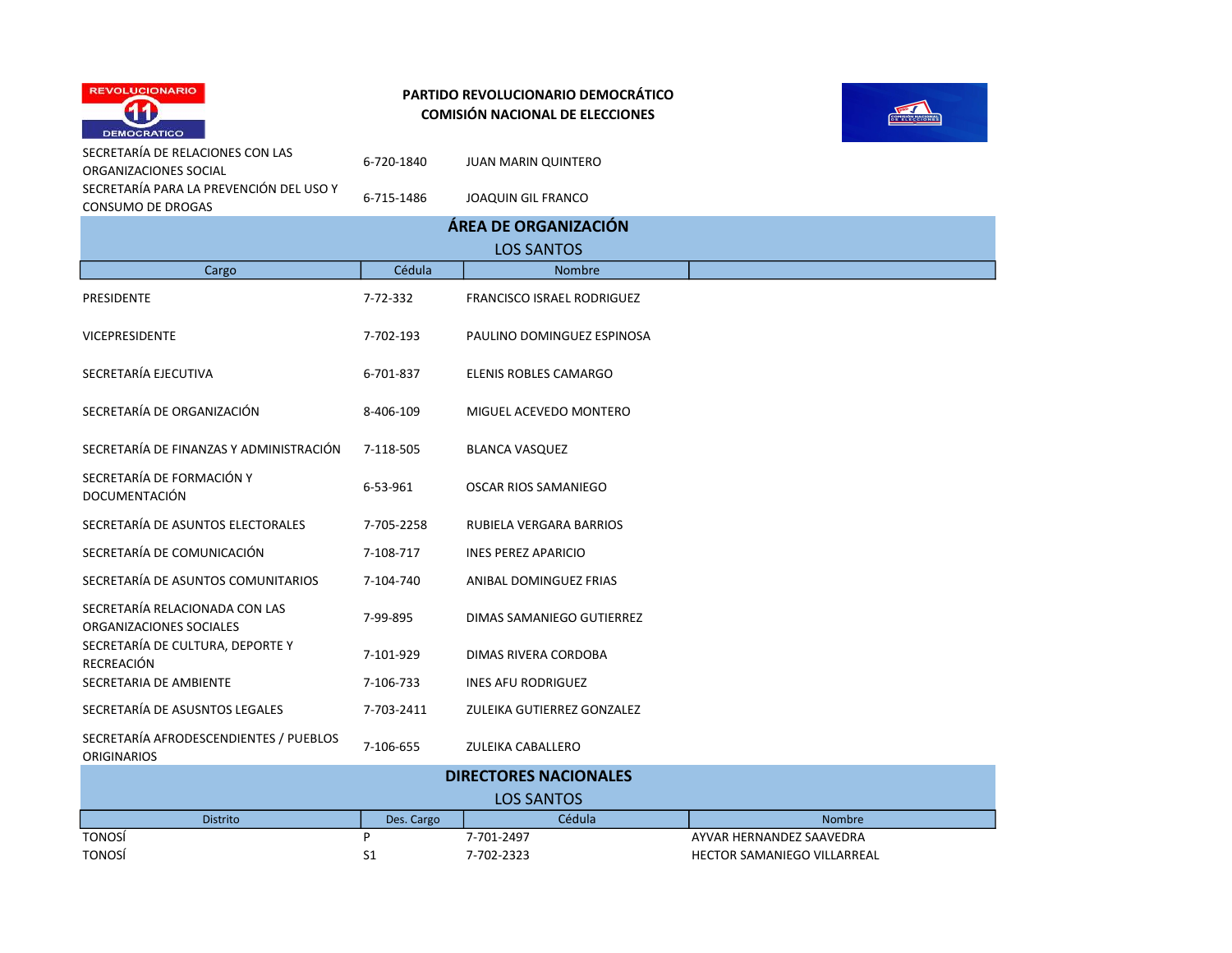



| SECRETARÍA DE RELACIONES CON LAS<br>ORGANIZACIONES SOCIAL           | 6-720-1840     | <b>JUAN MARIN QUINTERO</b>        |                             |
|---------------------------------------------------------------------|----------------|-----------------------------------|-----------------------------|
| SECRETARÍA PARA LA PREVENCIÓN DEL USO Y<br><b>CONSUMO DE DROGAS</b> | 6-715-1486     | <b>JOAQUIN GIL FRANCO</b>         |                             |
|                                                                     |                | ÁREA DE ORGANIZACIÓN              |                             |
|                                                                     |                | <b>LOS SANTOS</b>                 |                             |
| Cargo                                                               | Cédula         | Nombre                            |                             |
| PRESIDENTE                                                          | 7-72-332       | <b>FRANCISCO ISRAEL RODRIGUEZ</b> |                             |
| <b>VICEPRESIDENTE</b>                                               | 7-702-193      | PAULINO DOMINGUEZ ESPINOSA        |                             |
| SECRETARÍA EJECUTIVA                                                | 6-701-837      | ELENIS ROBLES CAMARGO             |                             |
| SECRETARÍA DE ORGANIZACIÓN                                          | 8-406-109      | MIGUEL ACEVEDO MONTERO            |                             |
| SECRETARÍA DE FINANZAS Y ADMINISTRACIÓN                             | 7-118-505      | <b>BLANCA VASQUEZ</b>             |                             |
| SECRETARÍA DE FORMACIÓN Y<br><b>DOCUMENTACIÓN</b>                   | 6-53-961       | <b>OSCAR RIOS SAMANIEGO</b>       |                             |
| SECRETARÍA DE ASUNTOS ELECTORALES                                   | 7-705-2258     | RUBIELA VERGARA BARRIOS           |                             |
| SECRETARÍA DE COMUNICACIÓN                                          | 7-108-717      | <b>INES PEREZ APARICIO</b>        |                             |
| SECRETARÍA DE ASUNTOS COMUNITARIOS                                  | 7-104-740      | ANIBAL DOMINGUEZ FRIAS            |                             |
| SECRETARÍA RELACIONADA CON LAS<br>ORGANIZACIONES SOCIALES           | 7-99-895       | DIMAS SAMANIEGO GUTIERREZ         |                             |
| SECRETARÍA DE CULTURA, DEPORTE Y<br>RECREACIÓN                      | 7-101-929      | DIMAS RIVERA CORDOBA              |                             |
| SECRETARIA DE AMBIENTE                                              | 7-106-733      | <b>INES AFU RODRIGUEZ</b>         |                             |
| SECRETARÍA DE ASUSNTOS LEGALES                                      | 7-703-2411     | ZULEIKA GUTIERREZ GONZALEZ        |                             |
| SECRETARÍA AFRODESCENDIENTES / PUEBLOS<br><b>ORIGINARIOS</b>        | 7-106-655      | ZULEIKA CABALLERO                 |                             |
|                                                                     |                | <b>DIRECTORES NACIONALES</b>      |                             |
|                                                                     |                | <b>LOS SANTOS</b>                 |                             |
| Distrito                                                            | Des. Cargo     | Cédula                            | Nombre                      |
| <b>TONOSÍ</b>                                                       | P              | 7-701-2497                        | AYVAR HERNANDEZ SAAVEDRA    |
| <b>TONOSÍ</b>                                                       | S <sub>1</sub> | 7-702-2323                        | HECTOR SAMANIEGO VILLARREAL |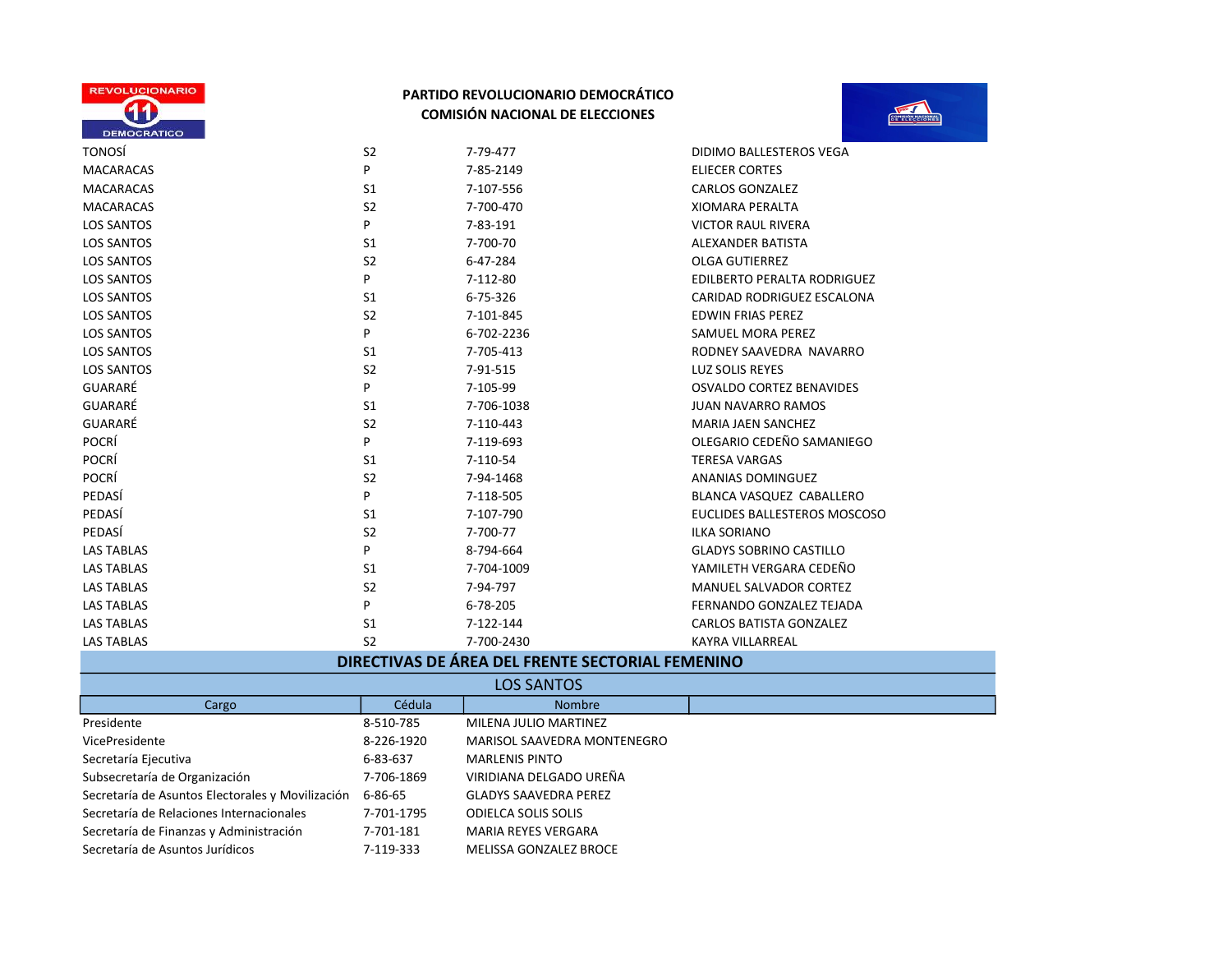



| <b>TONOSÍ</b>     | S <sub>2</sub> | 7-79-477   | DIDIMO BALLESTEROS VEGA            |
|-------------------|----------------|------------|------------------------------------|
| <b>MACARACAS</b>  | P              | 7-85-2149  | <b>ELIECER CORTES</b>              |
| <b>MACARACAS</b>  | S1             | 7-107-556  | <b>CARLOS GONZALEZ</b>             |
| <b>MACARACAS</b>  | S <sub>2</sub> | 7-700-470  | <b>XIOMARA PERALTA</b>             |
| <b>LOS SANTOS</b> | P              | 7-83-191   | <b>VICTOR RAUL RIVERA</b>          |
| <b>LOS SANTOS</b> | S <sub>1</sub> | 7-700-70   | ALEXANDER BATISTA                  |
| <b>LOS SANTOS</b> | S <sub>2</sub> | 6-47-284   | <b>OLGA GUTIERREZ</b>              |
| <b>LOS SANTOS</b> | P              | 7-112-80   | <b>EDILBERTO PERALTA RODRIGUEZ</b> |
| <b>LOS SANTOS</b> | S <sub>1</sub> | 6-75-326   | CARIDAD RODRIGUEZ ESCALONA         |
| <b>LOS SANTOS</b> | S <sub>2</sub> | 7-101-845  | <b>EDWIN FRIAS PEREZ</b>           |
| <b>LOS SANTOS</b> | P              | 6-702-2236 | SAMUEL MORA PEREZ                  |
| <b>LOS SANTOS</b> | S1             | 7-705-413  | RODNEY SAAVEDRA NAVARRO            |
| <b>LOS SANTOS</b> | S <sub>2</sub> | 7-91-515   | <b>LUZ SOLIS REYES</b>             |
| GUARARÉ           | P              | 7-105-99   | <b>OSVALDO CORTEZ BENAVIDES</b>    |
| GUARARÉ           | S1             | 7-706-1038 | <b>JUAN NAVARRO RAMOS</b>          |
| GUARARÉ           | S <sub>2</sub> | 7-110-443  | <b>MARIA JAEN SANCHEZ</b>          |
| <b>POCRÍ</b>      | P              | 7-119-693  | OLEGARIO CEDEÑO SAMANIEGO          |
| POCRÍ             | S <sub>1</sub> | 7-110-54   | <b>TERESA VARGAS</b>               |
| POCRÍ             | S <sub>2</sub> | 7-94-1468  | ANANIAS DOMINGUEZ                  |
| PEDASÍ            | P              | 7-118-505  | BLANCA VASQUEZ CABALLERO           |
| PEDASÍ            | S1             | 7-107-790  | EUCLIDES BALLESTEROS MOSCOSO       |
| PEDASÍ            | S <sub>2</sub> | 7-700-77   | <b>ILKA SORIANO</b>                |
| <b>LAS TABLAS</b> | P              | 8-794-664  | <b>GLADYS SOBRINO CASTILLO</b>     |
| <b>LAS TABLAS</b> | S1             | 7-704-1009 | YAMILETH VERGARA CEDEÑO            |
| <b>LAS TABLAS</b> | S <sub>2</sub> | 7-94-797   | <b>MANUEL SALVADOR CORTEZ</b>      |
| <b>LAS TABLAS</b> | P              | 6-78-205   | FERNANDO GONZALEZ TEJADA           |
| <b>LAS TABLAS</b> | S <sub>1</sub> | 7-122-144  | <b>CARLOS BATISTA GONZALEZ</b>     |
| <b>LAS TABLAS</b> | S <sub>2</sub> | 7-700-2430 | <b>KAYRA VILLARREAL</b>            |

# DIRECTIVAS DE ÁREA DEL FRENTE SECTORIAL FEMENINO

|                                                  |            | <b>LOS SANTOS</b>            |
|--------------------------------------------------|------------|------------------------------|
| Cargo                                            | Cédula     | <b>Nombre</b>                |
| Presidente                                       | 8-510-785  | MILENA JULIO MARTINEZ        |
| VicePresidente                                   | 8-226-1920 | MARISOL SAAVEDRA MONTENEGRO  |
| Secretaría Ejecutiva                             | 6-83-637   | <b>MARLENIS PINTO</b>        |
| Subsecretaría de Organización                    | 7-706-1869 | VIRIDIANA DELGADO UREÑA      |
| Secretaría de Asuntos Electorales y Movilización | 6-86-65    | <b>GLADYS SAAVEDRA PEREZ</b> |
| Secretaría de Relaciones Internacionales         | 7-701-1795 | <b>ODIELCA SOLIS SOLIS</b>   |
| Secretaría de Finanzas y Administración          | 7-701-181  | <b>MARIA REYES VERGARA</b>   |
| Secretaría de Asuntos Jurídicos                  | 7-119-333  | MELISSA GONZALEZ BROCE       |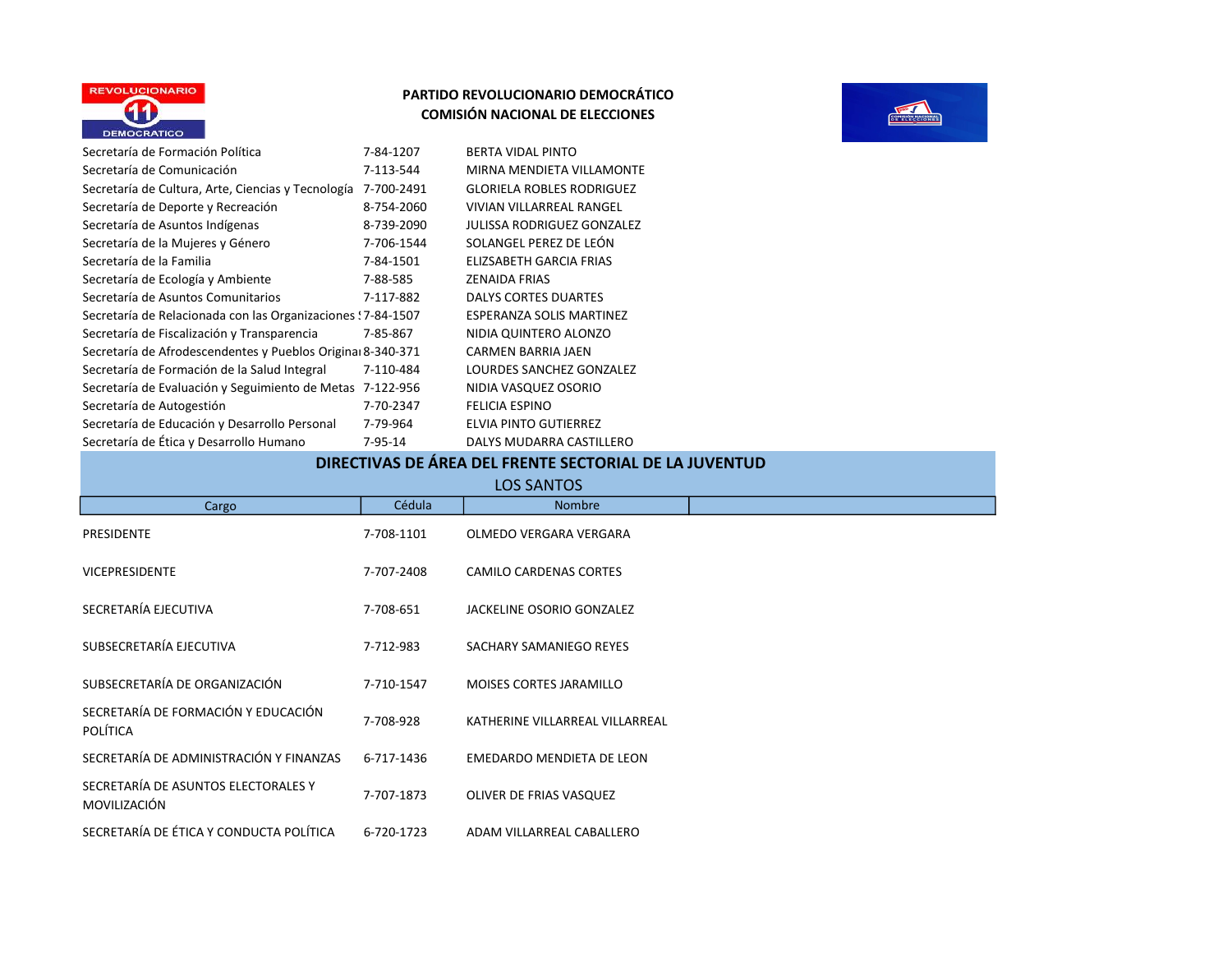



| Secretaría de Formación Política                             | 7-84-1207     | <b>BERTA VIDAL PINTO</b>          |
|--------------------------------------------------------------|---------------|-----------------------------------|
| Secretaría de Comunicación                                   | 7-113-544     | MIRNA MENDIETA VILLAMONTE         |
| Secretaría de Cultura, Arte, Ciencias y Tecnología           | 7-700-2491    | <b>GLORIELA ROBLES RODRIGUEZ</b>  |
| Secretaría de Deporte y Recreación                           | 8-754-2060    | <b>VIVIAN VILLARREAL RANGEL</b>   |
| Secretaría de Asuntos Indígenas                              | 8-739-2090    | <b>JULISSA RODRIGUEZ GONZALEZ</b> |
| Secretaría de la Mujeres y Género                            | 7-706-1544    | SOLANGEL PEREZ DE LEÓN            |
| Secretaría de la Familia                                     | 7-84-1501     | ELIZSABETH GARCIA FRIAS           |
| Secretaría de Ecología y Ambiente                            | 7-88-585      | <b>ZENAIDA FRIAS</b>              |
| Secretaría de Asuntos Comunitarios                           | 7-117-882     | <b>DALYS CORTES DUARTES</b>       |
| Secretaría de Relacionada con las Organizaciones ! 7-84-1507 |               | ESPERANZA SOLIS MARTINEZ          |
| Secretaría de Fiscalización y Transparencia                  | 7-85-867      | NIDIA QUINTERO ALONZO             |
| Secretaría de Afrodescendentes y Pueblos Original 8-340-371  |               | <b>CARMEN BARRIA JAEN</b>         |
| Secretaría de Formación de la Salud Integral                 | 7-110-484     | LOURDES SANCHEZ GONZALEZ          |
| Secretaría de Evaluación y Seguimiento de Metas              | 7-122-956     | NIDIA VASQUEZ OSORIO              |
| Secretaría de Autogestión                                    | 7-70-2347     | <b>FELICIA ESPINO</b>             |
| Secretaría de Educación y Desarrollo Personal                | 7-79-964      | ELVIA PINTO GUTIERREZ             |
| Secretaría de Ética y Desarrollo Humano                      | $7 - 95 - 14$ | DALYS MUDARRA CASTILLERO          |

## DIRECTIVAS DE ÁREA DEL FRENTE SECTORIAL DE LA JUVENTUD

| Cargo                                                  | Cédula     | <b>Nombre</b>                   |
|--------------------------------------------------------|------------|---------------------------------|
| <b>PRESIDENTE</b>                                      | 7-708-1101 | OLMEDO VERGARA VERGARA          |
| <b>VICEPRESIDENTE</b>                                  | 7-707-2408 | <b>CAMILO CARDENAS CORTES</b>   |
| SECRETARÍA EJECUTIVA                                   | 7-708-651  | JACKELINE OSORIO GONZALEZ       |
| SUBSECRETARÍA EJECUTIVA                                | 7-712-983  | SACHARY SAMANIEGO REYES         |
| SUBSECRETARÍA DE ORGANIZACIÓN                          | 7-710-1547 | <b>MOISES CORTES JARAMILLO</b>  |
| SECRETARÍA DE FORMACIÓN Y EDUCACIÓN<br><b>POLÍTICA</b> | 7-708-928  | KATHERINE VILLARREAL VILLARREAL |
| SECRETARÍA DE ADMINISTRACIÓN Y FINANZAS                | 6-717-1436 | EMEDARDO MENDIETA DE LEON       |
| SECRETARÍA DE ASUNTOS ELECTORALES Y<br>MOVILIZACIÓN    | 7-707-1873 | OLIVER DE FRIAS VASQUEZ         |
| SECRETARÍA DE ÉTICA Y CONDUCTA POLÍTICA                | 6-720-1723 | ADAM VILLARREAL CABALLERO       |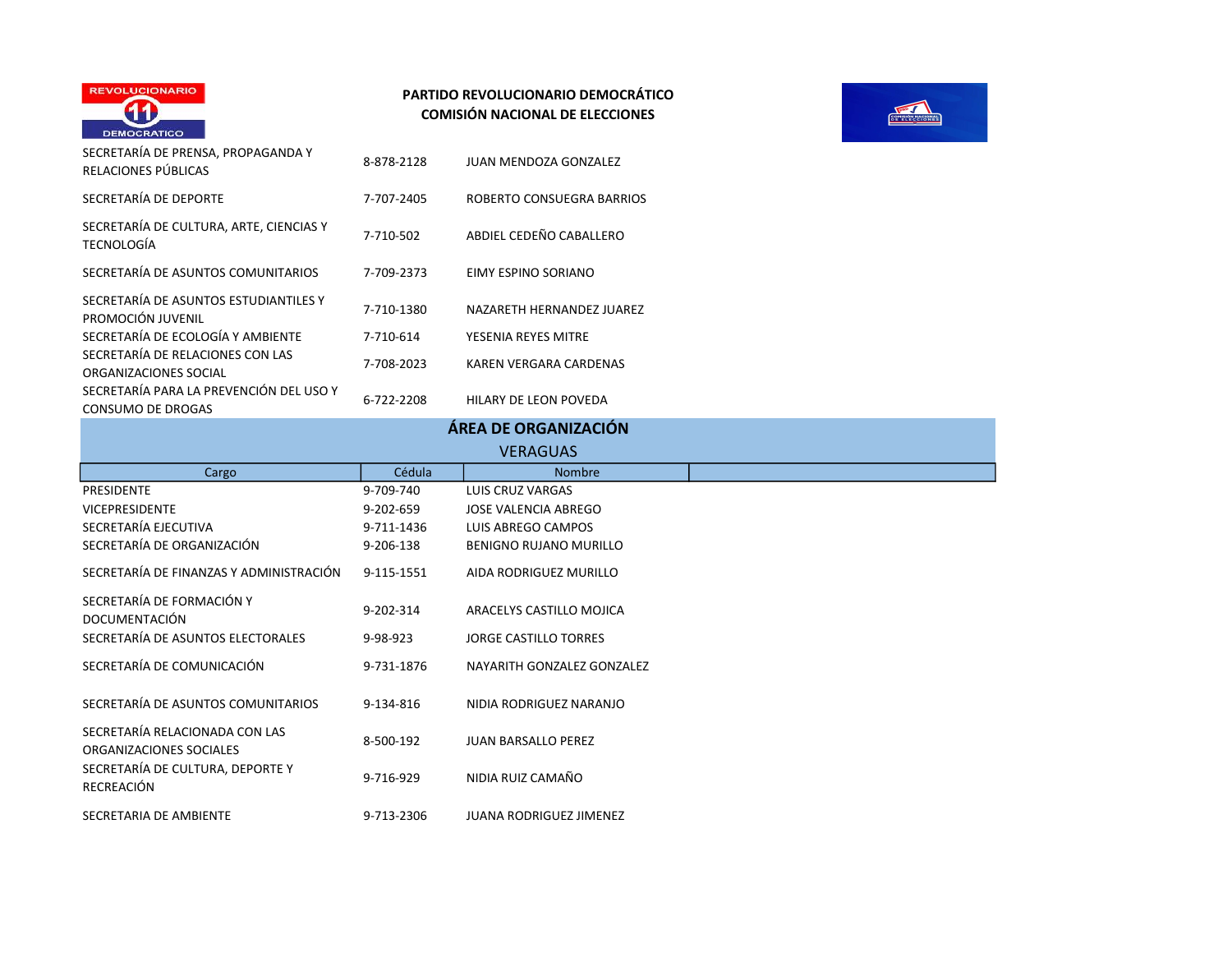



| SECRETARÍA DE PRENSA, PROPAGANDA Y<br>RELACIONES PÚBLICAS           | 8-878-2128 | JUAN MENDOZA GONZALEZ         |
|---------------------------------------------------------------------|------------|-------------------------------|
| SECRETARÍA DE DEPORTE                                               | 7-707-2405 | ROBERTO CONSUEGRA BARRIOS     |
| SECRETARÍA DE CULTURA, ARTE, CIENCIAS Y<br>TECNOLOGÍA               | 7-710-502  | ABDIEL CEDEÑO CABALLERO       |
| SECRETARÍA DE ASUNTOS COMUNITARIOS                                  | 7-709-2373 | EIMY ESPINO SORIANO           |
| SECRETARÍA DE ASUNTOS ESTUDIANTILES Y<br>PROMOCIÓN JUVENIL          | 7-710-1380 | NAZARETH HERNANDEZ JUAREZ     |
| SECRETARÍA DE ECOLOGÍA Y AMBIENTE                                   | 7-710-614  | YESENIA REYES MITRE           |
| SECRETARÍA DE RELACIONES CON LAS<br>ORGANIZACIONES SOCIAL           | 7-708-2023 | <b>KAREN VERGARA CARDENAS</b> |
| SECRETARÍA PARA LA PREVENCIÓN DEL USO Y<br><b>CONSUMO DE DROGAS</b> | 6-722-2208 | HILARY DE LEON POVEDA         |

| ÁREA DE ORGANIZACIÓN |  |  |
|----------------------|--|--|
|                      |  |  |

| <b>VERAGUAS</b>                                           |            |                                |  |  |
|-----------------------------------------------------------|------------|--------------------------------|--|--|
| Cargo                                                     | Cédula     | <b>Nombre</b>                  |  |  |
| PRESIDENTE                                                | 9-709-740  | LUIS CRUZ VARGAS               |  |  |
| <b>VICEPRESIDENTE</b>                                     | 9-202-659  | <b>JOSE VALENCIA ABREGO</b>    |  |  |
| SECRETARÍA EJECUTIVA                                      | 9-711-1436 | LUIS ABREGO CAMPOS             |  |  |
| SECRETARÍA DE ORGANIZACIÓN                                | 9-206-138  | BENIGNO RUJANO MURILLO         |  |  |
| SECRETARÍA DE FINANZAS Y ADMINISTRACIÓN                   | 9-115-1551 | AIDA RODRIGUEZ MURILLO         |  |  |
| SECRETARÍA DE FORMACIÓN Y<br><b>DOCUMENTACIÓN</b>         | 9-202-314  | ARACELYS CASTILLO MOJICA       |  |  |
| SECRETARÍA DE ASUNTOS ELECTORALES                         | 9-98-923   | <b>JORGE CASTILLO TORRES</b>   |  |  |
| SECRETARÍA DE COMUNICACIÓN                                | 9-731-1876 | NAYARITH GONZALEZ GONZALEZ     |  |  |
| SECRETARÍA DE ASUNTOS COMUNITARIOS                        | 9-134-816  | NIDIA RODRIGUEZ NARANJO        |  |  |
| SECRETARÍA RELACIONADA CON LAS<br>ORGANIZACIONES SOCIALES | 8-500-192  | <b>JUAN BARSALLO PEREZ</b>     |  |  |
| SECRETARÍA DE CULTURA, DEPORTE Y<br>RECREACIÓN            | 9-716-929  | NIDIA RUIZ CAMAÑO              |  |  |
| SECRETARIA DE AMBIENTE                                    | 9-713-2306 | <b>JUANA RODRIGUEZ JIMENEZ</b> |  |  |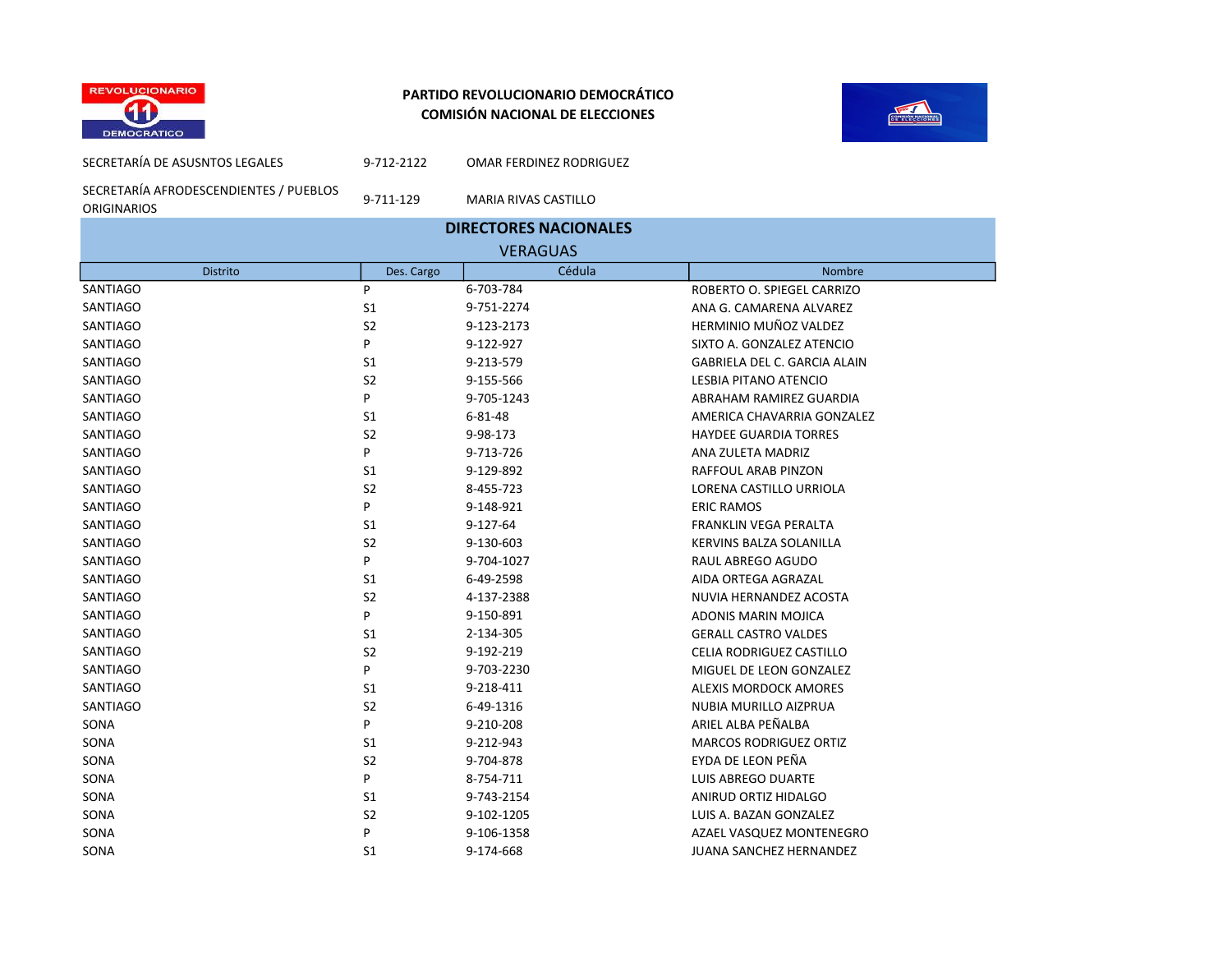



SECRETARÍA AFRODESCENDIENTES / PUEBLOS ORIGINARIOS

SECRETARÍA DE ASUSNTOS LEGALES 9-712-2122 OMAR FERDINEZ RODRIGUEZ

9-711-129 MARIA RIVAS CASTILLO

| <b>ORIGINARIOS</b><br><b>DIRECTORES NACIONALES</b> |                |            |                                     |  |  |
|----------------------------------------------------|----------------|------------|-------------------------------------|--|--|
| <b>VERAGUAS</b>                                    |                |            |                                     |  |  |
| <b>Distrito</b>                                    | Des. Cargo     | Cédula     | Nombre                              |  |  |
| <b>SANTIAGO</b>                                    | P              | 6-703-784  | ROBERTO O. SPIEGEL CARRIZO          |  |  |
| <b>SANTIAGO</b>                                    | S <sub>1</sub> | 9-751-2274 | ANA G. CAMARENA ALVAREZ             |  |  |
| SANTIAGO                                           | S <sub>2</sub> | 9-123-2173 | <b>HERMINIO MUÑOZ VALDEZ</b>        |  |  |
| <b>SANTIAGO</b>                                    | P              | 9-122-927  | SIXTO A. GONZALEZ ATENCIO           |  |  |
| <b>SANTIAGO</b>                                    | S <sub>1</sub> | 9-213-579  | <b>GABRIELA DEL C. GARCIA ALAIN</b> |  |  |
| SANTIAGO                                           | S <sub>2</sub> | 9-155-566  | LESBIA PITANO ATENCIO               |  |  |
| SANTIAGO                                           | P              | 9-705-1243 | ABRAHAM RAMIREZ GUARDIA             |  |  |
| <b>SANTIAGO</b>                                    | S <sub>1</sub> | 6-81-48    | AMERICA CHAVARRIA GONZALEZ          |  |  |
| <b>SANTIAGO</b>                                    | S <sub>2</sub> | 9-98-173   | <b>HAYDEE GUARDIA TORRES</b>        |  |  |
| SANTIAGO                                           | P              | 9-713-726  | ANA ZULETA MADRIZ                   |  |  |
| <b>SANTIAGO</b>                                    | S <sub>1</sub> | 9-129-892  | RAFFOUL ARAB PINZON                 |  |  |
| SANTIAGO                                           | S <sub>2</sub> | 8-455-723  | LORENA CASTILLO URRIOLA             |  |  |
| SANTIAGO                                           | P              | 9-148-921  | <b>ERIC RAMOS</b>                   |  |  |
| <b>SANTIAGO</b>                                    | S <sub>1</sub> | 9-127-64   | <b>FRANKLIN VEGA PERALTA</b>        |  |  |
| SANTIAGO                                           | S <sub>2</sub> | 9-130-603  | KERVINS BALZA SOLANILLA             |  |  |
| SANTIAGO                                           | P              | 9-704-1027 | RAUL ABREGO AGUDO                   |  |  |
| SANTIAGO                                           | S <sub>1</sub> | 6-49-2598  | AIDA ORTEGA AGRAZAL                 |  |  |
| SANTIAGO                                           | S <sub>2</sub> | 4-137-2388 | NUVIA HERNANDEZ ACOSTA              |  |  |
| SANTIAGO                                           | P              | 9-150-891  | ADONIS MARIN MOJICA                 |  |  |
| SANTIAGO                                           | S <sub>1</sub> | 2-134-305  | <b>GERALL CASTRO VALDES</b>         |  |  |
| SANTIAGO                                           | S <sub>2</sub> | 9-192-219  | CELIA RODRIGUEZ CASTILLO            |  |  |
| SANTIAGO                                           | P              | 9-703-2230 | MIGUEL DE LEON GONZALEZ             |  |  |
| SANTIAGO                                           | S <sub>1</sub> | 9-218-411  | ALEXIS MORDOCK AMORES               |  |  |
| <b>SANTIAGO</b>                                    | S <sub>2</sub> | 6-49-1316  | NUBIA MURILLO AIZPRUA               |  |  |
| SONA                                               | P              | 9-210-208  | ARIEL ALBA PEÑALBA                  |  |  |
| SONA                                               | S1             | 9-212-943  | <b>MARCOS RODRIGUEZ ORTIZ</b>       |  |  |
| SONA                                               | S <sub>2</sub> | 9-704-878  | EYDA DE LEON PEÑA                   |  |  |
| SONA                                               | P              | 8-754-711  | LUIS ABREGO DUARTE                  |  |  |
| SONA                                               | S <sub>1</sub> | 9-743-2154 | ANIRUD ORTIZ HIDALGO                |  |  |
| SONA                                               | S <sub>2</sub> | 9-102-1205 | LUIS A. BAZAN GONZALEZ              |  |  |
| SONA                                               | P              | 9-106-1358 | AZAEL VASQUEZ MONTENEGRO            |  |  |
| SONA                                               | S <sub>1</sub> | 9-174-668  | JUANA SANCHEZ HERNANDEZ             |  |  |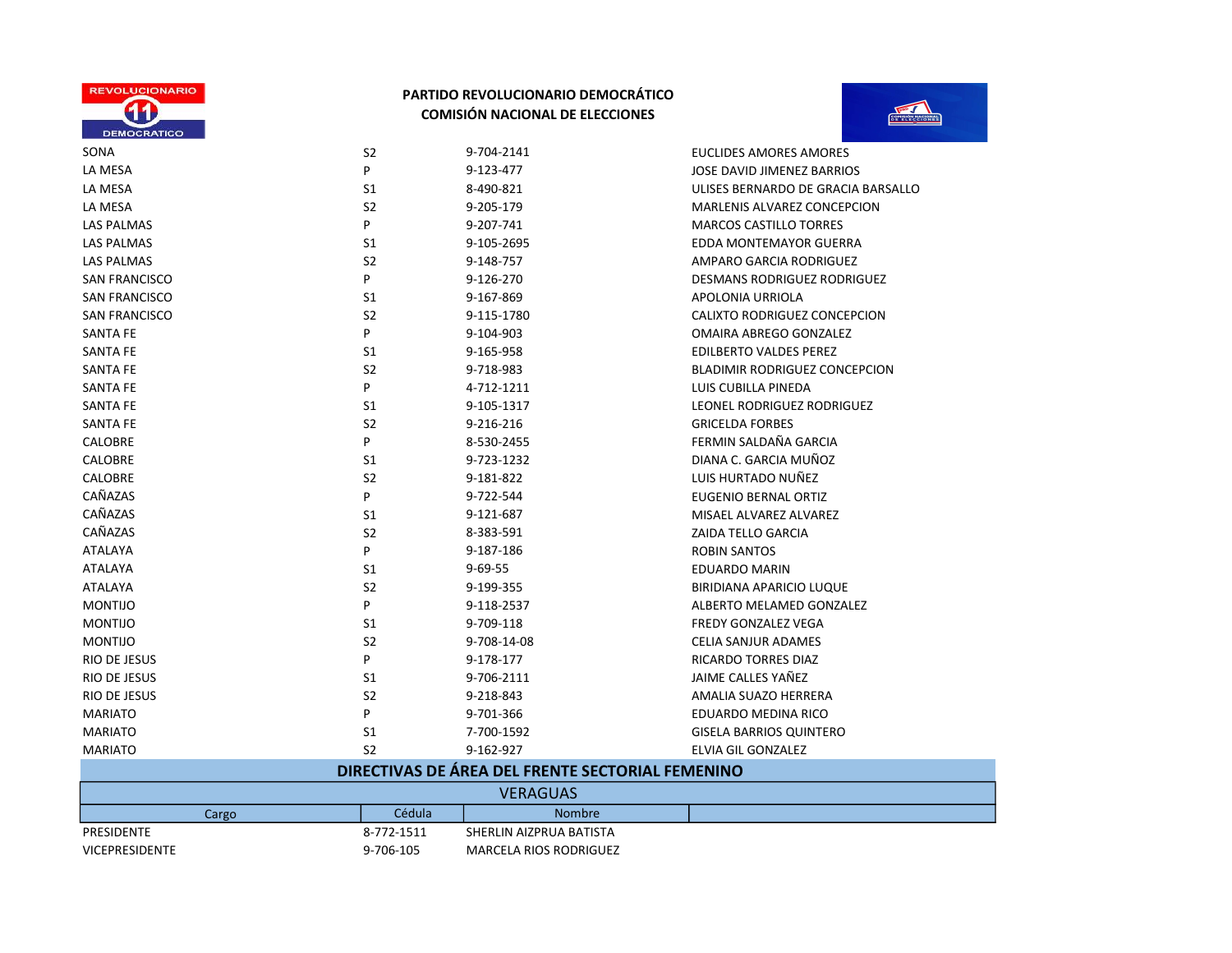



| SONA                  | S <sub>2</sub> | 9-704-2141                                       | <b>EUCLIDES AMORES AMORES</b>        |
|-----------------------|----------------|--------------------------------------------------|--------------------------------------|
| LA MESA               | P              | 9-123-477                                        | JOSE DAVID JIMENEZ BARRIOS           |
| LA MESA               | S1             | 8-490-821                                        | ULISES BERNARDO DE GRACIA BARSALLO   |
| LA MESA               | S <sub>2</sub> | 9-205-179                                        | <b>MARLENIS ALVAREZ CONCEPCION</b>   |
| <b>LAS PALMAS</b>     | P              | 9-207-741                                        | <b>MARCOS CASTILLO TORRES</b>        |
| LAS PALMAS            | S1             | 9-105-2695                                       | <b>EDDA MONTEMAYOR GUERRA</b>        |
| <b>LAS PALMAS</b>     | S <sub>2</sub> | 9-148-757                                        | AMPARO GARCIA RODRIGUEZ              |
| <b>SAN FRANCISCO</b>  | P              | 9-126-270                                        | <b>DESMANS RODRIGUEZ RODRIGUEZ</b>   |
| <b>SAN FRANCISCO</b>  | S <sub>1</sub> | 9-167-869                                        | <b>APOLONIA URRIOLA</b>              |
| <b>SAN FRANCISCO</b>  | S <sub>2</sub> | 9-115-1780                                       | CALIXTO RODRIGUEZ CONCEPCION         |
| <b>SANTA FE</b>       | P              | 9-104-903                                        | OMAIRA ABREGO GONZALEZ               |
| <b>SANTA FE</b>       | S1             | 9-165-958                                        | <b>EDILBERTO VALDES PEREZ</b>        |
| <b>SANTA FE</b>       | S <sub>2</sub> | 9-718-983                                        | <b>BLADIMIR RODRIGUEZ CONCEPCION</b> |
| <b>SANTA FE</b>       | P              | 4-712-1211                                       | LUIS CUBILLA PINEDA                  |
| <b>SANTA FE</b>       | S1             | 9-105-1317                                       | LEONEL RODRIGUEZ RODRIGUEZ           |
| <b>SANTA FE</b>       | S <sub>2</sub> | 9-216-216                                        | <b>GRICELDA FORBES</b>               |
| CALOBRE               | P              | 8-530-2455                                       | FERMIN SALDAÑA GARCIA                |
| CALOBRE               | S1             | 9-723-1232                                       | DIANA C. GARCIA MUÑOZ                |
| CALOBRE               | S <sub>2</sub> | 9-181-822                                        | LUIS HURTADO NUÑEZ                   |
| CAÑAZAS               | P              | 9-722-544                                        | <b>EUGENIO BERNAL ORTIZ</b>          |
| CAÑAZAS               | S1             | 9-121-687                                        | MISAEL ALVAREZ ALVAREZ               |
| CAÑAZAS               | S <sub>2</sub> | 8-383-591                                        | <b>ZAIDA TELLO GARCIA</b>            |
| <b>ATALAYA</b>        | P              | 9-187-186                                        | <b>ROBIN SANTOS</b>                  |
| <b>ATALAYA</b>        | S1             | $9 - 69 - 55$                                    | EDUARDO MARIN                        |
| <b>ATALAYA</b>        | S <sub>2</sub> | 9-199-355                                        | <b>BIRIDIANA APARICIO LUQUE</b>      |
| <b>MONTIJO</b>        | P              | 9-118-2537                                       | ALBERTO MELAMED GONZALEZ             |
| <b>MONTIJO</b>        | S1             | 9-709-118                                        | <b>FREDY GONZALEZ VEGA</b>           |
| <b>MONTIJO</b>        | S <sub>2</sub> | 9-708-14-08                                      | CELIA SANJUR ADAMES                  |
| RIO DE JESUS          | P              | 9-178-177                                        | <b>RICARDO TORRES DIAZ</b>           |
| RIO DE JESUS          | S1             | 9-706-2111                                       | JAIME CALLES YAÑEZ                   |
| RIO DE JESUS          | S <sub>2</sub> | 9-218-843                                        | AMALIA SUAZO HERRERA                 |
| <b>MARIATO</b>        | P              | 9-701-366                                        | EDUARDO MEDINA RICO                  |
| <b>MARIATO</b>        | S1             | 7-700-1592                                       | <b>GISELA BARRIOS QUINTERO</b>       |
| <b>MARIATO</b>        | S <sub>2</sub> | 9-162-927                                        | ELVIA GIL GONZALEZ                   |
|                       |                | DIRECTIVAS DE ÁREA DEL FRENTE SECTORIAL FEMENINO |                                      |
|                       |                | VERAGUAS                                         |                                      |
| Cargo                 | Cédula         | <b>Nombre</b>                                    |                                      |
| PRESIDENTE            | 8-772-1511     | SHERLIN AIZPRUA BATISTA                          |                                      |
| <b>VICEPRESIDENTE</b> | 9-706-105      | <b>MARCELA RIOS RODRIGUEZ</b>                    |                                      |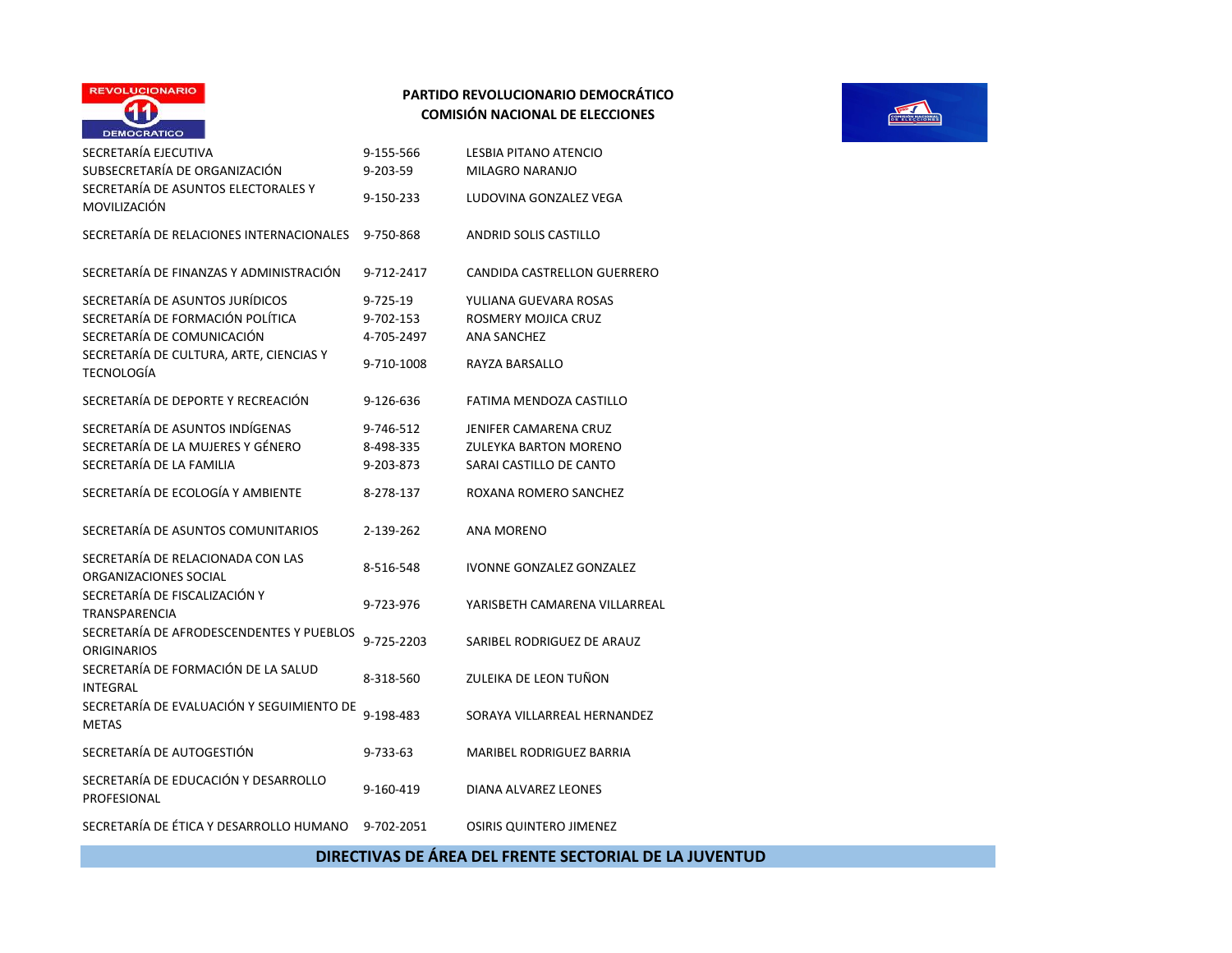

| SECRETARÍA EJECUTIVA<br>SUBSECRETARÍA DE ORGANIZACIÓN<br>SECRETARÍA DE ASUNTOS ELECTORALES Y     | 9-155-566<br>9-203-59               | LESBIA PITANO ATENCIO<br>MILAGRO NARANJO                                                |
|--------------------------------------------------------------------------------------------------|-------------------------------------|-----------------------------------------------------------------------------------------|
| MOVILIZACIÓN                                                                                     | 9-150-233                           | LUDOVINA GONZALEZ VEGA                                                                  |
| SECRETARÍA DE RELACIONES INTERNACIONALES                                                         | 9-750-868                           | <b>ANDRID SOLIS CASTILLO</b>                                                            |
| SECRETARÍA DE FINANZAS Y ADMINISTRACIÓN                                                          | 9-712-2417                          | CANDIDA CASTRELLON GUERRERO                                                             |
| SECRETARÍA DE ASUNTOS JURÍDICOS<br>SECRETARÍA DE FORMACIÓN POLÍTICA                              | 9-725-19                            | YULIANA GUEVARA ROSAS<br>ROSMERY MOJICA CRUZ                                            |
| SECRETARÍA DE COMUNICACIÓN                                                                       | 9-702-153<br>4-705-2497             | <b>ANA SANCHEZ</b>                                                                      |
| SECRETARÍA DE CULTURA, ARTE, CIENCIAS Y<br>TECNOLOGÍA                                            | 9-710-1008                          | RAYZA BARSALLO                                                                          |
| SECRETARÍA DE DEPORTE Y RECREACIÓN                                                               | 9-126-636                           | FATIMA MENDOZA CASTILLO                                                                 |
| SECRETARÍA DE ASUNTOS INDÍGENAS<br>SECRETARÍA DE LA MUJERES Y GÉNERO<br>SECRETARÍA DE LA FAMILIA | 9-746-512<br>8-498-335<br>9-203-873 | <b>JENIFER CAMARENA CRUZ</b><br><b>ZULEYKA BARTON MORENO</b><br>SARAI CASTILLO DE CANTO |
| SECRETARÍA DE ECOLOGÍA Y AMBIENTE                                                                | 8-278-137                           | ROXANA ROMERO SANCHEZ                                                                   |
| SECRETARÍA DE ASUNTOS COMUNITARIOS                                                               | 2-139-262                           | <b>ANA MORENO</b>                                                                       |
| SECRETARÍA DE RELACIONADA CON LAS<br>ORGANIZACIONES SOCIAL                                       | 8-516-548                           | <b>IVONNE GONZALEZ GONZALEZ</b>                                                         |
| SECRETARÍA DE FISCALIZACIÓN Y<br><b>TRANSPARENCIA</b>                                            | 9-723-976                           | YARISBETH CAMARENA VILLARREAL                                                           |
| SECRETARÍA DE AFRODESCENDENTES Y PUEBLOS<br><b>ORIGINARIOS</b>                                   | 9-725-2203                          | SARIBEL RODRIGUEZ DE ARAUZ                                                              |
| SECRETARÍA DE FORMACIÓN DE LA SALUD<br><b>INTEGRAL</b>                                           | 8-318-560                           | ZULEIKA DE LEON TUÑON                                                                   |
| SECRETARÍA DE EVALUACIÓN Y SEGUIMIENTO DE<br><b>METAS</b>                                        | 9-198-483                           | SORAYA VILLARREAL HERNANDEZ                                                             |
| SECRETARÍA DE AUTOGESTIÓN                                                                        | 9-733-63                            | <b>MARIBEL RODRIGUEZ BARRIA</b>                                                         |
| SECRETARÍA DE EDUCACIÓN Y DESARROLLO<br>PROFESIONAL                                              | 9-160-419                           | DIANA ALVAREZ LEONES                                                                    |
| SECRETARÍA DE ÉTICA Y DESARROLLO HUMANO                                                          | 9-702-2051                          | OSIRIS QUINTERO JIMENEZ                                                                 |



## DIRECTIVAS DE ÁREA DEL FRENTE SECTORIAL DE LA JUVENTUD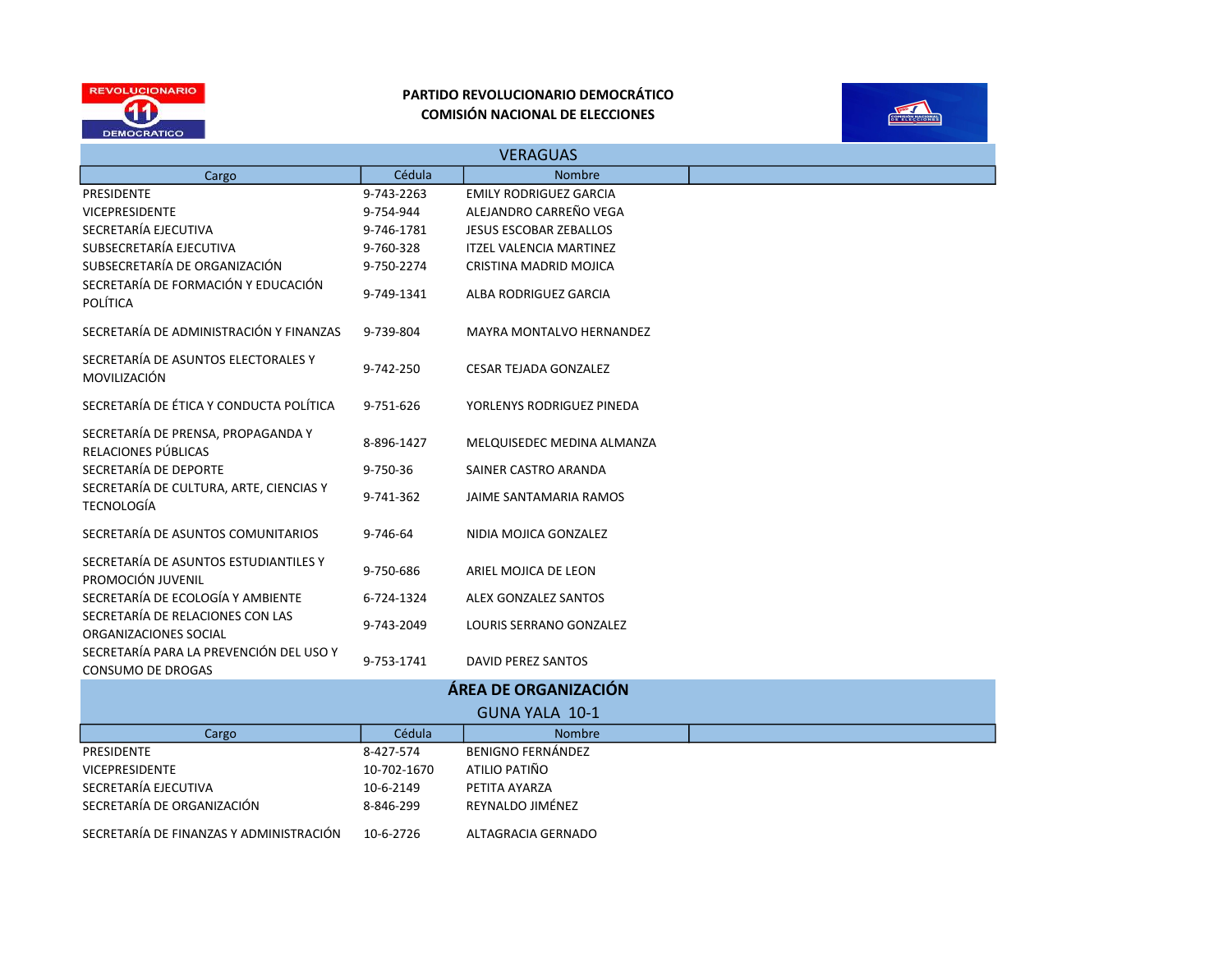



| <b>VERAGUAS</b>                                              |             |                                 |  |  |
|--------------------------------------------------------------|-------------|---------------------------------|--|--|
| Cargo                                                        | Cédula      | <b>Nombre</b>                   |  |  |
| <b>PRESIDENTE</b>                                            | 9-743-2263  | <b>EMILY RODRIGUEZ GARCIA</b>   |  |  |
| <b>VICEPRESIDENTE</b>                                        | 9-754-944   | ALEJANDRO CARREÑO VEGA          |  |  |
| SECRETARÍA EJECUTIVA                                         | 9-746-1781  | <b>JESUS ESCOBAR ZEBALLOS</b>   |  |  |
| SUBSECRETARÍA EJECUTIVA                                      | 9-760-328   | <b>ITZEL VALENCIA MARTINEZ</b>  |  |  |
| SUBSECRETARÍA DE ORGANIZACIÓN                                | 9-750-2274  | CRISTINA MADRID MOJICA          |  |  |
| SECRETARÍA DE FORMACIÓN Y EDUCACIÓN<br><b>POLÍTICA</b>       | 9-749-1341  | <b>ALBA RODRIGUEZ GARCIA</b>    |  |  |
| SECRETARÍA DE ADMINISTRACIÓN Y FINANZAS                      | 9-739-804   | <b>MAYRA MONTALVO HERNANDEZ</b> |  |  |
| SECRETARÍA DE ASUNTOS ELECTORALES Y<br>MOVILIZACIÓN          | 9-742-250   | <b>CESAR TEJADA GONZALEZ</b>    |  |  |
| SECRETARÍA DE ÉTICA Y CONDUCTA POLÍTICA                      | 9-751-626   | YORLENYS RODRIGUEZ PINEDA       |  |  |
| SECRETARÍA DE PRENSA, PROPAGANDA Y<br>RELACIONES PÚBLICAS    | 8-896-1427  | MELQUISEDEC MEDINA ALMANZA      |  |  |
| SECRETARÍA DE DEPORTE                                        | 9-750-36    | SAINER CASTRO ARANDA            |  |  |
| SECRETARÍA DE CULTURA, ARTE, CIENCIAS Y<br><b>TECNOLOGÍA</b> | 9-741-362   | JAIME SANTAMARIA RAMOS          |  |  |
| SECRETARÍA DE ASUNTOS COMUNITARIOS                           | 9-746-64    | NIDIA MOJICA GONZALEZ           |  |  |
| SECRETARÍA DE ASUNTOS ESTUDIANTILES Y<br>PROMOCIÓN JUVENIL   | 9-750-686   | ARIEL MOJICA DE LEON            |  |  |
| SECRETARÍA DE ECOLOGÍA Y AMBIENTE                            | 6-724-1324  | ALEX GONZALEZ SANTOS            |  |  |
| SECRETARÍA DE RELACIONES CON LAS<br>ORGANIZACIONES SOCIAL    | 9-743-2049  | LOURIS SERRANO GONZALEZ         |  |  |
| SECRETARÍA PARA LA PREVENCIÓN DEL USO Y<br>CONSUMO DE DROGAS | 9-753-1741  | DAVID PEREZ SANTOS              |  |  |
|                                                              |             | ÁREA DE ORGANIZACIÓN            |  |  |
|                                                              |             | <b>GUNA YALA 10-1</b>           |  |  |
| Cargo                                                        | Cédula      | <b>Nombre</b>                   |  |  |
| PRESIDENTE                                                   | 8-427-574   | <b>BENIGNO FERNÁNDEZ</b>        |  |  |
| <b>VICEPRESIDENTE</b>                                        | 10-702-1670 | ATILIO PATIÑO                   |  |  |
| SECRETARÍA EJECUTIVA                                         | 10-6-2149   | PETITA AYARZA                   |  |  |
| SECRETARÍA DE ORGANIZACIÓN                                   | 8-846-299   | REYNALDO JIMÉNEZ                |  |  |
| SECRETARÍA DE FINANZAS Y ADMINISTRACIÓN                      | 10-6-2726   | ALTAGRACIA GERNADO              |  |  |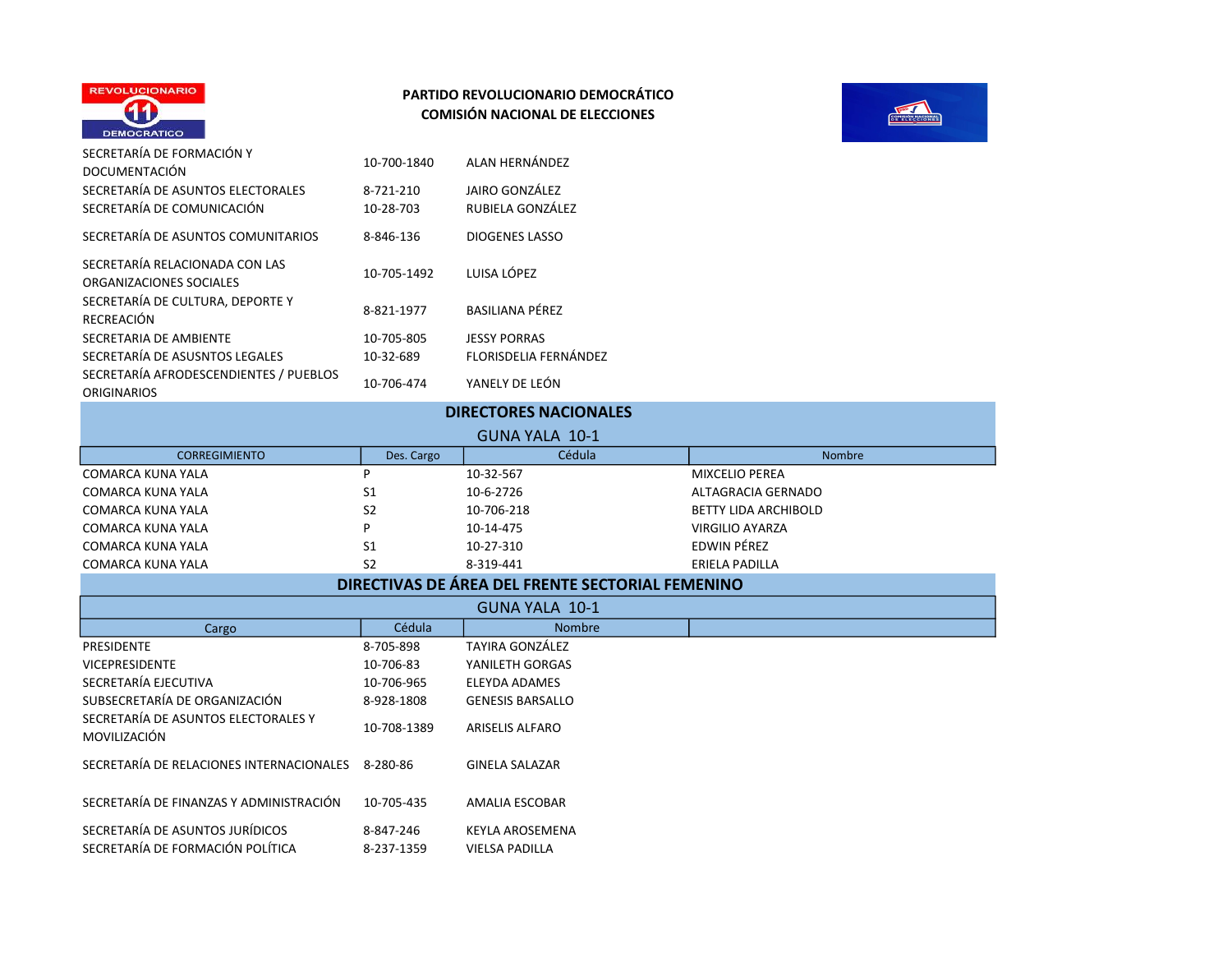



| SECRETARÍA DE FORMACIÓN Y<br><b>DOCUMENTACIÓN</b>               | 10-700-1840            | ALAN HERNÁNDEZ                     |
|-----------------------------------------------------------------|------------------------|------------------------------------|
| SECRETARÍA DE ASUNTOS ELECTORALES<br>SECRETARÍA DE COMUNICACIÓN | 8-721-210<br>10-28-703 | JAIRO GONZÁLEZ<br>RUBIELA GONZÁLEZ |
| SECRETARÍA DE ASUNTOS COMUNITARIOS                              | 8-846-136              | <b>DIOGENES LASSO</b>              |
| SECRETARÍA RELACIONADA CON LAS<br>ORGANIZACIONES SOCIALES       | 10-705-1492            | LUISA LÓPEZ                        |
| SECRETARÍA DE CULTURA, DEPORTE Y<br><b>RECREACIÓN</b>           | 8-821-1977             | <b>BASILIANA PÉREZ</b>             |
| SECRETARIA DE AMBIENTE                                          | 10-705-805             | <b>JESSY PORRAS</b>                |
| SECRETARÍA DE ASUSNTOS LEGALES                                  | 10-32-689              | FLORISDELIA FERNÁNDEZ              |
| SECRETARÍA AFRODESCENDIENTES / PUEBLOS<br><b>ORIGINARIOS</b>    | 10-706-474             | YANELY DE LEÓN                     |

|  |  |  |  | <b>DIRECTORES NACIONALES</b> |  |
|--|--|--|--|------------------------------|--|
|--|--|--|--|------------------------------|--|

| GUNA YALA 10-1       |                |            |                             |  |
|----------------------|----------------|------------|-----------------------------|--|
| <b>CORREGIMIENTO</b> | Des. Cargo     | Cédula     | <b>Nombre</b>               |  |
| COMARCA KUNA YALA    |                | 10-32-567  | <b>MIXCELIO PEREA</b>       |  |
| COMARCA KUNA YALA    | S1             | 10-6-2726  | ALTAGRACIA GERNADO          |  |
| COMARCA KUNA YALA    | S <sub>2</sub> | 10-706-218 | <b>BETTY LIDA ARCHIBOLD</b> |  |
| COMARCA KUNA YALA    |                | 10-14-475  | VIRGILIO AYARZA             |  |
| COMARCA KUNA YALA    | S1             | 10-27-310  | EDWIN PÉREZ                 |  |
| COMARCA KUNA YALA    | S2             | 8-319-441  | ERIELA PADILLA              |  |

# DIRECTIVAS DE ÁREA DEL FRENTE SECTORIAL FEMENINO

| GUNA YALA 10-1                                      |             |                         |
|-----------------------------------------------------|-------------|-------------------------|
| Cargo                                               | Cédula      | <b>Nombre</b>           |
| PRESIDENTE                                          | 8-705-898   | TAYIRA GONZÁLEZ         |
| <b>VICEPRESIDENTE</b>                               | 10-706-83   | YANILETH GORGAS         |
| SECRETARÍA EJECUTIVA                                | 10-706-965  | ELEYDA ADAMES           |
| SUBSECRETARÍA DE ORGANIZACIÓN                       | 8-928-1808  | <b>GENESIS BARSALLO</b> |
| SECRETARÍA DE ASUNTOS ELECTORALES Y<br>MOVILIZACIÓN | 10-708-1389 | <b>ARISELIS ALFARO</b>  |
| SECRETARÍA DE RELACIONES INTERNACIONALES            | 8-280-86    | <b>GINELA SALAZAR</b>   |
| SECRETARÍA DE FINANZAS Y ADMINISTRACIÓN             | 10-705-435  | <b>AMALIA ESCOBAR</b>   |
| SECRETARÍA DE ASUNTOS JURÍDICOS                     | 8-847-246   | KEYLA AROSEMENA         |
| SECRETARÍA DE FORMACIÓN POLÍTICA                    | 8-237-1359  | <b>VIELSA PADILLA</b>   |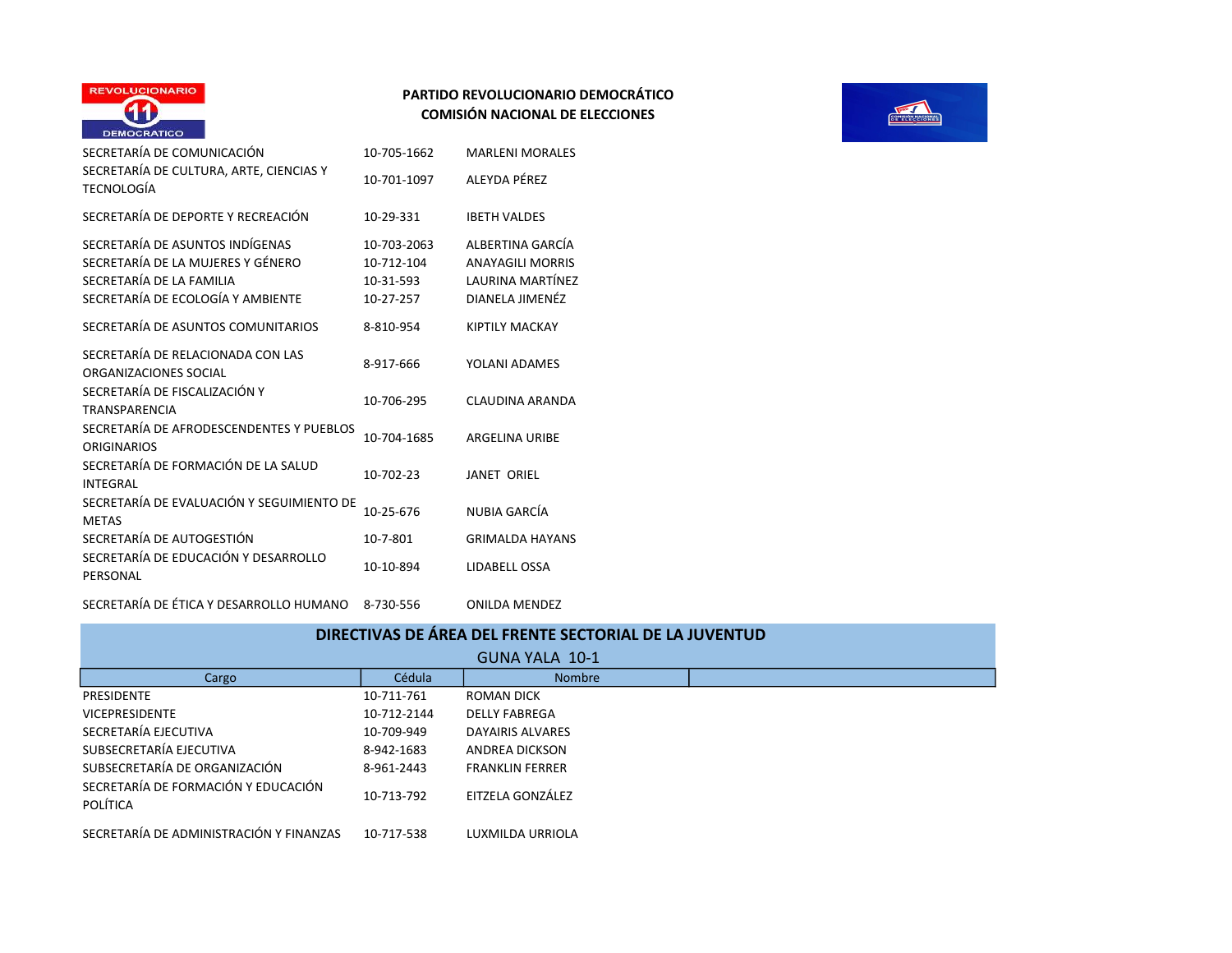

| SECRETARÍA DE COMUNICACIÓN                                                                                                            | 10-705-1662                                         | <b>MARLENI MORALES</b>                                                                    |
|---------------------------------------------------------------------------------------------------------------------------------------|-----------------------------------------------------|-------------------------------------------------------------------------------------------|
| SECRETARÍA DE CULTURA, ARTE, CIENCIAS Y<br>TECNOLOGÍA                                                                                 | 10-701-1097                                         | ALEYDA PÉRF7                                                                              |
| SECRETARÍA DE DEPORTE Y RECREACIÓN                                                                                                    | 10-29-331                                           | <b>IBETH VALDES</b>                                                                       |
| SECRETARÍA DE ASUNTOS INDÍGENAS<br>SECRETARÍA DE LA MUJERES Y GÉNERO<br>SECRETARÍA DE LA FAMILIA<br>SECRETARÍA DE ECOLOGÍA Y AMBIENTE | 10-703-2063<br>10-712-104<br>10-31-593<br>10-27-257 | ALBERTINA GARCÍA<br><b>ANAYAGILI MORRIS</b><br><b>LAURINA MARTÍNEZ</b><br>DIANELA JIMENÉZ |
| SECRETARÍA DE ASUNTOS COMUNITARIOS                                                                                                    | 8-810-954                                           | <b>KIPTILY MACKAY</b>                                                                     |
| SECRETARÍA DE RELACIONADA CON LAS<br>ORGANIZACIONES SOCIAL                                                                            | 8-917-666                                           | YOLANI ADAMES                                                                             |
| SECRETARÍA DE FISCALIZACIÓN Y<br><b>TRANSPARENCIA</b>                                                                                 | 10-706-295                                          | CLAUDINA ARANDA                                                                           |
| SECRETARÍA DE AFRODESCENDENTES Y PUEBLOS<br><b>ORIGINARIOS</b>                                                                        | 10-704-1685                                         | <b>ARGELINA URIBE</b>                                                                     |
| SECRETARÍA DE FORMACIÓN DE LA SALUD<br><b>INTEGRAL</b>                                                                                | 10-702-23                                           | <b>JANET ORIEL</b>                                                                        |
| SECRETARÍA DE EVALUACIÓN Y SEGUIMIENTO DE<br><b>METAS</b>                                                                             | 10-25-676                                           | NUBIA GARCÍA                                                                              |
| SECRETARÍA DE AUTOGESTIÓN                                                                                                             | 10-7-801                                            | <b>GRIMALDA HAYANS</b>                                                                    |
| SECRETARÍA DE EDUCACIÓN Y DESARROLLO<br>PERSONAL                                                                                      | 10-10-894                                           | LIDABELL OSSA                                                                             |
| SECRETARÍA DE ÉTICA Y DESARROLLO HUMANO                                                                                               | 8-730-556                                           | <b>ONILDA MENDEZ</b>                                                                      |



| DIRECTIVAS DE ÁREA DEL FRENTE SECTORIAL DE LA JUVENTUD |             |                        |  |  |
|--------------------------------------------------------|-------------|------------------------|--|--|
| GUNA YALA 10-1                                         |             |                        |  |  |
| Cargo                                                  | Cédula      | <b>Nombre</b>          |  |  |
| PRESIDENTE                                             | 10-711-761  | ROMAN DICK             |  |  |
| <b>VICEPRESIDENTE</b>                                  | 10-712-2144 | <b>DELLY FABREGA</b>   |  |  |
| SECRETARÍA EJECUTIVA                                   | 10-709-949  | DAYAIRIS ALVARES       |  |  |
| SUBSECRETARÍA EJECUTIVA                                | 8-942-1683  | ANDREA DICKSON         |  |  |
| SUBSECRETARÍA DE ORGANIZACIÓN                          | 8-961-2443  | <b>FRANKLIN FERRER</b> |  |  |
| SECRETARÍA DE FORMACIÓN Y EDUCACIÓN<br>POLÍTICA        | 10-713-792  | EITZELA GONZÁLEZ       |  |  |
| SECRETARÍA DE ADMINISTRACIÓN Y FINANZAS                | 10-717-538  | LUXMILDA URRIOLA       |  |  |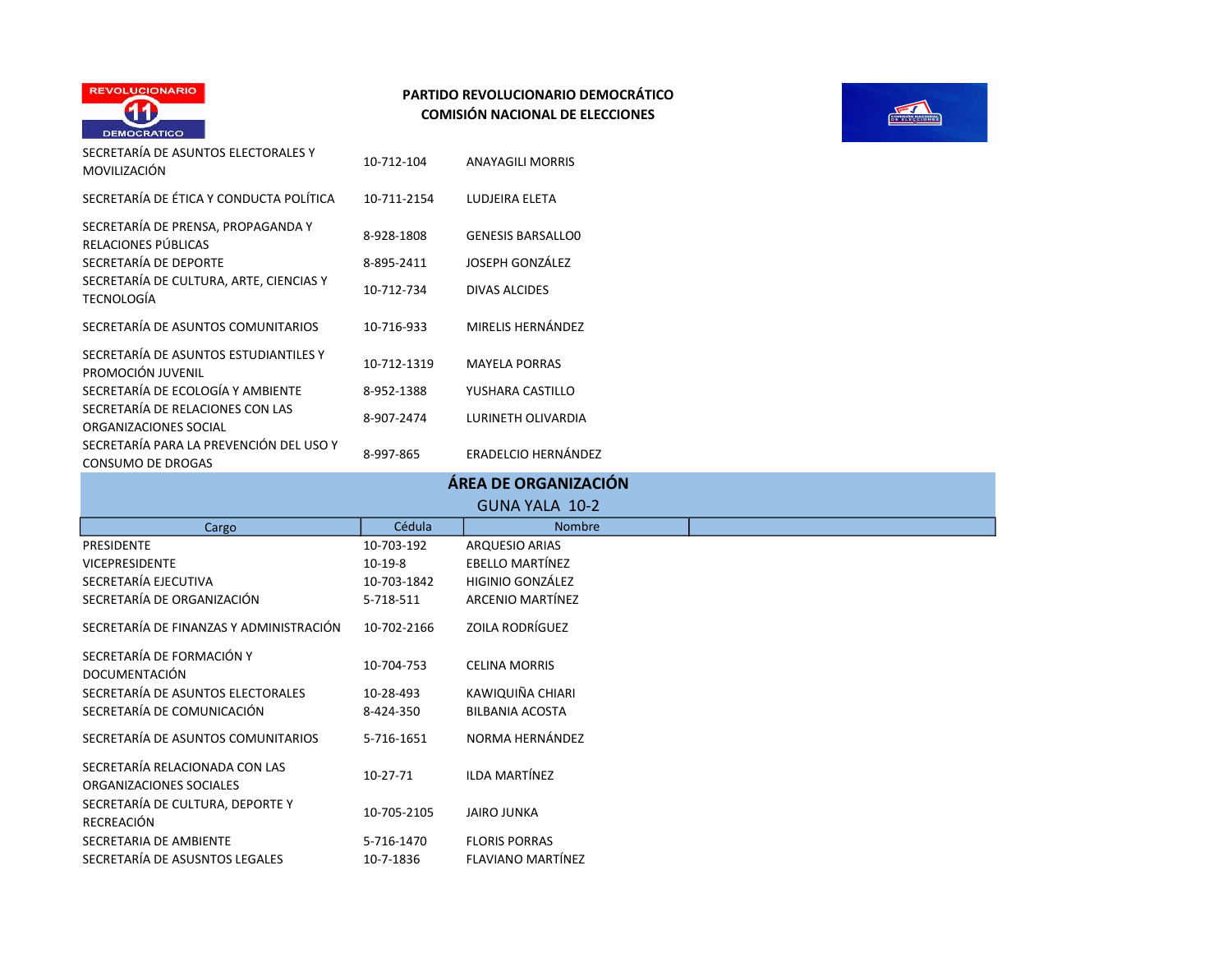



| SECRETARÍA DE ASUNTOS ELECTORALES Y<br>MOVILIZACIÓN                                                                                                | 10-712-104                             | <b>ANAYAGILI MORRIS</b>                                             |
|----------------------------------------------------------------------------------------------------------------------------------------------------|----------------------------------------|---------------------------------------------------------------------|
| SECRETARÍA DE ÉTICA Y CONDUCTA POLÍTICA                                                                                                            | 10-711-2154                            | LUDJEIRA ELETA                                                      |
| SECRETARÍA DE PRENSA, PROPAGANDA Y<br>RELACIONES PÚBLICAS<br>SECRETARÍA DE DEPORTE<br>SECRETARÍA DE CULTURA, ARTE, CIENCIAS Y<br><b>TECNOLOGÍA</b> | 8-928-1808<br>8-895-2411<br>10-712-734 | <b>GENESIS BARSALLOO</b><br>JOSEPH GONZÁLEZ<br><b>DIVAS ALCIDES</b> |
| SECRETARÍA DE ASUNTOS COMUNITARIOS                                                                                                                 | 10-716-933                             | MIRELIS HERNÁNDEZ                                                   |
| SECRETARÍA DE ASUNTOS ESTUDIANTILES Y<br>PROMOCIÓN JUVENIL<br>SECRETARÍA DE ECOLOGÍA Y AMBIENTE                                                    | 10-712-1319<br>8-952-1388              | <b>MAYELA PORRAS</b><br>YUSHARA CASTILLO                            |
| SECRETARÍA DE RELACIONES CON LAS<br>ORGANIZACIONES SOCIAL                                                                                          | 8-907-2474                             | <b>LURINETH OLIVARDIA</b>                                           |
| SECRETARÍA PARA LA PREVENCIÓN DEL USO Y<br><b>CONSUMO DE DROGAS</b>                                                                                | 8-997-865                              | ERADELCIO HERNÁNDEZ                                                 |
|                                                                                                                                                    |                                        | ÁREA DE ORGANIZACIÓN                                                |
|                                                                                                                                                    |                                        | <b>GUNA YALA 10-2</b>                                               |
| Cargo                                                                                                                                              | Cédula                                 | <b>Nombre</b>                                                       |
| <b>PRESIDENTE</b>                                                                                                                                  | 10-703-192                             | <b>ARQUESIO ARIAS</b>                                               |
| <b>VICEPRESIDENTE</b>                                                                                                                              | $10-19-8$                              | <b>EBELLO MARTÍNEZ</b>                                              |
| SECRETARÍA EJECUTIVA                                                                                                                               | 10-703-1842                            | HIGINIO GONZÁLEZ                                                    |
| 0.50057151155500111171010111                                                                                                                       |                                        |                                                                     |

|                                                           |             | GUNA YALA 10-2           |  |
|-----------------------------------------------------------|-------------|--------------------------|--|
| Cargo                                                     | Cédula      | <b>Nombre</b>            |  |
| PRESIDENTE                                                | 10-703-192  | <b>ARQUESIO ARIAS</b>    |  |
| VICEPRESIDENTE                                            | $10-19-8$   | EBELLO MARTÍNEZ          |  |
| SECRETARÍA EJECUTIVA                                      | 10-703-1842 | <b>HIGINIO GONZÁLEZ</b>  |  |
| SECRETARÍA DE ORGANIZACIÓN                                | 5-718-511   | ARCENIO MARTÍNEZ         |  |
| SECRETARÍA DE FINANZAS Y ADMINISTRACIÓN                   | 10-702-2166 | <b>ZOILA RODRÍGUEZ</b>   |  |
| SECRETARÍA DE FORMACIÓN Y<br>DOCUMENTACIÓN                | 10-704-753  | <b>CELINA MORRIS</b>     |  |
| SECRETARÍA DE ASUNTOS ELECTORALES                         | 10-28-493   | KAWIQUIÑA CHIARI         |  |
| SECRETARÍA DE COMUNICACIÓN                                | 8-424-350   | <b>BILBANIA ACOSTA</b>   |  |
| SECRETARÍA DE ASUNTOS COMUNITARIOS                        | 5-716-1651  | NORMA HERNÁNDEZ          |  |
| SECRETARÍA RELACIONADA CON LAS<br>ORGANIZACIONES SOCIALES | 10-27-71    | <b>ILDA MARTÍNEZ</b>     |  |
| SECRETARÍA DE CULTURA, DEPORTE Y<br>RECREACIÓN            | 10-705-2105 | <b>JAIRO JUNKA</b>       |  |
| SECRETARIA DE AMBIENTE                                    | 5-716-1470  | <b>FLORIS PORRAS</b>     |  |
| SECRETARÍA DE ASUSNTOS LEGALES                            | 10-7-1836   | <b>FLAVIANO MARTÍNEZ</b> |  |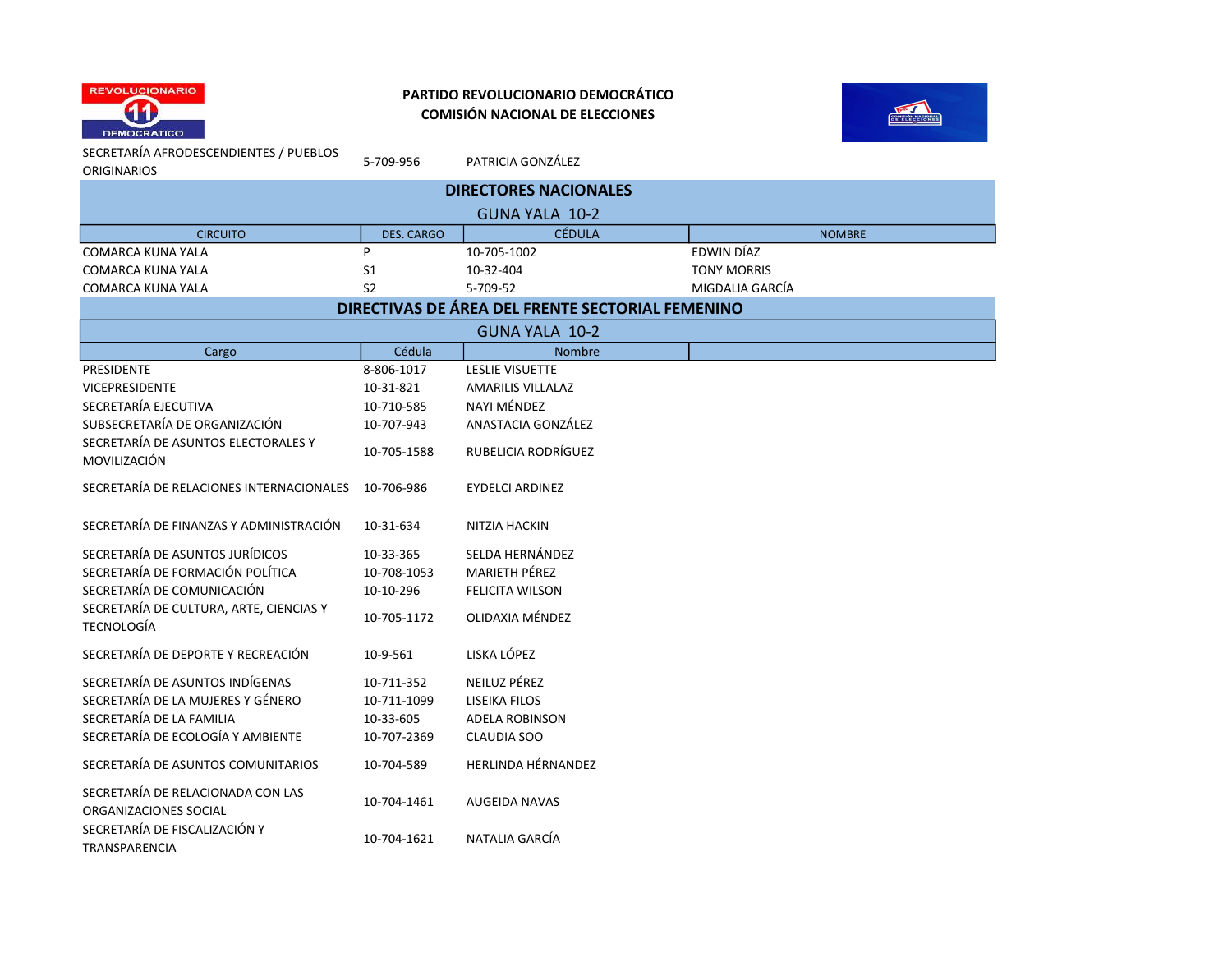



SECRETARÍA AFRODESCENDIENTES / PUEBLOS

5-709-956 PATRICIA GONZÁLEZ

| <b>ORIGINARIOS</b>                                           | 5-709-956         | PATRICIA GONZALEZ                                |                    |
|--------------------------------------------------------------|-------------------|--------------------------------------------------|--------------------|
| <b>DIRECTORES NACIONALES</b>                                 |                   |                                                  |                    |
|                                                              |                   | <b>GUNA YALA 10-2</b>                            |                    |
| <b>CIRCUITO</b>                                              | <b>DES. CARGO</b> | <b>CÉDULA</b>                                    | <b>NOMBRE</b>      |
| <b>COMARCA KUNA YALA</b>                                     | P                 | 10-705-1002                                      | EDWIN DÍAZ         |
| <b>COMARCA KUNA YALA</b>                                     | S1                | 10-32-404                                        | <b>TONY MORRIS</b> |
| COMARCA KUNA YALA                                            | S <sub>2</sub>    | 5-709-52                                         | MIGDALIA GARCÍA    |
|                                                              |                   | DIRECTIVAS DE ÁREA DEL FRENTE SECTORIAL FEMENINO |                    |
|                                                              |                   | <b>GUNA YALA 10-2</b>                            |                    |
| Cargo                                                        | Cédula            | Nombre                                           |                    |
| <b>PRESIDENTE</b>                                            | 8-806-1017        | <b>LESLIE VISUETTE</b>                           |                    |
| <b>VICEPRESIDENTE</b>                                        | 10-31-821         | <b>AMARILIS VILLALAZ</b>                         |                    |
| SECRETARÍA EJECUTIVA                                         | 10-710-585        | NAYI MÉNDEZ                                      |                    |
| SUBSECRETARÍA DE ORGANIZACIÓN                                | 10-707-943        | ANASTACIA GONZÁLEZ                               |                    |
| SECRETARÍA DE ASUNTOS ELECTORALES Y<br>MOVILIZACIÓN          | 10-705-1588       | RUBELICIA RODRÍGUEZ                              |                    |
| SECRETARÍA DE RELACIONES INTERNACIONALES                     | 10-706-986        | <b>EYDELCI ARDINEZ</b>                           |                    |
| SECRETARÍA DE FINANZAS Y ADMINISTRACIÓN                      | 10-31-634         | NITZIA HACKIN                                    |                    |
| SECRETARÍA DE ASUNTOS JURÍDICOS                              | 10-33-365         | SELDA HERNÁNDEZ                                  |                    |
| SECRETARÍA DE FORMACIÓN POLÍTICA                             | 10-708-1053       | MARIETH PÉREZ                                    |                    |
| SECRETARÍA DE COMUNICACIÓN                                   | 10-10-296         | <b>FELICITA WILSON</b>                           |                    |
| SECRETARÍA DE CULTURA, ARTE, CIENCIAS Y<br><b>TECNOLOGÍA</b> | 10-705-1172       | OLIDAXIA MÉNDEZ                                  |                    |
| SECRETARÍA DE DEPORTE Y RECREACIÓN                           | 10-9-561          | LISKA LÓPEZ                                      |                    |
| SECRETARÍA DE ASUNTOS INDÍGENAS                              | 10-711-352        | NEILUZ PÉREZ                                     |                    |
| SECRETARÍA DE LA MUJERES Y GÉNERO                            | 10-711-1099       | <b>LISEIKA FILOS</b>                             |                    |
| SECRETARÍA DE LA FAMILIA                                     | 10-33-605         | <b>ADELA ROBINSON</b>                            |                    |
| SECRETARÍA DE ECOLOGÍA Y AMBIENTE                            | 10-707-2369       | CLAUDIA SOO                                      |                    |
| SECRETARÍA DE ASUNTOS COMUNITARIOS                           | 10-704-589        | HERLINDA HÉRNANDEZ                               |                    |
| SECRETARÍA DE RELACIONADA CON LAS<br>ORGANIZACIONES SOCIAL   | 10-704-1461       | <b>AUGEIDA NAVAS</b>                             |                    |
| SECRETARÍA DE FISCALIZACIÓN Y<br>TRANSPARENCIA               | 10-704-1621       | NATALIA GARCÍA                                   |                    |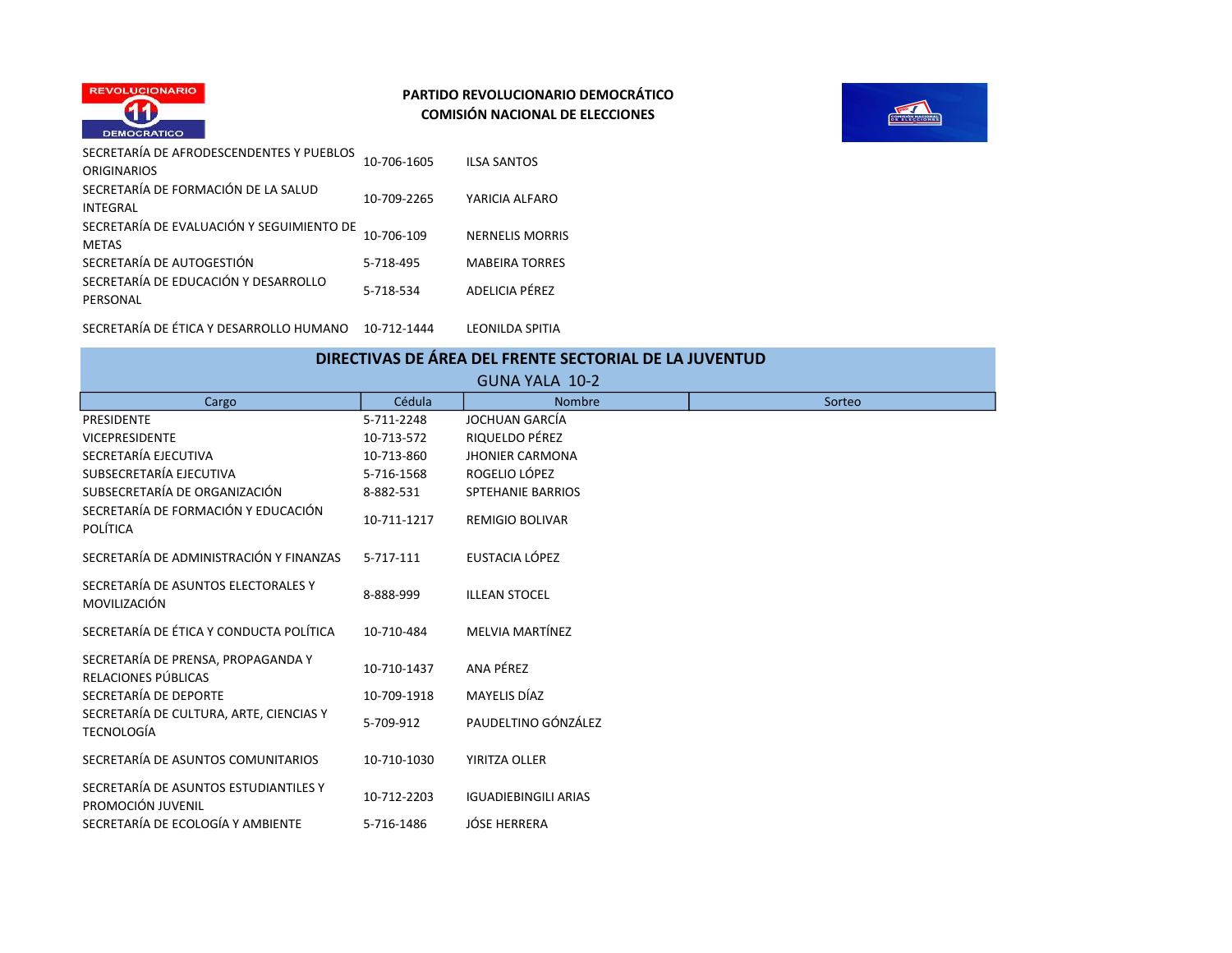



| SECRETARÍA DE AFRODESCENDENTES Y PUEBLOS<br><b>ORIGINARIOS</b> | 10-706-1605 | <b>ILSA SANTOS</b>     |
|----------------------------------------------------------------|-------------|------------------------|
| SECRETARÍA DE FORMACIÓN DE LA SALUD<br><b>INTEGRAL</b>         | 10-709-2265 | YARICIA ALFARO         |
| SECRETARÍA DE EVALUACIÓN Y SEGUIMIENTO DE<br><b>METAS</b>      | 10-706-109  | <b>NERNELIS MORRIS</b> |
| SECRETARÍA DE AUTOGESTIÓN                                      | 5-718-495   | <b>MABEIRA TORRES</b>  |
| SECRETARÍA DE EDUCACIÓN Y DESARROLLO<br>PERSONAL               | 5-718-534   | ADELICIA PÉREZ         |
| SECRETARÍA DE ÉTICA Y DESARROLLO HUMANO                        | 10-712-1444 | LEONILDA SPITIA        |

| DIRECTIVAS DE ÁREA DEL FRENTE SECTORIAL DE LA JUVENTUD<br>GUNA YALA 10-2 |             |                             |        |
|--------------------------------------------------------------------------|-------------|-----------------------------|--------|
| Cargo                                                                    | Cédula      | <b>Nombre</b>               | Sorteo |
| <b>PRESIDENTE</b>                                                        | 5-711-2248  | JOCHUAN GARCÍA              |        |
| <b>VICEPRESIDENTE</b>                                                    | 10-713-572  | RIQUELDO PÉREZ              |        |
| SECRETARÍA EJECUTIVA                                                     | 10-713-860  | <b>JHONIER CARMONA</b>      |        |
| SUBSECRETARÍA EJECUTIVA                                                  | 5-716-1568  | ROGELIO LÓPEZ               |        |
| SUBSECRETARÍA DE ORGANIZACIÓN                                            | 8-882-531   | <b>SPTEHANIE BARRIOS</b>    |        |
| SECRETARÍA DE FORMACIÓN Y EDUCACIÓN<br>POLÍTICA                          | 10-711-1217 | <b>REMIGIO BOLIVAR</b>      |        |
| SECRETARÍA DE ADMINISTRACIÓN Y FINANZAS                                  | 5-717-111   | EUSTACIA LÓPEZ              |        |
| SECRETARÍA DE ASUNTOS ELECTORALES Y<br>MOVILIZACIÓN                      | 8-888-999   | <b>ILLEAN STOCEL</b>        |        |
| SECRETARÍA DE ÉTICA Y CONDUCTA POLÍTICA                                  | 10-710-484  | MELVIA MARTÍNEZ             |        |
| SECRETARÍA DE PRENSA, PROPAGANDA Y<br>RELACIONES PÚBLICAS                | 10-710-1437 | ANA PÉREZ                   |        |
| SECRETARÍA DE DEPORTE                                                    | 10-709-1918 | MAYELIS DÍAZ                |        |
| SECRETARÍA DE CULTURA, ARTE, CIENCIAS Y<br><b>TECNOLOGÍA</b>             | 5-709-912   | PAUDELTINO GÓNZÁLEZ         |        |
| SECRETARÍA DE ASUNTOS COMUNITARIOS                                       | 10-710-1030 | YIRITZA OLLER               |        |
| SECRETARÍA DE ASUNTOS ESTUDIANTILES Y<br>PROMOCIÓN JUVENIL               | 10-712-2203 | <b>IGUADIEBINGILI ARIAS</b> |        |
| SECRETARÍA DE ECOLOGÍA Y AMBIENTE                                        | 5-716-1486  | JÓSE HERRERA                |        |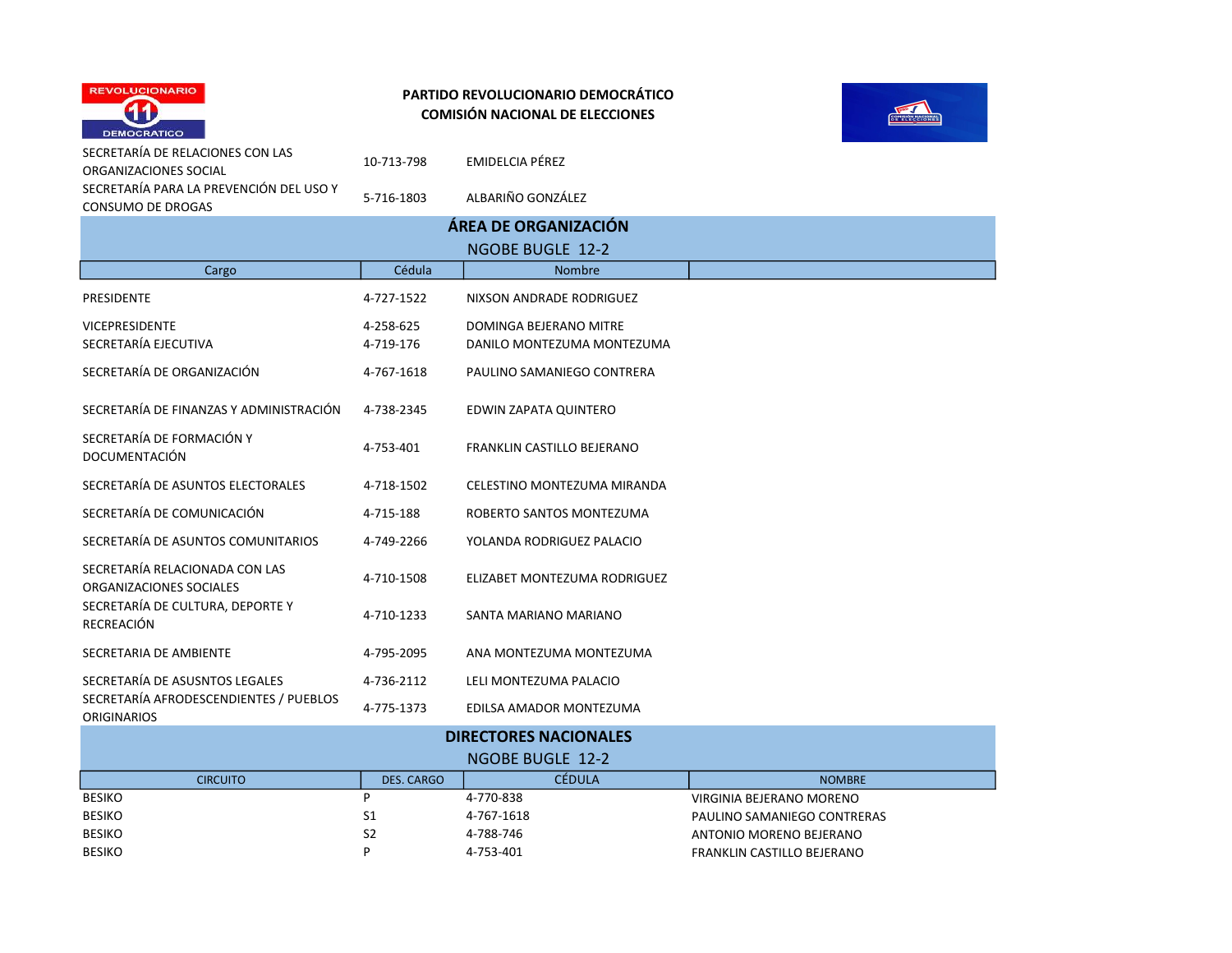



| SECRETARIA DE RELACIONES CON LAS<br>ORGANIZACIONES SOCIAL    | 10-713-798              | EMIDELCIA PÉREZ                                      |                             |  |  |  |
|--------------------------------------------------------------|-------------------------|------------------------------------------------------|-----------------------------|--|--|--|
| SECRETARÍA PARA LA PREVENCIÓN DEL USO Y<br>CONSUMO DE DROGAS | 5-716-1803              | ALBARIÑO GONZÁLEZ                                    |                             |  |  |  |
| ÁREA DE ORGANIZACIÓN                                         |                         |                                                      |                             |  |  |  |
|                                                              |                         | <b>NGOBE BUGLE 12-2</b>                              |                             |  |  |  |
| Cargo                                                        | Cédula<br><b>Nombre</b> |                                                      |                             |  |  |  |
| <b>PRESIDENTE</b>                                            | 4-727-1522              | NIXSON ANDRADE RODRIGUEZ                             |                             |  |  |  |
| <b>VICEPRESIDENTE</b><br>SECRETARÍA EJECUTIVA                | 4-258-625<br>4-719-176  | DOMINGA BEJERANO MITRE<br>DANILO MONTEZUMA MONTEZUMA |                             |  |  |  |
| SECRETARÍA DE ORGANIZACIÓN                                   | 4-767-1618              | PAULINO SAMANIEGO CONTRERA                           |                             |  |  |  |
| SECRETARÍA DE FINANZAS Y ADMINISTRACIÓN                      | 4-738-2345              | EDWIN ZAPATA QUINTERO                                |                             |  |  |  |
| SECRETARÍA DE FORMACIÓN Y<br><b>DOCUMENTACIÓN</b>            | 4-753-401               | FRANKLIN CASTILLO BEJERANO                           |                             |  |  |  |
| SECRETARÍA DE ASUNTOS ELECTORALES                            | 4-718-1502              | CELESTINO MONTEZUMA MIRANDA                          |                             |  |  |  |
| SECRETARÍA DE COMUNICACIÓN                                   | 4-715-188               | ROBERTO SANTOS MONTEZUMA                             |                             |  |  |  |
| SECRETARÍA DE ASUNTOS COMUNITARIOS                           | 4-749-2266              | YOLANDA RODRIGUEZ PALACIO                            |                             |  |  |  |
| SECRETARÍA RELACIONADA CON LAS<br>ORGANIZACIONES SOCIALES    | 4-710-1508              | ELIZABET MONTEZUMA RODRIGUEZ                         |                             |  |  |  |
| SECRETARÍA DE CULTURA, DEPORTE Y<br><b>RECREACIÓN</b>        | 4-710-1233              | SANTA MARIANO MARIANO                                |                             |  |  |  |
| SECRETARIA DE AMBIENTE                                       | 4-795-2095              | ANA MONTEZUMA MONTEZUMA                              |                             |  |  |  |
| SECRETARÍA DE ASUSNTOS LEGALES                               | 4-736-2112              | LELI MONTEZUMA PALACIO                               |                             |  |  |  |
| SECRETARÍA AFRODESCENDIENTES / PUEBLOS<br><b>ORIGINARIOS</b> | 4-775-1373              | EDILSA AMADOR MONTEZUMA                              |                             |  |  |  |
|                                                              |                         | <b>DIRECTORES NACIONALES</b>                         |                             |  |  |  |
|                                                              |                         | <b>NGOBE BUGLE 12-2</b>                              |                             |  |  |  |
| <b>CIRCUITO</b>                                              | <b>DES. CARGO</b>       | <b>CÉDULA</b>                                        | <b>NOMBRE</b>               |  |  |  |
| <b>BESIKO</b>                                                | P                       | 4-770-838                                            | VIRGINIA BEJERANO MORENO    |  |  |  |
| <b>BESIKO</b>                                                | S1                      | 4-767-1618                                           | PAULINO SAMANIEGO CONTRERAS |  |  |  |
| <b>BESIKO</b>                                                | S <sub>2</sub>          | 4-788-746                                            | ANTONIO MORENO BEJERANO     |  |  |  |
| <b>BESIKO</b>                                                | P                       | 4-753-401                                            | FRANKLIN CASTILLO BEJERANO  |  |  |  |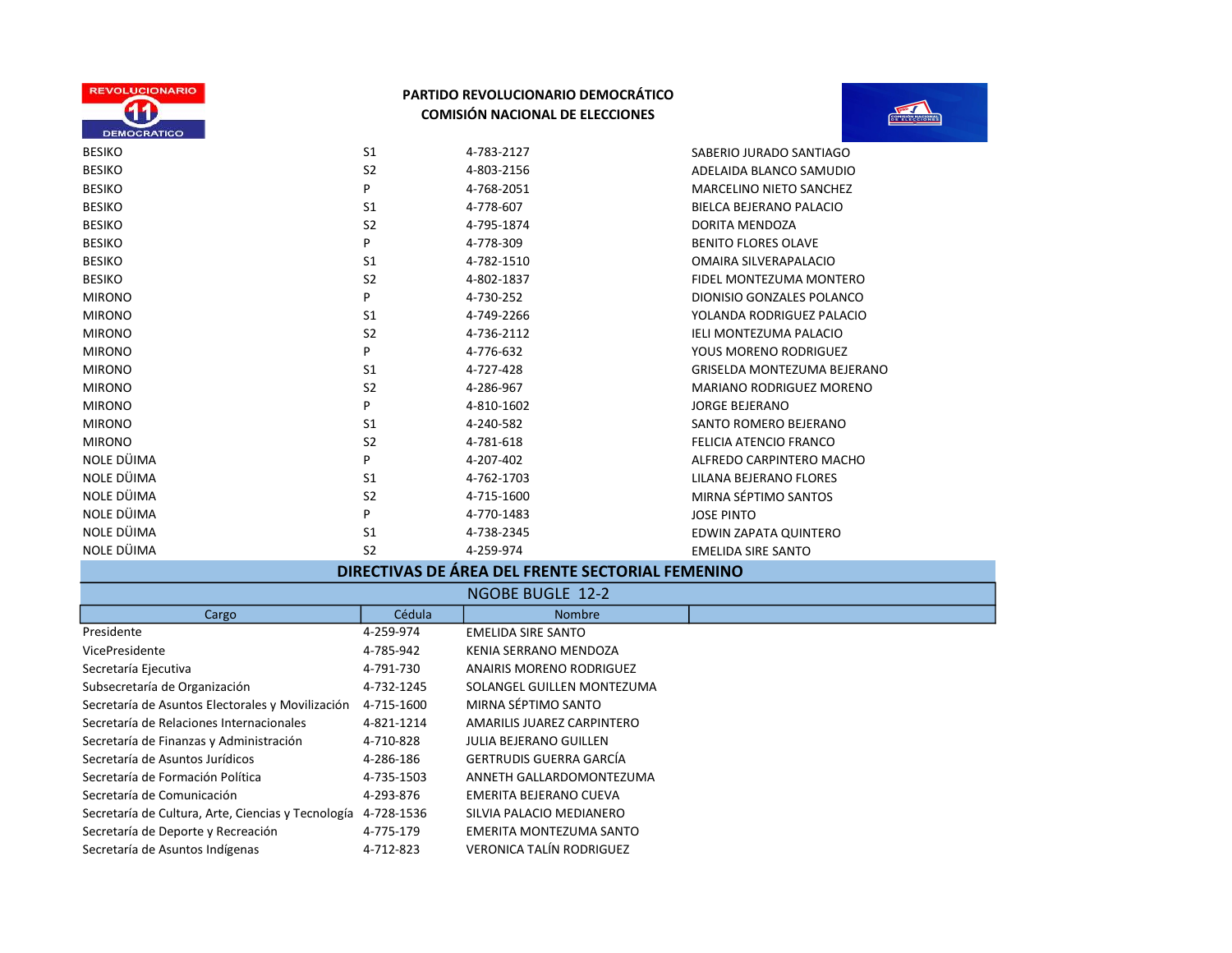



| <b>BESIKO</b> | S <sub>1</sub> | 4-783-2127 | SABERIO JURADO SANTIAGO            |
|---------------|----------------|------------|------------------------------------|
| <b>BESIKO</b> | S <sub>2</sub> | 4-803-2156 | ADELAIDA BLANCO SAMUDIO            |
| <b>BESIKO</b> | P              | 4-768-2051 | <b>MARCELINO NIETO SANCHEZ</b>     |
| <b>BESIKO</b> | S <sub>1</sub> | 4-778-607  | BIELCA BEJERANO PALACIO            |
| <b>BESIKO</b> | S <sub>2</sub> | 4-795-1874 | DORITA MENDOZA                     |
| <b>BESIKO</b> | P              | 4-778-309  | <b>BENITO FLORES OLAVE</b>         |
| <b>BESIKO</b> | S <sub>1</sub> | 4-782-1510 | OMAIRA SILVERAPALACIO              |
| <b>BESIKO</b> | S <sub>2</sub> | 4-802-1837 | FIDEL MONTEZUMA MONTERO            |
| <b>MIRONO</b> | P              | 4-730-252  | DIONISIO GONZALES POLANCO          |
| <b>MIRONO</b> | S <sub>1</sub> | 4-749-2266 | YOLANDA RODRIGUEZ PALACIO          |
| <b>MIRONO</b> | S <sub>2</sub> | 4-736-2112 | <b>IELI MONTEZUMA PALACIO</b>      |
| <b>MIRONO</b> | P              | 4-776-632  | YOUS MORENO RODRIGUEZ              |
| <b>MIRONO</b> | S <sub>1</sub> | 4-727-428  | <b>GRISELDA MONTEZUMA BEJERANO</b> |
| <b>MIRONO</b> | S <sub>2</sub> | 4-286-967  | <b>MARIANO RODRIGUEZ MORENO</b>    |
| <b>MIRONO</b> | P              | 4-810-1602 | <b>JORGE BEJERANO</b>              |
| <b>MIRONO</b> | S <sub>1</sub> | 4-240-582  | SANTO ROMERO BEJERANO              |
| <b>MIRONO</b> | S <sub>2</sub> | 4-781-618  | FELICIA ATENCIO FRANCO             |
| NOLE DÜIMA    | P              | 4-207-402  | ALFREDO CARPINTERO MACHO           |
| NOLE DÜIMA    | S <sub>1</sub> | 4-762-1703 | LILANA BEJERANO FLORES             |
| NOLE DÜIMA    | S <sub>2</sub> | 4-715-1600 | MIRNA SÉPTIMO SANTOS               |
| NOLE DÜIMA    | P              | 4-770-1483 | <b>JOSE PINTO</b>                  |
| NOLE DÜIMA    | S <sub>1</sub> | 4-738-2345 | EDWIN ZAPATA QUINTERO              |
| NOLE DÜIMA    | S <sub>2</sub> | 4-259-974  | EMELIDA SIRE SANTO                 |

# DIRECTIVAS DE ÁREA DEL FRENTE SECTORIAL FEMENINO

|                                                    |            | <b>NGOBE BUGLE 12-2</b>         |
|----------------------------------------------------|------------|---------------------------------|
| Cargo                                              | Cédula     | <b>Nombre</b>                   |
| Presidente                                         | 4-259-974  | EMELIDA SIRE SANTO              |
| VicePresidente                                     | 4-785-942  | KENIA SERRANO MENDOZA           |
| Secretaría Ejecutiva                               | 4-791-730  | ANAIRIS MORENO RODRIGUEZ        |
| Subsecretaría de Organización                      | 4-732-1245 | SOLANGEL GUILLEN MONTEZUMA      |
| Secretaría de Asuntos Electorales y Movilización   | 4-715-1600 | MIRNA SÉPTIMO SANTO             |
| Secretaría de Relaciones Internacionales           | 4-821-1214 | AMARILIS JUAREZ CARPINTERO      |
| Secretaría de Finanzas y Administración            | 4-710-828  | JULIA BEJERANO GUILLEN          |
| Secretaría de Asuntos Jurídicos                    | 4-286-186  | GERTRUDIS GUERRA GARCÍA         |
| Secretaría de Formación Política                   | 4-735-1503 | ANNETH GALLARDOMONTEZUMA        |
| Secretaría de Comunicación                         | 4-293-876  | EMERITA BEJERANO CUEVA          |
| Secretaría de Cultura, Arte, Ciencias y Tecnología | 4-728-1536 | SILVIA PALACIO MEDIANERO        |
| Secretaría de Deporte y Recreación                 | 4-775-179  | EMERITA MONTEZUMA SANTO         |
| Secretaría de Asuntos Indígenas                    | 4-712-823  | <b>VERONICA TALÍN RODRIGUEZ</b> |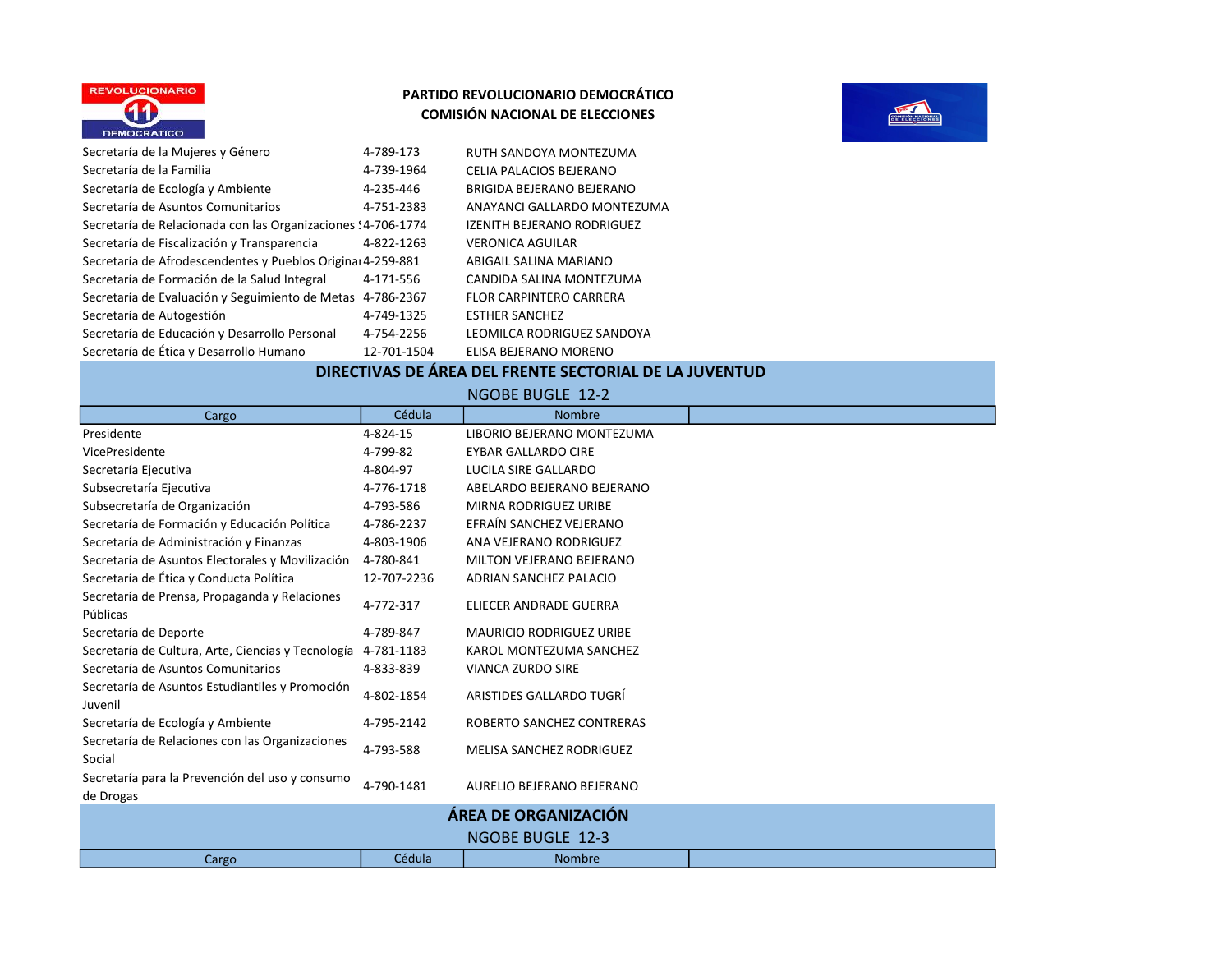



| Secretaría de la Mujeres y Género                             | 4-789-173   | RUTH SANDOYA MONTEZUMA            |
|---------------------------------------------------------------|-------------|-----------------------------------|
| Secretaría de la Familia                                      | 4-739-1964  | CELIA PALACIOS BEJERANO           |
| Secretaría de Ecología y Ambiente                             | 4-235-446   | BRIGIDA BEJERANO BEJERANO         |
| Secretaría de Asuntos Comunitarios                            | 4-751-2383  | ANAYANCI GALLARDO MONTEZUMA       |
| Secretaría de Relacionada con las Organizaciones ! 4-706-1774 |             | <b>IZENITH BEJERANO RODRIGUEZ</b> |
| Secretaría de Fiscalización y Transparencia                   | 4-822-1263  | <b>VERONICA AGUILAR</b>           |
| Secretaría de Afrodescendentes y Pueblos Original 4-259-881   |             | ABIGAIL SALINA MARIANO            |
| Secretaría de Formación de la Salud Integral                  | 4-171-556   | CANDIDA SALINA MONTEZUMA          |
| Secretaría de Evaluación y Seguimiento de Metas               | 4-786-2367  | <b>FLOR CARPINTERO CARRERA</b>    |
| Secretaría de Autogestión                                     | 4-749-1325  | <b>ESTHER SANCHEZ</b>             |
| Secretaría de Educación y Desarrollo Personal                 | 4-754-2256  | LEOMILCA RODRIGUEZ SANDOYA        |
| Secretaría de Ética y Desarrollo Humano                       | 12-701-1504 | ELISA BEJERANO MORENO             |
|                                                               |             |                                   |

#### DIRECTIVAS DE ÁREA DEL FRENTE SECTORIAL DE LA JUVENTUD

Cargo **Cargo Cédula** Cédula **Nombre** Presidente 4-824-15 LIBORIO BEJERANO MONTEZUMA VicePresidente 4-799-82 EYBAR GALLARDO CIRE Secretaría Ejecutiva 4-804-97 LUCILA SIRE GALLARDO Subsecretaría Ejecutiva 4-776-1718 ABELARDO BEJERANO BEJERANO Subsecretaría de Organización 4-793-586 MIRNA RODRIGUEZ URIBE Secretaría de Formación y Educación Política 4-786-2237 EFRAÍN SANCHEZ VEJERANO Secretaría de Administración y Finanzas 4-803-1906 ANA VEJERANO RODRIGUEZ Secretaría de Asuntos Electorales y Movilización 4-780-841 MILTON VEJERANO BEJERANO Secretaría de Ética y Conducta Política 12-707-2236 ADRIAN SANCHEZ PALACIO Secretaría de Prensa, Propaganda y Relaciones Públicas 4-772-317 ELIECER ANDRADE GUERRA Secretaría de Deporte 4-789-847 MAURICIO RODRIGUEZ URIBE Secretaría de Cultura, Arte, Ciencias y Tecnología 4-781-1183 KAROL MONTEZUMA SANCHEZ Secretaría de Asuntos Comunitarios 4-833-839 VIANCA ZURDO SIRE Secretaría de Asuntos Estudiantiles y Promoción Juvenil 4-802-1854 ARISTIDES GALLARDO TUGRÍ Secretaría de Ecología y Ambiente 4-795-2142 ROBERTO SANCHEZ CONTRERAS Secretaría de Relaciones con las Organizaciones Secretaria de Relaciones com las Organizaciones de 4-793-588 MELISA SANCHEZ RODRIGUEZ Secretaría para la Prevención del uso y consumo de Drogas de Progas de Sensicion de dos y consumo de 1790-1481 AURELIO BEJERANO BEJERANO Cargo **Cargo Cédula** Cédula **Nombre** NGOBE BUGLE 12-2 ÁREA DE ORGANIZACIÓN NGOBE BUGLE 12-3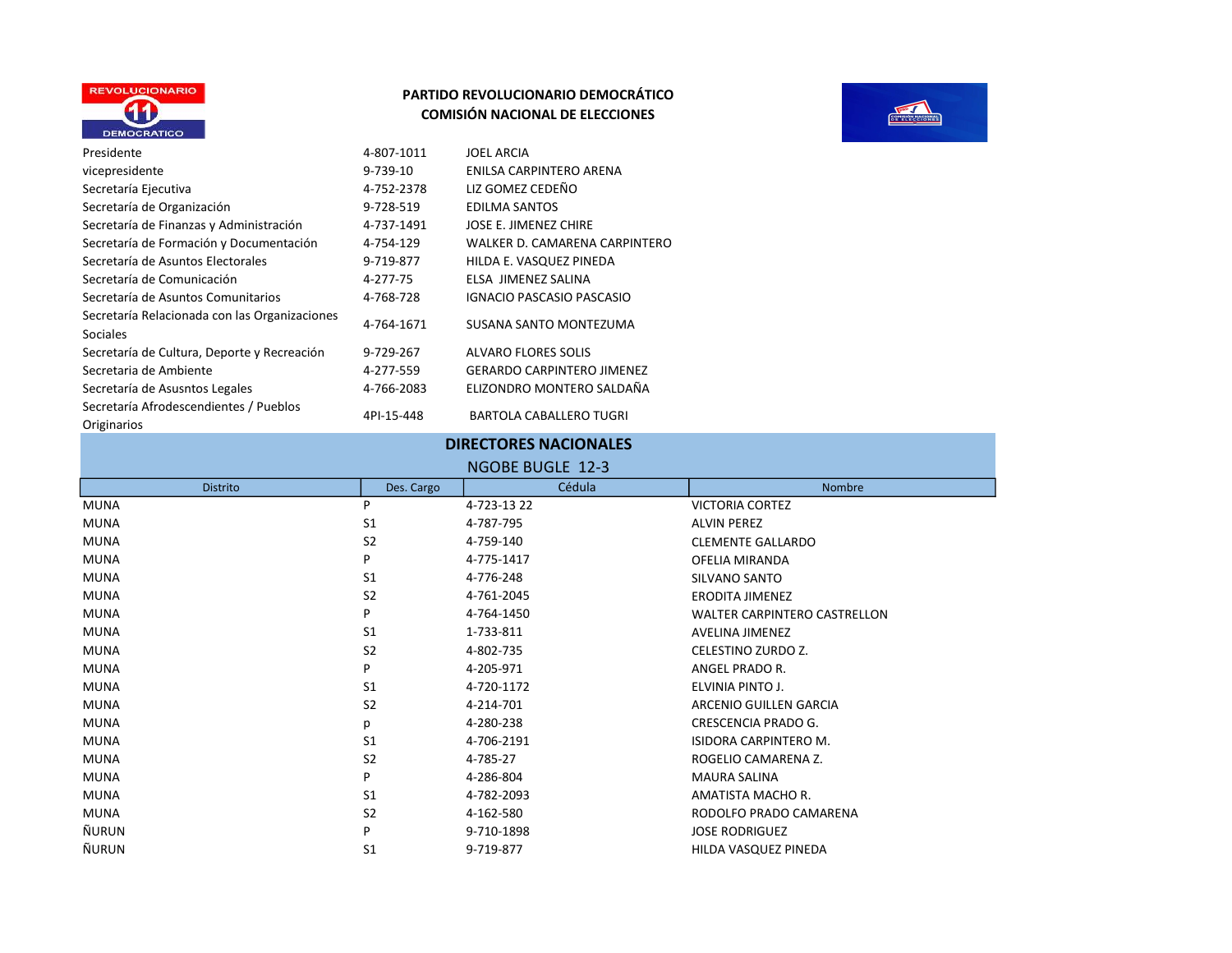



| Presidente                                                | 4-807-1011 | <b>JOEL ARCIA</b>                 |
|-----------------------------------------------------------|------------|-----------------------------------|
| vicepresidente                                            | 9-739-10   | ENILSA CARPINTERO ARENA           |
| Secretaría Ejecutiva                                      | 4-752-2378 | LIZ GOMEZ CEDEÑO                  |
| Secretaría de Organización                                | 9-728-519  | <b>EDILMA SANTOS</b>              |
| Secretaría de Finanzas y Administración                   | 4-737-1491 | JOSE E. JIMENEZ CHIRE             |
| Secretaría de Formación y Documentación                   | 4-754-129  | WALKER D. CAMARENA CARPINTERO     |
| Secretaría de Asuntos Electorales                         | 9-719-877  | HILDA E. VASQUEZ PINEDA           |
| Secretaría de Comunicación                                | 4-277-75   | ELSA JIMENEZ SALINA               |
| Secretaría de Asuntos Comunitarios                        | 4-768-728  | <b>IGNACIO PASCASIO PASCASIO</b>  |
| Secretaría Relacionada con las Organizaciones<br>Sociales | 4-764-1671 | SUSANA SANTO MONTEZUMA            |
| Secretaría de Cultura, Deporte y Recreación               | 9-729-267  | <b>ALVARO FLORES SOLIS</b>        |
| Secretaria de Ambiente                                    | 4-277-559  | <b>GERARDO CARPINTERO JIMENEZ</b> |
| Secretaría de Asusntos Legales                            | 4-766-2083 | ELIZONDRO MONTERO SALDAÑA         |
| Secretaría Afrodescendientes / Pueblos<br>Originarios     | 4PI-15-448 | <b>BARTOLA CABALLERO TUGRI</b>    |

## DIRECTORES NACIONALES

#### NGOBE BUGLE 12-3

| <b>Distrito</b> | Des. Cargo     | Cédula     | Nombre                              |
|-----------------|----------------|------------|-------------------------------------|
| <b>MUNA</b>     | P              | 4-723-1322 | <b>VICTORIA CORTEZ</b>              |
| <b>MUNA</b>     | S <sub>1</sub> | 4-787-795  | <b>ALVIN PEREZ</b>                  |
| <b>MUNA</b>     | S <sub>2</sub> | 4-759-140  | <b>CLEMENTE GALLARDO</b>            |
| <b>MUNA</b>     | P              | 4-775-1417 | OFELIA MIRANDA                      |
| <b>MUNA</b>     | S <sub>1</sub> | 4-776-248  | SILVANO SANTO                       |
| <b>MUNA</b>     | S <sub>2</sub> | 4-761-2045 | <b>ERODITA JIMENEZ</b>              |
| <b>MUNA</b>     | P              | 4-764-1450 | <b>WALTER CARPINTERO CASTRELLON</b> |
| <b>MUNA</b>     | S <sub>1</sub> | 1-733-811  | <b>AVELINA JIMENEZ</b>              |
| <b>MUNA</b>     | S <sub>2</sub> | 4-802-735  | CELESTINO ZURDO Z.                  |
| <b>MUNA</b>     | P              | 4-205-971  | ANGEL PRADO R.                      |
| <b>MUNA</b>     | S <sub>1</sub> | 4-720-1172 | ELVINIA PINTO J.                    |
| <b>MUNA</b>     | S <sub>2</sub> | 4-214-701  | ARCENIO GUILLEN GARCIA              |
| <b>MUNA</b>     | р              | 4-280-238  | CRESCENCIA PRADO G.                 |
| <b>MUNA</b>     | S <sub>1</sub> | 4-706-2191 | <b>ISIDORA CARPINTERO M.</b>        |
| <b>MUNA</b>     | S <sub>2</sub> | 4-785-27   | ROGELIO CAMARENA Z.                 |
| <b>MUNA</b>     | P              | 4-286-804  | <b>MAURA SALINA</b>                 |
| <b>MUNA</b>     | S <sub>1</sub> | 4-782-2093 | AMATISTA MACHO R.                   |
| <b>MUNA</b>     | S <sub>2</sub> | 4-162-580  | RODOLFO PRADO CAMARENA              |
| ÑURUN           | P              | 9-710-1898 | <b>JOSE RODRIGUEZ</b>               |
| ÑURUN           | S <sub>1</sub> | 9-719-877  | HILDA VASQUEZ PINEDA                |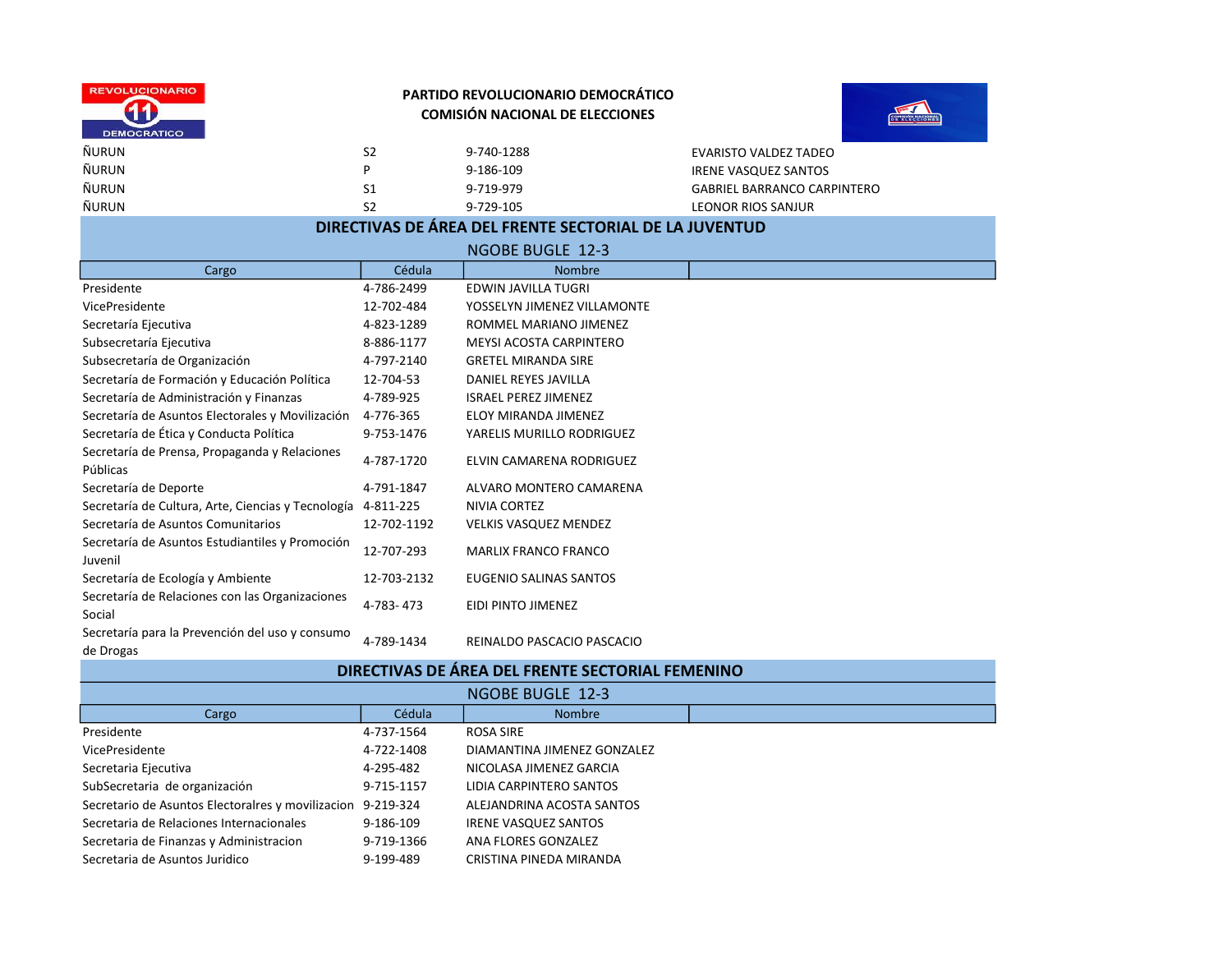



| <b>ÑURUN</b> | S <sub>2</sub> | $9 - 7$ |
|--------------|----------------|---------|
| ÑURUN        | D              | 9-1     |
| ÑURUN        | S1             | $9 - 7$ |
| ÑURUN        | S2             | $9 - 7$ |

Z40-1288 EVARISTO VALDEZ TADEO **186-109 IRENE VASQUEZ SANTOS** 719-979 GABRIEL BARRANCO CARPINTERO The S29-105 LEONOR RIOS SANJUR

# DIRECTIVAS DE ÁREA DEL FRENTE SECTORIAL DE LA JUVENTUD

|                                                              |             | <b>NGOBE BUGLE 12-3</b>                                                  |  |
|--------------------------------------------------------------|-------------|--------------------------------------------------------------------------|--|
| Cargo                                                        | Cédula      | <b>Nombre</b>                                                            |  |
| Presidente                                                   | 4-786-2499  | <b>EDWIN JAVILLA TUGRI</b>                                               |  |
| VicePresidente                                               | 12-702-484  | YOSSELYN JIMENEZ VILLAMONTE                                              |  |
| Secretaría Ejecutiva                                         | 4-823-1289  | ROMMEL MARIANO JIMENEZ                                                   |  |
| Subsecretaría Ejecutiva                                      | 8-886-1177  | <b>MEYSI ACOSTA CARPINTERO</b>                                           |  |
| Subsecretaría de Organización                                | 4-797-2140  | <b>GRETEL MIRANDA SIRE</b>                                               |  |
| Secretaría de Formación y Educación Política                 | 12-704-53   | DANIEL REYES JAVILLA                                                     |  |
| Secretaría de Administración y Finanzas                      | 4-789-925   | <b>ISRAEL PEREZ JIMENEZ</b>                                              |  |
| Secretaría de Asuntos Electorales y Movilización             | 4-776-365   | <b>ELOY MIRANDA JIMENEZ</b>                                              |  |
| Secretaría de Ética y Conducta Política                      | 9-753-1476  | YARELIS MURILLO RODRIGUEZ                                                |  |
| Secretaría de Prensa, Propaganda y Relaciones                | 4-787-1720  | ELVIN CAMARENA RODRIGUEZ                                                 |  |
| Públicas                                                     |             |                                                                          |  |
| Secretaría de Deporte                                        | 4-791-1847  | ALVARO MONTERO CAMARENA                                                  |  |
| Secretaría de Cultura, Arte, Ciencias y Tecnología           | 4-811-225   | NIVIA CORTEZ                                                             |  |
| Secretaría de Asuntos Comunitarios                           | 12-702-1192 | <b>VELKIS VASQUEZ MENDEZ</b>                                             |  |
| Secretaría de Asuntos Estudiantiles y Promoción<br>Juvenil   | 12-707-293  | <b>MARLIX FRANCO FRANCO</b>                                              |  |
| Secretaría de Ecología y Ambiente                            | 12-703-2132 | EUGENIO SALINAS SANTOS                                                   |  |
| Secretaría de Relaciones con las Organizaciones<br>Social    | 4-783-473   | EIDI PINTO JIMENEZ                                                       |  |
| Secretaría para la Prevención del uso y consumo<br>de Drogas | 4-789-1434  | REINALDO PASCACIO PASCACIO<br><b>Contract Contract Contract Contract</b> |  |

| DIRECTIVAS DE ÁREA DEL FRENTE SECTORIAL FEMENINO  |                  |                             |  |  |  |
|---------------------------------------------------|------------------|-----------------------------|--|--|--|
|                                                   | NGOBE BUGLE 12-3 |                             |  |  |  |
| Cargo                                             | Cédula           | <b>Nombre</b>               |  |  |  |
| Presidente                                        | 4-737-1564       | ROSA SIRE                   |  |  |  |
| VicePresidente                                    | 4-722-1408       | DIAMANTINA JIMENEZ GONZALEZ |  |  |  |
| Secretaria Ejecutiva                              | 4-295-482        | NICOLASA JIMENEZ GARCIA     |  |  |  |
| SubSecretaria de organización                     | 9-715-1157       | LIDIA CARPINTERO SANTOS     |  |  |  |
| Secretario de Asuntos Electoralres y movilizacion | 9-219-324        | ALEJANDRINA ACOSTA SANTOS   |  |  |  |
| Secretaria de Relaciones Internacionales          | 9-186-109        | <b>IRENE VASQUEZ SANTOS</b> |  |  |  |
| Secretaria de Finanzas y Administracion           | 9-719-1366       | ANA FLORES GONZALEZ         |  |  |  |
| Secretaria de Asuntos Juridico                    | 9-199-489        | CRISTINA PINEDA MIRANDA     |  |  |  |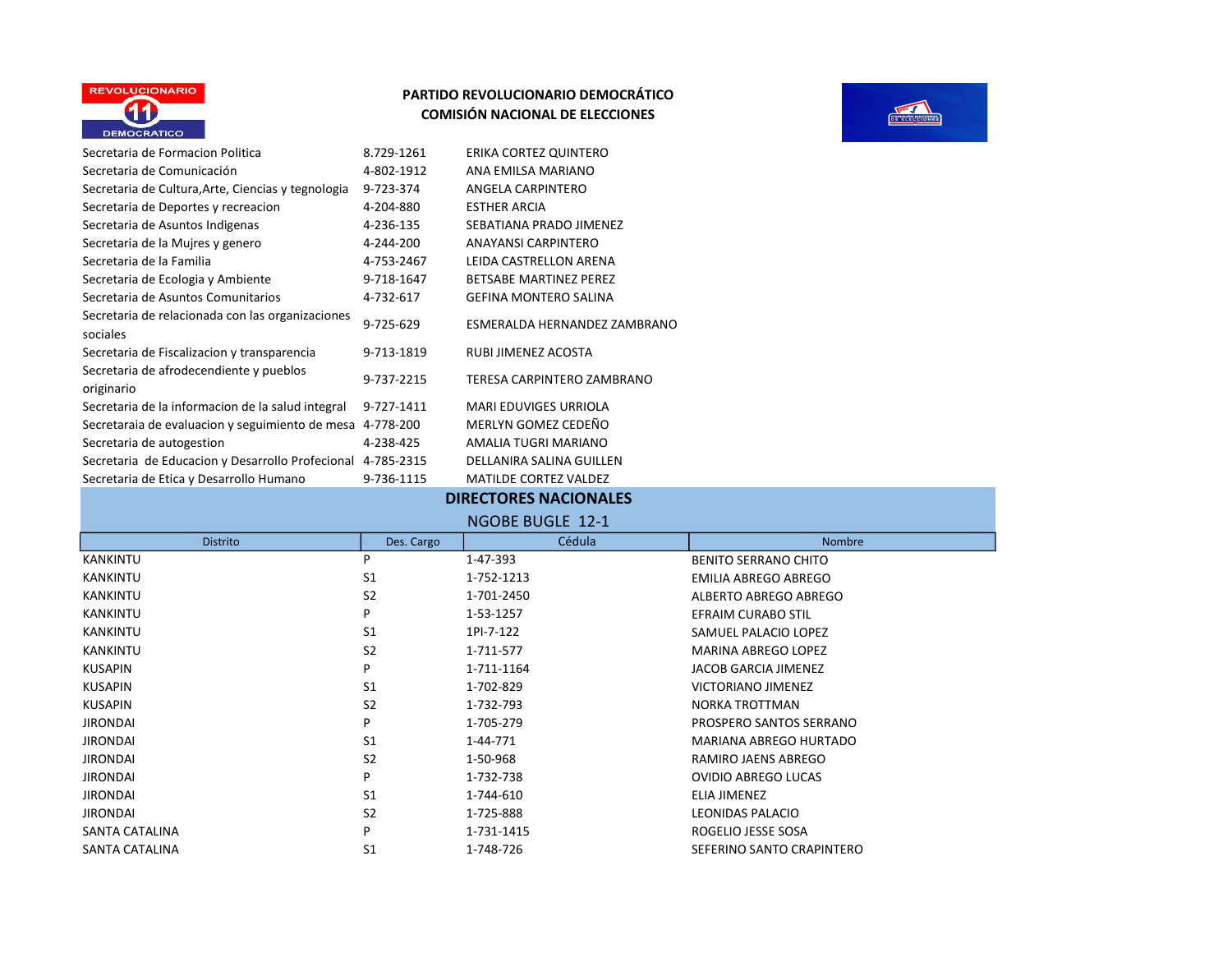



| Secretaria de Formacion Politica                             | 8.729-1261 | ERIKA CORTEZ QUINTERO         |
|--------------------------------------------------------------|------------|-------------------------------|
| Secretaria de Comunicación                                   | 4-802-1912 | ANA EMILSA MARIANO            |
| Secretaria de Cultura, Arte, Ciencias y tegnologia           | 9-723-374  | ANGELA CARPINTERO             |
| Secretaria de Deportes y recreacion                          | 4-204-880  | <b>ESTHER ARCIA</b>           |
| Secretaria de Asuntos Indigenas                              | 4-236-135  | SEBATIANA PRADO JIMENEZ       |
| Secretaria de la Mujres y genero                             | 4-244-200  | <b>ANAYANSI CARPINTERO</b>    |
| Secretaria de la Familia                                     | 4-753-2467 | LEIDA CASTRELLON ARENA        |
| Secretaria de Ecologia y Ambiente                            | 9-718-1647 | <b>BETSABE MARTINEZ PEREZ</b> |
| Secretaria de Asuntos Comunitarios                           | 4-732-617  | <b>GEFINA MONTERO SALINA</b>  |
| Secretaria de relacionada con las organizaciones<br>sociales | 9-725-629  | ESMERALDA HERNANDEZ ZAMBRANO  |
| Secretaria de Fiscalizacion y transparencia                  | 9-713-1819 | RUBI JIMENEZ ACOSTA           |
| Secretaria de afrodecendiente y pueblos<br>originario        | 9-737-2215 | TERESA CARPINTERO ZAMBRANO    |
| Secretaria de la informacion de la salud integral            | 9-727-1411 | <b>MARI EDUVIGES URRIOLA</b>  |
| Secretaraia de evaluacion y seguimiento de mesa              | 4-778-200  | MERLYN GOMEZ CEDEÑO           |
| Secretaria de autogestion                                    | 4-238-425  | AMALIA TUGRI MARIANO          |
| Secretaria de Educacion y Desarrollo Profecional             | 4-785-2315 | DELLANIRA SALINA GUILLEN      |
| Secretaria de Etica y Desarrollo Humano                      | 9-736-1115 | <b>MATILDE CORTEZ VALDEZ</b>  |

## DIRECTORES NACIONALES

| NGOBE BUGLE  12-1 |  |
|-------------------|--|
|                   |  |

| . |                 |                |            |                             |
|---|-----------------|----------------|------------|-----------------------------|
|   | <b>Distrito</b> | Des. Cargo     | Cédula     | <b>Nombre</b>               |
|   | <b>KANKINTU</b> | P              | 1-47-393   | <b>BENITO SERRANO CHITO</b> |
|   | <b>KANKINTU</b> | S <sub>1</sub> | 1-752-1213 | <b>EMILIA ABREGO ABREGO</b> |
|   | <b>KANKINTU</b> | S <sub>2</sub> | 1-701-2450 | ALBERTO ABREGO ABREGO       |
|   | <b>KANKINTU</b> | P              | 1-53-1257  | <b>EFRAIM CURABO STIL</b>   |
|   | <b>KANKINTU</b> | S <sub>1</sub> | 1PI-7-122  | SAMUEL PALACIO LOPEZ        |
|   | <b>KANKINTU</b> | S <sub>2</sub> | 1-711-577  | <b>MARINA ABREGO LOPEZ</b>  |
|   | KUSAPIN         | P              | 1-711-1164 | <b>JACOB GARCIA JIMENEZ</b> |
|   | <b>KUSAPIN</b>  | S <sub>1</sub> | 1-702-829  | VICTORIANO JIMENEZ          |
|   | <b>KUSAPIN</b>  | S <sub>2</sub> | 1-732-793  | NORKA TROTTMAN              |
|   | <b>JIRONDAI</b> | P              | 1-705-279  | PROSPERO SANTOS SERRANO     |
|   | <b>JIRONDAI</b> | S <sub>1</sub> | 1-44-771   | MARIANA ABREGO HURTADO      |
|   | <b>JIRONDAI</b> | S <sub>2</sub> | 1-50-968   | RAMIRO JAENS ABREGO         |
|   | <b>JIRONDAI</b> | P              | 1-732-738  | <b>OVIDIO ABREGO LUCAS</b>  |
|   | <b>JIRONDAI</b> | S <sub>1</sub> | 1-744-610  | ELIA JIMENEZ                |
|   | <b>JIRONDAI</b> | S <sub>2</sub> | 1-725-888  | <b>LEONIDAS PALACIO</b>     |
|   | SANTA CATALINA  | P              | 1-731-1415 | ROGELIO JESSE SOSA          |
|   | SANTA CATALINA  | S <sub>1</sub> | 1-748-726  | SEFERINO SANTO CRAPINTERO   |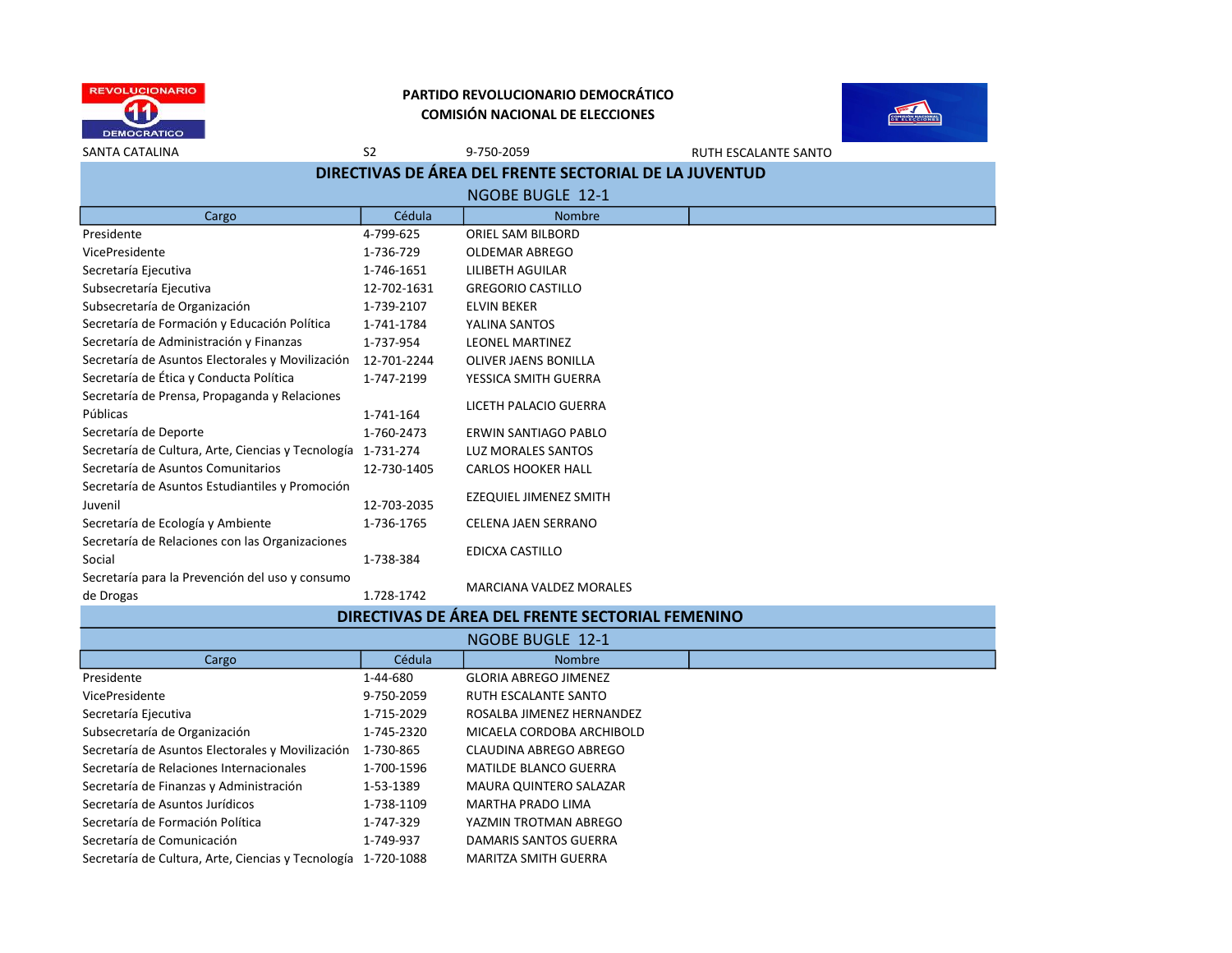

Secretaría para la Prevención del uso y consumo

#### PARTIDO REVOLUCIONARIO DEMOCRÁTICO COMISIÓN NACIONAL DE ELECCIONES



SANTA CATALINA SANTA SANTA SANTA SANTA SANTA SANTA SANTA SANTO SANTA SANTO SANTA SANTO SANTO SANTO SANTO SANTO Cargo **Cargo Cédula** (Cédula de Nombre Presidente 4-799-625 ORIEL SAM BILBORD VicePresidente 1-736-729 OLDEMAR ABREGO Secretaría Ejecutiva 1-746-1651 LILIBETH AGUILAR Subsecretaría Ejecutiva 12-702-1631 GREGORIO CASTILLO Subsecretaría de Organización  $1-739-2107$  ELVIN BEKER Secretaría de Formación y Educación Política 1-741-1784 YALINA SANTOS Secretaría de Administración y Finanzas 1-737-954 LEONEL MARTINEZ Secretaría de Asuntos Electorales y Movilización 12-701-2244 OLIVER JAENS BONILLA Secretaría de Ética y Conducta Política  $1-747-2199$  YESSICA SMITH GUERRA Secretaría de Prensa, Propaganda y Relaciones Públicas 1-741-164 LICETH PALACIO GUERRA Secretaría de Deporte  $1-760-2473$  ERWIN SANTIAGO PABLO Secretaría de Cultura, Arte, Ciencias y Tecnología 1-731-274 LUZ MORALES SANTOS Secretaría de Asuntos Comunitarios 12-730-1405 CARLOS HOOKER HALL Secretaría de Asuntos Estudiantiles y Promoción Juvenil 12-703-2035 EZEQUIEL JIMENEZ SMITH Secretaría de Ecología y Ambiente 1-736-1765 CELENA JAEN SERRANO Secretaría de Relaciones con las Organizaciones Social EDICXA CASTILLO<br>1-738-384 EDICXA CASTILLO DIRECTIVAS DE ÁREA DEL FRENTE SECTORIAL DE LA JUVENTUD NGOBE BUGLE 12-1

# de Drogas de Progas 1.728-1742 MARCIANA VALDEZ MORALES

| DIRECTIVAS DE ÁREA DEL FRENTE SECTORIAL FEMENINO              |            |                               |  |
|---------------------------------------------------------------|------------|-------------------------------|--|
|                                                               |            | NGOBE BUGLE 12-1              |  |
| Cargo                                                         | Cédula     | <b>Nombre</b>                 |  |
| Presidente                                                    | 1-44-680   | <b>GLORIA ABREGO JIMENEZ</b>  |  |
| VicePresidente                                                | 9-750-2059 | RUTH ESCALANTE SANTO          |  |
| Secretaría Ejecutiva                                          | 1-715-2029 | ROSALBA JIMENEZ HERNANDEZ     |  |
| Subsecretaría de Organización                                 | 1-745-2320 | MICAELA CORDOBA ARCHIBOLD     |  |
| Secretaría de Asuntos Electorales y Movilización              | 1-730-865  | CLAUDINA ABREGO ABREGO        |  |
| Secretaría de Relaciones Internacionales                      | 1-700-1596 | <b>MATILDE BLANCO GUERRA</b>  |  |
| Secretaría de Finanzas y Administración                       | 1-53-1389  | <b>MAURA QUINTERO SALAZAR</b> |  |
| Secretaría de Asuntos Jurídicos                               | 1-738-1109 | MARTHA PRADO LIMA             |  |
| Secretaría de Formación Política                              | 1-747-329  | YAZMIN TROTMAN ABREGO         |  |
| Secretaría de Comunicación                                    | 1-749-937  | DAMARIS SANTOS GUERRA         |  |
| Secretaría de Cultura, Arte, Ciencias y Tecnología 1-720-1088 |            | MARITZA SMITH GUERRA          |  |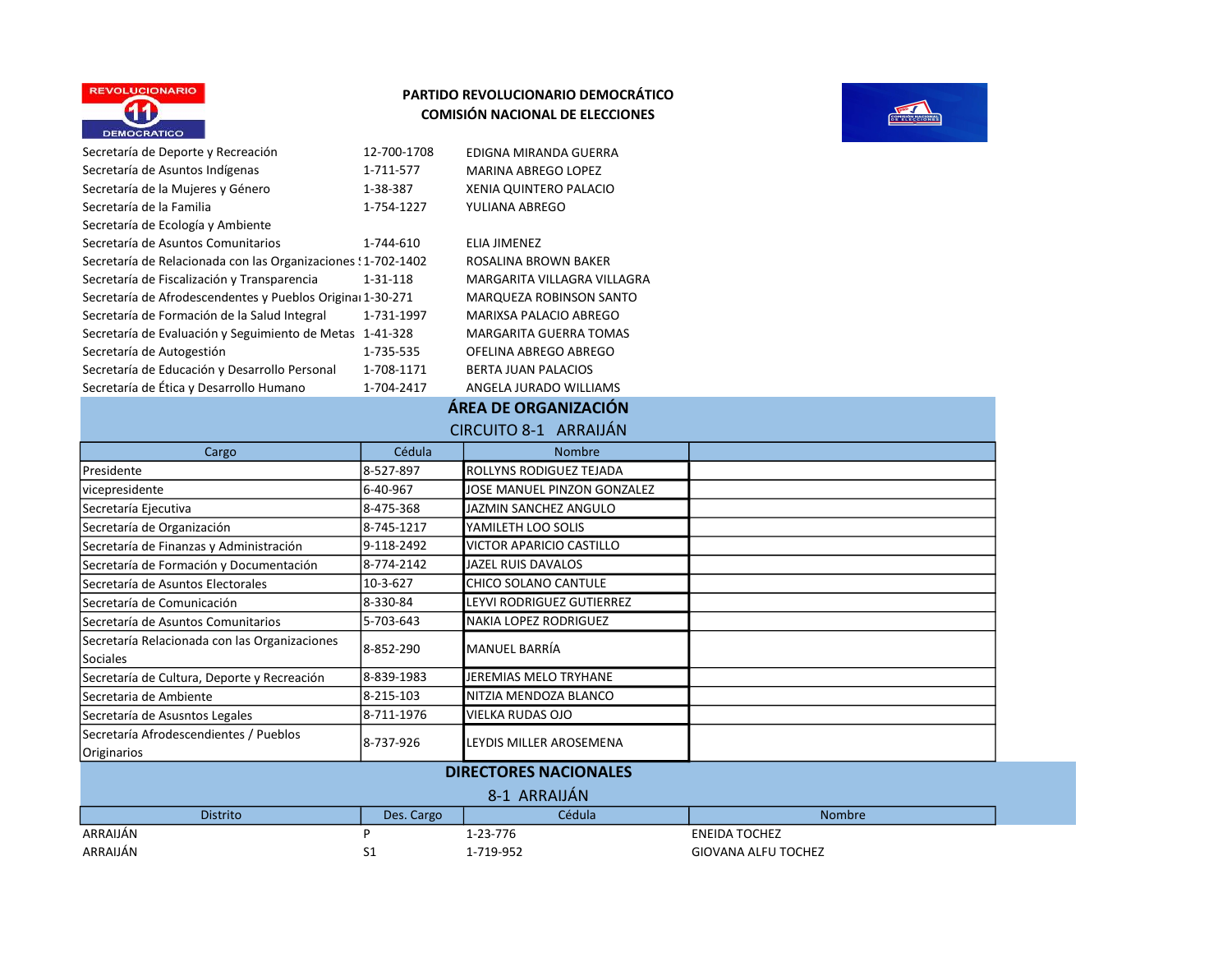



| Secretaría de Deporte y Recreación                            | 12-700-1708 | EDIGNA MIRANDA GUERRA        |
|---------------------------------------------------------------|-------------|------------------------------|
| Secretaría de Asuntos Indígenas                               | 1-711-577   | <b>MARINA ABREGO LOPEZ</b>   |
| Secretaría de la Mujeres y Género                             | 1-38-387    | XENIA QUINTERO PALACIO       |
| Secretaría de la Familia                                      | 1-754-1227  | YULIANA ABREGO               |
| Secretaría de Ecología y Ambiente                             |             |                              |
| Secretaría de Asuntos Comunitarios                            | 1-744-610   | ELIA JIMENEZ                 |
| Secretaría de Relacionada con las Organizaciones : 1-702-1402 |             | ROSALINA BROWN BAKER         |
| Secretaría de Fiscalización y Transparencia                   | 1-31-118    | MARGARITA VILLAGRA VILLA     |
| Secretaría de Afrodescendentes y Pueblos Original 1-30-271    |             | <b>MARQUEZA ROBINSON SAN</b> |
| Secretaría de Formación de la Salud Integral                  | 1-731-1997  | MARIXSA PALACIO ABREGO       |
| Secretaría de Evaluación y Seguimiento de Metas               | 1-41-328    | MARGARITA GUERRA TOMA        |
| Secretaría de Autogestión                                     | 1-735-535   | OFELINA ABREGO ABREGO        |
| Secretaría de Educación y Desarrollo Personal                 | 1-708-1171  | <b>BERTA JUAN PALACIOS</b>   |
| Secretaría de Ética y Desarrollo Humano                       | 1-704-2417  | ANGELA JURADO WILLIAMS       |

ELIA JIMENEZ ROSALINA BROWN BAKER MARGARITA VILLAGRA VILLAGRA MARQUEZA ROBINSON SANTO Secretaría de Formación de la Salud Integral 1-731-1997 MARIXSA PALACIO ABREGO **MARGARITA GUERRA TOMAS** SECLINA ABREGO ABREGO **BERTA JUAN PALACIOS SECA JURADO WILLIAMS** 

## ÁREA DE ORGANIZACIÓN

#### CIRCUITO 8-1 ARRAIJÁN

| Cargo                                                     | Cédula     | <b>Nombre</b>                |  |
|-----------------------------------------------------------|------------|------------------------------|--|
| l Presidente                                              | 8-527-897  | ROLLYNS RODIGUEZ TEJADA      |  |
| vicepresidente                                            | 6-40-967   | JOSE MANUEL PINZON GONZALEZ  |  |
| Secretaría Ejecutiva                                      | 8-475-368  | JAZMIN SANCHEZ ANGULO        |  |
| Secretaría de Organización                                | 8-745-1217 | YAMILETH LOO SOLIS           |  |
| Secretaría de Finanzas y Administración                   | 9-118-2492 | VICTOR APARICIO CASTILLO     |  |
| Secretaría de Formación y Documentación                   | 8-774-2142 | JAZEL RUIS DAVALOS           |  |
| l Secretaría de Asuntos Electorales                       | 10-3-627   | CHICO SOLANO CANTULE         |  |
| lSecretaría de Comunicación                               | 8-330-84   | LEYVI RODRIGUEZ GUTIERREZ    |  |
| Secretaría de Asuntos Comunitarios                        | 5-703-643  | NAKIA LOPEZ RODRIGUEZ        |  |
| Secretaría Relacionada con las Organizaciones<br>Sociales | 8--852-290 | MANUEL BARRÍA                |  |
| Secretaría de Cultura, Deporte y Recreación               | 8-839-1983 | JEREMIAS MELO TRYHANE        |  |
| Secretaria de Ambiente                                    | 8-215-103  | NITZIA MENDOZA BLANCO        |  |
| Secretaría de Asusntos Legales                            | 8-711-1976 | VIELKA RUDAS OJO             |  |
| Secretaría Afrodescendientes / Pueblos<br>Originarios     | 8-737-926  | LEYDIS MILLER AROSEMENA      |  |
|                                                           |            | <b>DIRECTORES NACIONALES</b> |  |
|                                                           |            | 8-1 ARRAIJÁN                 |  |

| $0 - 1$ $\sim$ $\sim$ $\sim$ $\sim$ $\sim$ |            |           |                      |  |
|--------------------------------------------|------------|-----------|----------------------|--|
| <b>Distrito</b>                            | Des. Cargo | Cédula    | <b>Nombre</b>        |  |
| ARRAIJÁN                                   |            | 1-23-776  | <b>ENEIDA TOCHEZ</b> |  |
| ARRAIJÁN                                   | ᇰᆂ         | 1-719-952 | GIOVANA ALFU TOCHEZ  |  |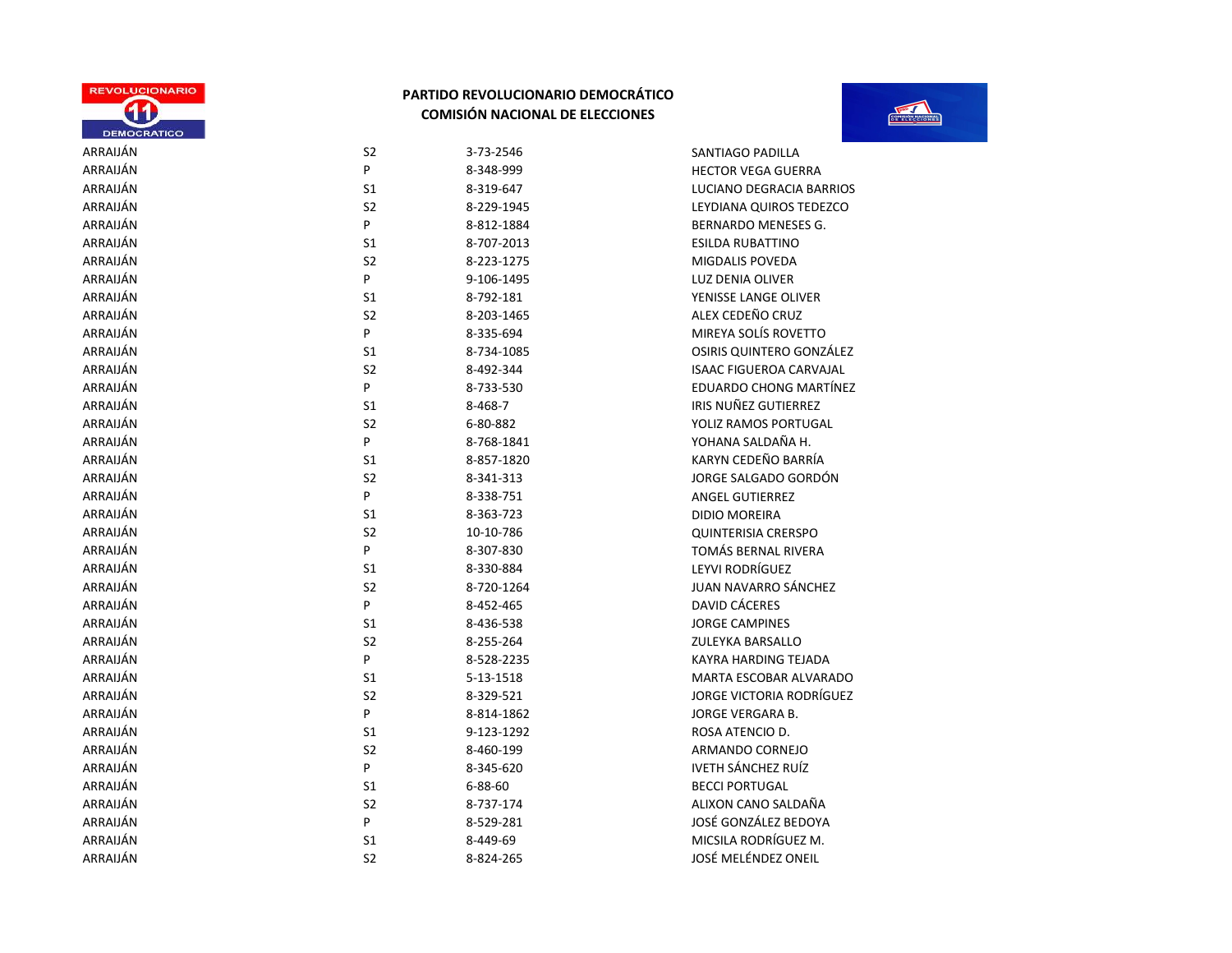



| <b>UEMUCRATICU</b> |                |               |                             |
|--------------------|----------------|---------------|-----------------------------|
| ARRAIJÁN           | S2             | 3-73-2546     | SANTIAGO PADILLA            |
| ARRAIJÁN           | P              | 8-348-999     | <b>HECTOR VEGA GUERRA</b>   |
| ARRAIJÁN           | S <sub>1</sub> | 8-319-647     | <b>LUCIANO DEGRACIA BAF</b> |
| ARRAIJÁN           | S2             | 8-229-1945    | LEYDIANA QUIROS TEDE        |
| ARRAIJÁN           | P              | 8-812-1884    | <b>BERNARDO MENESES G.</b>  |
| ARRAIJÁN           | S1             | 8-707-2013    | <b>ESILDA RUBATTINO</b>     |
| ARRAIJÁN           | S <sub>2</sub> | 8-223-1275    | <b>MIGDALIS POVEDA</b>      |
| ARRAIJÁN           | P              | 9-106-1495    | <b>LUZ DENIA OLIVER</b>     |
| ARRAIJÁN           | S <sub>1</sub> | 8-792-181     | YENISSE LANGE OLIVER        |
| ARRAIJÁN           | S <sub>2</sub> | 8-203-1465    | ALEX CEDEÑO CRUZ            |
| ARRAIJÁN           | P              | 8-335-694     | MIREYA SOLÍS ROVETTO        |
| ARRAIJÁN           | S <sub>1</sub> | 8-734-1085    | <b>OSIRIS QUINTERO GONZ</b> |
| ARRAIJÁN           | S <sub>2</sub> | 8-492-344     | <b>ISAAC FIGUEROA CARVA</b> |
| ARRAIJÁN           | P              | 8-733-530     | <b>EDUARDO CHONG MART</b>   |
| ARRAIJÁN           | S <sub>1</sub> | 8-468-7       | IRIS NUÑEZ GUTIERREZ        |
| ARRAIJÁN           | S <sub>2</sub> | 6-80-882      | YOLIZ RAMOS PORTUGA         |
| ARRAIJÁN           | P              | 8-768-1841    | YOHANA SALDAÑA H.           |
| ARRAIJÁN           | S <sub>1</sub> | 8-857-1820    | KARYN CEDEÑO BARRÍA         |
| ARRAIJÁN           | S <sub>2</sub> | 8-341-313     | JORGE SALGADO GORDÓ         |
| ARRAIJÁN           | P              | 8-338-751     | <b>ANGEL GUTIERREZ</b>      |
| ARRAIJÁN           | S <sub>1</sub> | 8-363-723     | <b>DIDIO MOREIRA</b>        |
| ARRAIJÁN           | S <sub>2</sub> | 10-10-786     | <b>QUINTERISIA CRERSPO</b>  |
| ARRAIJÁN           | P              | 8-307-830     | TOMÁS BERNAL RIVERA         |
| ARRAIJÁN           | S <sub>1</sub> | 8-330-884     | LEYVI RODRÍGUEZ             |
| ARRAIJÁN           | S <sub>2</sub> | 8-720-1264    | <b>JUAN NAVARRO SÁNCHE</b>  |
| ARRAIJÁN           | P              | 8-452-465     | DAVID CÁCERES               |
| ARRAIJÁN           | S1             | 8-436-538     | <b>JORGE CAMPINES</b>       |
| ARRAIJÁN           | S <sub>2</sub> | 8-255-264     | <b>ZULEYKA BARSALLO</b>     |
| ARRAIJÁN           | P              | 8-528-2235    | <b>KAYRA HARDING TEJADA</b> |
| ARRAIJÁN           | S <sub>1</sub> | 5-13-1518     | <b>MARTA ESCOBAR ALVAR</b>  |
| ARRAIJÁN           | S <sub>2</sub> | 8-329-521     | JORGE VICTORIA RODRÍO       |
| ARRAIJÁN           | P              | 8-814-1862    | JORGE VERGARA B.            |
| ARRAIJÁN           | S <sub>1</sub> | 9-123-1292    | ROSA ATENCIO D.             |
| ARRAIJÁN           | S <sub>2</sub> | 8-460-199     | ARMANDO CORNEJO             |
| ARRAIJÁN           | P              | 8-345-620     | <b>IVETH SÁNCHEZ RUÍZ</b>   |
| ARRAIJÁN           | S1             | $6 - 88 - 60$ | <b>BECCI PORTUGAL</b>       |
| ARRAIJÁN           | S <sub>2</sub> | 8-737-174     | ALIXON CANO SALDAÑA         |
| ARRAIJÁN           | P              | 8-529-281     | JOSÉ GONZÁLEZ BEDOYA        |
| ARRAIIÁN           | S <sub>1</sub> | 8-449-69      | MICSILA RODRÍGUEZ M         |

| S <sub>2</sub> | 3-73-2546     | SANTIAGO PADILLA               |
|----------------|---------------|--------------------------------|
| P              | 8-348-999     | <b>HECTOR VEGA GUERRA</b>      |
| S1             | 8-319-647     | LUCIANO DEGRACIA BARRIOS       |
| S <sub>2</sub> | 8-229-1945    | LEYDIANA QUIROS TEDEZCO        |
| P              | 8-812-1884    | <b>BERNARDO MENESES G.</b>     |
| S1             | 8-707-2013    | <b>ESILDA RUBATTINO</b>        |
| S2             | 8-223-1275    | MIGDALIS POVEDA                |
| P              | 9-106-1495    | <b>LUZ DENIA OLIVER</b>        |
| S1             | 8-792-181     | YENISSE LANGE OLIVER           |
| S <sub>2</sub> | 8-203-1465    | ALEX CEDEÑO CRUZ               |
| P              | 8-335-694     | MIREYA SOLÍS ROVETTO           |
| S1             | 8-734-1085    | OSIRIS QUINTERO GONZÁLEZ       |
| S <sub>2</sub> | 8-492-344     | <b>ISAAC FIGUEROA CARVAJAL</b> |
| P              | 8-733-530     | EDUARDO CHONG MARTÍNEZ         |
| S1             | 8-468-7       | IRIS NUÑEZ GUTIERREZ           |
| S <sub>2</sub> | 6-80-882      | YOLIZ RAMOS PORTUGAL           |
| P              | 8-768-1841    | YOHANA SALDAÑA H.              |
| S <sub>1</sub> | 8-857-1820    | KARYN CEDEÑO BARRÍA            |
| S <sub>2</sub> | 8-341-313     | JORGE SALGADO GORDÓN           |
| P              | 8-338-751     | <b>ANGEL GUTIERREZ</b>         |
| S1             | 8-363-723     | <b>DIDIO MOREIRA</b>           |
| S <sub>2</sub> | 10-10-786     | <b>QUINTERISIA CRERSPO</b>     |
| P              | 8-307-830     | TOMÁS BERNAL RIVERA            |
| S1             | 8-330-884     | LEYVI RODRÍGUEZ                |
| S <sub>2</sub> | 8-720-1264    | JUAN NAVARRO SÁNCHEZ           |
| P              | 8-452-465     | DAVID CÁCERES                  |
| S1             | 8-436-538     | <b>JORGE CAMPINES</b>          |
| S <sub>2</sub> | 8-255-264     | ZULEYKA BARSALLO               |
| P              | 8-528-2235    | KAYRA HARDING TEJADA           |
| S1             | 5-13-1518     | MARTA ESCOBAR ALVARADO         |
| S <sub>2</sub> | 8-329-521     | JORGE VICTORIA RODRÍGUEZ       |
| P              | 8-814-1862    | JORGE VERGARA B.               |
| S1             | 9-123-1292    | ROSA ATENCIO D.                |
| S <sub>2</sub> | 8-460-199     | ARMANDO CORNEJO                |
| P              | 8-345-620     | <b>IVETH SÁNCHEZ RUÍZ</b>      |
| S <sub>1</sub> | $6 - 88 - 60$ | <b>BECCI PORTUGAL</b>          |
| S <sub>2</sub> | 8-737-174     | ALIXON CANO SALDAÑA            |
| P              | 8-529-281     | JOSÉ GONZÁLEZ BEDOYA           |

ARRAIJÁN SZ SZ 8-824-265 SZ JOSÉ MELÉNDEZ ONEIL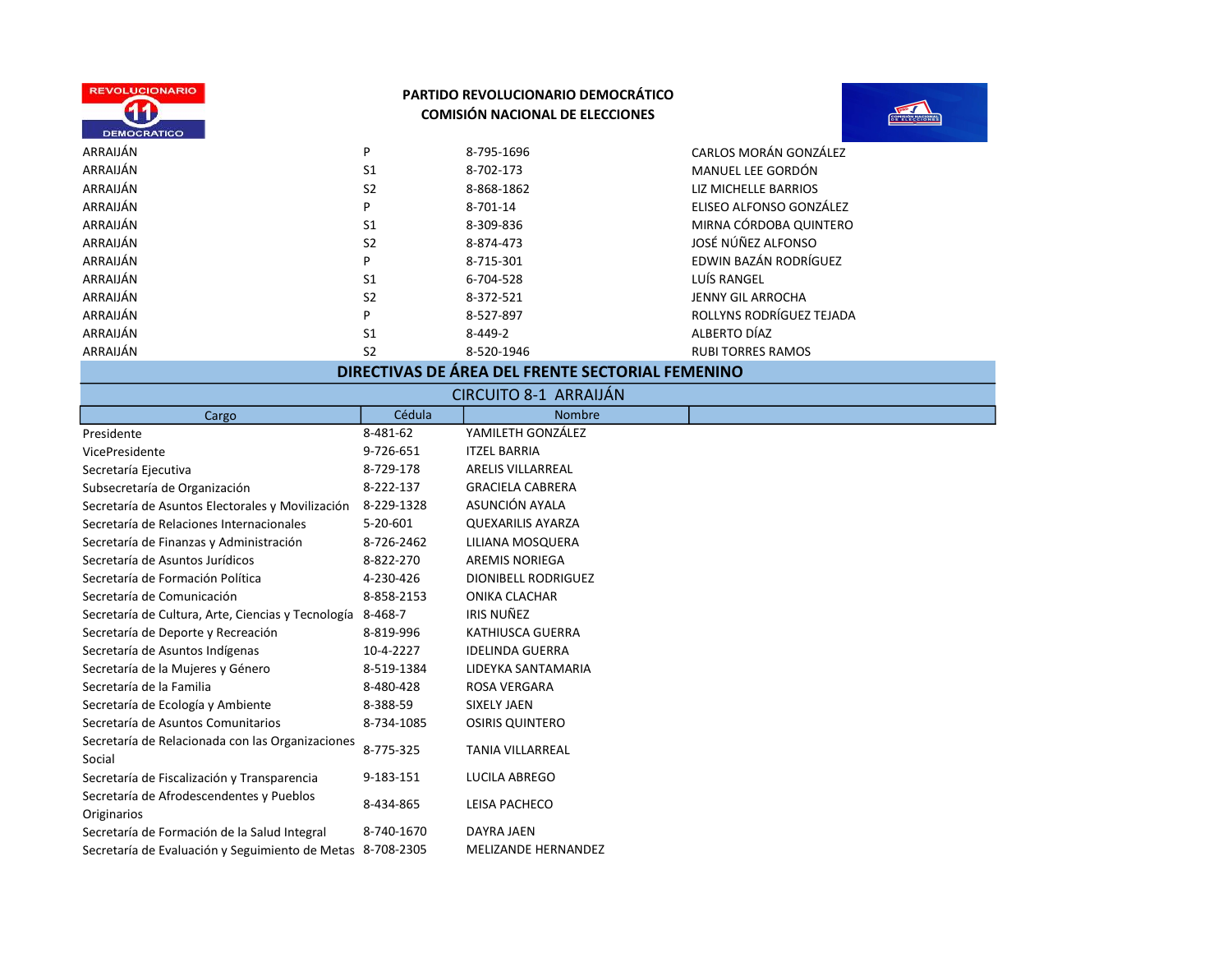



| ARRAIJÁN | P              | 8-795-1696 | CARLOS MORÁN GONZÁLEZ    |
|----------|----------------|------------|--------------------------|
| ARRAIJÁN | S <sub>1</sub> | 8-702-173  | MANUEL LEE GORDÓN        |
| ARRAIJÁN | S <sub>2</sub> | 8-868-1862 | LIZ MICHELLE BARRIOS     |
| ARRAIJÁN | P              | 8-701-14   | ELISEO ALFONSO GONZÁLEZ  |
| ARRAIJÁN | S <sub>1</sub> | 8-309-836  | MIRNA CÓRDOBA QUINTERO   |
| ARRAIJÁN | S <sub>2</sub> | 8-874-473  | JOSÉ NÚÑEZ ALFONSO       |
| ARRAIJÁN | P              | 8-715-301  | EDWIN BAZÁN RODRÍGUEZ    |
| ARRAIJÁN | S <sub>1</sub> | 6-704-528  | LUÍS RANGEL              |
| ARRAIJÁN | S <sub>2</sub> | 8-372-521  | <b>JENNY GIL ARROCHA</b> |
| ARRAIJÁN | P              | 8-527-897  | ROLLYNS RODRÍGUEZ TEJADA |
| ARRAIJÁN | S <sub>1</sub> | 8-449-2    | ALBERTO DÍAZ             |
| ARRAIJÁN | S <sub>2</sub> | 8-520-1946 | <b>RUBI TORRES RAMOS</b> |

# DIRECTIVAS DE ÁREA DEL FRENTE SECTORIAL FEMENINO

| <b>CIRCUITO 8-1 ARRAIJAN</b>                               |            |                            |  |  |
|------------------------------------------------------------|------------|----------------------------|--|--|
| Cargo                                                      | Cédula     | <b>Nombre</b>              |  |  |
| Presidente                                                 | 8-481-62   | YAMILETH GONZÁLEZ          |  |  |
| VicePresidente                                             | 9-726-651  | <b>ITZEL BARRIA</b>        |  |  |
| Secretaría Ejecutiva                                       | 8-729-178  | <b>ARELIS VILLARREAL</b>   |  |  |
| Subsecretaría de Organización                              | 8-222-137  | <b>GRACIELA CABRERA</b>    |  |  |
| Secretaría de Asuntos Electorales y Movilización           | 8-229-1328 | ASUNCIÓN AYALA             |  |  |
| Secretaría de Relaciones Internacionales                   | 5-20-601   | <b>QUEXARILIS AYARZA</b>   |  |  |
| Secretaría de Finanzas y Administración                    | 8-726-2462 | LILIANA MOSQUERA           |  |  |
| Secretaría de Asuntos Jurídicos                            | 8-822-270  | <b>AREMIS NORIEGA</b>      |  |  |
| Secretaría de Formación Política                           | 4-230-426  | <b>DIONIBELL RODRIGUEZ</b> |  |  |
| Secretaría de Comunicación                                 | 8-858-2153 | ONIKA CLACHAR              |  |  |
| Secretaría de Cultura, Arte, Ciencias y Tecnología         | 8-468-7    | <b>IRIS NUÑEZ</b>          |  |  |
| Secretaría de Deporte y Recreación                         | 8-819-996  | KATHIUSCA GUERRA           |  |  |
| Secretaría de Asuntos Indígenas                            | 10-4-2227  | <b>IDELINDA GUERRA</b>     |  |  |
| Secretaría de la Mujeres y Género                          | 8-519-1384 | LIDEYKA SANTAMARIA         |  |  |
| Secretaría de la Familia                                   | 8-480-428  | ROSA VERGARA               |  |  |
| Secretaría de Ecología y Ambiente                          | 8-388-59   | <b>SIXELY JAEN</b>         |  |  |
| Secretaría de Asuntos Comunitarios                         | 8-734-1085 | <b>OSIRIS QUINTERO</b>     |  |  |
| Secretaría de Relacionada con las Organizaciones<br>Social | 8-775-325  | <b>TANIA VILLARREAL</b>    |  |  |
| Secretaría de Fiscalización y Transparencia                | 9-183-151  | <b>LUCILA ABREGO</b>       |  |  |
| Secretaría de Afrodescendentes y Pueblos<br>Originarios    | 8-434-865  | LEISA PACHECO              |  |  |
| Secretaría de Formación de la Salud Integral               | 8-740-1670 | <b>DAYRA JAEN</b>          |  |  |
| Secretaría de Evaluación y Seguimiento de Metas 8-708-2305 |            | <b>MELIZANDE HERNANDEZ</b> |  |  |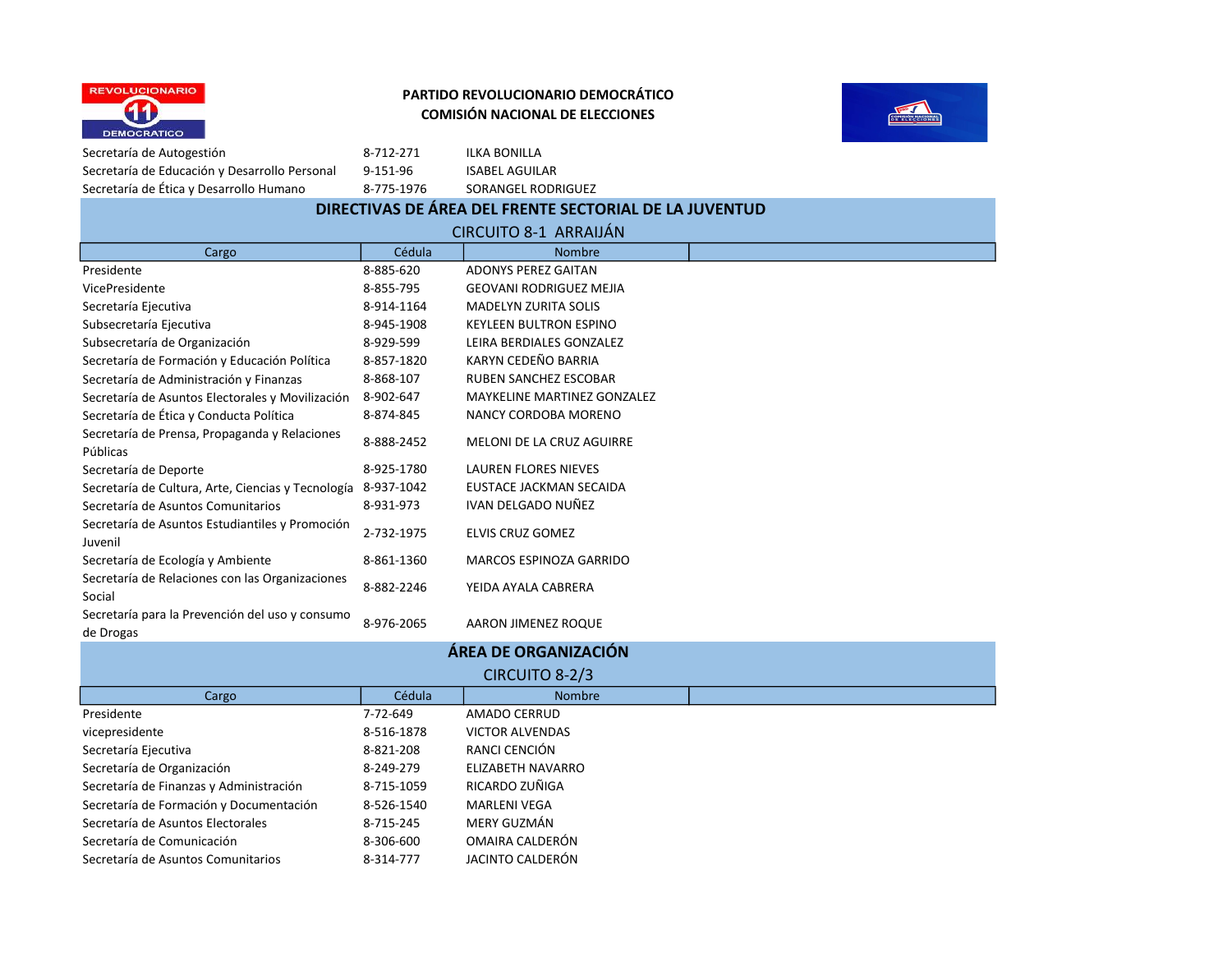



Secretaría de Autogestión 68-712-271 ILKA BONILLA Secretaría de Educación y Desarrollo Personal 9-151-96 ISABEL AGUILAR Secretaría de Ética y Desarrollo Humano 8-775-1976 SORANGEL RODRIGUEZ

# DIRECTIVAS DE ÁREA DEL FRENTE SECTORIAL DE LA JUVENTUD

|                                                              |            | <b>CIRCUITO 8-1 ARRAIJAN</b>          |  |
|--------------------------------------------------------------|------------|---------------------------------------|--|
| Cargo                                                        | Cédula     | <b>Nombre</b>                         |  |
| Presidente                                                   | 8-885-620  | <b>ADONYS PEREZ GAITAN</b>            |  |
| VicePresidente                                               | 8-855-795  | <b>GEOVANI RODRIGUEZ MEJIA</b>        |  |
| Secretaría Ejecutiva                                         | 8-914-1164 | <b>MADELYN ZURITA SOLIS</b>           |  |
| Subsecretaría Ejecutiva                                      | 8-945-1908 | KEYLEEN BULTRON ESPINO                |  |
| Subsecretaría de Organización                                | 8-929-599  | LEIRA BERDIALES GONZALEZ              |  |
| Secretaría de Formación y Educación Política                 | 8-857-1820 | KARYN CEDEÑO BARRIA                   |  |
| Secretaría de Administración y Finanzas                      | 8-868-107  | <b>RUBEN SANCHEZ ESCOBAR</b>          |  |
| Secretaría de Asuntos Electorales y Movilización             | 8-902-647  | <b>MAYKELINE MARTINEZ GONZALEZ</b>    |  |
| Secretaría de Ética y Conducta Política                      | 8-874-845  | NANCY CORDOBA MORENO                  |  |
| Secretaría de Prensa, Propaganda y Relaciones<br>Públicas    | 8-888-2452 | MELONI DE LA CRUZ AGUIRRE             |  |
| Secretaría de Deporte                                        | 8-925-1780 | <b>LAUREN FLORES NIEVES</b>           |  |
| Secretaría de Cultura, Arte, Ciencias y Tecnología           | 8-937-1042 | EUSTACE JACKMAN SECAIDA               |  |
| Secretaría de Asuntos Comunitarios                           | 8-931-973  | IVAN DELGADO NUÑEZ                    |  |
| Secretaría de Asuntos Estudiantiles y Promoción<br>Juvenil   | 2-732-1975 | <b>ELVIS CRUZ GOMEZ</b>               |  |
| Secretaría de Ecología y Ambiente                            | 8-861-1360 | MARCOS ESPINOZA GARRIDO               |  |
| Secretaría de Relaciones con las Organizaciones<br>Social    | 8-882-2246 | YEIDA AYALA CABRERA                   |  |
| Secretaría para la Prevención del uso y consumo<br>de Drogas | 8-976-2065 | AARON JIMENEZ ROQUE                   |  |
|                                                              |            | 5.558.558.0088.0008.0008.00008.000000 |  |

| ÁREA DE ORGANIZACIÓN                    |            |                        |  |
|-----------------------------------------|------------|------------------------|--|
| CIRCUITO 8-2/3                          |            |                        |  |
| Cargo                                   | Cédula     | <b>Nombre</b>          |  |
| Presidente                              | 7-72-649   | AMADO CERRUD           |  |
| vicepresidente                          | 8-516-1878 | <b>VICTOR ALVENDAS</b> |  |
| Secretaría Ejecutiva                    | 8-821-208  | RANCI CENCIÓN          |  |
| Secretaría de Organización              | 8-249-279  | ELIZABETH NAVARRO      |  |
| Secretaría de Finanzas y Administración | 8-715-1059 | RICARDO ZUÑIGA         |  |
| Secretaría de Formación y Documentación | 8-526-1540 | <b>MARLENI VEGA</b>    |  |
| Secretaría de Asuntos Electorales       | 8-715-245  | MERY GUZMÁN            |  |
| Secretaría de Comunicación              | 8-306-600  | OMAIRA CALDERÓN        |  |
| Secretaría de Asuntos Comunitarios      | 8-314-777  | JACINTO CALDERÓN       |  |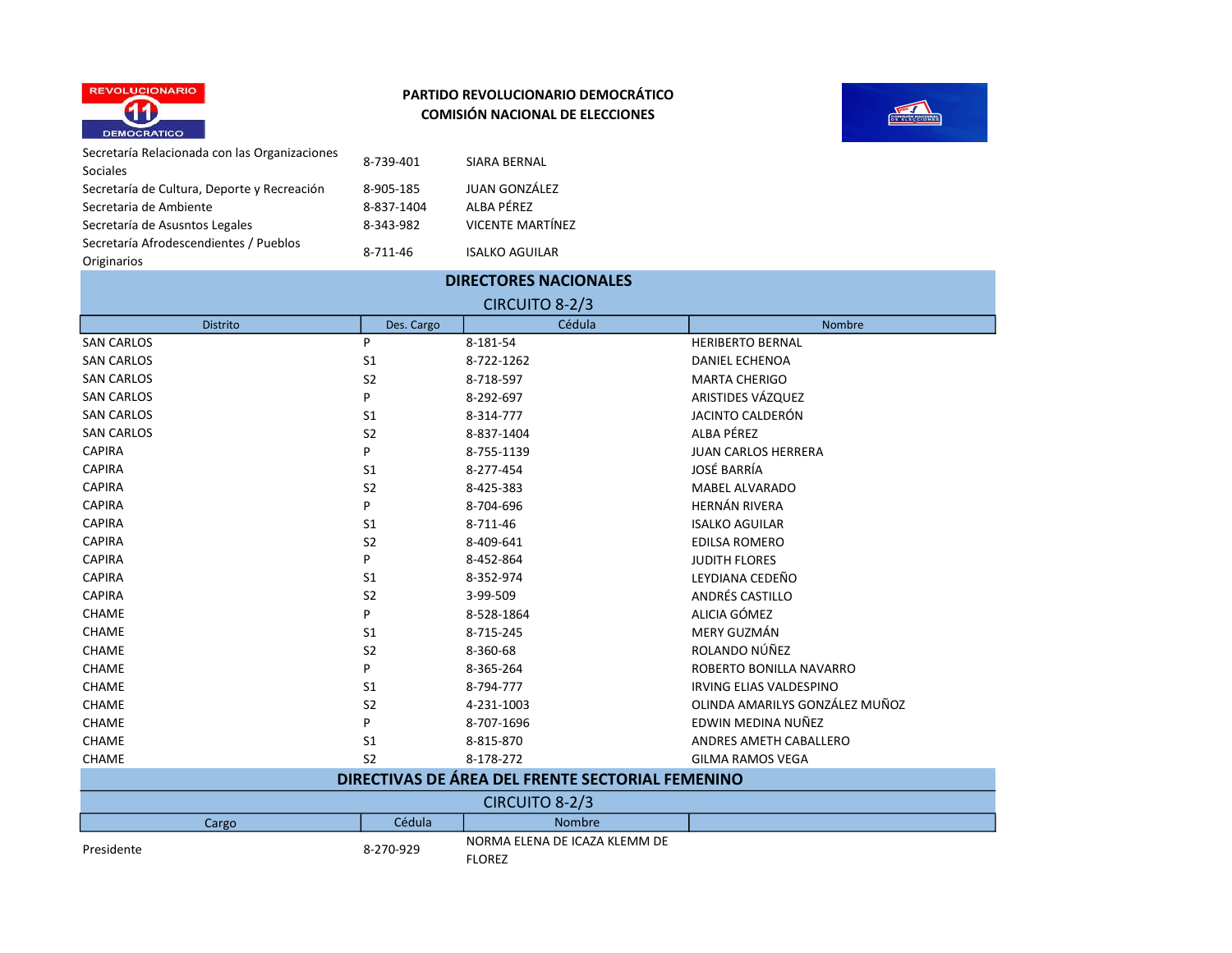



Secretaría Relacionada con las Organizaciones (8-739-401 SIARA BERNAL)<br>Sociales Secretaría de Cultura, Deporte y Recreación  $8-905-185$  JUAN GONZÁLEZ<br>Secretaria de Ambiente  $8-837-1404$  ALBA PÉREZ Secretaria de Ambiente 61 de 1837-1404 Secretaría de Asusntos Legales 68-343-982 VICENTE MARTÍNEZ Secretaría Afrodescendientes / Pueblos Originarios 8-711-46 ISALKO AGUILAR

| <b>DIRECTORES NACIONALES</b> |                |                                                  |                                |  |
|------------------------------|----------------|--------------------------------------------------|--------------------------------|--|
| CIRCUITO 8-2/3               |                |                                                  |                                |  |
| <b>Distrito</b>              | Des. Cargo     | Cédula                                           | <b>Nombre</b>                  |  |
| <b>SAN CARLOS</b>            | P              | 8-181-54                                         | <b>HERIBERTO BERNAL</b>        |  |
| <b>SAN CARLOS</b>            | S <sub>1</sub> | 8-722-1262                                       | <b>DANIEL ECHENOA</b>          |  |
| <b>SAN CARLOS</b>            | S <sub>2</sub> | 8-718-597                                        | <b>MARTA CHERIGO</b>           |  |
| <b>SAN CARLOS</b>            | P              | 8-292-697                                        | ARISTIDES VÁZQUEZ              |  |
| <b>SAN CARLOS</b>            | S <sub>1</sub> | 8-314-777                                        | JACINTO CALDERÓN               |  |
| <b>SAN CARLOS</b>            | S <sub>2</sub> | 8-837-1404                                       | ALBA PÉREZ                     |  |
| <b>CAPIRA</b>                | P              | 8-755-1139                                       | <b>JUAN CARLOS HERRERA</b>     |  |
| <b>CAPIRA</b>                | S <sub>1</sub> | 8-277-454                                        | JOSÉ BARRÍA                    |  |
| <b>CAPIRA</b>                | S <sub>2</sub> | 8-425-383                                        | MABEL ALVARADO                 |  |
| <b>CAPIRA</b>                | P              | 8-704-696                                        | <b>HERNÁN RIVERA</b>           |  |
| <b>CAPIRA</b>                | S <sub>1</sub> | 8-711-46                                         | <b>ISALKO AGUILAR</b>          |  |
| <b>CAPIRA</b>                | S <sub>2</sub> | 8-409-641                                        | <b>EDILSA ROMERO</b>           |  |
| <b>CAPIRA</b>                | P              | 8-452-864                                        | <b>JUDITH FLORES</b>           |  |
| <b>CAPIRA</b>                | S <sub>1</sub> | 8-352-974                                        | LEYDIANA CEDEÑO                |  |
| <b>CAPIRA</b>                | S <sub>2</sub> | 3-99-509                                         | ANDRÉS CASTILLO                |  |
| CHAME                        | P              | 8-528-1864                                       | ALICIA GÓMEZ                   |  |
| CHAME                        | S <sub>1</sub> | 8-715-245                                        | <b>MERY GUZMÁN</b>             |  |
| CHAME                        | S <sub>2</sub> | 8-360-68                                         | ROLANDO NÚÑEZ                  |  |
| CHAME                        | P              | 8-365-264                                        | ROBERTO BONILLA NAVARRO        |  |
| CHAME                        | S <sub>1</sub> | 8-794-777                                        | <b>IRVING ELIAS VALDESPINO</b> |  |
| CHAME                        | S <sub>2</sub> | 4-231-1003                                       | OLINDA AMARILYS GONZÁLEZ MUÑOZ |  |
| CHAME                        | P              | 8-707-1696                                       | EDWIN MEDINA NUÑEZ             |  |
| CHAME                        | S <sub>1</sub> | 8-815-870                                        | ANDRES AMETH CABALLERO         |  |
| CHAME                        | S <sub>2</sub> | 8-178-272                                        | <b>GILMA RAMOS VEGA</b>        |  |
|                              |                | DIRECTIVAS DE ÁREA DEL FRENTE SECTORIAL FEMENINO |                                |  |
|                              |                | CIRCUITO 8-2/3                                   |                                |  |
| Cargo                        | Cédula         | <b>Nombre</b>                                    |                                |  |
| Presidente                   | 8-270-929      | NORMA ELENA DE ICAZA KLEMM DE<br><b>FLOREZ</b>   |                                |  |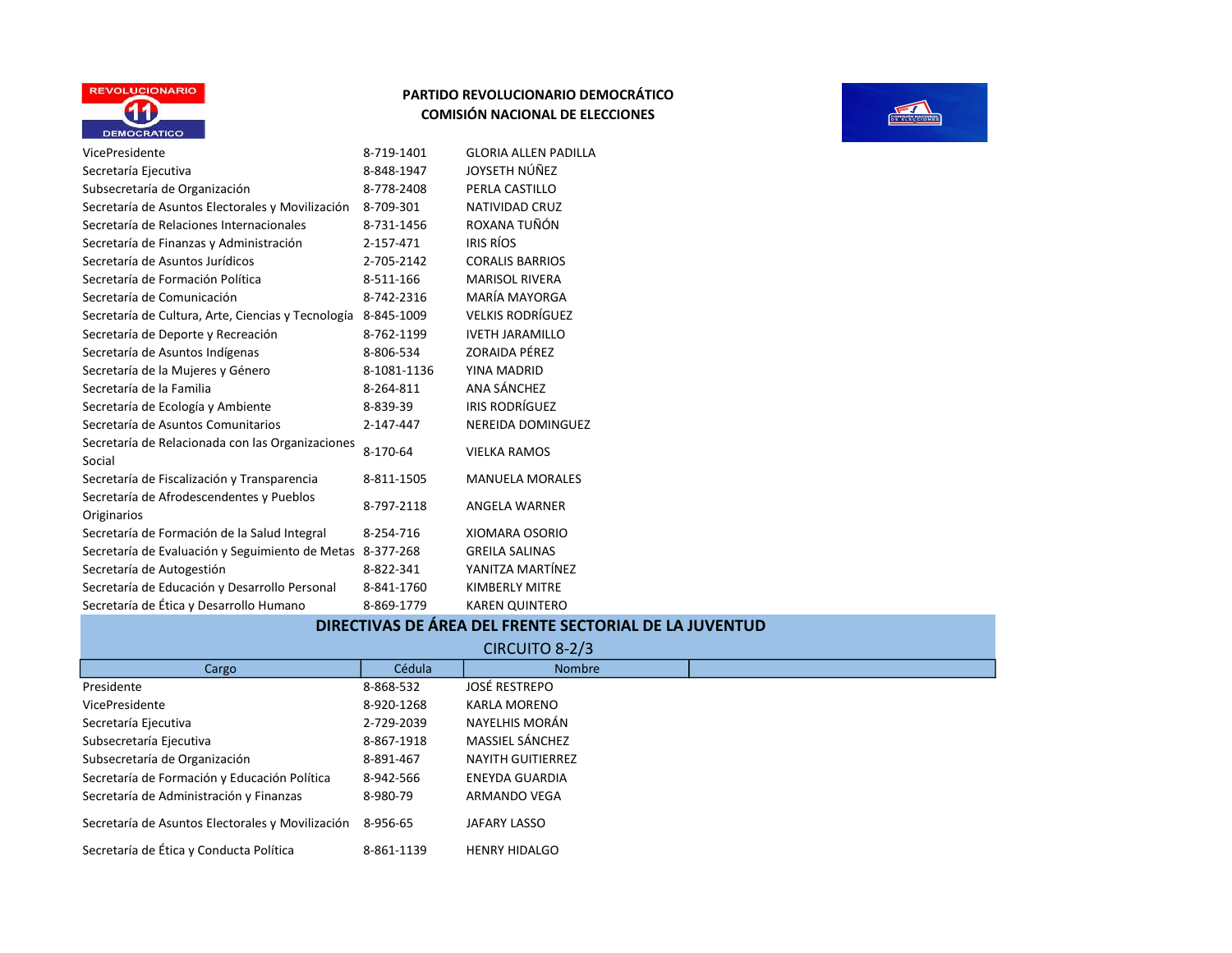



#### DIRECTIVAS DE ÁREA DEL FRENTE SECTORIAL DE LA JUVENTUD

|                                                  |            | CIRCUITO 8-2/3           |  |
|--------------------------------------------------|------------|--------------------------|--|
| Cargo                                            | Cédula     | <b>Nombre</b>            |  |
| Presidente                                       | 8-868-532  | <b>JOSÉ RESTREPO</b>     |  |
| VicePresidente                                   | 8-920-1268 | <b>KARLA MORENO</b>      |  |
| Secretaría Ejecutiva                             | 2-729-2039 | NAYELHIS MORÁN           |  |
| Subsecretaría Ejecutiva                          | 8-867-1918 | <b>MASSIEL SÁNCHEZ</b>   |  |
| Subsecretaría de Organización                    | 8-891-467  | <b>NAYITH GUITIERREZ</b> |  |
| Secretaría de Formación y Educación Política     | 8-942-566  | <b>ENEYDA GUARDIA</b>    |  |
| Secretaría de Administración y Finanzas          | 8-980-79   | ARMANDO VEGA             |  |
| Secretaría de Asuntos Electorales y Movilización | 8-956-65   | JAFARY LASSO             |  |
| Secretaría de Ética y Conducta Política          | 8-861-1139 | <b>HENRY HIDALGO</b>     |  |

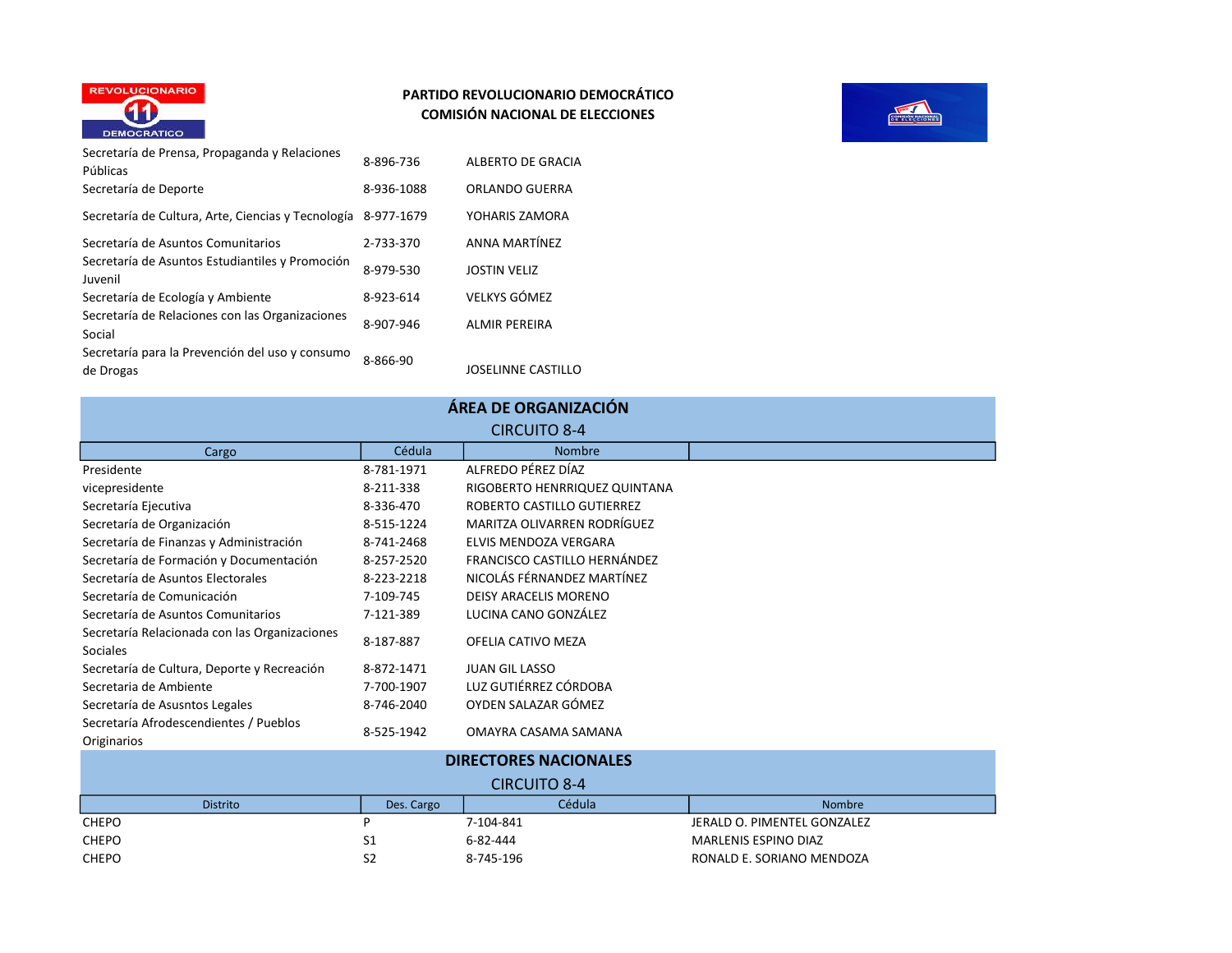

#### PARTIDO REVOLUCIONARIO DEMOCRÁTICO COMISIÓN NACIONAL DE ELECCIONES



| Secretaría de Prensa, Propaganda y Relaciones<br>Públicas    | 8-896-736  | ALBERTO DE GRACIA    |
|--------------------------------------------------------------|------------|----------------------|
| Secretaría de Deporte                                        | 8-936-1088 | ORLANDO GUERRA       |
| Secretaría de Cultura, Arte, Ciencias y Tecnología           | 8-977-1679 | YOHARIS ZAMORA       |
| Secretaría de Asuntos Comunitarios                           | 2-733-370  | <b>ANNA MARTÍNEZ</b> |
| Secretaría de Asuntos Estudiantiles y Promoción<br>Juvenil   | 8-979-530  | <b>JOSTIN VELIZ</b>  |
| Secretaría de Ecología y Ambiente                            | 8-923-614  | <b>VELKYS GÓMEZ</b>  |
| Secretaría de Relaciones con las Organizaciones<br>Social    | 8-907-946  | <b>ALMIR PEREIRA</b> |
| Secretaría para la Prevención del uso y consumo<br>de Drogas | 8-866-90   | JOSELINNE CASTILLO   |

Secretaría de Asusntos Legales 8-746-2040 OYDEN SALAZAR GÓMEZ

| ÁREA DE ORGANIZACIÓN |  |
|----------------------|--|
|----------------------|--|

|                                               |            | <b>CIRCUITO 8-4</b>           |  |
|-----------------------------------------------|------------|-------------------------------|--|
| Cargo                                         | Cédula     | <b>Nombre</b>                 |  |
| Presidente                                    | 8-781-1971 | ALFREDO PÉREZ DÍAZ            |  |
| vicepresidente                                | 8-211-338  | RIGOBERTO HENRRIQUEZ QUINTANA |  |
| Secretaría Ejecutiva                          | 8-336-470  | ROBERTO CASTILLO GUTIERREZ    |  |
| Secretaría de Organización                    | 8-515-1224 | MARITZA OLIVARREN RODRÍGUEZ   |  |
| Secretaría de Finanzas y Administración       | 8-741-2468 | ELVIS MENDOZA VERGARA         |  |
| Secretaría de Formación y Documentación       | 8-257-2520 | FRANCISCO CASTILLO HERNÁNDEZ  |  |
| Secretaría de Asuntos Electorales             | 8-223-2218 | NICOLÁS FÉRNANDEZ MARTÍNEZ    |  |
| Secretaría de Comunicación                    | 7-109-745  | DEISY ARACELIS MORENO         |  |
| Secretaría de Asuntos Comunitarios            | 7-121-389  | LUCINA CANO GONZÁLEZ          |  |
| Secretaría Relacionada con las Organizaciones |            |                               |  |
| <b>Sociales</b>                               | 8-187-887  | OFELIA CATIVO MEZA            |  |
| Secretaría de Cultura, Deporte y Recreación   | 8-872-1471 | <b>JUAN GIL LASSO</b>         |  |
| Secretaria de Ambiente                        | 7-700-1907 | LUZ GUTIÉRREZ CÓRDOBA         |  |

Secretaría Afrodescendientes / Pueblos **Originarios** 8-525-1942 OMAYRA CASAMA SAMANA Distrito **Distrito** Des. Cargo **Cédula** Cédula **Nombre** CHEPO P 7-104-841 JERALD O. PIMENTEL GONZALEZ CHEPO S1 6-82-444 MARLENIS ESPINO DIAZ CHEPO S2 S2 8-745-196 RONALD E. SORIANO MENDOZA DIRECTORES NACIONALES CIRCUITO 8-4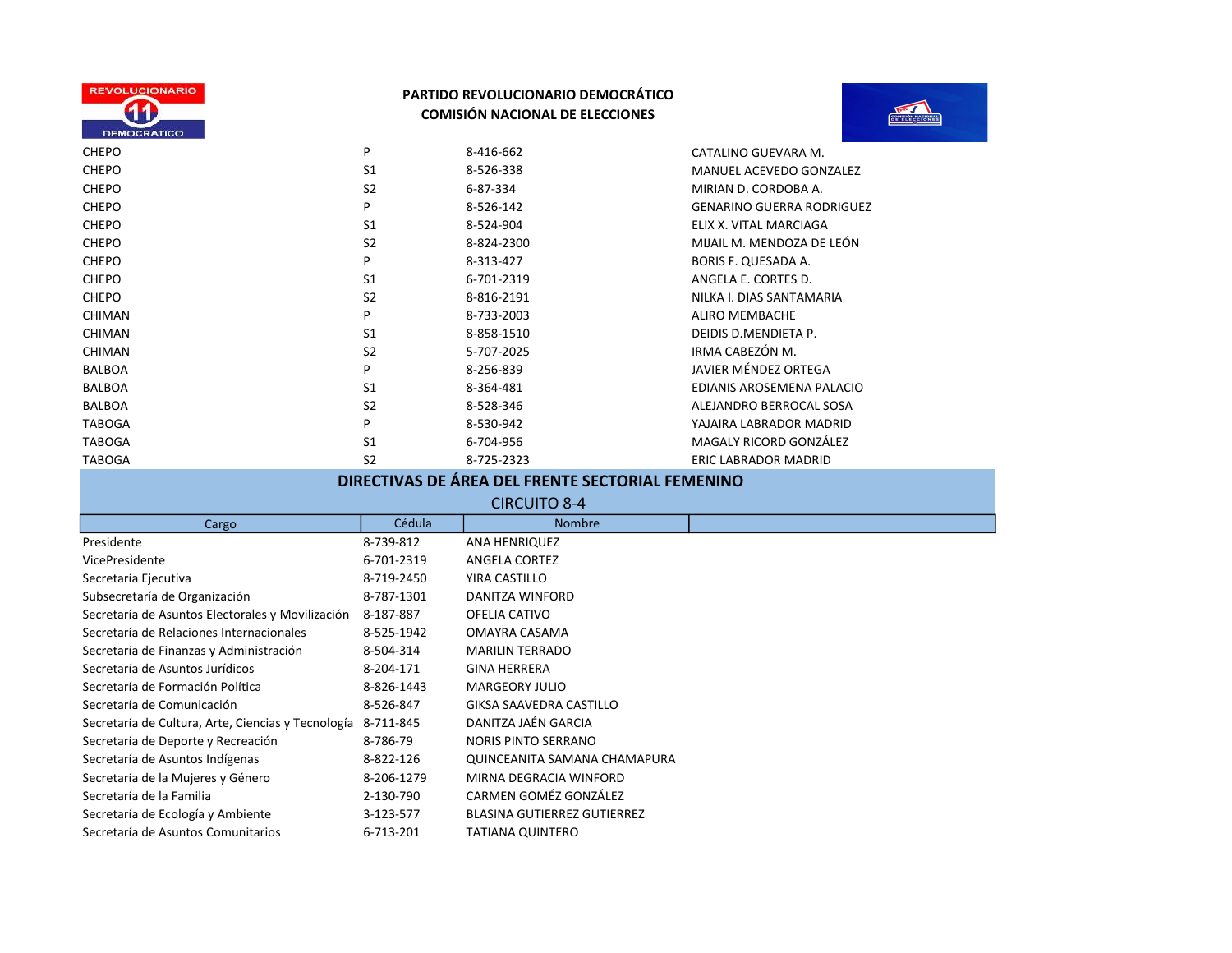



| <b>CHEPO</b>  | P              | 8-416-662  | CATALINO GUEVARA M.              |
|---------------|----------------|------------|----------------------------------|
| <b>CHEPO</b>  | S <sub>1</sub> | 8-526-338  | MANUEL ACEVEDO GONZALEZ          |
| <b>CHEPO</b>  | S <sub>2</sub> | 6-87-334   | MIRIAN D. CORDOBA A.             |
| <b>CHEPO</b>  | P              | 8-526-142  | <b>GENARINO GUERRA RODRIGUEZ</b> |
| <b>CHEPO</b>  | S <sub>1</sub> | 8-524-904  | ELIX X. VITAL MARCIAGA           |
| <b>CHEPO</b>  | S <sub>2</sub> | 8-824-2300 | MIJAIL M. MENDOZA DE LEÓN        |
| <b>CHEPO</b>  | P              | 8-313-427  | <b>BORIS F. QUESADA A.</b>       |
| <b>CHEPO</b>  | S <sub>1</sub> | 6-701-2319 | ANGELA E. CORTES D.              |
| <b>CHEPO</b>  | S <sub>2</sub> | 8-816-2191 | NILKA I. DIAS SANTAMARIA         |
| <b>CHIMAN</b> | P              | 8-733-2003 | ALIRO MEMBACHE                   |
| <b>CHIMAN</b> | S <sub>1</sub> | 8-858-1510 | DEIDIS D.MENDIETA P.             |
| <b>CHIMAN</b> | S <sub>2</sub> | 5-707-2025 | IRMA CABEZÓN M.                  |
| <b>BALBOA</b> | P              | 8-256-839  | JAVIER MÉNDEZ ORTEGA             |
| <b>BALBOA</b> | S <sub>1</sub> | 8-364-481  | EDIANIS AROSEMENA PALACIO        |
| <b>BALBOA</b> | S <sub>2</sub> | 8-528-346  | ALEJANDRO BERROCAL SOSA          |
| <b>TABOGA</b> | P              | 8-530-942  | YAJAIRA LABRADOR MADRID          |
| <b>TABOGA</b> | S <sub>1</sub> | 6-704-956  | MAGALY RICORD GONZÁLEZ           |
| <b>TABOGA</b> | S <sub>2</sub> | 8-725-2323 | <b>ERIC LABRADOR MADRID</b>      |
|               |                |            |                                  |

## DIRECTIVAS DE ÁREA DEL FRENTE SECTORIAL FEMENINO

| <b>CIRCUITO 8-4</b>                                |            |                                |  |  |
|----------------------------------------------------|------------|--------------------------------|--|--|
| Cargo                                              | Cédula     | <b>Nombre</b>                  |  |  |
| Presidente                                         | 8-739-812  | ANA HENRIQUEZ                  |  |  |
| VicePresidente                                     | 6-701-2319 | ANGELA CORTEZ                  |  |  |
| Secretaría Ejecutiva                               | 8-719-2450 | YIRA CASTILLO                  |  |  |
| Subsecretaría de Organización                      | 8-787-1301 | DANITZA WINFORD                |  |  |
| Secretaría de Asuntos Electorales y Movilización   | 8-187-887  | OFELIA CATIVO                  |  |  |
| Secretaría de Relaciones Internacionales           | 8-525-1942 | OMAYRA CASAMA                  |  |  |
| Secretaría de Finanzas y Administración            | 8-504-314  | <b>MARILIN TERRADO</b>         |  |  |
| Secretaría de Asuntos Jurídicos                    | 8-204-171  | <b>GINA HERRERA</b>            |  |  |
| Secretaría de Formación Política                   | 8-826-1443 | <b>MARGEORY JULIO</b>          |  |  |
| Secretaría de Comunicación                         | 8-526-847  | <b>GIKSA SAAVEDRA CASTILLO</b> |  |  |
| Secretaría de Cultura, Arte, Ciencias y Tecnología | 8-711-845  | DANITZA JAÉN GARCIA            |  |  |
| Secretaría de Deporte y Recreación                 | 8-786-79   | <b>NORIS PINTO SERRANO</b>     |  |  |
| Secretaría de Asuntos Indígenas                    | 8-822-126  | QUINCEANITA SAMANA CHAMAPURA   |  |  |
| Secretaría de la Mujeres y Género                  | 8-206-1279 | MIRNA DEGRACIA WINFORD         |  |  |
| Secretaría de la Familia                           | 2-130-790  | CARMEN GOMÉZ GONZÁLEZ          |  |  |
| Secretaría de Ecología y Ambiente                  | 3-123-577  | BLASINA GUTIERREZ GUTIERREZ    |  |  |
| Secretaría de Asuntos Comunitarios                 | 6-713-201  | TATIANA QUINTERO               |  |  |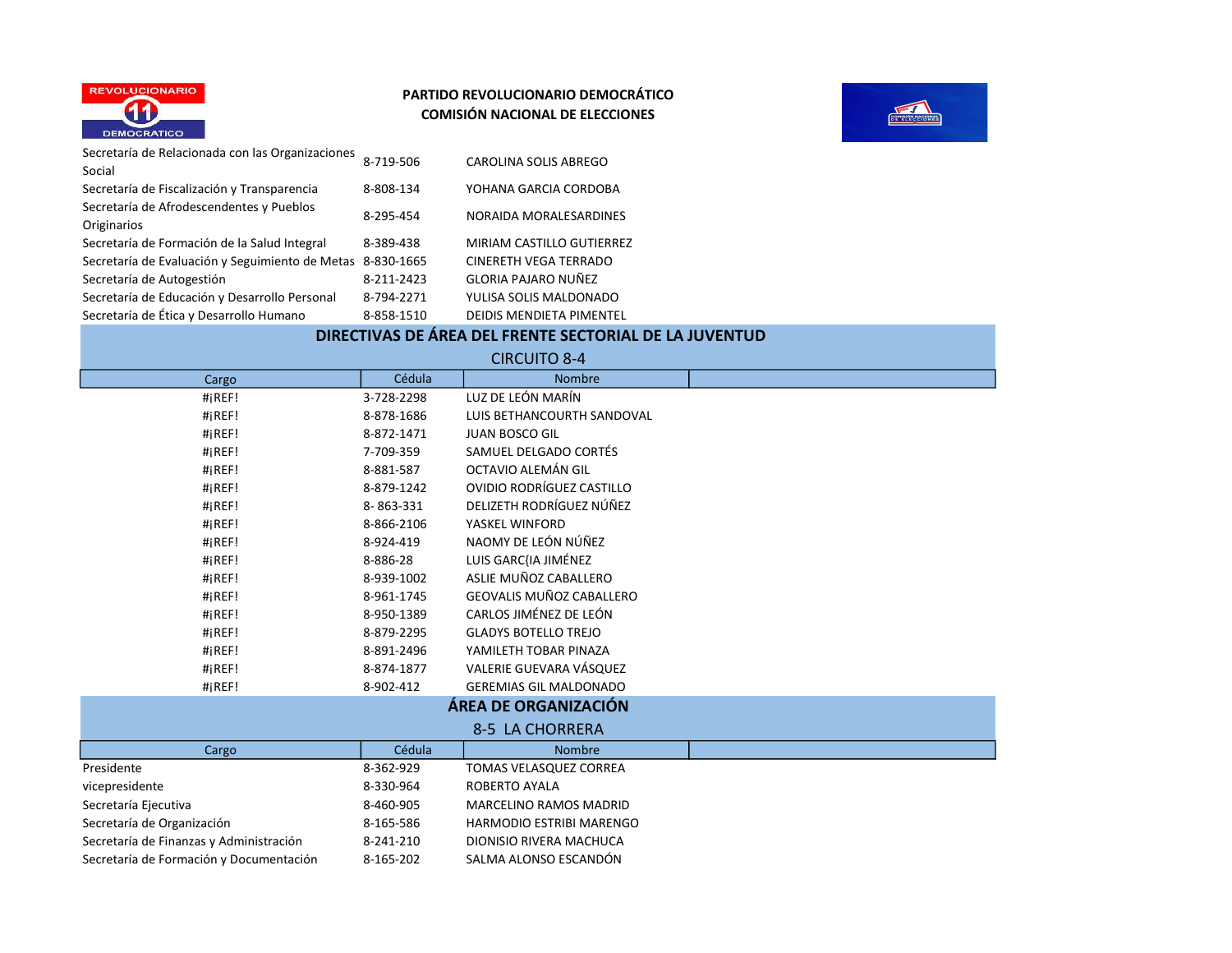



| Secretaría de Relacionada con las Organizaciones | 8-719-506  | CAROLINA SOLIS ABREGO           |
|--------------------------------------------------|------------|---------------------------------|
| Social                                           |            |                                 |
| Secretaría de Fiscalización y Transparencia      | 8-808-134  | YOHANA GARCIA CORDOBA           |
| Secretaría de Afrodescendentes y Pueblos         | 8-295-454  | NORAIDA MORALESARDINES          |
| Originarios                                      |            |                                 |
| Secretaría de Formación de la Salud Integral     | 8-389-438  | MIRIAM CASTILLO GUTIERREZ       |
| Secretaría de Evaluación y Seguimiento de Metas  | 8-830-1665 | <b>CINERETH VEGA TERRADO</b>    |
| Secretaría de Autogestión                        | 8-211-2423 | <b>GLORIA PAJARO NUÑEZ</b>      |
| Secretaría de Educación y Desarrollo Personal    | 8-794-2271 | YULISA SOLIS MALDONADO          |
| Secretaría de Ética y Desarrollo Humano          | 8-858-1510 | <b>DEIDIS MENDIETA PIMENTEL</b> |

# DIRECTIVAS DE ÁREA DEL FRENTE SECTORIAL DE LA JUVENTUD

 $C\text{D}C\text{L}$ 

|                                         |            | <b>CINCOLIO 0-4</b>             |  |
|-----------------------------------------|------------|---------------------------------|--|
| Cargo                                   | Cédula     | <b>Nombre</b>                   |  |
| $\#$ iREF!                              | 3-728-2298 | LUZ DE LEÓN MARÍN               |  |
| #iREF!                                  | 8-878-1686 | LUIS BETHANCOURTH SANDOVAL      |  |
| #iREF!                                  | 8-872-1471 | <b>JUAN BOSCO GIL</b>           |  |
| $\#$ iREF!                              | 7-709-359  | SAMUEL DELGADO CORTÉS           |  |
| #iREF!                                  | 8-881-587  | OCTAVIO ALEMÁN GIL              |  |
| $\#$ iREF!                              | 8-879-1242 | OVIDIO RODRÍGUEZ CASTILLO       |  |
| #iREF!                                  | 8-863-331  | DELIZETH RODRÍGUEZ NÚÑEZ        |  |
| $\#$ iREF!                              | 8-866-2106 | YASKEL WINFORD                  |  |
| #iREF!                                  | 8-924-419  | NAOMY DE LEÓN NÚÑEZ             |  |
| #iREF!                                  | 8-886-28   | LUIS GARC{IA JIMÉNEZ            |  |
| #iREF!                                  | 8-939-1002 | ASLIE MUÑOZ CABALLERO           |  |
| $\#$ iREF!                              | 8-961-1745 | <b>GEOVALIS MUÑOZ CABALLERO</b> |  |
| $\#$ iREF!                              | 8-950-1389 | CARLOS JIMÉNEZ DE LEÓN          |  |
| #iREF!                                  | 8-879-2295 | <b>GLADYS BOTELLO TREJO</b>     |  |
| #iREF!                                  | 8-891-2496 | YAMILETH TOBAR PINAZA           |  |
| $\#$ iREF!                              | 8-874-1877 | VALERIE GUEVARA VÁSQUEZ         |  |
| $\#$ iREF!                              | 8-902-412  | <b>GEREMIAS GIL MALDONADO</b>   |  |
|                                         |            | ÁREA DE ORGANIZACIÓN            |  |
| 8-5 LA CHORRERA                         |            |                                 |  |
| Cargo                                   | Cédula     | <b>Nombre</b>                   |  |
| Presidente                              | 8-362-929  | TOMAS VELASQUEZ CORREA          |  |
| vicepresidente                          | 8-330-964  | <b>ROBERTO AYALA</b>            |  |
| Secretaría Ejecutiva                    | 8-460-905  | <b>MARCELINO RAMOS MADRID</b>   |  |
| Secretaría de Organización              | 8-165-586  | <b>HARMODIO ESTRIBI MARENGO</b> |  |
| Secretaría de Finanzas y Administración | 8-241-210  | DIONISIO RIVERA MACHUCA         |  |
| Secretaría de Formación y Documentación | 8-165-202  | SALMA ALONSO ESCANDÓN           |  |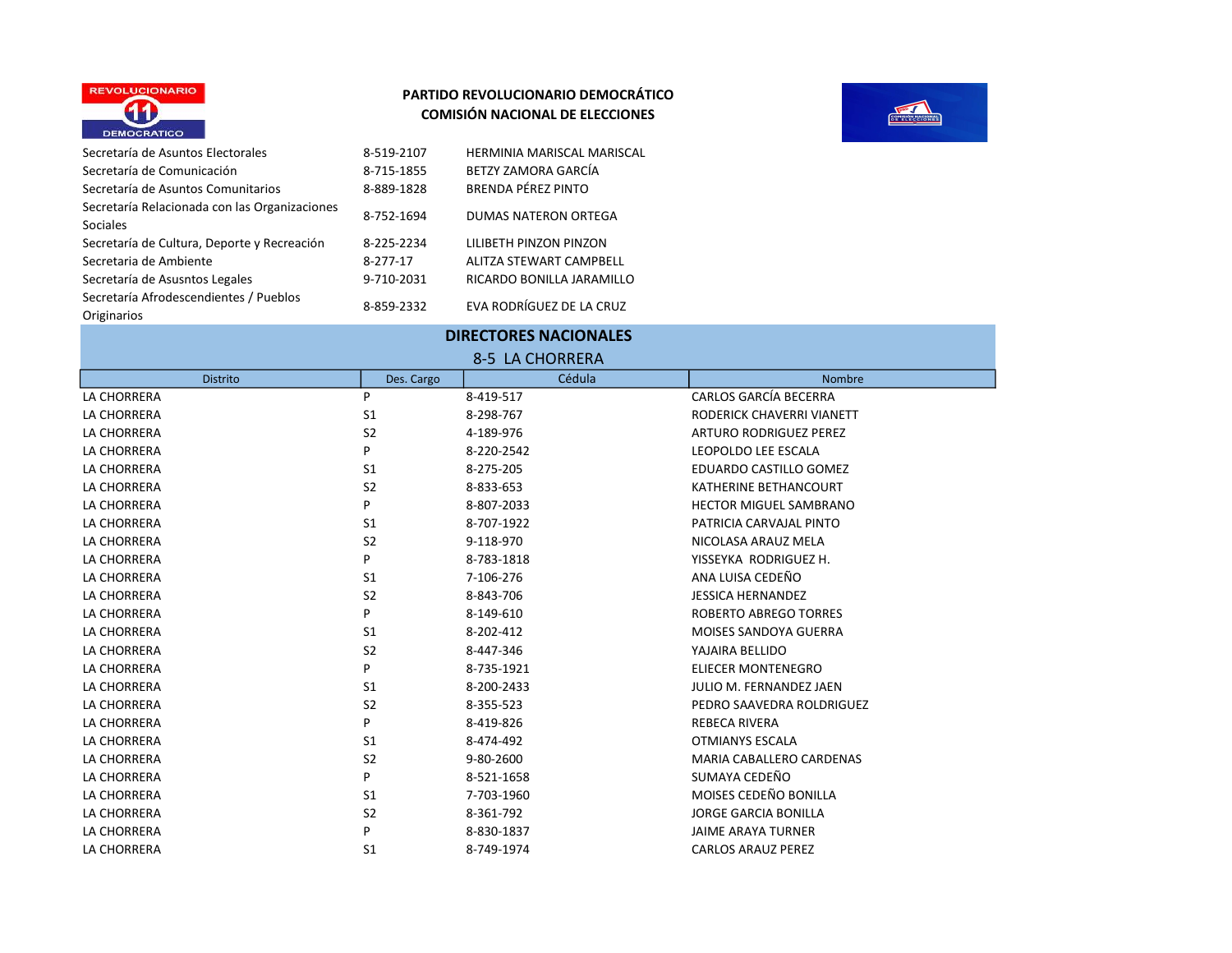



| 8-519-2107 | HERMINIA MARISCAL MARISCAL     |
|------------|--------------------------------|
| 8-715-1855 | BETZY ZAMORA GARCÍA            |
| 8-889-1828 | BRENDA PÉREZ PINTO             |
| 8-752-1694 | <b>DUMAS NATERON ORTEGA</b>    |
| 8-225-2234 | LILIBETH PINZON PINZON         |
| 8-277-17   | <b>ALITZA STEWART CAMPBELL</b> |
| 9-710-2031 | RICARDO BONILLA JARAMILLO      |
| 8-859-2332 | EVA RODRÍGUEZ DE LA CRUZ       |
|            |                                |

| 8-5 LA CHORRERA |                |            |                                 |  |
|-----------------|----------------|------------|---------------------------------|--|
| <b>Distrito</b> | Des. Cargo     | Cédula     | <b>Nombre</b>                   |  |
| LA CHORRERA     | P              | 8-419-517  | CARLOS GARCÍA BECERRA           |  |
| LA CHORRERA     | S1             | 8-298-767  | RODERICK CHAVERRI VIANETT       |  |
| LA CHORRERA     | S <sub>2</sub> | 4-189-976  | <b>ARTURO RODRIGUEZ PEREZ</b>   |  |
| LA CHORRERA     | P              | 8-220-2542 | LEOPOLDO LEE ESCALA             |  |
| LA CHORRERA     | S <sub>1</sub> | 8-275-205  | EDUARDO CASTILLO GOMEZ          |  |
| LA CHORRERA     | S <sub>2</sub> | 8-833-653  | KATHERINE BETHANCOURT           |  |
| LA CHORRERA     | P              | 8-807-2033 | <b>HECTOR MIGUEL SAMBRANO</b>   |  |
| LA CHORRERA     | S <sub>1</sub> | 8-707-1922 | PATRICIA CARVAJAL PINTO         |  |
| LA CHORRERA     | S <sub>2</sub> | 9-118-970  | NICOLASA ARAUZ MELA             |  |
| LA CHORRERA     | P              | 8-783-1818 | YISSEYKA RODRIGUEZ H.           |  |
| LA CHORRERA     | S1             | 7-106-276  | ANA LUISA CEDEÑO                |  |
| LA CHORRERA     | S <sub>2</sub> | 8-843-706  | <b>JESSICA HERNANDEZ</b>        |  |
| LA CHORRERA     | P              | 8-149-610  | <b>ROBERTO ABREGO TORRES</b>    |  |
| LA CHORRERA     | S <sub>1</sub> | 8-202-412  | <b>MOISES SANDOYA GUERRA</b>    |  |
| LA CHORRERA     | S <sub>2</sub> | 8-447-346  | YAJAIRA BELLIDO                 |  |
| LA CHORRERA     | P              | 8-735-1921 | <b>ELIECER MONTENEGRO</b>       |  |
| LA CHORRERA     | S1             | 8-200-2433 | JULIO M. FERNANDEZ JAEN         |  |
| LA CHORRERA     | S <sub>2</sub> | 8-355-523  | PEDRO SAAVEDRA ROLDRIGUEZ       |  |
| LA CHORRERA     | P              | 8-419-826  | <b>REBECA RIVERA</b>            |  |
| LA CHORRERA     | S <sub>1</sub> | 8-474-492  | OTMIANYS ESCALA                 |  |
| LA CHORRERA     | S <sub>2</sub> | 9-80-2600  | <b>MARIA CABALLERO CARDENAS</b> |  |
| LA CHORRERA     | P              | 8-521-1658 | SUMAYA CEDEÑO                   |  |
| LA CHORRERA     | S <sub>1</sub> | 7-703-1960 | MOISES CEDEÑO BONILLA           |  |
| LA CHORRERA     | S <sub>2</sub> | 8-361-792  | <b>JORGE GARCIA BONILLA</b>     |  |
| LA CHORRERA     | P              | 8-830-1837 | <b>JAIME ARAYA TURNER</b>       |  |
| LA CHORRERA     | S <sub>1</sub> | 8-749-1974 | <b>CARLOS ARAUZ PEREZ</b>       |  |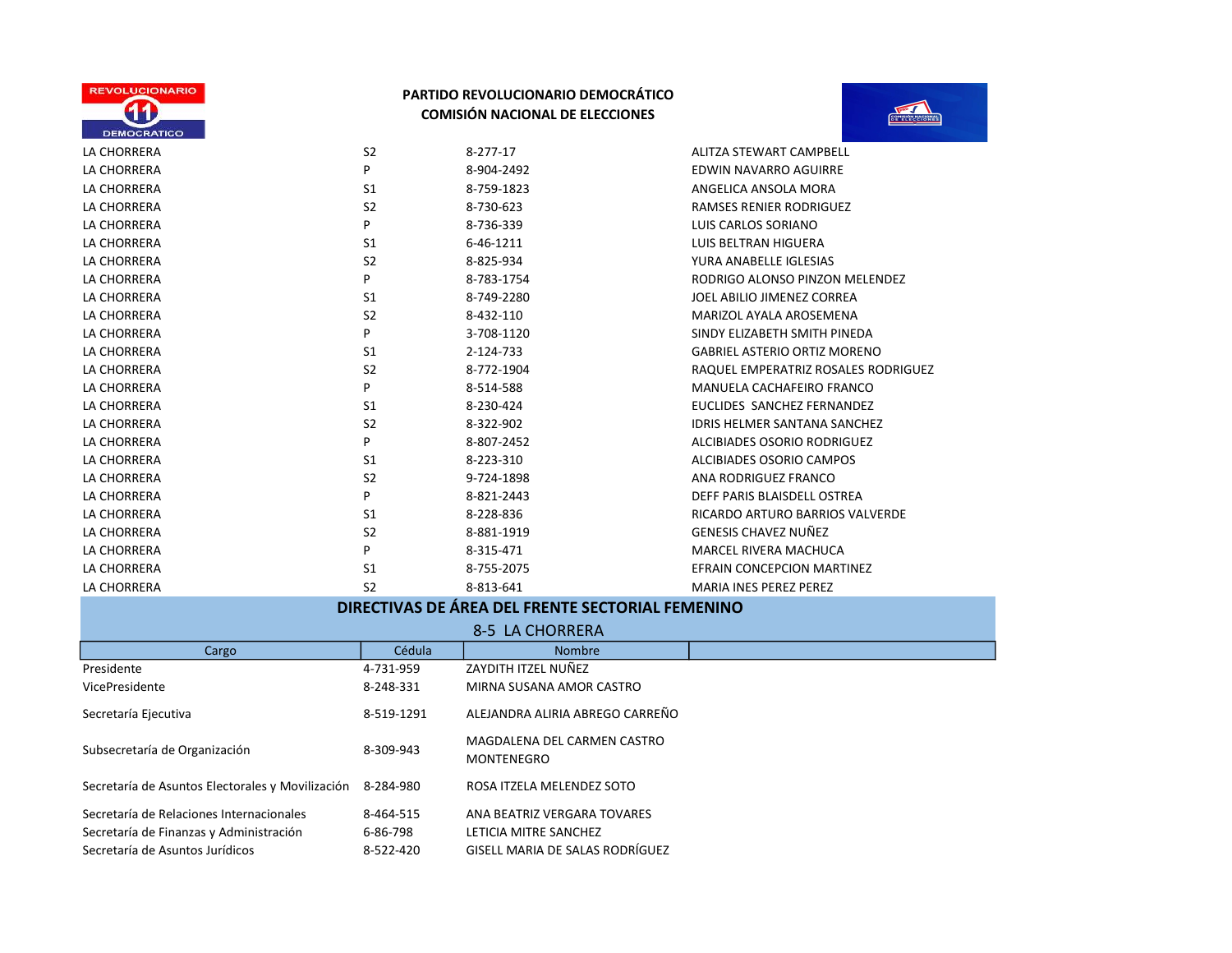



| LA CHORRERA | S <sub>2</sub> | 8-277-17   | ALITZA STEWART CAMPBELL             |
|-------------|----------------|------------|-------------------------------------|
| LA CHORRERA | P              | 8-904-2492 | EDWIN NAVARRO AGUIRRE               |
| LA CHORRERA | S <sub>1</sub> | 8-759-1823 | ANGELICA ANSOLA MORA                |
| LA CHORRERA | S <sub>2</sub> | 8-730-623  | <b>RAMSES RENIER RODRIGUEZ</b>      |
| LA CHORRERA | P              | 8-736-339  | LUIS CARLOS SORIANO                 |
| LA CHORRERA | S1             | 6-46-1211  | <b>LUIS BELTRAN HIGUERA</b>         |
| LA CHORRERA | S <sub>2</sub> | 8-825-934  | YURA ANABELLE IGLESIAS              |
| LA CHORRERA | P              | 8-783-1754 | RODRIGO ALONSO PINZON MELENDEZ      |
| LA CHORRERA | S1             | 8-749-2280 | JOEL ABILIO JIMENEZ CORREA          |
| LA CHORRERA | S <sub>2</sub> | 8-432-110  | MARIZOL AYALA AROSEMENA             |
| LA CHORRERA | P              | 3-708-1120 | SINDY ELIZABETH SMITH PINEDA        |
| LA CHORRERA | S1             | 2-124-733  | <b>GABRIEL ASTERIO ORTIZ MORENO</b> |
| LA CHORRERA | S <sub>2</sub> | 8-772-1904 | RAQUEL EMPERATRIZ ROSALES RODRIGUEZ |
| LA CHORRERA | P              | 8-514-588  | MANUELA CACHAFEIRO FRANCO           |
| LA CHORRERA | S <sub>1</sub> | 8-230-424  | EUCLIDES SANCHEZ FERNANDEZ          |
| LA CHORRERA | S <sub>2</sub> | 8-322-902  | <b>IDRIS HELMER SANTANA SANCHEZ</b> |
| LA CHORRERA | P              | 8-807-2452 | ALCIBIADES OSORIO RODRIGUEZ         |
| LA CHORRERA | S1             | 8-223-310  | ALCIBIADES OSORIO CAMPOS            |
| LA CHORRERA | S <sub>2</sub> | 9-724-1898 | ANA RODRIGUEZ FRANCO                |
| LA CHORRERA | P              | 8-821-2443 | DEFF PARIS BLAISDELL OSTREA         |
| LA CHORRERA | S1             | 8-228-836  | RICARDO ARTURO BARRIOS VALVERDE     |
| LA CHORRERA | S <sub>2</sub> | 8-881-1919 | <b>GENESIS CHAVEZ NUÑEZ</b>         |
| LA CHORRERA | P              | 8-315-471  | <b>MARCEL RIVERA MACHUCA</b>        |
| LA CHORRERA | S1             | 8-755-2075 | EFRAIN CONCEPCION MARTINEZ          |
| LA CHORRERA | S <sub>2</sub> | 8-813-641  | <b>MARIA INES PEREZ PEREZ</b>       |

## DIRECTIVAS DE ÁREA DEL FRENTE SECTORIAL FEMENINO

| 8-5 LA CHORRERA                                            |            |                                                  |  |
|------------------------------------------------------------|------------|--------------------------------------------------|--|
| Cargo                                                      | Cédula     | <b>Nombre</b>                                    |  |
| Presidente                                                 | 4-731-959  | ZAYDITH ITZEL NUÑEZ                              |  |
| VicePresidente                                             | 8-248-331  | MIRNA SUSANA AMOR CASTRO                         |  |
| Secretaría Ejecutiva                                       | 8-519-1291 | ALEJANDRA ALIRIA ABREGO CARREÑO                  |  |
| Subsecretaría de Organización                              | 8-309-943  | MAGDALENA DEL CARMEN CASTRO<br><b>MONTENEGRO</b> |  |
| Secretaría de Asuntos Electorales y Movilización 8-284-980 |            | ROSA ITZELA MELENDEZ SOTO                        |  |
| Secretaría de Relaciones Internacionales                   | 8-464-515  | ANA BEATRIZ VERGARA TOVARES                      |  |
| Secretaría de Finanzas y Administración                    | 6-86-798   | LETICIA MITRE SANCHEZ                            |  |
| Secretaría de Asuntos Jurídicos                            | 8-522-420  | GISELL MARIA DE SALAS RODRÍGUEZ                  |  |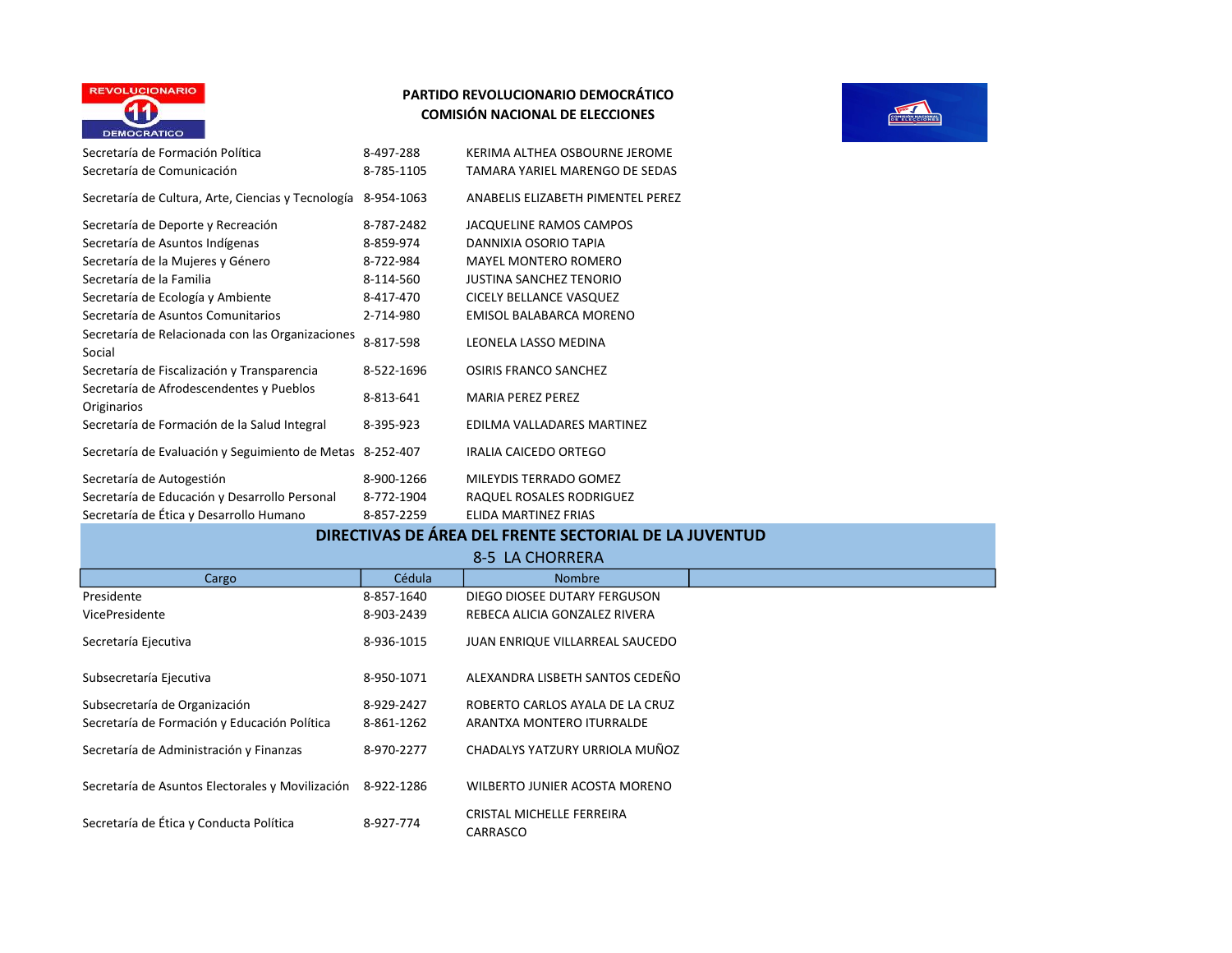

| Secretaría de Formación Política                           | 8-497-288  | KERIMA ALTHEA OSBOURNE JEROME     |
|------------------------------------------------------------|------------|-----------------------------------|
| Secretaría de Comunicación                                 | 8-785-1105 | TAMARA YARIEL MARENGO DE SEDAS    |
| Secretaría de Cultura, Arte, Ciencias y Tecnología         | 8-954-1063 | ANABELIS ELIZABETH PIMENTEL PEREZ |
| Secretaría de Deporte y Recreación                         | 8-787-2482 | JACQUELINE RAMOS CAMPOS           |
| Secretaría de Asuntos Indígenas                            | 8-859-974  | DANNIXIA OSORIO TAPIA             |
| Secretaría de la Mujeres y Género                          | 8-722-984  | <b>MAYEL MONTERO ROMERO</b>       |
| Secretaría de la Familia                                   | 8-114-560  | <b>JUSTINA SANCHEZ TENORIO</b>    |
| Secretaría de Ecología y Ambiente                          | 8-417-470  | CICELY BELLANCE VASQUEZ           |
| Secretaría de Asuntos Comunitarios                         | 2-714-980  | EMISOL BALABARCA MORENO           |
| Secretaría de Relacionada con las Organizaciones<br>Social | 8-817-598  | LEONELA LASSO MEDINA              |
| Secretaría de Fiscalización y Transparencia                | 8-522-1696 | <b>OSIRIS FRANCO SANCHEZ</b>      |
| Secretaría de Afrodescendentes y Pueblos<br>Originarios    | 8-813-641  | <b>MARIA PEREZ PEREZ</b>          |
| Secretaría de Formación de la Salud Integral               | 8-395-923  | EDILMA VALLADARES MARTINEZ        |
| Secretaría de Evaluación y Seguimiento de Metas 8-252-407  |            | <b>IRALIA CAICEDO ORTEGO</b>      |
| Secretaría de Autogestión                                  | 8-900-1266 | MILEYDIS TERRADO GOMEZ            |
| Secretaría de Educación y Desarrollo Personal              | 8-772-1904 | RAQUEL ROSALES RODRIGUEZ          |
| Canadanés de Éties :: Dessauslis Hinagas -                 | o orz poro | FUDA MARTINIEZ FRIAC              |



| Originarios                                               |            |                                                        |  |
|-----------------------------------------------------------|------------|--------------------------------------------------------|--|
| Secretaría de Formación de la Salud Integral              | 8-395-923  | EDILMA VALLADARES MARTINEZ                             |  |
| Secretaría de Evaluación y Seguimiento de Metas 8-252-407 |            | <b>IRALIA CAICEDO ORTEGO</b>                           |  |
| Secretaría de Autogestión                                 | 8-900-1266 | MILEYDIS TERRADO GOMEZ                                 |  |
| Secretaría de Educación y Desarrollo Personal             | 8-772-1904 | RAQUEL ROSALES RODRIGUEZ                               |  |
| Secretaría de Ética y Desarrollo Humano                   | 8-857-2259 | ELIDA MARTINEZ FRIAS                                   |  |
|                                                           |            | DIRECTIVAS DE ÁREA DEL FRENTE SECTORIAL DE LA JUVENTUD |  |
|                                                           |            | 8-5 LA CHORRERA                                        |  |
| Cargo                                                     | Cédula     | <b>Nombre</b>                                          |  |
| Presidente                                                | 8-857-1640 | DIEGO DIOSEE DUTARY FERGUSON                           |  |
| VicePresidente                                            | 8-903-2439 | REBECA ALICIA GONZALEZ RIVERA                          |  |
| Secretaría Ejecutiva                                      | 8-936-1015 | JUAN ENRIQUE VILLARREAL SAUCEDO                        |  |
| Subsecretaría Ejecutiva                                   | 8-950-1071 | ALEXANDRA LISBETH SANTOS CEDEÑO                        |  |
| Subsecretaría de Organización                             | 8-929-2427 | ROBERTO CARLOS AYALA DE LA CRUZ                        |  |
| Secretaría de Formación y Educación Política              | 8-861-1262 | ARANTXA MONTERO ITURRALDE                              |  |
| Secretaría de Administración y Finanzas                   | 8-970-2277 | CHADALYS YATZURY URRIOLA MUÑOZ                         |  |
| Secretaría de Asuntos Electorales y Movilización          | 8-922-1286 | WILBERTO JUNIER ACOSTA MORENO                          |  |
| Secretaría de Ética y Conducta Política                   | 8-927-774  | CRISTAL MICHELLE FERREIRA<br>0.000000                  |  |

CARRASCO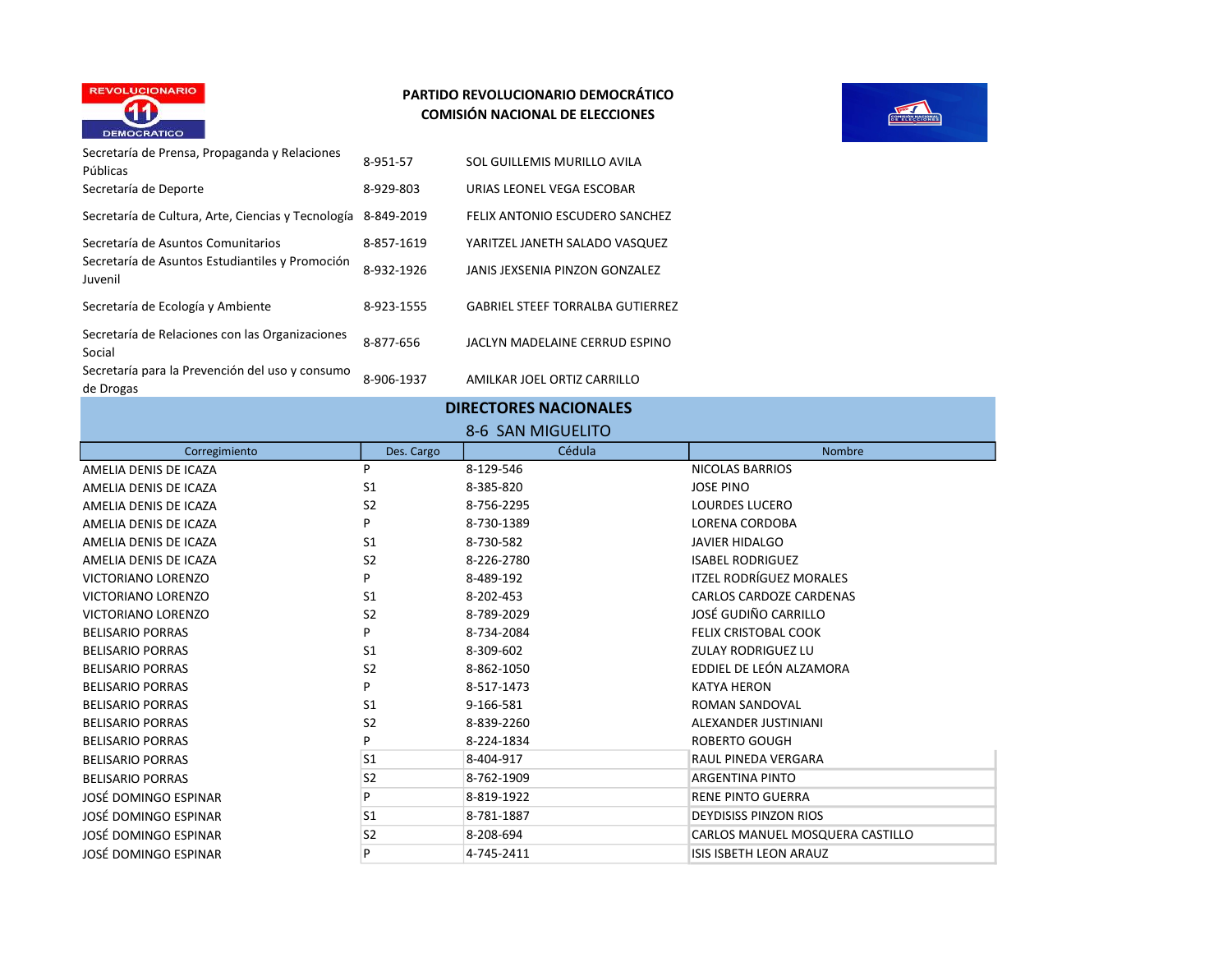



Secretaría de Prensa, Propaganda y Relaciones Secretaria de Frensa, Fropaganda y Relaciones de 8-951-57 SOL GUILLEMIS MURILLO AVILA Secretaría de Deporte 8-929-803 URIAS LEONEL VEGA ESCOBAR Secretaría de Cultura, Arte, Ciencias y Tecnología 8-849-2019 FELIX ANTONIO ESCUDERO SANCHEZ Secretaría de Asuntos Comunitarios 8-857-1619 YARITZEL JANETH SALADO VASQUEZ Secretaría de Asuntos Estudiantiles y Promoción Juvenil de Asuntos Estudiantiles y Frontocion de 8-932-1926 JANIS JEXSENIA PINZON GONZALEZ Secretaría de Ecología y Ambiente 8-923-1555 GABRIEL STEEF TORRALBA GUTIERREZ Secretaría de Relaciones con las Organizaciones Secretaria de Kelaciones con las Organizaciones 8-877-656 JACLYN MADELAINE CERRUD ESPINO Secretaría para la Prevención del uso y consumo de Drogas and Prevencion der dso y consumo 8-906-1937 AMILKAR JOEL ORTIZ CARRILLO

#### DIRECTORES NACIONALES

#### 8-6 SAN MIGUELITO

| Corregimiento             | Des. Cargo     | Cédula     | <b>Nombre</b>                   |
|---------------------------|----------------|------------|---------------------------------|
| AMELIA DENIS DE ICAZA     | P              | 8-129-546  | <b>NICOLAS BARRIOS</b>          |
| AMELIA DENIS DE ICAZA     | S <sub>1</sub> | 8-385-820  | <b>JOSE PINO</b>                |
| AMELIA DENIS DE ICAZA     | S <sub>2</sub> | 8-756-2295 | <b>LOURDES LUCERO</b>           |
| AMELIA DENIS DE ICAZA     | P              | 8-730-1389 | <b>LORENA CORDOBA</b>           |
| AMELIA DENIS DE ICAZA     | S <sub>1</sub> | 8-730-582  | <b>JAVIER HIDALGO</b>           |
| AMELIA DENIS DE ICAZA     | S <sub>2</sub> | 8-226-2780 | <b>ISABEL RODRIGUEZ</b>         |
| VICTORIANO LORENZO        | P              | 8-489-192  | <b>ITZEL RODRÍGUEZ MORALES</b>  |
| <b>VICTORIANO LORENZO</b> | S <sub>1</sub> | 8-202-453  | CARLOS CARDOZE CARDENAS         |
| VICTORIANO LORENZO        | S <sub>2</sub> | 8-789-2029 | JOSÉ GUDIÑO CARRILLO            |
| <b>BELISARIO PORRAS</b>   | P              | 8-734-2084 | <b>FELIX CRISTOBAL COOK</b>     |
| <b>BELISARIO PORRAS</b>   | S <sub>1</sub> | 8-309-602  | <b>ZULAY RODRIGUEZ LU</b>       |
| <b>BELISARIO PORRAS</b>   | S <sub>2</sub> | 8-862-1050 | EDDIEL DE LEÓN ALZAMORA         |
| <b>BELISARIO PORRAS</b>   | P              | 8-517-1473 | <b>KATYA HERON</b>              |
| <b>BELISARIO PORRAS</b>   | S <sub>1</sub> | 9-166-581  | ROMAN SANDOVAL                  |
| <b>BELISARIO PORRAS</b>   | S <sub>2</sub> | 8-839-2260 | ALEXANDER JUSTINIANI            |
| <b>BELISARIO PORRAS</b>   | P              | 8-224-1834 | <b>ROBERTO GOUGH</b>            |
| <b>BELISARIO PORRAS</b>   | S <sub>1</sub> | 8-404-917  | RAUL PINEDA VERGARA             |
| <b>BELISARIO PORRAS</b>   | S <sub>2</sub> | 8-762-1909 | <b>ARGENTINA PINTO</b>          |
| JOSÉ DOMINGO ESPINAR      | P              | 8-819-1922 | <b>RENE PINTO GUERRA</b>        |
| JOSÉ DOMINGO ESPINAR      | S <sub>1</sub> | 8-781-1887 | <b>DEYDISISS PINZON RIOS</b>    |
| JOSÉ DOMINGO ESPINAR      | S <sub>2</sub> | 8-208-694  | CARLOS MANUEL MOSQUERA CASTILLO |
| JOSÉ DOMINGO ESPINAR      | P              | 4-745-2411 | <b>ISIS ISBETH LEON ARAUZ</b>   |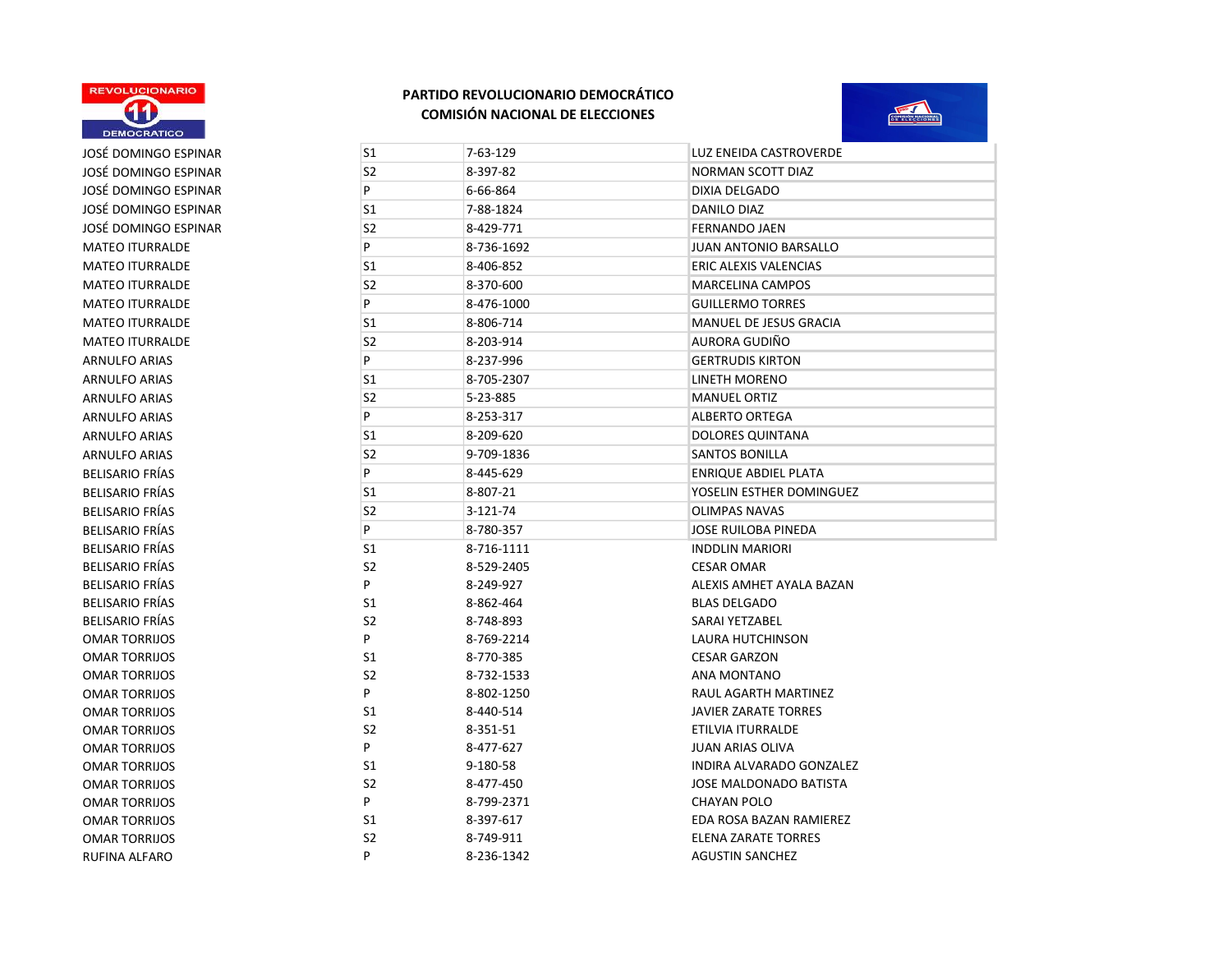

# JOSÉ DOMINGO ESPINAR JOSÉ DOMINGO ESPINAR JOSÉ DOMINGO ESPINAR JOSÉ DOMINGO ESPINAR JOSÉ DOMINGO ESPINAR MATEO ITURRALDE MATEO ITURRALDE MATEO ITURRALDE MATEO ITURRALDE MATEO ITURRALDE ARNULFO ARIAS ARNULFO ARIAS BELISARIO FRÍAS BELISARIO FRÍAS BELISARIO FRÍAS BELISARIO FRÍAS OMAR TORRIJOS OMAR TORRIJOS OMAR TORRIJOS OMAR TORRIJOS OMAR TORRIJOS OMAR TORRIJOS OMAR TORRIJOS OMAR TORRIJOS OMAR TORRIJOS OMAR TORRIJOS



| JOSÉ DOMINGO ESPINAR   | S1             | 7-63-129   | LUZ ENEIDA CASTROVERDE        |
|------------------------|----------------|------------|-------------------------------|
| JOSÉ DOMINGO ESPINAR   | S <sub>2</sub> | 8-397-82   | <b>NORMAN SCOTT DIAZ</b>      |
| JOSÉ DOMINGO ESPINAR   | P              | 6-66-864   | <b>DIXIA DELGADO</b>          |
| JOSÉ DOMINGO ESPINAR   | S1             | 7-88-1824  | <b>DANILO DIAZ</b>            |
| JOSÉ DOMINGO ESPINAR   | S <sub>2</sub> | 8-429-771  | <b>FERNANDO JAEN</b>          |
| <b>MATEO ITURRALDE</b> | P              | 8-736-1692 | JUAN ANTONIO BARSALLO         |
| <b>MATEO ITURRALDE</b> | S1             | 8-406-852  | ERIC ALEXIS VALENCIAS         |
| <b>MATEO ITURRALDE</b> | S <sub>2</sub> | 8-370-600  | <b>MARCELINA CAMPOS</b>       |
| <b>MATEO ITURRALDE</b> | P              | 8-476-1000 | <b>GUILLERMO TORRES</b>       |
| <b>MATEO ITURRALDE</b> | S1             | 8-806-714  | <b>MANUEL DE JESUS GRACIA</b> |
| <b>MATEO ITURRALDE</b> | S <sub>2</sub> | 8-203-914  | AURORA GUDIÑO                 |
| <b>ARNULFO ARIAS</b>   | P              | 8-237-996  | <b>GERTRUDIS KIRTON</b>       |
| <b>ARNULFO ARIAS</b>   | S1             | 8-705-2307 | <b>LINETH MORENO</b>          |
| <b>ARNULFO ARIAS</b>   | S2             | 5-23-885   | <b>MANUEL ORTIZ</b>           |
| <b>ARNULFO ARIAS</b>   | P              | 8-253-317  | <b>ALBERTO ORTEGA</b>         |
| ARNULFO ARIAS          | S1             | 8-209-620  | <b>DOLORES QUINTANA</b>       |
| <b>ARNULFO ARIAS</b>   | S <sub>2</sub> | 9-709-1836 | <b>SANTOS BONILLA</b>         |
| <b>BELISARIO FRÍAS</b> | P              | 8-445-629  | <b>ENRIQUE ABDIEL PLATA</b>   |
| <b>BELISARIO FRÍAS</b> | S1             | 8-807-21   | YOSELIN ESTHER DOMINGUEZ      |
| <b>BELISARIO FRÍAS</b> | S <sub>2</sub> | 3-121-74   | <b>OLIMPAS NAVAS</b>          |
| <b>BELISARIO FRÍAS</b> | P              | 8-780-357  | JOSE RUILOBA PINEDA           |
| <b>BELISARIO FRÍAS</b> | S1             | 8-716-1111 | <b>INDDLIN MARIORI</b>        |
| <b>BELISARIO FRÍAS</b> | S <sub>2</sub> | 8-529-2405 | <b>CESAR OMAR</b>             |
| <b>BELISARIO FRÍAS</b> | P              | 8-249-927  | ALEXIS AMHET AYALA BAZAN      |
| <b>BELISARIO FRÍAS</b> | S1             | 8-862-464  | <b>BLAS DELGADO</b>           |
| <b>BELISARIO FRÍAS</b> | S <sub>2</sub> | 8-748-893  | SARAI YETZABEL                |
| <b>OMAR TORRIJOS</b>   | P              | 8-769-2214 | LAURA HUTCHINSON              |
| <b>OMAR TORRIJOS</b>   | S1             | 8-770-385  | <b>CESAR GARZON</b>           |
| <b>OMAR TORRIJOS</b>   | S <sub>2</sub> | 8-732-1533 | ANA MONTANO                   |
| <b>OMAR TORRIJOS</b>   | P              | 8-802-1250 | RAUL AGARTH MARTINEZ          |
| <b>OMAR TORRIJOS</b>   | S1             | 8-440-514  | <b>JAVIER ZARATE TORRES</b>   |
| <b>OMAR TORRIJOS</b>   | S <sub>2</sub> | 8-351-51   | <b>ETILVIA ITURRALDE</b>      |
| <b>OMAR TORRIJOS</b>   | P              | 8-477-627  | JUAN ARIAS OLIVA              |
| <b>OMAR TORRIJOS</b>   | S1             | 9-180-58   | INDIRA ALVARADO GONZALEZ      |
| <b>OMAR TORRIJOS</b>   | S <sub>2</sub> | 8-477-450  | JOSE MALDONADO BATISTA        |
| <b>OMAR TORRIJOS</b>   | P              | 8-799-2371 | <b>CHAYAN POLO</b>            |
| <b>OMAR TORRIJOS</b>   | S1             | 8-397-617  | EDA ROSA BAZAN RAMIEREZ       |
| <b>OMAR TORRIJOS</b>   | S <sub>2</sub> | 8-749-911  | <b>ELENA ZARATE TORRES</b>    |
| RUFINA ALFARO          | P              | 8-236-1342 | <b>AGUSTIN SANCHEZ</b>        |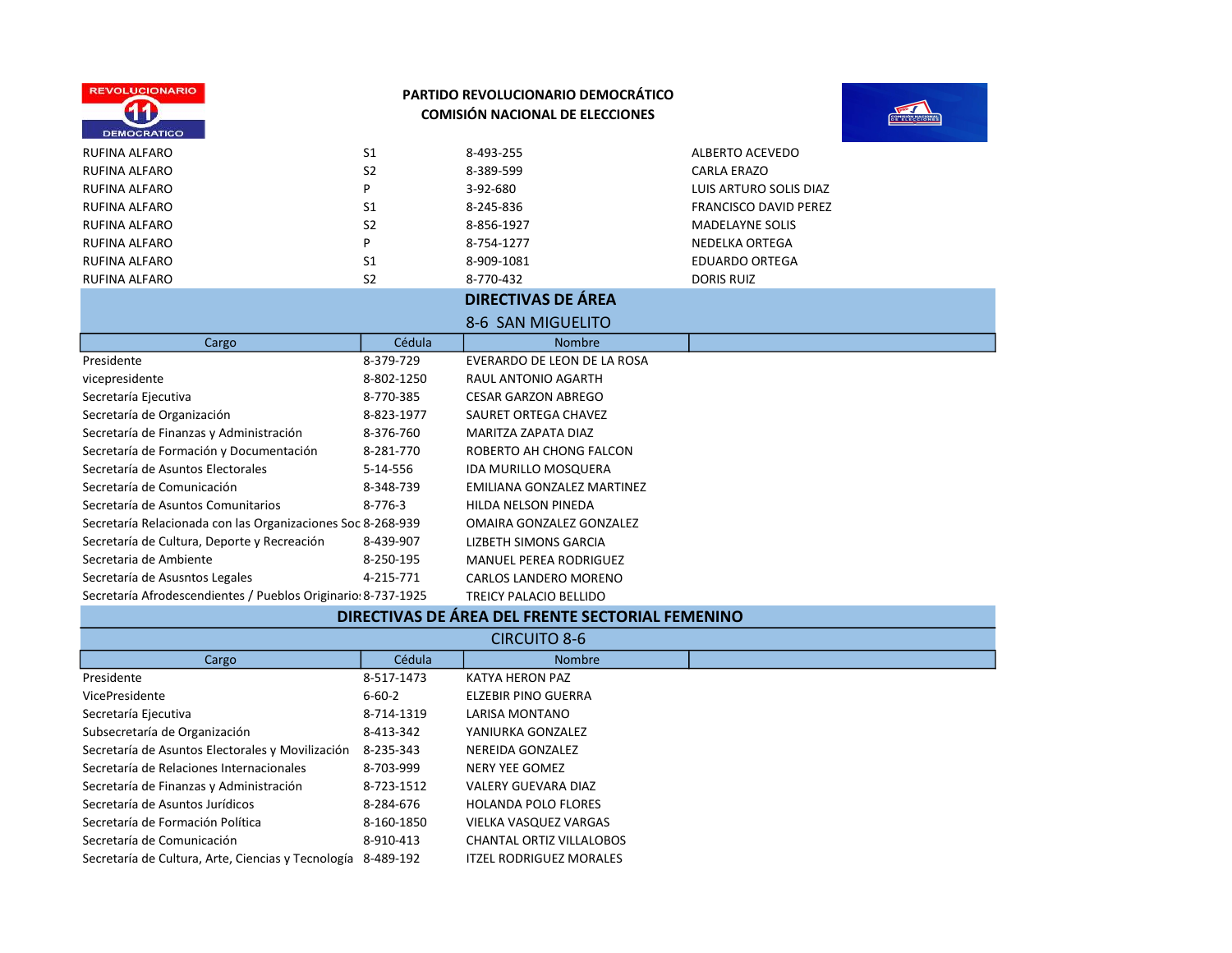



| <b>RUFINA ALFARO</b>                                          | S <sub>1</sub> | 8-493-255                         | <b>ALBERTO ACEVEDO</b>       |
|---------------------------------------------------------------|----------------|-----------------------------------|------------------------------|
| <b>RUFINA ALFARO</b>                                          | S <sub>2</sub> | 8-389-599                         | <b>CARLA ERAZO</b>           |
| RUFINA ALFARO                                                 | P              | 3-92-680                          | LUIS ARTURO SOLIS DIAZ       |
| <b>RUFINA ALFARO</b>                                          | S <sub>1</sub> | 8-245-836                         | <b>FRANCISCO DAVID PEREZ</b> |
| <b>RUFINA ALFARO</b>                                          | S <sub>2</sub> | 8-856-1927                        | <b>MADELAYNE SOLIS</b>       |
| <b>RUFINA ALFARO</b>                                          | P              | 8-754-1277                        | NEDELKA ORTEGA               |
| RUFINA ALFARO                                                 | S <sub>1</sub> | 8-909-1081                        | <b>EDUARDO ORTEGA</b>        |
| RUFINA ALFARO                                                 | S <sub>2</sub> | 8-770-432                         | <b>DORIS RUIZ</b>            |
|                                                               |                | <b>DIRECTIVAS DE ÁREA</b>         |                              |
|                                                               |                | 8-6 SAN MIGUELITO                 |                              |
| Cargo                                                         | Cédula         | <b>Nombre</b>                     |                              |
| Presidente                                                    | 8-379-729      | EVERARDO DE LEON DE LA ROSA       |                              |
| vicepresidente                                                | 8-802-1250     | RAUL ANTONIO AGARTH               |                              |
| Secretaría Ejecutiva                                          | 8-770-385      | <b>CESAR GARZON ABREGO</b>        |                              |
| Secretaría de Organización                                    | 8-823-1977     | SAURET ORTEGA CHAVEZ              |                              |
| Secretaría de Finanzas y Administración                       | 8-376-760      | MARITZA ZAPATA DIAZ               |                              |
| Secretaría de Formación y Documentación                       | 8-281-770      | ROBERTO AH CHONG FALCON           |                              |
| Secretaría de Asuntos Electorales                             | 5-14-556       | <b>IDA MURILLO MOSQUERA</b>       |                              |
| Secretaría de Comunicación                                    | 8-348-739      | <b>EMILIANA GONZALEZ MARTINEZ</b> |                              |
| Secretaría de Asuntos Comunitarios                            | $8 - 776 - 3$  | <b>HILDA NELSON PINEDA</b>        |                              |
| Secretaría Relacionada con las Organizaciones Soc 8-268-939   |                | OMAIRA GONZALEZ GONZALEZ          |                              |
| Secretaría de Cultura, Deporte y Recreación                   | 8-439-907      | LIZBETH SIMONS GARCIA             |                              |
| Secretaria de Ambiente                                        | 8-250-195      | <b>MANUEL PEREA RODRIGUEZ</b>     |                              |
| Secretaría de Asusntos Legales                                | 4-215-771      | <b>CARLOS LANDERO MORENO</b>      |                              |
| Secretaría Afrodescendientes / Pueblos Originario: 8-737-1925 |                | <b>TREICY PALACIO BELLIDO</b>     |                              |

#### DIRECTIVAS DE ÁREA DEL FRENTE SECTORIAL FEMENINO

| <b>CIRCUITO 8-6</b>                                          |              |                                 |  |
|--------------------------------------------------------------|--------------|---------------------------------|--|
| Cargo                                                        | Cédula       | <b>Nombre</b>                   |  |
| Presidente                                                   | 8-517-1473   | KATYA HERON PAZ                 |  |
| VicePresidente                                               | $6 - 60 - 2$ | <b>ELZEBIR PINO GUERRA</b>      |  |
| Secretaría Ejecutiva                                         | 8-714-1319   | LARISA MONTANO                  |  |
| Subsecretaría de Organización                                | 8-413-342    | YANIURKA GONZALEZ               |  |
| Secretaría de Asuntos Electorales y Movilización             | 8-235-343    | NEREIDA GONZALEZ                |  |
| Secretaría de Relaciones Internacionales                     | 8-703-999    | NERY YEE GOMEZ                  |  |
| Secretaría de Finanzas y Administración                      | 8-723-1512   | <b>VALERY GUEVARA DIAZ</b>      |  |
| Secretaría de Asuntos Jurídicos                              | 8-284-676    | <b>HOLANDA POLO FLORES</b>      |  |
| Secretaría de Formación Política                             | 8-160-1850   | VIELKA VASQUEZ VARGAS           |  |
| Secretaría de Comunicación                                   | 8-910-413    | <b>CHANTAL ORTIZ VILLALOBOS</b> |  |
| Secretaría de Cultura, Arte, Ciencias y Tecnología 8-489-192 |              | ITZEL RODRIGUEZ MORALES         |  |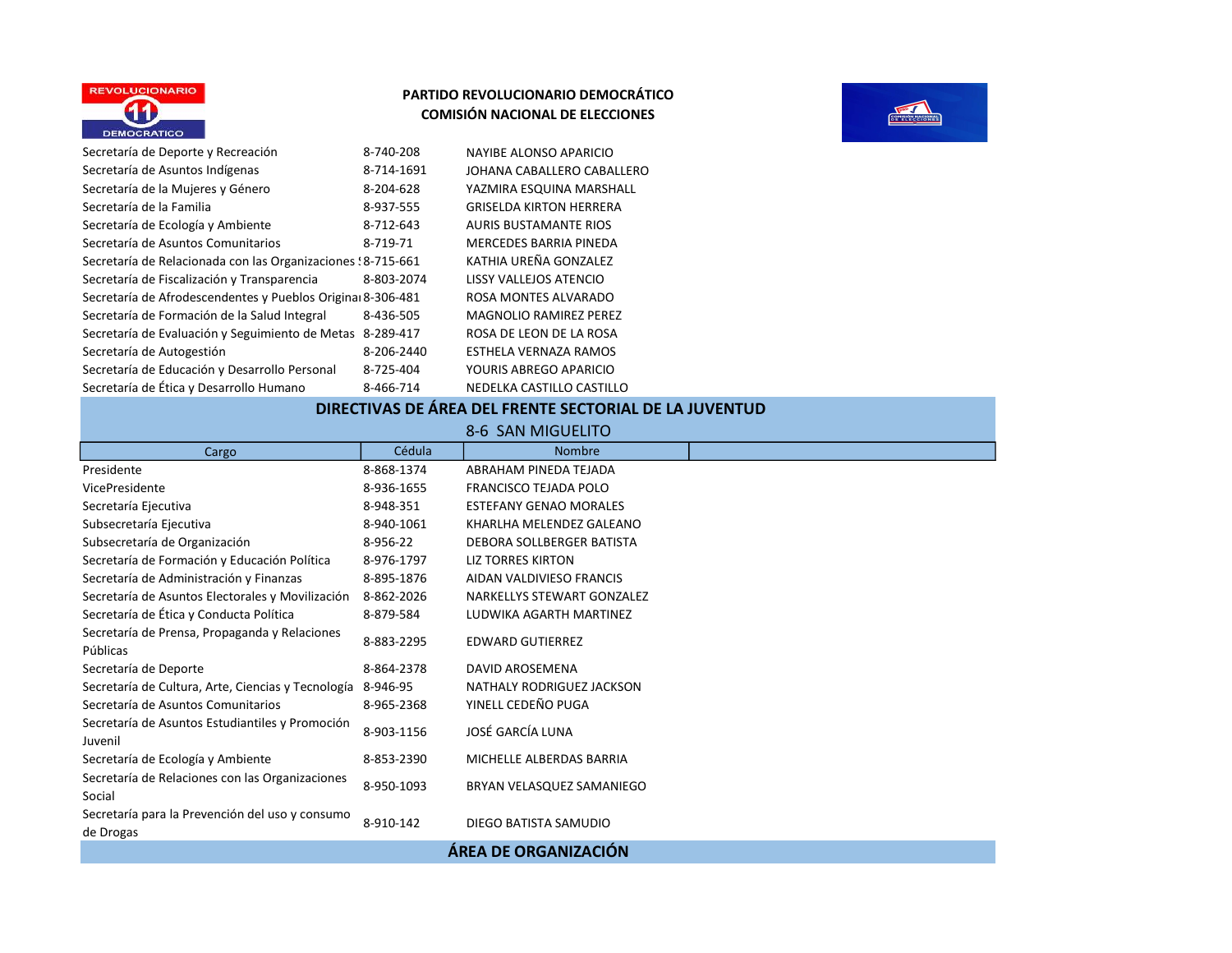



| Secretaría de Deporte y Recreación                           | 8-740-208  | NAYIBE ALONSO APARICIO         |
|--------------------------------------------------------------|------------|--------------------------------|
| Secretaría de Asuntos Indígenas                              | 8-714-1691 | JOHANA CABALLERO CABALLERO     |
| Secretaría de la Mujeres y Género                            | 8-204-628  | YAZMIRA ESQUINA MARSHALL       |
| Secretaría de la Familia                                     | 8-937-555  | <b>GRISELDA KIRTON HERRERA</b> |
| Secretaría de Ecología y Ambiente                            | 8-712-643  | <b>AURIS BUSTAMANTE RIOS</b>   |
| Secretaría de Asuntos Comunitarios                           | 8-719-71   | <b>MERCEDES BARRIA PINEDA</b>  |
| Secretaría de Relacionada con las Organizaciones : 8-715-661 |            | KATHIA UREÑA GONZALEZ          |
| Secretaría de Fiscalización y Transparencia                  | 8-803-2074 | LISSY VALLEJOS ATENCIO         |
| Secretaría de Afrodescendentes y Pueblos Original 8-306-481  |            | ROSA MONTES ALVARADO           |
| Secretaría de Formación de la Salud Integral                 | 8-436-505  | <b>MAGNOLIO RAMIREZ PEREZ</b>  |
| Secretaría de Evaluación y Seguimiento de Metas              | 8-289-417  | ROSA DE LEON DE LA ROSA        |
| Secretaría de Autogestión                                    | 8-206-2440 | ESTHELA VERNAZA RAMOS          |
| Secretaría de Educación y Desarrollo Personal                | 8-725-404  | YOURIS ABREGO APARICIO         |
| Secretaría de Ética y Desarrollo Humano                      | 8-466-714  | NEDELKA CASTILLO CASTILLO      |

# DIRECTIVAS DE ÁREA DEL FRENTE SECTORIAL DE LA JUVENTUD

| 8-6 SAN MIGUELITO                                            |            |                               |  |
|--------------------------------------------------------------|------------|-------------------------------|--|
| Cargo                                                        | Cédula     | <b>Nombre</b>                 |  |
| Presidente                                                   | 8-868-1374 | ABRAHAM PINEDA TEJADA         |  |
| VicePresidente                                               | 8-936-1655 | <b>FRANCISCO TEJADA POLO</b>  |  |
| Secretaría Ejecutiva                                         | 8-948-351  | <b>ESTEFANY GENAO MORALES</b> |  |
| Subsecretaría Ejecutiva                                      | 8-940-1061 | KHARLHA MELENDEZ GALEANO      |  |
| Subsecretaría de Organización                                | 8-956-22   | DEBORA SOLLBERGER BATISTA     |  |
| Secretaría de Formación y Educación Política                 | 8-976-1797 | <b>LIZ TORRES KIRTON</b>      |  |
| Secretaría de Administración y Finanzas                      | 8-895-1876 | AIDAN VALDIVIESO FRANCIS      |  |
| Secretaría de Asuntos Electorales y Movilización             | 8-862-2026 | NARKELLYS STEWART GONZALEZ    |  |
| Secretaría de Ética y Conducta Política                      | 8-879-584  | LUDWIKA AGARTH MARTINEZ       |  |
| Secretaría de Prensa, Propaganda y Relaciones<br>Públicas    | 8-883-2295 | <b>EDWARD GUTIERREZ</b>       |  |
| Secretaría de Deporte                                        | 8-864-2378 | DAVID AROSEMENA               |  |
| Secretaría de Cultura, Arte, Ciencias y Tecnología           | 8-946-95   | NATHALY RODRIGUEZ JACKSON     |  |
| Secretaría de Asuntos Comunitarios                           | 8-965-2368 | YINELL CEDEÑO PUGA            |  |
| Secretaría de Asuntos Estudiantiles y Promoción<br>Juvenil   | 8-903-1156 | JOSÉ GARCÍA LUNA              |  |
| Secretaría de Ecología y Ambiente                            | 8-853-2390 | MICHELLE ALBERDAS BARRIA      |  |
| Secretaría de Relaciones con las Organizaciones<br>Social    | 8-950-1093 | BRYAN VELASQUEZ SAMANIEGO     |  |
| Secretaría para la Prevención del uso y consumo<br>de Drogas | 8-910-142  | DIEGO BATISTA SAMUDIO         |  |
| ÁREA DE ORGANIZACIÓN                                         |            |                               |  |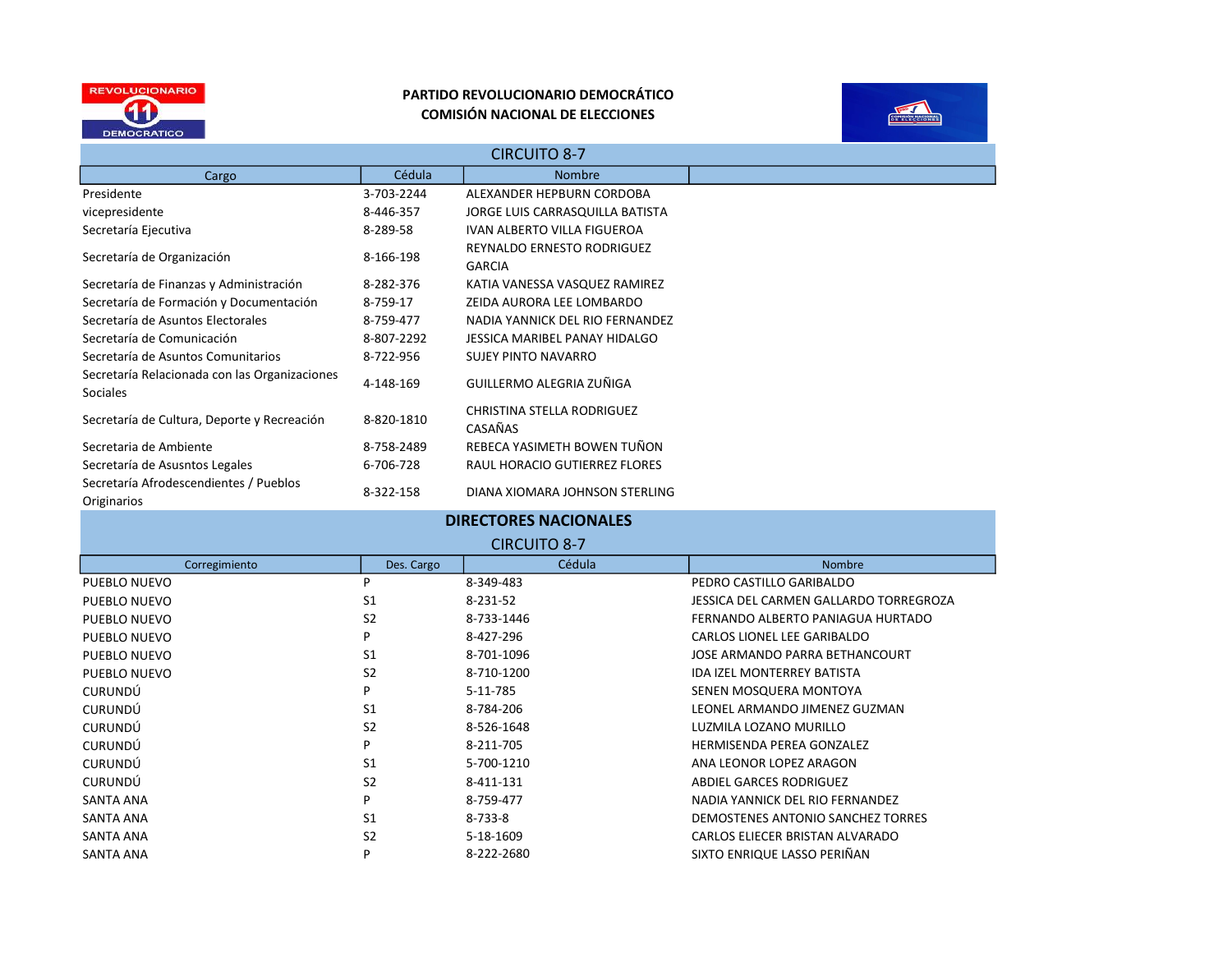



| <b>CIRCUITO 8-7</b>                                              |            |                                             |  |
|------------------------------------------------------------------|------------|---------------------------------------------|--|
| Cargo                                                            | Cédula     | <b>Nombre</b>                               |  |
| Presidente                                                       | 3-703-2244 | ALEXANDER HEPBURN CORDOBA                   |  |
| vicepresidente                                                   | 8-446-357  | JORGE LUIS CARRASQUILLA BATISTA             |  |
| Secretaría Ejecutiva                                             | 8-289-58   | <b>IVAN ALBERTO VILLA FIGUEROA</b>          |  |
| Secretaría de Organización                                       | 8-166-198  | REYNALDO ERNESTO RODRIGUEZ<br><b>GARCIA</b> |  |
| Secretaría de Finanzas y Administración                          | 8-282-376  | KATIA VANESSA VASQUEZ RAMIREZ               |  |
| Secretaría de Formación y Documentación                          | 8-759-17   | ZEIDA AURORA LEE LOMBARDO                   |  |
| Secretaría de Asuntos Electorales                                | 8-759-477  | NADIA YANNICK DEL RIO FERNANDEZ             |  |
| Secretaría de Comunicación                                       | 8-807-2292 | JESSICA MARIBEL PANAY HIDALGO               |  |
| Secretaría de Asuntos Comunitarios                               | 8-722-956  | SUJEY PINTO NAVARRO                         |  |
| Secretaría Relacionada con las Organizaciones<br><b>Sociales</b> | 4-148-169  | GUILLERMO ALEGRIA ZUÑIGA                    |  |
| Secretaría de Cultura, Deporte y Recreación                      | 8-820-1810 | CHRISTINA STELLA RODRIGUEZ<br>CASAÑAS       |  |
| Secretaria de Ambiente                                           | 8-758-2489 | REBECA YASIMETH BOWEN TUÑON                 |  |
| Secretaría de Asusntos Legales                                   | 6-706-728  | RAUL HORACIO GUTIERREZ FLORES               |  |
| Secretaría Afrodescendientes / Pueblos<br>Originarios            | 8-322-158  | DIANA XIOMARA JOHNSON STERLING              |  |

| <b>DIRECTORES NACIONALES</b> |                |               |                                        |  |
|------------------------------|----------------|---------------|----------------------------------------|--|
| <b>CIRCUITO 8-7</b>          |                |               |                                        |  |
| Corregimiento                | Des. Cargo     | Cédula        | <b>Nombre</b>                          |  |
| PUEBLO NUEVO                 | р              | 8-349-483     | PEDRO CASTILLO GARIBALDO               |  |
| PUEBLO NUEVO                 | S <sub>1</sub> | 8-231-52      | JESSICA DEL CARMEN GALLARDO TORREGROZA |  |
| PUEBLO NUEVO                 | S <sub>2</sub> | 8-733-1446    | FERNANDO ALBERTO PANIAGUA HURTADO      |  |
| PUEBLO NUEVO                 | P              | 8-427-296     | CARLOS LIONEL LEE GARIBALDO            |  |
| PUEBLO NUEVO                 | S <sub>1</sub> | 8-701-1096    | JOSE ARMANDO PARRA BETHANCOURT         |  |
| PUEBLO NUEVO                 | S <sub>2</sub> | 8-710-1200    | <b>IDA IZEL MONTERREY BATISTA</b>      |  |
| <b>CURUNDÚ</b>               | P              | 5-11-785      | SENEN MOSQUERA MONTOYA                 |  |
| <b>CURUNDÚ</b>               | S <sub>1</sub> | 8-784-206     | LEONEL ARMANDO JIMENEZ GUZMAN          |  |
| <b>CURUNDÚ</b>               | S <sub>2</sub> | 8-526-1648    | LUZMILA LOZANO MURILLO                 |  |
| <b>CURUNDÚ</b>               | P              | 8-211-705     | HERMISENDA PEREA GONZALEZ              |  |
| <b>CURUNDÚ</b>               | S <sub>1</sub> | 5-700-1210    | ANA LEONOR LOPEZ ARAGON                |  |
| <b>CURUNDÚ</b>               | S <sub>2</sub> | 8-411-131     | <b>ABDIEL GARCES RODRIGUEZ</b>         |  |
| SANTA ANA                    | P              | 8-759-477     | NADIA YANNICK DEL RIO FERNANDEZ        |  |
| SANTA ANA                    | S <sub>1</sub> | $8 - 733 - 8$ | DEMOSTENES ANTONIO SANCHEZ TORRES      |  |
| SANTA ANA                    | S <sub>2</sub> | 5-18-1609     | CARLOS ELIECER BRISTAN ALVARADO        |  |
| <b>SANTA ANA</b>             | P              | 8-222-2680    | SIXTO ENRIQUE LASSO PERIÑAN            |  |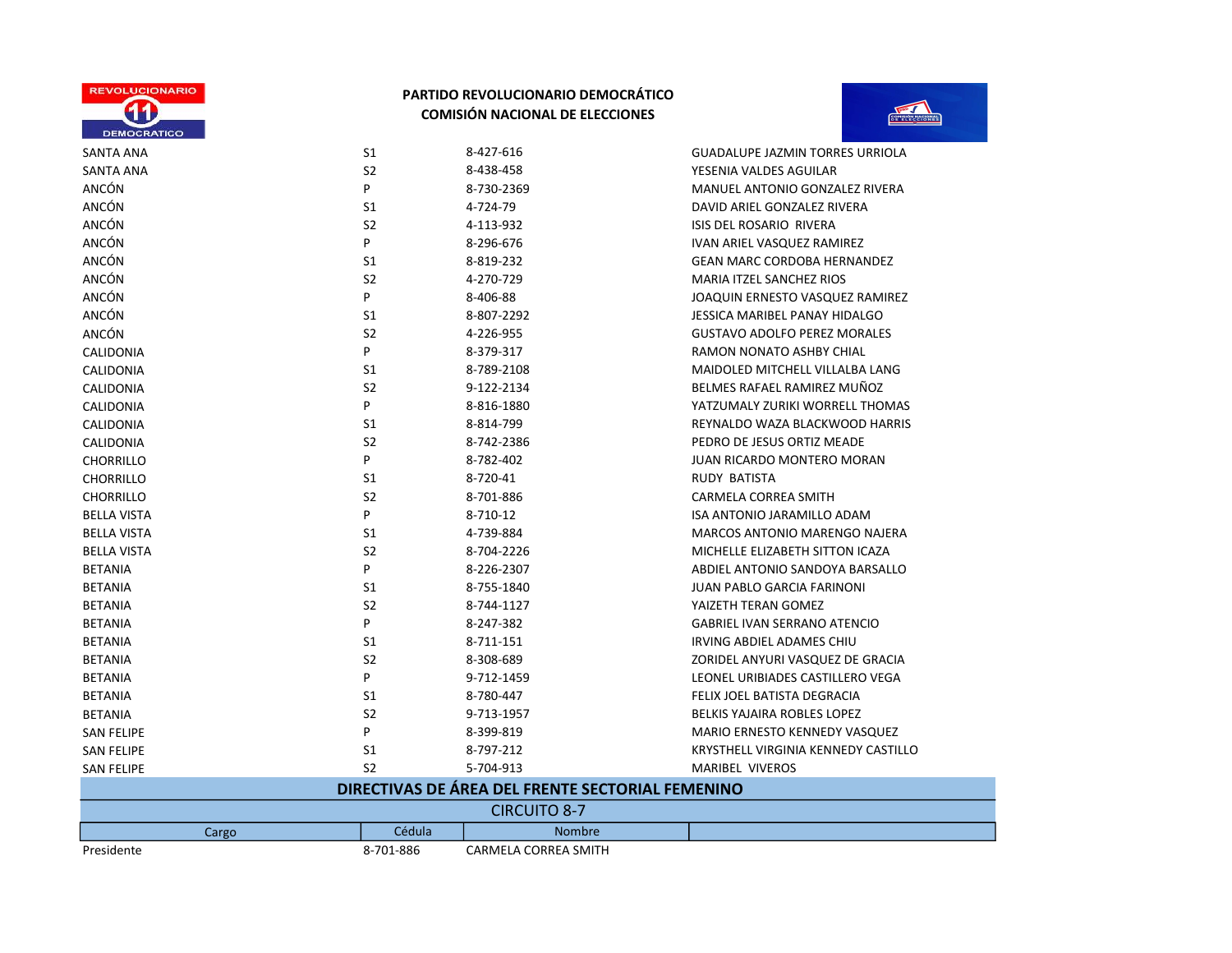



Ξ

| SANTA ANA           | S1             | 8-427-616                                        | <b>GUADALUPE JAZMIN TORRES URRIOLA</b> |
|---------------------|----------------|--------------------------------------------------|----------------------------------------|
| <b>SANTA ANA</b>    | S <sub>2</sub> | 8-438-458                                        | YESENIA VALDES AGUILAR                 |
| ANCÓN               | P              | 8-730-2369                                       | <b>MANUEL ANTONIO GONZALEZ RIVERA</b>  |
| ANCÓN               | S1             | 4-724-79                                         | DAVID ARIEL GONZALEZ RIVERA            |
| ANCÓN               | S <sub>2</sub> | 4-113-932                                        | ISIS DEL ROSARIO RIVERA                |
| ANCÓN               | P              | 8-296-676                                        | IVAN ARIEL VASQUEZ RAMIREZ             |
| ANCÓN               | S <sub>1</sub> | 8-819-232                                        | <b>GEAN MARC CORDOBA HERNANDEZ</b>     |
| ANCÓN               | S <sub>2</sub> | 4-270-729                                        | <b>MARIA ITZEL SANCHEZ RIOS</b>        |
| ANCÓN               | P              | 8-406-88                                         | JOAQUIN ERNESTO VASQUEZ RAMIREZ        |
| ANCÓN               | S <sub>1</sub> | 8-807-2292                                       | JESSICA MARIBEL PANAY HIDALGO          |
| ANCÓN               | S <sub>2</sub> | 4-226-955                                        | <b>GUSTAVO ADOLFO PEREZ MORALES</b>    |
| <b>CALIDONIA</b>    | P              | 8-379-317                                        | RAMON NONATO ASHBY CHIAL               |
| CALIDONIA           | S1             | 8-789-2108                                       | MAIDOLED MITCHELL VILLALBA LANG        |
| CALIDONIA           | S <sub>2</sub> | 9-122-2134                                       | BELMES RAFAEL RAMIREZ MUÑOZ            |
| CALIDONIA           | P              | 8-816-1880                                       | YATZUMALY ZURIKI WORRELL THOMAS        |
| <b>CALIDONIA</b>    | S1             | 8-814-799                                        | REYNALDO WAZA BLACKWOOD HARRIS         |
| CALIDONIA           | S <sub>2</sub> | 8-742-2386                                       | PEDRO DE JESUS ORTIZ MEADE             |
| <b>CHORRILLO</b>    | P              | 8-782-402                                        | <b>JUAN RICARDO MONTERO MORAN</b>      |
| <b>CHORRILLO</b>    | S1             | 8-720-41                                         | RUDY BATISTA                           |
| <b>CHORRILLO</b>    | S <sub>2</sub> | 8-701-886                                        | <b>CARMELA CORREA SMITH</b>            |
| <b>BELLA VISTA</b>  | P              | 8-710-12                                         | ISA ANTONIO JARAMILLO ADAM             |
| <b>BELLA VISTA</b>  | S1             | 4-739-884                                        | MARCOS ANTONIO MARENGO NAJERA          |
| <b>BELLA VISTA</b>  | S <sub>2</sub> | 8-704-2226                                       | MICHELLE ELIZABETH SITTON ICAZA        |
| <b>BETANIA</b>      | P              | 8-226-2307                                       | ABDIEL ANTONIO SANDOYA BARSALLO        |
| <b>BETANIA</b>      | S1             | 8-755-1840                                       | <b>JUAN PABLO GARCIA FARINONI</b>      |
| <b>BETANIA</b>      | S <sub>2</sub> | 8-744-1127                                       | YAIZETH TERAN GOMEZ                    |
| <b>BETANIA</b>      | P              | 8-247-382                                        | <b>GABRIEL IVAN SERRANO ATENCIO</b>    |
| <b>BETANIA</b>      | S1             | 8-711-151                                        | IRVING ABDIEL ADAMES CHIU              |
| <b>BETANIA</b>      | S <sub>2</sub> | 8-308-689                                        | ZORIDEL ANYURI VASQUEZ DE GRACIA       |
| <b>BETANIA</b>      | P              | 9-712-1459                                       | LEONEL URIBIADES CASTILLERO VEGA       |
| <b>BETANIA</b>      | S1             | 8-780-447                                        | FELIX JOEL BATISTA DEGRACIA            |
| <b>BETANIA</b>      | S <sub>2</sub> | 9-713-1957                                       | BELKIS YAJAIRA ROBLES LOPEZ            |
| <b>SAN FELIPE</b>   | P              | 8-399-819                                        | MARIO ERNESTO KENNEDY VASQUEZ          |
| <b>SAN FELIPE</b>   | S <sub>1</sub> | 8-797-212                                        | KRYSTHELL VIRGINIA KENNEDY CASTILLO    |
| <b>SAN FELIPE</b>   | S <sub>2</sub> | 5-704-913                                        | MARIBEL VIVEROS                        |
|                     |                | DIRECTIVAS DE ÁREA DEL FRENTE SECTORIAL FEMENINO |                                        |
| <b>CIRCUITO 8-7</b> |                |                                                  |                                        |
| Cargo               | Cédula         | <b>Nombre</b>                                    |                                        |

Presidente 8-701-886 CARMELA CORREA SMITH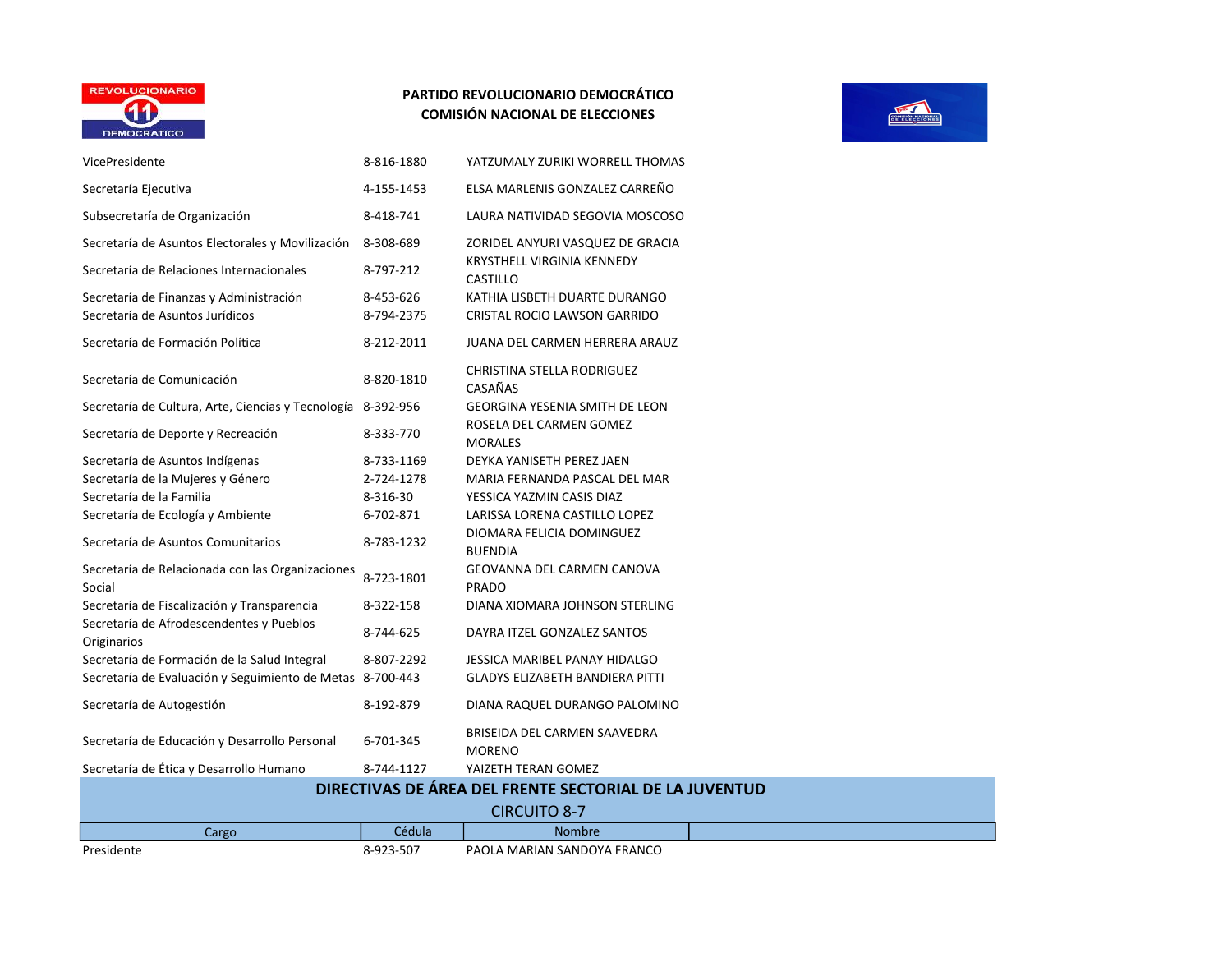

| VicePresidente                                                             | 8-816-1880              | YATZUMALY ZURIKI WORRELL THOMAS                               |  |
|----------------------------------------------------------------------------|-------------------------|---------------------------------------------------------------|--|
| Secretaría Ejecutiva                                                       | 4-155-1453              | ELSA MARLENIS GONZALEZ CARREÑO                                |  |
| Subsecretaría de Organización                                              | 8-418-741               | LAURA NATIVIDAD SEGOVIA MOSCOSO                               |  |
| Secretaría de Asuntos Electorales y Movilización                           | 8-308-689               | ZORIDEL ANYURI VASQUEZ DE GRACIA                              |  |
| Secretaría de Relaciones Internacionales                                   | 8-797-212               | <b>KRYSTHELL VIRGINIA KENNEDY</b><br>CASTILLO                 |  |
| Secretaría de Finanzas y Administración<br>Secretaría de Asuntos Jurídicos | 8-453-626<br>8-794-2375 | KATHIA LISBETH DUARTE DURANGO<br>CRISTAL ROCIO LAWSON GARRIDO |  |
| Secretaría de Formación Política                                           | 8-212-2011              | JUANA DEL CARMEN HERRERA ARAUZ                                |  |
| Secretaría de Comunicación                                                 | 8-820-1810              | CHRISTINA STELLA RODRIGUEZ<br>CASAÑAS                         |  |
| Secretaría de Cultura, Arte, Ciencias y Tecnología 8-392-956               |                         | <b>GEORGINA YESENIA SMITH DE LEON</b>                         |  |
| Secretaría de Deporte y Recreación                                         | 8-333-770               | ROSELA DEL CARMEN GOMEZ<br><b>MORALES</b>                     |  |
| Secretaría de Asuntos Indígenas                                            | 8-733-1169              | DEYKA YANISETH PEREZ JAEN                                     |  |
| Secretaría de la Mujeres y Género                                          | 2-724-1278              | MARIA FERNANDA PASCAL DEL MAR                                 |  |
| Secretaría de la Familia                                                   | 8-316-30                | YESSICA YAZMIN CASIS DIAZ                                     |  |
| Secretaría de Ecología y Ambiente                                          | 6-702-871               | LARISSA LORENA CASTILLO LOPEZ                                 |  |
| Secretaría de Asuntos Comunitarios                                         | 8-783-1232              | DIOMARA FELICIA DOMINGUEZ<br><b>BUENDIA</b>                   |  |
| Secretaría de Relacionada con las Organizaciones<br>Social                 | 8-723-1801              | GEOVANNA DEL CARMEN CANOVA<br><b>PRADO</b>                    |  |
| Secretaría de Fiscalización y Transparencia                                | 8-322-158               | DIANA XIOMARA JOHNSON STERLING                                |  |
| Secretaría de Afrodescendentes y Pueblos<br>Originarios                    | 8-744-625               | DAYRA ITZEL GONZALEZ SANTOS                                   |  |
| Secretaría de Formación de la Salud Integral                               | 8-807-2292              | JESSICA MARIBEL PANAY HIDALGO                                 |  |
| Secretaría de Evaluación y Seguimiento de Metas 8-700-443                  |                         | <b>GLADYS ELIZABETH BANDIERA PITTI</b>                        |  |
| Secretaría de Autogestión                                                  | 8-192-879               | DIANA RAQUEL DURANGO PALOMINO                                 |  |
| Secretaría de Educación y Desarrollo Personal                              | 6-701-345               | BRISEIDA DEL CARMEN SAAVEDRA<br><b>MORENO</b>                 |  |
| Secretaría de Ética y Desarrollo Humano                                    | 8-744-1127              | YAIZETH TERAN GOMEZ                                           |  |
|                                                                            |                         | DIRECTIVAS DE ÁREA DEL FRENTE SECTORIAL DE LA JUVENTUD        |  |
|                                                                            |                         | <b>CIRCUITO 8-7</b>                                           |  |
| Cargo                                                                      | Cédula                  | <b>Nombre</b>                                                 |  |
| Presidente                                                                 | 8-923-507               | PAOLA MARIAN SANDOYA FRANCO                                   |  |

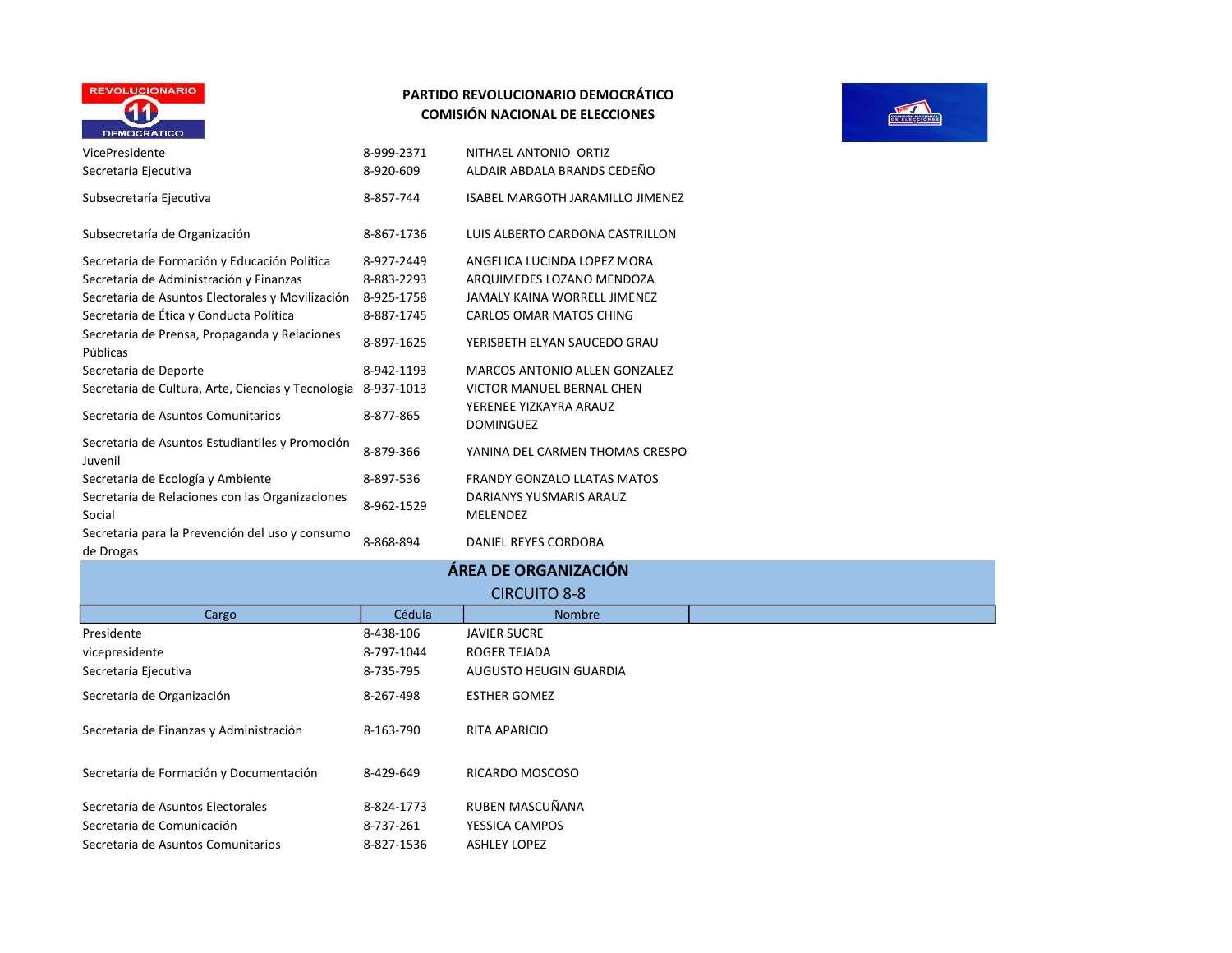

## PARTIDO REVOLUCIONARIO DEMOCRÁTICO COMISIÓN NACIONAL DE ELECCIONES

| VicePresidente<br>Secretaría Ejecutiva                                                                                                                                                                                                              | 8-999-2371<br>8-920-609                                            | NITHAEL ANTONIO ORTIZ<br>ALDAIR ABDALA BRANDS CEDEÑO                                                                                                       |
|-----------------------------------------------------------------------------------------------------------------------------------------------------------------------------------------------------------------------------------------------------|--------------------------------------------------------------------|------------------------------------------------------------------------------------------------------------------------------------------------------------|
| Subsecretaría Ejecutiva                                                                                                                                                                                                                             | 8-857-744                                                          | ISABEL MARGOTH JARAMILLO JIMENEZ                                                                                                                           |
| Subsecretaría de Organización                                                                                                                                                                                                                       | 8-867-1736                                                         | LUIS ALBERTO CARDONA CASTRILLON                                                                                                                            |
| Secretaría de Formación y Educación Política<br>Secretaría de Administración y Finanzas<br>Secretaría de Asuntos Electorales y Movilización<br>Secretaría de Ética y Conducta Política<br>Secretaría de Prensa, Propaganda y Relaciones<br>Públicas | 8-927-2449<br>8-883-2293<br>8-925-1758<br>8-887-1745<br>8-897-1625 | ANGELICA LUCINDA LOPEZ MORA<br>ARQUIMEDES LOZANO MENDOZA<br><b>JAMALY KAINA WORRELL JIMENEZ</b><br>CARLOS OMAR MATOS CHING<br>YERISBETH ELYAN SAUCEDO GRAU |
| Secretaría de Deporte                                                                                                                                                                                                                               | 8-942-1193                                                         | MARCOS ANTONIO ALLEN GONZALEZ                                                                                                                              |
| Secretaría de Cultura, Arte, Ciencias y Tecnología<br>Secretaría de Asuntos Comunitarios                                                                                                                                                            | 8-937-1013<br>8-877-865                                            | VICTOR MANUEL BERNAL CHEN<br>YERENEE YIZKAYRA ARAUZ<br><b>DOMINGUEZ</b>                                                                                    |
| Secretaría de Asuntos Estudiantiles y Promoción<br>Juvenil                                                                                                                                                                                          | 8-879-366                                                          | YANINA DEL CARMEN THOMAS CRESPO                                                                                                                            |
| Secretaría de Ecología y Ambiente                                                                                                                                                                                                                   | 8-897-536                                                          | <b>FRANDY GONZALO LLATAS MATOS</b>                                                                                                                         |
| Secretaría de Relaciones con las Organizaciones<br>Social                                                                                                                                                                                           | 8-962-1529                                                         | DARIANYS YUSMARIS ARAUZ<br><b>MELENDEZ</b>                                                                                                                 |
| Secretaría para la Prevención del uso y consumo<br>de Drogas                                                                                                                                                                                        | 8-868-894                                                          | DANIEL REYES CORDOBA                                                                                                                                       |

Secretaría de Formación y Documentación 8-429-649 RICARDO MOSCOSO

Secretaría de Asuntos Electorales 8-824-1773 RUBEN MASCUÑANA Secretaría de Comunicación 8-737-261 YESSICA CAMPOS Secretaría de Asuntos Comunitarios  $\overline{8-827-1536}$  ASHLEY LOPEZ



| Secretaría de Prensa, Propaganda y Relaciones<br>Públicas     | 8-897-1625 | YERISBETH ELYAN SAUCEDO GRAU               |  |
|---------------------------------------------------------------|------------|--------------------------------------------|--|
| Secretaría de Deporte                                         | 8-942-1193 | MARCOS ANTONIO ALLEN GONZALEZ              |  |
| Secretaría de Cultura, Arte, Ciencias y Tecnología 8-937-1013 |            | VICTOR MANUEL BERNAL CHEN                  |  |
| Secretaría de Asuntos Comunitarios                            | 8-877-865  | YERENEE YIZKAYRA ARAUZ<br><b>DOMINGUEZ</b> |  |
| Secretaría de Asuntos Estudiantiles y Promoción<br>Juvenil    | 8-879-366  | YANINA DEL CARMEN THOMAS CRESPO            |  |
| Secretaría de Ecología y Ambiente                             | 8-897-536  | <b>FRANDY GONZALO LLATAS MATOS</b>         |  |
| Secretaría de Relaciones con las Organizaciones<br>Social     | 8-962-1529 | DARIANYS YUSMARIS ARAUZ<br><b>MELENDEZ</b> |  |
| Secretaría para la Prevención del uso y consumo<br>de Drogas  | 8-868-894  | DANIEL REYES CORDOBA                       |  |
|                                                               |            | ÁREA DE ORGANIZACIÓN                       |  |
|                                                               |            | <b>CIRCUITO 8-8</b>                        |  |
| Cargo                                                         | Cédula     | <b>Nombre</b>                              |  |
| Presidente                                                    | 8-438-106  | <b>JAVIER SUCRE</b>                        |  |
| vicepresidente                                                | 8-797-1044 | <b>ROGER TEJADA</b>                        |  |
| Secretaría Ejecutiva                                          | 8-735-795  | AUGUSTO HEUGIN GUARDIA                     |  |
| Secretaría de Organización                                    | 8-267-498  | <b>ESTHER GOMEZ</b>                        |  |
| Secretaría de Finanzas y Administración                       | 8-163-790  | <b>RITA APARICIO</b>                       |  |
|                                                               |            |                                            |  |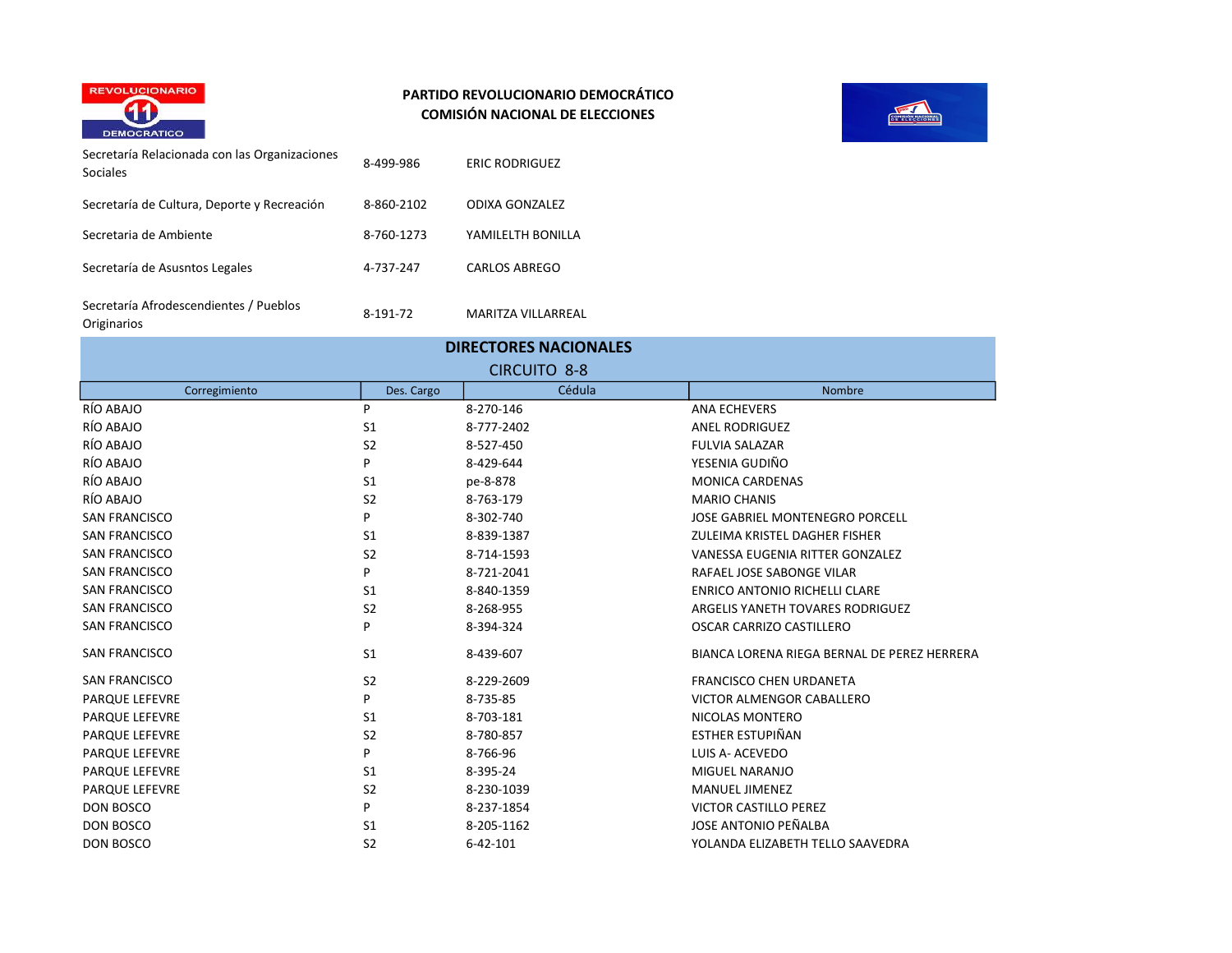



| Secretaría Relacionada con las Organizaciones<br>Sociales | 8-499-986  | <b>ERIC RODRIGUEZ</b>     |
|-----------------------------------------------------------|------------|---------------------------|
| Secretaría de Cultura, Deporte y Recreación               | 8-860-2102 | ODIXA GONZALEZ            |
| Secretaria de Ambiente                                    | 8-760-1273 | YAMILELTH BONILLA         |
| Secretaría de Asusntos Legales                            | 4-737-247  | CARLOS ABREGO             |
| Secretaría Afrodescendientes / Pueblos<br>Originarios     | 8-191-72   | <b>MARITZA VILLARREAL</b> |

| <b>DIRECTORES NACIONALES</b> |                |                |                                             |
|------------------------------|----------------|----------------|---------------------------------------------|
| <b>CIRCUITO 8-8</b>          |                |                |                                             |
| Corregimiento                | Des. Cargo     | Cédula         | <b>Nombre</b>                               |
| RÍO ABAJO                    | P              | 8-270-146      | <b>ANA ECHEVERS</b>                         |
| RÍO ABAJO                    | S <sub>1</sub> | 8-777-2402     | <b>ANEL RODRIGUEZ</b>                       |
| RÍO ABAJO                    | S <sub>2</sub> | 8-527-450      | <b>FULVIA SALAZAR</b>                       |
| RÍO ABAJO                    | P              | 8-429-644      | YESENIA GUDIÑO                              |
| RÍO ABAJO                    | S <sub>1</sub> | pe-8-878       | <b>MONICA CARDENAS</b>                      |
| RÍO ABAJO                    | S <sub>2</sub> | 8-763-179      | <b>MARIO CHANIS</b>                         |
| <b>SAN FRANCISCO</b>         | P              | 8-302-740      | JOSE GABRIEL MONTENEGRO PORCELL             |
| <b>SAN FRANCISCO</b>         | S <sub>1</sub> | 8-839-1387     | ZULEIMA KRISTEL DAGHER FISHER               |
| <b>SAN FRANCISCO</b>         | S <sub>2</sub> | 8-714-1593     | VANESSA EUGENIA RITTER GONZALEZ             |
| <b>SAN FRANCISCO</b>         | P              | 8-721-2041     | RAFAEL JOSE SABONGE VILAR                   |
| <b>SAN FRANCISCO</b>         | S <sub>1</sub> | 8-840-1359     | <b>ENRICO ANTONIO RICHELLI CLARE</b>        |
| <b>SAN FRANCISCO</b>         | S <sub>2</sub> | 8-268-955      | ARGELIS YANETH TOVARES RODRIGUEZ            |
| <b>SAN FRANCISCO</b>         | P              | 8-394-324      | OSCAR CARRIZO CASTILLERO                    |
| <b>SAN FRANCISCO</b>         | S <sub>1</sub> | 8-439-607      | BIANCA LORENA RIEGA BERNAL DE PEREZ HERRERA |
| <b>SAN FRANCISCO</b>         | S <sub>2</sub> | 8-229-2609     | <b>FRANCISCO CHEN URDANETA</b>              |
| <b>PARQUE LEFEVRE</b>        | P              | 8-735-85       | <b>VICTOR ALMENGOR CABALLERO</b>            |
| <b>PARQUE LEFEVRE</b>        | S <sub>1</sub> | 8-703-181      | NICOLAS MONTERO                             |
| <b>PARQUE LEFEVRE</b>        | S <sub>2</sub> | 8-780-857      | <b>ESTHER ESTUPIÑAN</b>                     |
| <b>PARQUE LEFEVRE</b>        | P              | 8-766-96       | LUIS A- ACEVEDO                             |
| PARQUE LEFEVRE               | S <sub>1</sub> | 8-395-24       | MIGUEL NARANJO                              |
| <b>PARQUE LEFEVRE</b>        | S <sub>2</sub> | 8-230-1039     | <b>MANUEL JIMENEZ</b>                       |
| DON BOSCO                    | P              | 8-237-1854     | <b>VICTOR CASTILLO PEREZ</b>                |
| <b>DON BOSCO</b>             | S <sub>1</sub> | 8-205-1162     | JOSE ANTONIO PEÑALBA                        |
| <b>DON BOSCO</b>             | S <sub>2</sub> | $6 - 42 - 101$ | YOLANDA ELIZABETH TELLO SAAVEDRA            |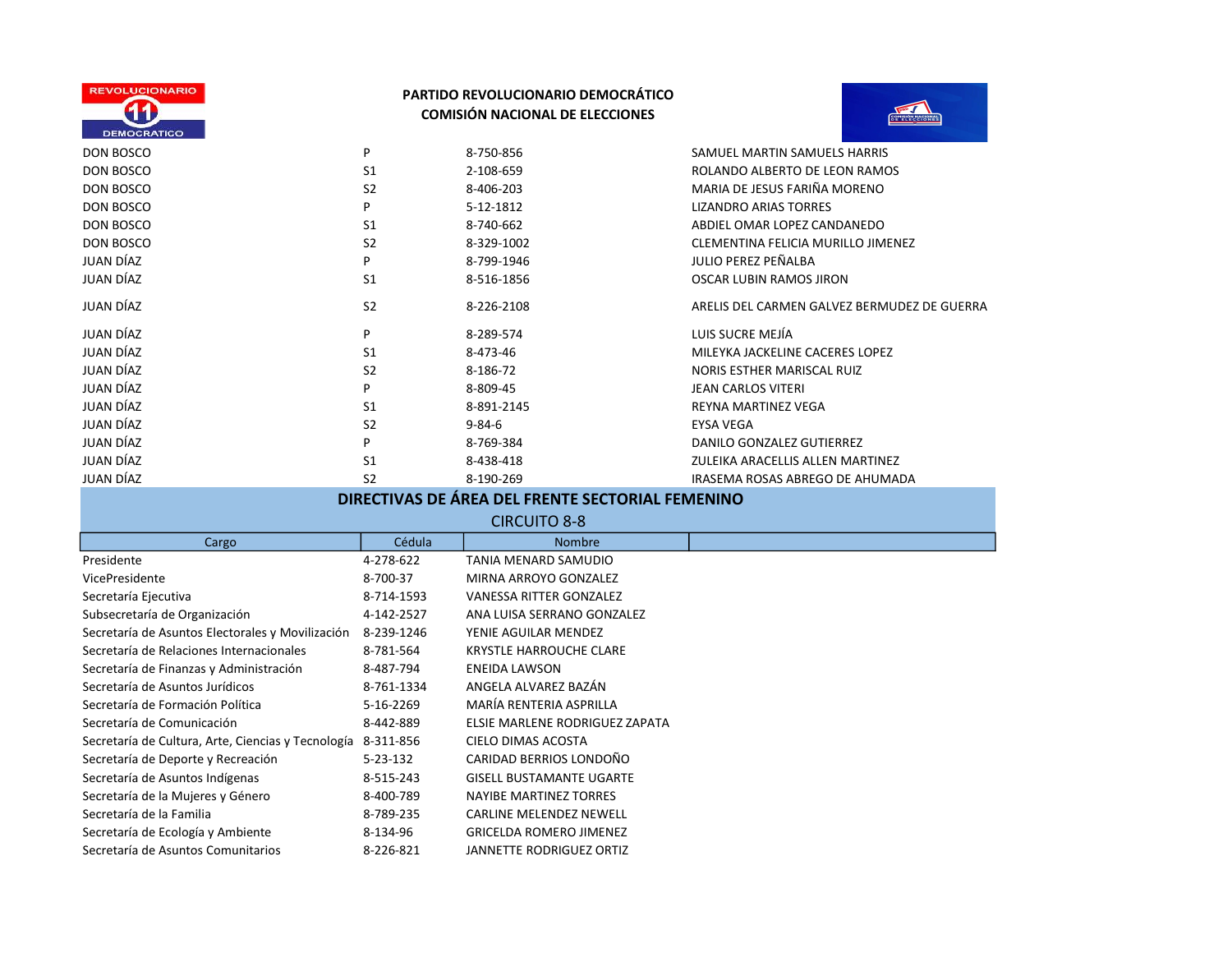



| <b>DEMOCRATICO</b>                                           |                |                                                  |                                             |
|--------------------------------------------------------------|----------------|--------------------------------------------------|---------------------------------------------|
| <b>DON BOSCO</b>                                             | P              | 8-750-856                                        | SAMUEL MARTIN SAMUELS HARRIS                |
| DON BOSCO                                                    | S <sub>1</sub> | 2-108-659                                        | ROLANDO ALBERTO DE LEON RAMOS               |
| DON BOSCO                                                    | S <sub>2</sub> | 8-406-203                                        | MARIA DE JESUS FARIÑA MORENO                |
| <b>DON BOSCO</b>                                             | P              | 5-12-1812                                        | <b>LIZANDRO ARIAS TORRES</b>                |
| <b>DON BOSCO</b>                                             | S1             | 8-740-662                                        | ABDIEL OMAR LOPEZ CANDANEDO                 |
| DON BOSCO                                                    | S <sub>2</sub> | 8-329-1002                                       | CLEMENTINA FELICIA MURILLO JIMENEZ          |
| <b>JUAN DÍAZ</b>                                             | P              | 8-799-1946                                       | JULIO PEREZ PEÑALBA                         |
| JUAN DÍAZ                                                    | S <sub>1</sub> | 8-516-1856                                       | <b>OSCAR LUBIN RAMOS JIRON</b>              |
| <b>JUAN DÍAZ</b>                                             | S <sub>2</sub> | 8-226-2108                                       | ARELIS DEL CARMEN GALVEZ BERMUDEZ DE GUERRA |
| <b>JUAN DÍAZ</b>                                             | P              | 8-289-574                                        | LUIS SUCRE MEJÍA                            |
| <b>JUAN DÍAZ</b>                                             | S <sub>1</sub> | 8-473-46                                         | MILEYKA JACKELINE CACERES LOPEZ             |
| JUAN DÍAZ                                                    | S <sub>2</sub> | 8-186-72                                         | NORIS ESTHER MARISCAL RUIZ                  |
| JUAN DÍAZ                                                    | P              | 8-809-45                                         | <b>JEAN CARLOS VITERI</b>                   |
| JUAN DÍAZ                                                    | S <sub>1</sub> | 8-891-2145                                       | REYNA MARTINEZ VEGA                         |
| <b>JUAN DÍAZ</b>                                             | S <sub>2</sub> | $9 - 84 - 6$                                     | <b>EYSA VEGA</b>                            |
| JUAN DÍAZ                                                    | P              | 8-769-384                                        | DANILO GONZALEZ GUTIERREZ                   |
| JUAN DÍAZ                                                    | S <sub>1</sub> | 8-438-418                                        | ZULEIKA ARACELLIS ALLEN MARTINEZ            |
| JUAN DÍAZ                                                    | S <sub>2</sub> | 8-190-269                                        | IRASEMA ROSAS ABREGO DE AHUMADA             |
|                                                              |                | DIRECTIVAS DE ÁREA DEL FRENTE SECTORIAL FEMENINO |                                             |
|                                                              |                | <b>CIRCUITO 8-8</b>                              |                                             |
| Cargo                                                        | Cédula         | <b>Nombre</b>                                    |                                             |
| Presidente                                                   | 4-278-622      | <b>TANIA MENARD SAMUDIO</b>                      |                                             |
| VicePresidente                                               | 8-700-37       | MIRNA ARROYO GONZALEZ                            |                                             |
| Secretaría Ejecutiva                                         | 8-714-1593     | VANESSA RITTER GONZALEZ                          |                                             |
| Subsecretaría de Organización                                | 4-142-2527     | ANA LUISA SERRANO GONZALEZ                       |                                             |
| Secretaría de Asuntos Electorales y Movilización             | 8-239-1246     | YENIE AGUILAR MENDEZ                             |                                             |
| Secretaría de Relaciones Internacionales                     | 8-781-564      | <b>KRYSTLE HARROUCHE CLARE</b>                   |                                             |
| Secretaría de Finanzas y Administración                      | 8-487-794      | <b>ENEIDA LAWSON</b>                             |                                             |
| Secretaría de Asuntos Jurídicos                              | 8-761-1334     | ANGELA ALVAREZ BAZÁN                             |                                             |
| Secretaría de Formación Política                             | 5-16-2269      | MARÍA RENTERIA ASPRILLA                          |                                             |
| Secretaría de Comunicación                                   | 8-442-889      | ELSIE MARLENE RODRIGUEZ ZAPATA                   |                                             |
| Secretaría de Cultura, Arte, Ciencias y Tecnología 8-311-856 |                | CIELO DIMAS ACOSTA                               |                                             |
| Secretaría de Deporte y Recreación                           | 5-23-132       | CARIDAD BERRIOS LONDOÑO                          |                                             |
| Secretaría de Asuntos Indígenas                              | 8-515-243      | <b>GISELL BUSTAMANTE UGARTE</b>                  |                                             |
| Secretaría de la Mujeres y Género                            | 8-400-789      | <b>NAYIBE MARTINEZ TORRES</b>                    |                                             |
| Secretaría de la Familia                                     | 8-789-235      | CARLINE MELENDEZ NEWELL                          |                                             |
| Secretaría de Ecología y Ambiente                            | 8-134-96       | <b>GRICELDA ROMERO JIMENEZ</b>                   |                                             |
| Secretaría de Asuntos Comunitarios                           | 8-226-821      | <b>JANNETTE RODRIGUEZ ORTIZ</b>                  |                                             |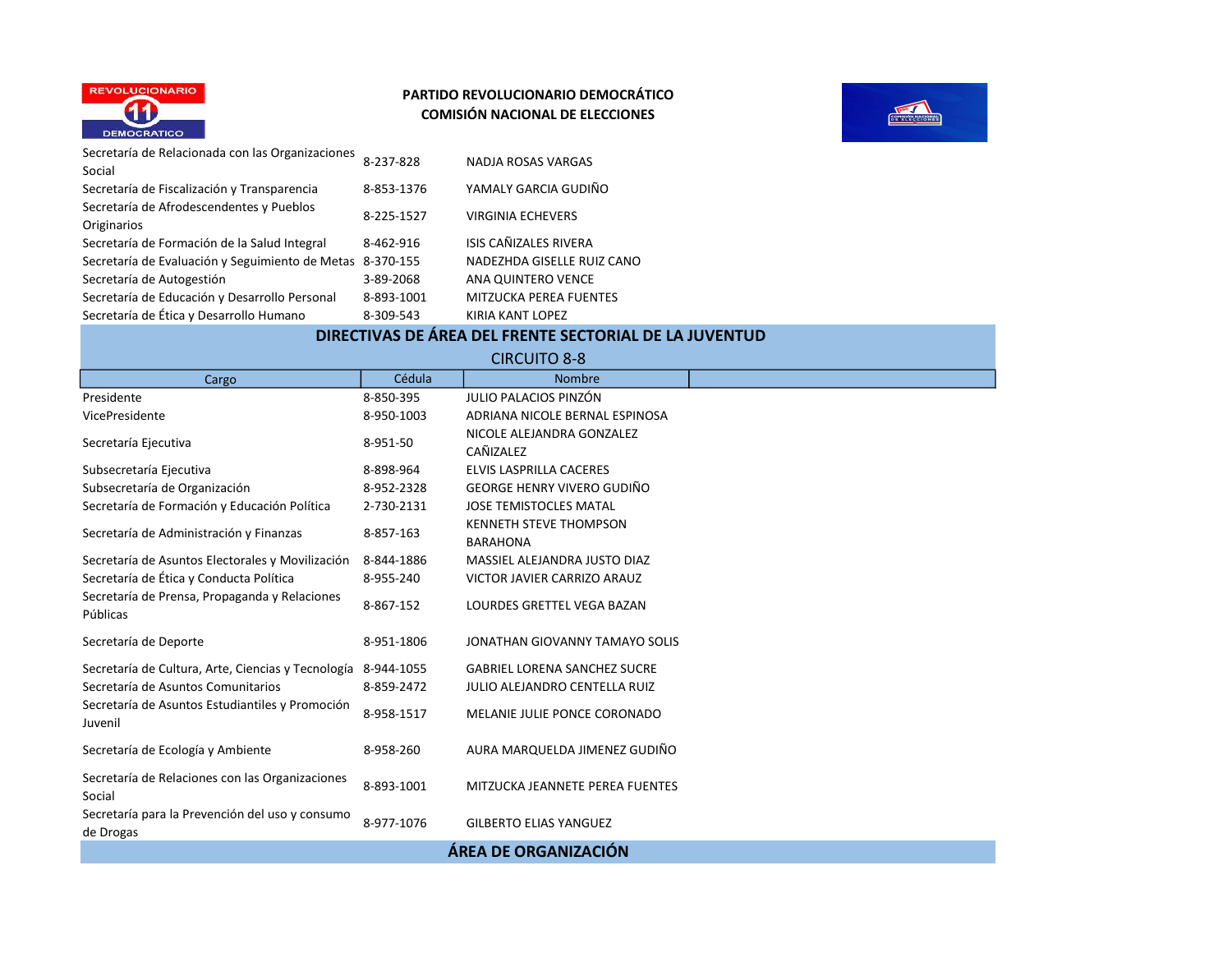



| Secretaría de Relacionada con las Organizaciones<br>Social | 8-237-828  | NADJA ROSAS VARGAS            |
|------------------------------------------------------------|------------|-------------------------------|
| Secretaría de Fiscalización y Transparencia                | 8-853-1376 | YAMALY GARCIA GUDIÑO          |
| Secretaría de Afrodescendentes y Pueblos<br>Originarios    | 8-225-1527 | <b>VIRGINIA ECHEVERS</b>      |
| Secretaría de Formación de la Salud Integral               | 8-462-916  | ISIS CAÑIZALES RIVERA         |
| Secretaría de Evaluación y Seguimiento de Metas 8-370-155  |            | NADEZHDA GISELLE RUIZ CANO    |
| Secretaría de Autogestión                                  | 3-89-2068  | ANA QUINTERO VENCE            |
| Secretaría de Educación y Desarrollo Personal              | 8-893-1001 | <b>MITZUCKA PEREA FUENTES</b> |
| Secretaría de Ética y Desarrollo Humano                    | 8-309-543  | KIRIA KANT LOPEZ              |

# DIRECTIVAS DE ÁREA DEL FRENTE SECTORIAL DE LA JUVENTUD

CIRCUITO 8-8

| Cargo                                                         | Cédula     | <b>Nombre</b>                        |  |
|---------------------------------------------------------------|------------|--------------------------------------|--|
| Presidente                                                    | 8-850-395  | JULIO PALACIOS PINZÓN                |  |
| VicePresidente                                                | 8-950-1003 | ADRIANA NICOLE BERNAL ESPINOSA       |  |
| Secretaría Ejecutiva                                          | 8-951-50   | NICOLE ALEJANDRA GONZALEZ            |  |
|                                                               |            | CAÑIZALEZ                            |  |
| Subsecretaría Ejecutiva                                       | 8-898-964  | ELVIS LASPRILLA CACERES              |  |
| Subsecretaría de Organización                                 | 8-952-2328 | <b>GEORGE HENRY VIVERO GUDIÑO</b>    |  |
| Secretaría de Formación y Educación Política                  | 2-730-2131 | <b>JOSE TEMISTOCLES MATAL</b>        |  |
| Secretaría de Administración y Finanzas                       | 8-857-163  | <b>KENNETH STEVE THOMPSON</b>        |  |
|                                                               |            | <b>BARAHONA</b>                      |  |
| Secretaría de Asuntos Electorales y Movilización              | 8-844-1886 | MASSIEL ALEJANDRA JUSTO DIAZ         |  |
| Secretaría de Ética y Conducta Política                       | 8-955-240  | VICTOR JAVIER CARRIZO ARAUZ          |  |
| Secretaría de Prensa, Propaganda y Relaciones<br>Públicas     | 8-867-152  | LOURDES GRETTEL VEGA BAZAN           |  |
| Secretaría de Deporte                                         | 8-951-1806 | JONATHAN GIOVANNY TAMAYO SOLIS       |  |
| Secretaría de Cultura, Arte, Ciencias y Tecnología 8-944-1055 |            | <b>GABRIEL LORENA SANCHEZ SUCRE</b>  |  |
| Secretaría de Asuntos Comunitarios                            | 8-859-2472 | <b>JULIO ALEJANDRO CENTELLA RUIZ</b> |  |
| Secretaría de Asuntos Estudiantiles y Promoción<br>Juvenil    | 8-958-1517 | MELANIE JULIE PONCE CORONADO         |  |
| Secretaría de Ecología y Ambiente                             | 8-958-260  | AURA MARQUELDA JIMENEZ GUDIÑO        |  |
| Secretaría de Relaciones con las Organizaciones<br>Social     | 8-893-1001 | MITZUCKA JEANNETE PEREA FUENTES      |  |
| Secretaría para la Prevención del uso y consumo<br>de Drogas  | 8-977-1076 | <b>GILBERTO ELIAS YANGUEZ</b>        |  |
| ÁREA DE ORGANIZACIÓN                                          |            |                                      |  |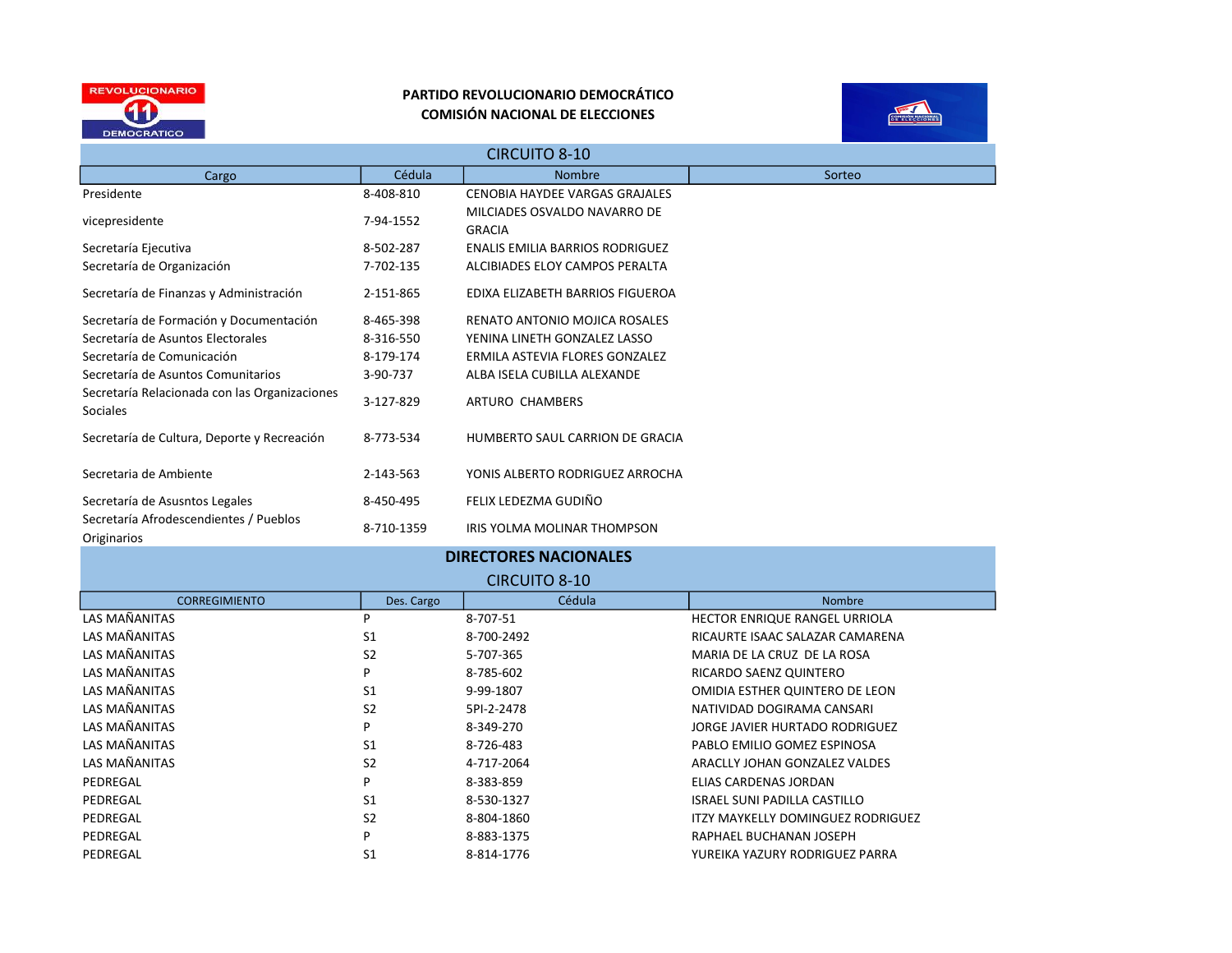



| <b>CIRCUITO 8-10</b>                                             |            |                                               |        |
|------------------------------------------------------------------|------------|-----------------------------------------------|--------|
| Cargo                                                            | Cédula     | <b>Nombre</b>                                 | Sorteo |
| Presidente                                                       | 8-408-810  | CENOBIA HAYDEE VARGAS GRAJALES                |        |
| vicepresidente                                                   | 7-94-1552  | MILCIADES OSVALDO NAVARRO DE<br><b>GRACIA</b> |        |
| Secretaría Ejecutiva                                             | 8-502-287  | <b>ENALIS EMILIA BARRIOS RODRIGUEZ</b>        |        |
| Secretaría de Organización                                       | 7-702-135  | ALCIBIADES ELOY CAMPOS PERALTA                |        |
| Secretaría de Finanzas y Administración                          | 2-151-865  | EDIXA ELIZABETH BARRIOS FIGUEROA              |        |
| Secretaría de Formación y Documentación                          | 8-465-398  | RENATO ANTONIO MOJICA ROSALES                 |        |
| Secretaría de Asuntos Electorales                                | 8-316-550  | YENINA LINETH GONZALEZ LASSO                  |        |
| Secretaría de Comunicación                                       | 8-179-174  | ERMILA ASTEVIA FLORES GONZALEZ                |        |
| Secretaría de Asuntos Comunitarios                               | 3-90-737   | ALBA ISELA CUBILLA ALEXANDE                   |        |
| Secretaría Relacionada con las Organizaciones<br><b>Sociales</b> | 3-127-829  | ARTURO CHAMBERS                               |        |
| Secretaría de Cultura, Deporte y Recreación                      | 8-773-534  | HUMBERTO SAUL CARRION DE GRACIA               |        |
| Secretaria de Ambiente                                           | 2-143-563  | YONIS ALBERTO RODRIGUEZ ARROCHA               |        |
| Secretaría de Asusntos Legales                                   | 8-450-495  | FELIX LEDEZMA GUDIÑO                          |        |
| Secretaría Afrodescendientes / Pueblos<br>Originarios            | 8-710-1359 | IRIS YOLMA MOLINAR THOMPSON                   |        |

|                      |                | <b>DIRECTORES NACIONALES</b> |                                   |  |
|----------------------|----------------|------------------------------|-----------------------------------|--|
| <b>CIRCUITO 8-10</b> |                |                              |                                   |  |
| <b>CORREGIMIENTO</b> | Des. Cargo     | Cédula                       | <b>Nombre</b>                     |  |
| LAS MAÑANITAS        | P              | 8-707-51                     | HECTOR ENRIQUE RANGEL URRIOLA     |  |
| LAS MAÑANITAS        | S <sub>1</sub> | 8-700-2492                   | RICAURTE ISAAC SALAZAR CAMARENA   |  |
| LAS MAÑANITAS        | S <sub>2</sub> | 5-707-365                    | MARIA DE LA CRUZ DE LA ROSA       |  |
| LAS MAÑANITAS        | P              | 8-785-602                    | RICARDO SAENZ QUINTERO            |  |
| LAS MAÑANITAS        | S <sub>1</sub> | 9-99-1807                    | OMIDIA ESTHER QUINTERO DE LEON    |  |
| LAS MAÑANITAS        | S <sub>2</sub> | 5PI-2-2478                   | NATIVIDAD DOGIRAMA CANSARI        |  |
| LAS MAÑANITAS        | P              | 8-349-270                    | JORGE JAVIER HURTADO RODRIGUEZ    |  |
| LAS MAÑANITAS        | S <sub>1</sub> | 8-726-483                    | PABLO EMILIO GOMEZ ESPINOSA       |  |
| LAS MAÑANITAS        | S <sub>2</sub> | 4-717-2064                   | ARACLLY JOHAN GONZALEZ VALDES     |  |
| PEDREGAL             | P              | 8-383-859                    | ELIAS CARDENAS JORDAN             |  |
| PEDREGAL             | S <sub>1</sub> | 8-530-1327                   | ISRAEL SUNI PADILLA CASTILLO      |  |
| PEDREGAL             | S <sub>2</sub> | 8-804-1860                   | ITZY MAYKELLY DOMINGUEZ RODRIGUEZ |  |
| PEDREGAL             | P              | 8-883-1375                   | RAPHAEL BUCHANAN JOSEPH           |  |
| PEDREGAL             | S <sub>1</sub> | 8-814-1776                   | YUREIKA YAZURY RODRIGUEZ PARRA    |  |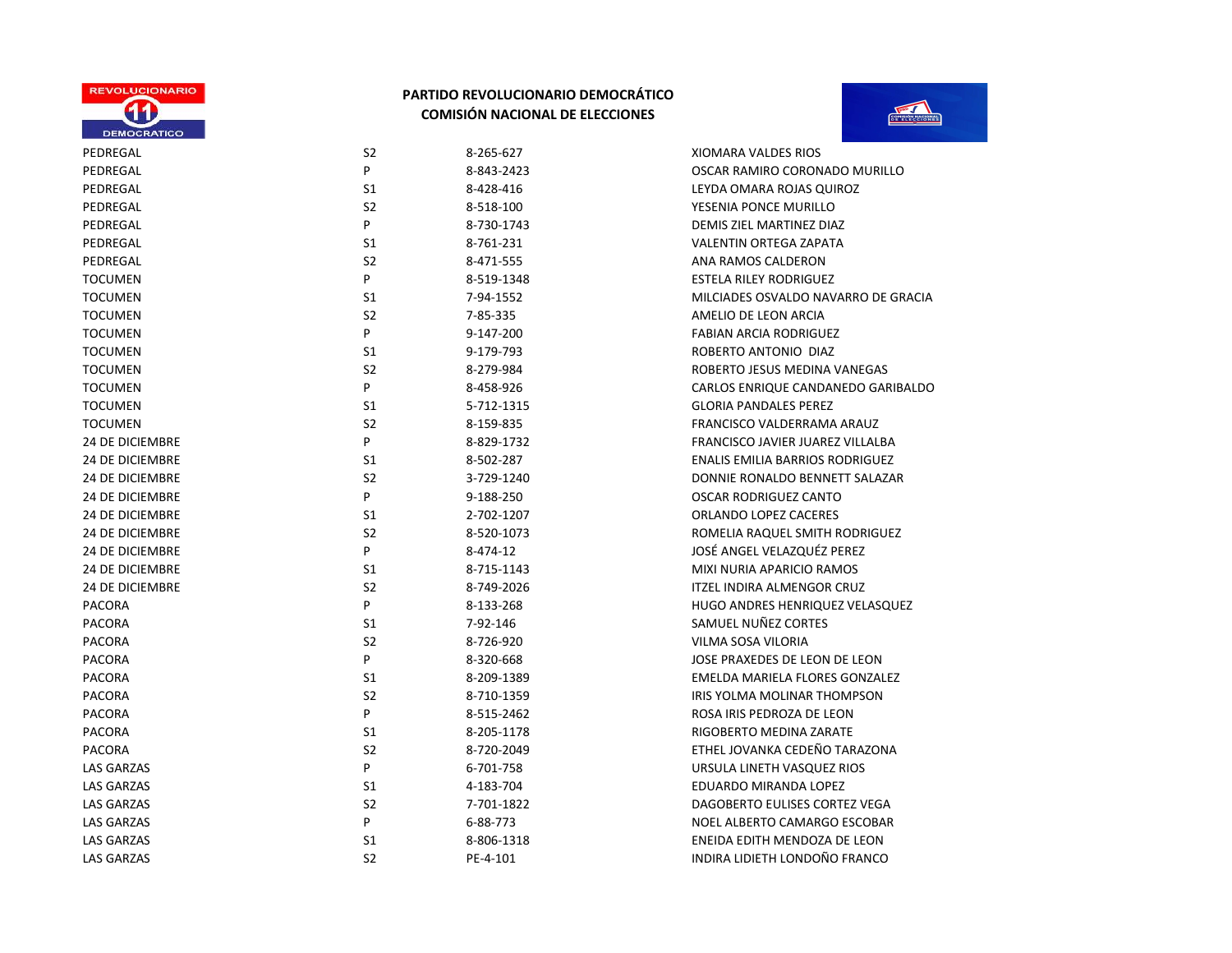



| PEDREGAL               | S <sub>2</sub> | 8-265-627  | XIOMARA VALDES RIOS                    |
|------------------------|----------------|------------|----------------------------------------|
| PEDREGAL               | P              | 8-843-2423 | OSCAR RAMIRO CORONADO MURILLO          |
| PEDREGAL               | S1             | 8-428-416  | LEYDA OMARA ROJAS QUIROZ               |
| PEDREGAL               | S <sub>2</sub> | 8-518-100  | YESENIA PONCE MURILLO                  |
| PEDREGAL               | P              | 8-730-1743 | DEMIS ZIEL MARTINEZ DIAZ               |
| PEDREGAL               | S1             | 8-761-231  | VALENTIN ORTEGA ZAPATA                 |
| PEDREGAL               | S <sub>2</sub> | 8-471-555  | ANA RAMOS CALDERON                     |
| <b>TOCUMEN</b>         | P              | 8-519-1348 | ESTELA RILEY RODRIGUEZ                 |
| <b>TOCUMEN</b>         | S <sub>1</sub> | 7-94-1552  | MILCIADES OSVALDO NAVARRO DE GRACIA    |
| <b>TOCUMEN</b>         | S <sub>2</sub> | 7-85-335   | AMELIO DE LEON ARCIA                   |
| <b>TOCUMEN</b>         | P              | 9-147-200  | <b>FABIAN ARCIA RODRIGUEZ</b>          |
| <b>TOCUMEN</b>         | S1             | 9-179-793  | ROBERTO ANTONIO DIAZ                   |
| <b>TOCUMEN</b>         | S <sub>2</sub> | 8-279-984  | ROBERTO JESUS MEDINA VANEGAS           |
| <b>TOCUMEN</b>         | P              | 8-458-926  | CARLOS ENRIQUE CANDANEDO GARIBALDO     |
| <b>TOCUMEN</b>         | S <sub>1</sub> | 5-712-1315 | <b>GLORIA PANDALES PEREZ</b>           |
| <b>TOCUMEN</b>         | S <sub>2</sub> | 8-159-835  | FRANCISCO VALDERRAMA ARAUZ             |
| 24 DE DICIEMBRE        | P              | 8-829-1732 | FRANCISCO JAVIER JUAREZ VILLALBA       |
| 24 DE DICIEMBRE        | S <sub>1</sub> | 8-502-287  | <b>ENALIS EMILIA BARRIOS RODRIGUEZ</b> |
| 24 DE DICIEMBRE        | S <sub>2</sub> | 3-729-1240 | DONNIE RONALDO BENNETT SALAZAR         |
| 24 DE DICIEMBRE        | P              | 9-188-250  | OSCAR RODRIGUEZ CANTO                  |
| <b>24 DE DICIEMBRE</b> | S <sub>1</sub> | 2-702-1207 | <b>ORLANDO LOPEZ CACERES</b>           |
| <b>24 DE DICIEMBRE</b> | S <sub>2</sub> | 8-520-1073 | ROMELIA RAQUEL SMITH RODRIGUEZ         |
| <b>24 DE DICIEMBRE</b> | P              | 8-474-12   | JOSÉ ANGEL VELAZQUÉZ PEREZ             |
| <b>24 DE DICIEMBRE</b> | S <sub>1</sub> | 8-715-1143 | MIXI NURIA APARICIO RAMOS              |
| <b>24 DE DICIEMBRE</b> | S <sub>2</sub> | 8-749-2026 | <b>ITZEL INDIRA ALMENGOR CRUZ</b>      |
| PACORA                 | P              | 8-133-268  | <b>HUGO ANDRES HENRIQUEZ VELASQUEZ</b> |
| <b>PACORA</b>          | S1             | 7-92-146   | SAMUEL NUÑEZ CORTES                    |
| PACORA                 | S <sub>2</sub> | 8-726-920  | VILMA SOSA VILORIA                     |
| <b>PACORA</b>          | P              | 8-320-668  | JOSE PRAXEDES DE LEON DE LEON          |
| <b>PACORA</b>          | S <sub>1</sub> | 8-209-1389 | EMELDA MARIELA FLORES GONZALEZ         |
| <b>PACORA</b>          | S <sub>2</sub> | 8-710-1359 | IRIS YOLMA MOLINAR THOMPSON            |
| <b>PACORA</b>          | P              | 8-515-2462 | ROSA IRIS PEDROZA DE LEON              |
| <b>PACORA</b>          | S1             | 8-205-1178 | RIGOBERTO MEDINA ZARATE                |
| <b>PACORA</b>          | S <sub>2</sub> | 8-720-2049 | ETHEL JOVANKA CEDEÑO TARAZONA          |
| <b>LAS GARZAS</b>      | P              | 6-701-758  | URSULA LINETH VASQUEZ RIOS             |
| LAS GARZAS             | S1             | 4-183-704  | EDUARDO MIRANDA LOPEZ                  |
| <b>LAS GARZAS</b>      | S <sub>2</sub> | 7-701-1822 | DAGOBERTO EULISES CORTEZ VEGA          |
| LAS GARZAS             | P              | 6-88-773   | NOEL ALBERTO CAMARGO ESCOBAR           |
| LAS GARZAS             | S <sub>1</sub> | 8-806-1318 | ENEIDA EDITH MENDOZA DE LEON           |

| PEDREGAL               | S2             | 8-265-627  | <b>XIOMARA VALDES RIOS</b>             |
|------------------------|----------------|------------|----------------------------------------|
| PEDREGAL               | P              | 8-843-2423 | OSCAR RAMIRO CORONADO MURILLO          |
| PEDREGAL               | S1             | 8-428-416  | LEYDA OMARA ROJAS QUIROZ               |
| PEDREGAL               | S2             | 8-518-100  | YESENIA PONCE MURILLO                  |
| PEDREGAL               | P              | 8-730-1743 | DEMIS ZIEL MARTINEZ DIAZ               |
| PEDREGAL               | S1             | 8-761-231  | <b>VALENTIN ORTEGA ZAPATA</b>          |
| PEDREGAL               | S2             | 8-471-555  | ANA RAMOS CALDERON                     |
| <b>TOCUMEN</b>         | P              | 8-519-1348 | <b>ESTELA RILEY RODRIGUEZ</b>          |
| <b>TOCUMEN</b>         | S1             | 7-94-1552  | MILCIADES OSVALDO NAVARRO DE GRAO      |
| <b>TOCUMEN</b>         | S2             | 7-85-335   | AMELIO DE LEON ARCIA                   |
| <b>TOCUMEN</b>         | P              | 9-147-200  | <b>FABIAN ARCIA RODRIGUEZ</b>          |
| <b>TOCUMEN</b>         | S1             | 9-179-793  | ROBERTO ANTONIO DIAZ                   |
| <b>TOCUMEN</b>         | S2             | 8-279-984  | ROBERTO JESUS MEDINA VANEGAS           |
| <b>TOCUMEN</b>         | P              | 8-458-926  | CARLOS ENRIQUE CANDANEDO GARIBAL       |
| <b>TOCUMEN</b>         | S1             | 5-712-1315 | <b>GLORIA PANDALES PEREZ</b>           |
| <b>TOCUMEN</b>         | S2             | 8-159-835  | FRANCISCO VALDERRAMA ARAUZ             |
| 24 DE DICIEMBRE        | P              | 8-829-1732 | FRANCISCO JAVIER JUAREZ VILLALBA       |
| 24 DE DICIEMBRE        | S1             | 8-502-287  | <b>ENALIS EMILIA BARRIOS RODRIGUEZ</b> |
| <b>24 DE DICIEMBRE</b> | S <sub>2</sub> | 3-729-1240 | DONNIE RONALDO BENNETT SALAZAR         |
| 24 DE DICIEMBRE        | P              | 9-188-250  | <b>OSCAR RODRIGUEZ CANTO</b>           |
| <b>24 DE DICIEMBRE</b> | S1             | 2-702-1207 | ORLANDO LOPEZ CACERES                  |
| <b>24 DE DICIEMBRE</b> | S <sub>2</sub> | 8-520-1073 | ROMELIA RAQUEL SMITH RODRIGUEZ         |
| <b>24 DE DICIEMBRE</b> | P              | 8-474-12   | JOSÉ ANGEL VELAZQUÉZ PEREZ             |
| 24 DE DICIEMBRE        | S1             | 8-715-1143 | MIXI NURIA APARICIO RAMOS              |
| 24 DE DICIEMBRE        | S <sub>2</sub> | 8-749-2026 | ITZEL INDIRA ALMENGOR CRUZ             |
| <b>PACORA</b>          | P              | 8-133-268  | HUGO ANDRES HENRIQUEZ VELASQUEZ        |
| PACORA                 | S1             | 7-92-146   | SAMUEL NUÑEZ CORTES                    |
| <b>PACORA</b>          | S2             | 8-726-920  | VILMA SOSA VILORIA                     |
| PACORA                 | P              | 8-320-668  | JOSE PRAXEDES DE LEON DE LEON          |
| <b>PACORA</b>          | S1             | 8-209-1389 | EMELDA MARIELA FLORES GONZALEZ         |
| PACORA                 | S2             | 8-710-1359 | IRIS YOLMA MOLINAR THOMPSON            |
| PACORA                 | P              | 8-515-2462 | ROSA IRIS PEDROZA DE LEON              |
| PACORA                 | S1             | 8-205-1178 | RIGOBERTO MEDINA ZARATE                |
| <b>PACORA</b>          | S <sub>2</sub> | 8-720-2049 | ETHEL JOVANKA CEDEÑO TARAZONA          |
| LAS GARZAS             | P              | 6-701-758  | URSULA LINETH VASQUEZ RIOS             |
| <b>LAS GARZAS</b>      | S1             | 4-183-704  | EDUARDO MIRANDA LOPEZ                  |
| LAS GARZAS             | S2             | 7-701-1822 | DAGOBERTO EULISES CORTEZ VEGA          |
| LAS GARZAS             | P              | 6-88-773   | NOEL ALBERTO CAMARGO ESCOBAR           |
| LAS GARZAS             | S1             | 8-806-1318 | ENEIDA EDITH MENDOZA DE LEON           |
| <b>LAS GARZAS</b>      | S <sub>2</sub> | PE-4-101   | INDIRA LIDIETH LONDOÑO FRANCO          |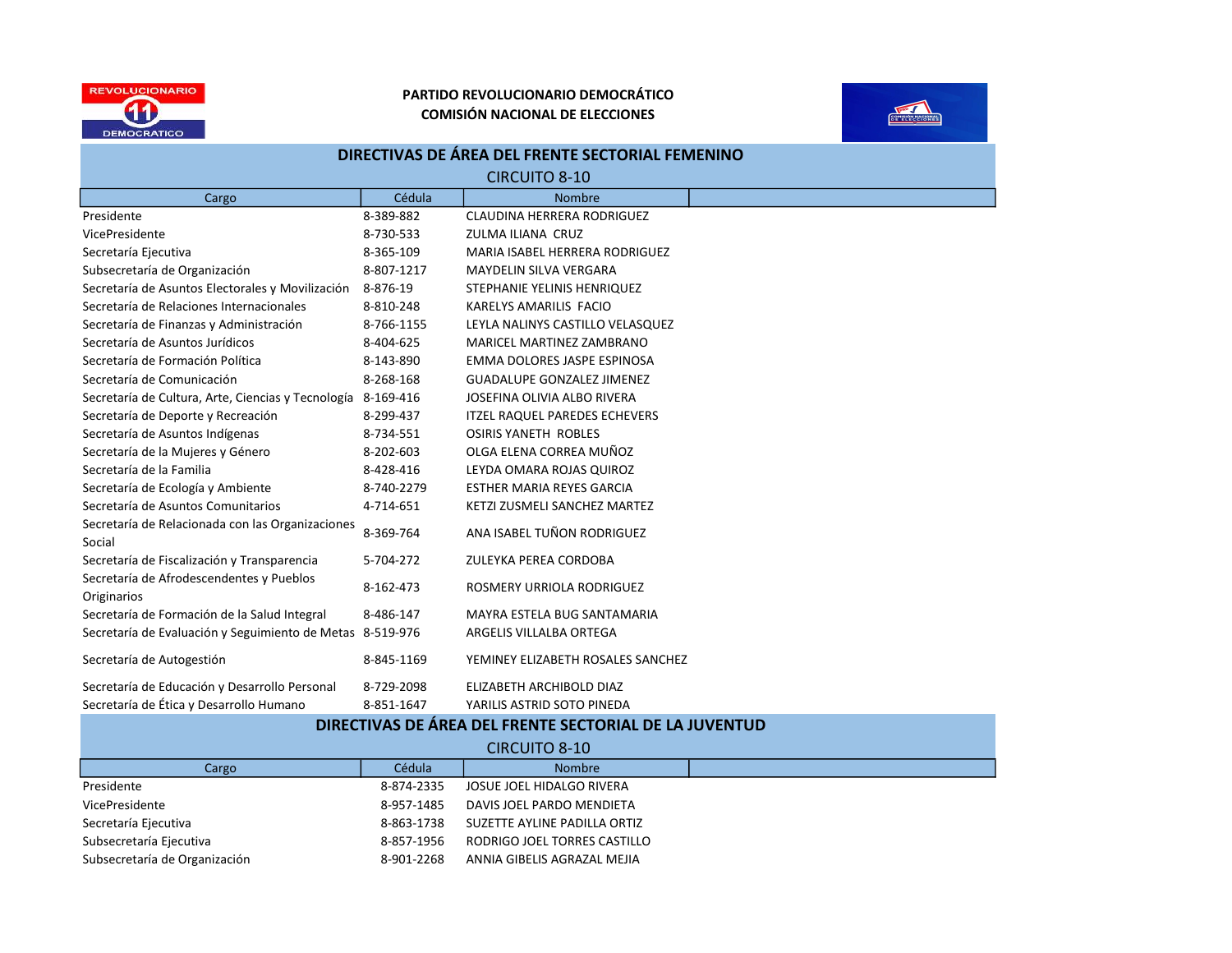



| DIRECTIVAS DE AREA DEL FRENTE SECTORIAL FEMENINO             |            |                                      |  |  |  |
|--------------------------------------------------------------|------------|--------------------------------------|--|--|--|
| <b>CIRCUITO 8-10</b>                                         |            |                                      |  |  |  |
| Cargo                                                        | Cédula     | <b>Nombre</b>                        |  |  |  |
| Presidente                                                   | 8-389-882  | <b>CLAUDINA HERRERA RODRIGUEZ</b>    |  |  |  |
| VicePresidente                                               | 8-730-533  | ZULMA ILIANA CRUZ                    |  |  |  |
| Secretaría Ejecutiva                                         | 8-365-109  | MARIA ISABEL HERRERA RODRIGUEZ       |  |  |  |
| Subsecretaría de Organización                                | 8-807-1217 | <b>MAYDELIN SILVA VERGARA</b>        |  |  |  |
| Secretaría de Asuntos Electorales y Movilización             | 8-876-19   | STEPHANIE YELINIS HENRIQUEZ          |  |  |  |
| Secretaría de Relaciones Internacionales                     | 8-810-248  | KARELYS AMARILIS FACIO               |  |  |  |
| Secretaría de Finanzas y Administración                      | 8-766-1155 | LEYLA NALINYS CASTILLO VELASQUEZ     |  |  |  |
| Secretaría de Asuntos Jurídicos                              | 8-404-625  | MARICEL MARTINEZ ZAMBRANO            |  |  |  |
| Secretaría de Formación Política                             | 8-143-890  | EMMA DOLORES JASPE ESPINOSA          |  |  |  |
| Secretaría de Comunicación                                   | 8-268-168  | <b>GUADALUPE GONZALEZ JIMENEZ</b>    |  |  |  |
| Secretaría de Cultura, Arte, Ciencias y Tecnología 8-169-416 |            | JOSEFINA OLIVIA ALBO RIVERA          |  |  |  |
| Secretaría de Deporte y Recreación                           | 8-299-437  | <b>ITZEL RAQUEL PAREDES ECHEVERS</b> |  |  |  |
| Secretaría de Asuntos Indígenas                              | 8-734-551  | <b>OSIRIS YANETH ROBLES</b>          |  |  |  |
| Secretaría de la Mujeres y Género                            | 8-202-603  | OLGA ELENA CORREA MUÑOZ              |  |  |  |
| Secretaría de la Familia                                     | 8-428-416  | LEYDA OMARA ROJAS QUIROZ             |  |  |  |
| Secretaría de Ecología y Ambiente                            | 8-740-2279 | <b>ESTHER MARIA REYES GARCIA</b>     |  |  |  |
| Secretaría de Asuntos Comunitarios                           | 4-714-651  | KETZI ZUSMELI SANCHEZ MARTEZ         |  |  |  |
| Secretaría de Relacionada con las Organizaciones<br>Social   | 8-369-764  | ANA ISABEL TUÑON RODRIGUEZ           |  |  |  |
| Secretaría de Fiscalización y Transparencia                  | 5-704-272  | ZULEYKA PEREA CORDOBA                |  |  |  |
| Secretaría de Afrodescendentes y Pueblos<br>Originarios      | 8-162-473  | ROSMERY URRIOLA RODRIGUEZ            |  |  |  |
| Secretaría de Formación de la Salud Integral                 | 8-486-147  | MAYRA ESTELA BUG SANTAMARIA          |  |  |  |
| Secretaría de Evaluación y Seguimiento de Metas 8-519-976    |            | ARGELIS VILLALBA ORTEGA              |  |  |  |
| Secretaría de Autogestión                                    | 8-845-1169 | YEMINEY ELIZABETH ROSALES SANCHEZ    |  |  |  |
| Secretaría de Educación y Desarrollo Personal                | 8-729-2098 | ELIZABETH ARCHIBOLD DIAZ             |  |  |  |
| Secretaría de Ética y Desarrollo Humano                      | 8-851-1647 | YARILIS ASTRID SOTO PINEDA           |  |  |  |

#### DIRECTIVAS DE ÁREA DEL FRENTE SECTORIAL DE LA JUVENTUD

| <b>CIRCUITO 8-10</b>          |            |                              |  |
|-------------------------------|------------|------------------------------|--|
| Cargo                         | Cédula     | <b>Nombre</b>                |  |
| Presidente                    | 8-874-2335 | JOSUE JOEL HIDALGO RIVERA    |  |
| VicePresidente                | 8-957-1485 | DAVIS JOEL PARDO MENDIETA    |  |
| Secretaría Ejecutiva          | 8-863-1738 | SUZETTE AYLINE PADILLA ORTIZ |  |
| Subsecretaría Ejecutiva       | 8-857-1956 | RODRIGO JOEL TORRES CASTILLO |  |
| Subsecretaría de Organización | 8-901-2268 | ANNIA GIBELIS AGRAZAL MEJIA  |  |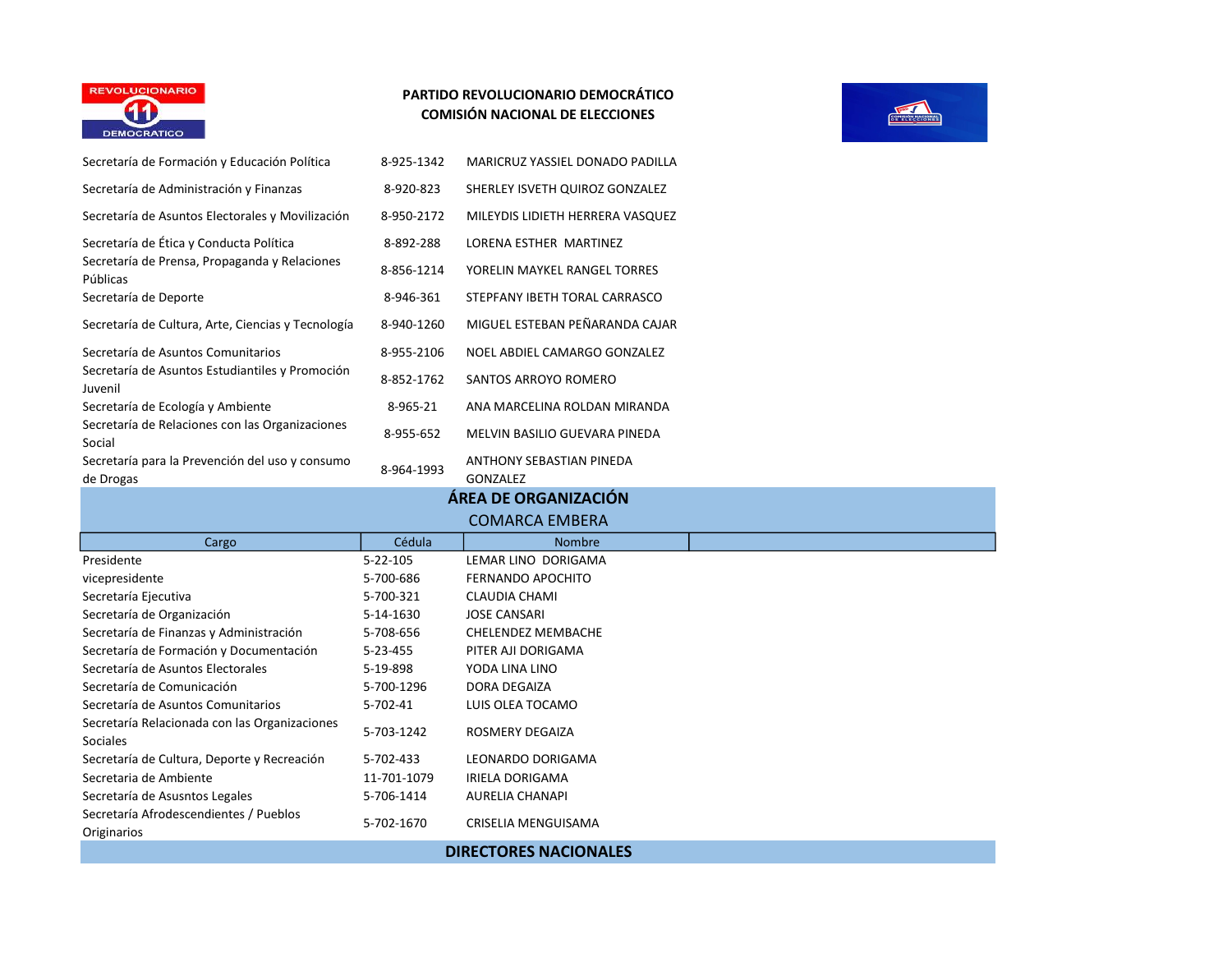



| Secretaría de Formación y Educación Política                     | 8-925-1342  | MARICRUZ YASSIEL DONADO PADILLA      |  |
|------------------------------------------------------------------|-------------|--------------------------------------|--|
| Secretaría de Administración y Finanzas                          | 8-920-823   | SHERLEY ISVETH QUIROZ GONZALEZ       |  |
| Secretaría de Asuntos Electorales y Movilización                 | 8-950-2172  | MILEYDIS LIDIETH HERRERA VASQUEZ     |  |
| Secretaría de Ética y Conducta Política                          | 8-892-288   | LORENA ESTHER MARTINEZ               |  |
| Secretaría de Prensa, Propaganda y Relaciones<br>Públicas        | 8-856-1214  | YORELIN MAYKEL RANGEL TORRES         |  |
| Secretaría de Deporte                                            | 8-946-361   | STEPFANY IBETH TORAL CARRASCO        |  |
| Secretaría de Cultura, Arte, Ciencias y Tecnología               | 8-940-1260  | MIGUEL ESTEBAN PEÑARANDA CAJAR       |  |
| Secretaría de Asuntos Comunitarios                               | 8-955-2106  | NOEL ABDIEL CAMARGO GONZALEZ         |  |
| Secretaría de Asuntos Estudiantiles y Promoción<br>Juvenil       | 8-852-1762  | SANTOS ARROYO ROMERO                 |  |
| Secretaría de Ecología y Ambiente                                | 8-965-21    | ANA MARCELINA ROLDAN MIRANDA         |  |
| Secretaría de Relaciones con las Organizaciones<br>Social        | 8-955-652   | MELVIN BASILIO GUEVARA PINEDA        |  |
| Secretaría para la Prevención del uso y consumo<br>de Drogas     | 8-964-1993  | ANTHONY SEBASTIAN PINEDA<br>GONZALEZ |  |
|                                                                  |             | ÁREA DE ORGANIZACIÓN                 |  |
|                                                                  |             | <b>COMARCA EMBERA</b>                |  |
| Cargo                                                            | Cédula      | <b>Nombre</b>                        |  |
| Presidente                                                       | 5-22-105    | LEMAR LINO DORIGAMA                  |  |
| vicepresidente                                                   | 5-700-686   | <b>FERNANDO APOCHITO</b>             |  |
| Secretaría Ejecutiva                                             | 5-700-321   | <b>CLAUDIA CHAMI</b>                 |  |
| Secretaría de Organización                                       | 5-14-1630   | <b>JOSE CANSARI</b>                  |  |
| Secretaría de Finanzas y Administración                          | 5-708-656   | <b>CHELENDEZ MEMBACHE</b>            |  |
| Secretaría de Formación y Documentación                          | 5-23-455    | PITER AJI DORIGAMA                   |  |
| Secretaría de Asuntos Electorales                                | 5-19-898    | YODA LINA LINO                       |  |
| Secretaría de Comunicación                                       | 5-700-1296  | DORA DEGAIZA                         |  |
| Secretaría de Asuntos Comunitarios                               | 5-702-41    | LUIS OLEA TOCAMO                     |  |
| Secretaría Relacionada con las Organizaciones<br><b>Sociales</b> | 5-703-1242  | ROSMERY DEGAIZA                      |  |
| Secretaría de Cultura, Deporte y Recreación                      | 5-702-433   | LEONARDO DORIGAMA                    |  |
| Secretaria de Ambiente                                           | 11-701-1079 | <b>IRIELA DORIGAMA</b>               |  |
| Secretaría de Asusntos Legales                                   | 5-706-1414  | <b>AURELIA CHANAPI</b>               |  |
| Secretaría Afrodescendientes / Pueblos<br>Originarios            | 5-702-1670  | CRISELIA MENGUISAMA                  |  |
|                                                                  |             | <b>DIRECTORES NACIONALES</b>         |  |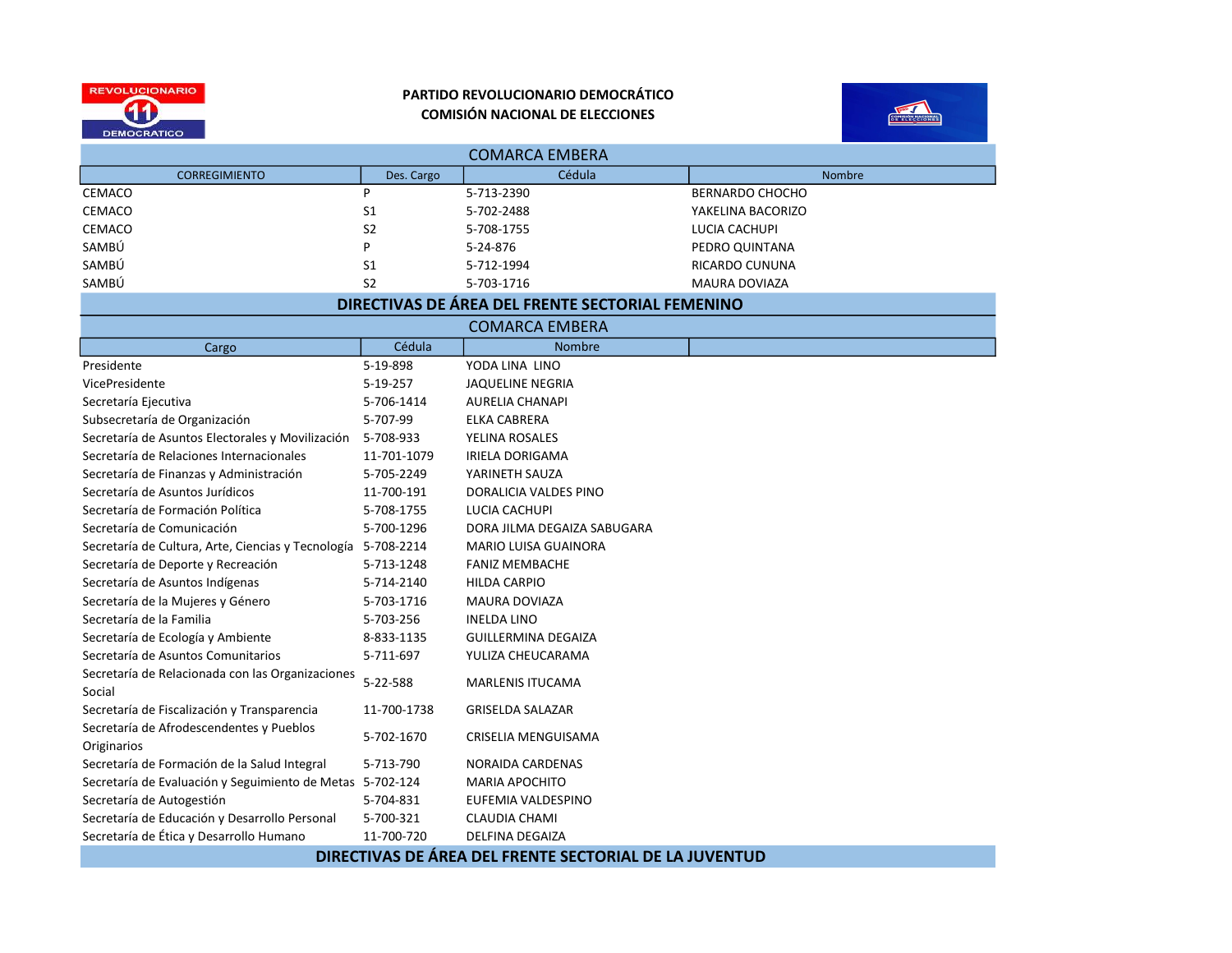



| <b>COMARCA EMBERA</b>                                         |                |                                                  |                        |  |  |
|---------------------------------------------------------------|----------------|--------------------------------------------------|------------------------|--|--|
| <b>CORREGIMIENTO</b>                                          | Des. Cargo     | Cédula                                           | Nombre                 |  |  |
| <b>CEMACO</b>                                                 | P              | 5-713-2390                                       | <b>BERNARDO CHOCHO</b> |  |  |
| <b>CEMACO</b>                                                 | S1             | 5-702-2488                                       | YAKELINA BACORIZO      |  |  |
| <b>CEMACO</b>                                                 | S <sub>2</sub> | 5-708-1755                                       | LUCIA CACHUPI          |  |  |
| SAMBÚ                                                         | P              | 5-24-876                                         | PEDRO QUINTANA         |  |  |
| SAMBÚ                                                         | S <sub>1</sub> | 5-712-1994                                       | RICARDO CUNUNA         |  |  |
| SAMBÚ                                                         | S <sub>2</sub> | 5-703-1716                                       | <b>MAURA DOVIAZA</b>   |  |  |
|                                                               |                | DIRECTIVAS DE ÁREA DEL FRENTE SECTORIAL FEMENINO |                        |  |  |
|                                                               |                | <b>COMARCA EMBERA</b>                            |                        |  |  |
| Cargo                                                         | Cédula         | <b>Nombre</b>                                    |                        |  |  |
| Presidente                                                    | 5-19-898       | YODA LINA LINO                                   |                        |  |  |
| VicePresidente                                                | 5-19-257       | <b>JAQUELINE NEGRIA</b>                          |                        |  |  |
| Secretaría Ejecutiva                                          | 5-706-1414     | <b>AURELIA CHANAPI</b>                           |                        |  |  |
| Subsecretaría de Organización                                 | 5-707-99       | ELKA CABRERA                                     |                        |  |  |
| Secretaría de Asuntos Electorales y Movilización              | 5-708-933      | YELINA ROSALES                                   |                        |  |  |
| Secretaría de Relaciones Internacionales                      | 11-701-1079    | <b>IRIELA DORIGAMA</b>                           |                        |  |  |
| Secretaría de Finanzas y Administración                       | 5-705-2249     | YARINETH SAUZA                                   |                        |  |  |
| Secretaría de Asuntos Jurídicos                               | 11-700-191     | DORALICIA VALDES PINO                            |                        |  |  |
| Secretaría de Formación Política                              | 5-708-1755     | LUCIA CACHUPI                                    |                        |  |  |
| Secretaría de Comunicación                                    | 5-700-1296     | DORA JILMA DEGAIZA SABUGARA                      |                        |  |  |
| Secretaría de Cultura, Arte, Ciencias y Tecnología 5-708-2214 |                | <b>MARIO LUISA GUAINORA</b>                      |                        |  |  |
| Secretaría de Deporte y Recreación                            | 5-713-1248     | <b>FANIZ MEMBACHE</b>                            |                        |  |  |
| Secretaría de Asuntos Indígenas                               | 5-714-2140     | <b>HILDA CARPIO</b>                              |                        |  |  |
| Secretaría de la Mujeres y Género                             | 5-703-1716     | <b>MAURA DOVIAZA</b>                             |                        |  |  |
| Secretaría de la Familia                                      | 5-703-256      | <b>INELDA LINO</b>                               |                        |  |  |
| Secretaría de Ecología y Ambiente                             | 8-833-1135     | <b>GUILLERMINA DEGAIZA</b>                       |                        |  |  |
| Secretaría de Asuntos Comunitarios                            | 5-711-697      | YULIZA CHEUCARAMA                                |                        |  |  |
| Secretaría de Relacionada con las Organizaciones<br>Social    | 5-22-588       | MARLENIS ITUCAMA                                 |                        |  |  |
| Secretaría de Fiscalización y Transparencia                   | 11-700-1738    | <b>GRISELDA SALAZAR</b>                          |                        |  |  |
| Secretaría de Afrodescendentes y Pueblos<br>Originarios       | 5-702-1670     | CRISELIA MENGUISAMA                              |                        |  |  |
| Secretaría de Formación de la Salud Integral                  | 5-713-790      | NORAIDA CARDENAS                                 |                        |  |  |
| Secretaría de Evaluación y Seguimiento de Metas 5-702-124     |                | <b>MARIA APOCHITO</b>                            |                        |  |  |
| Secretaría de Autogestión                                     | 5-704-831      | EUFEMIA VALDESPINO                               |                        |  |  |
| Secretaría de Educación y Desarrollo Personal                 | 5-700-321      | <b>CLAUDIA CHAMI</b>                             |                        |  |  |
| Secretaría de Ética y Desarrollo Humano                       | 11-700-720     | <b>DELFINA DEGAIZA</b>                           |                        |  |  |

DIRECTIVAS DE ÁREA DEL FRENTE SECTORIAL DE LA JUVENTUD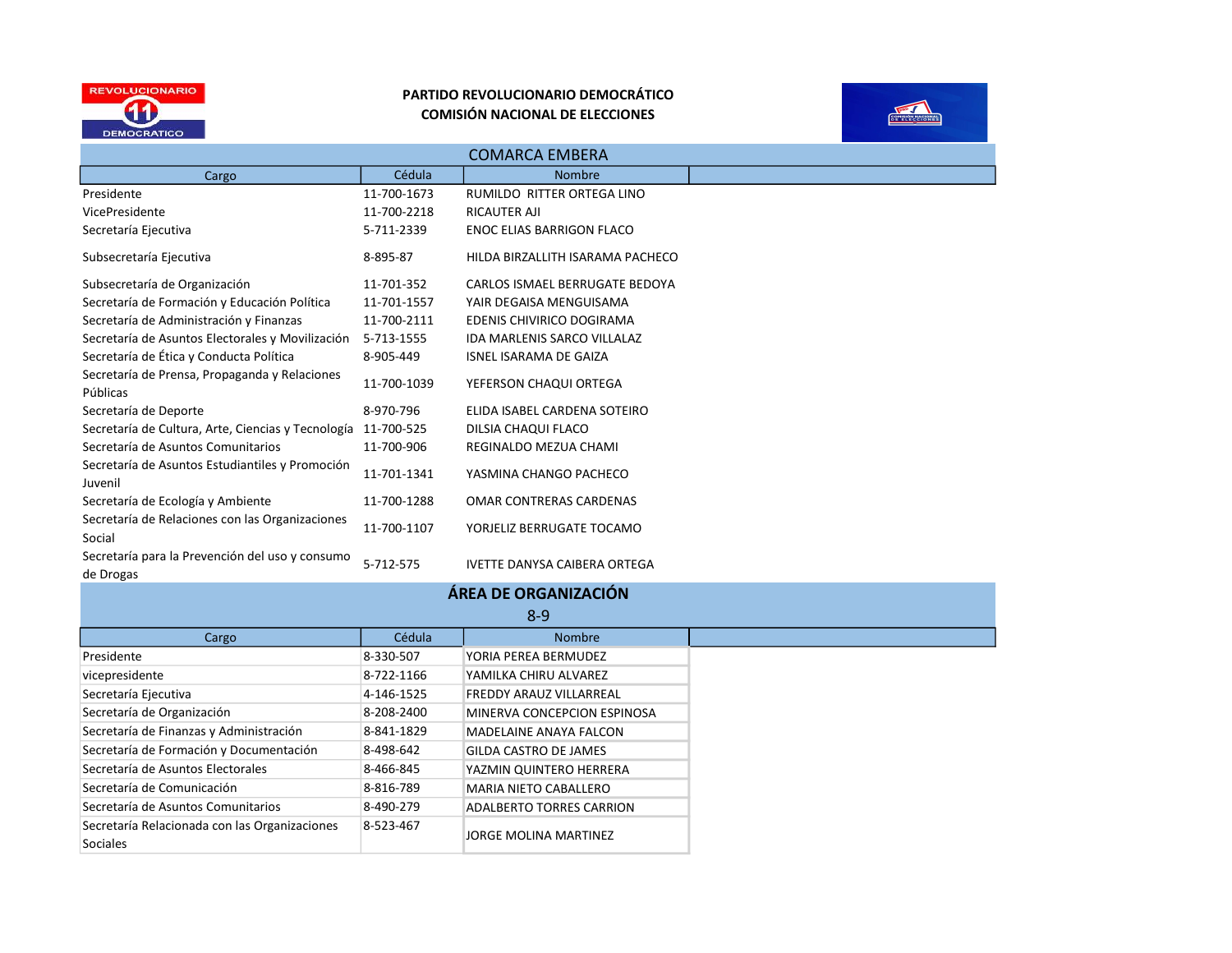



| <b>COMARCA EMBERA</b>                                        |             |                                     |  |
|--------------------------------------------------------------|-------------|-------------------------------------|--|
| Cargo                                                        | Cédula      | <b>Nombre</b>                       |  |
| Presidente                                                   | 11-700-1673 | RUMILDO RITTER ORTEGA LINO          |  |
| VicePresidente                                               | 11-700-2218 | RICAUTER AJI                        |  |
| Secretaría Ejecutiva                                         | 5-711-2339  | ENOC ELIAS BARRIGON FLACO           |  |
| Subsecretaría Ejecutiva                                      | 8-895-87    | HILDA BIRZALLITH ISARAMA PACHECO    |  |
| Subsecretaría de Organización                                | 11-701-352  | CARLOS ISMAEL BERRUGATE BEDOYA      |  |
| Secretaría de Formación y Educación Política                 | 11-701-1557 | YAIR DEGAISA MENGUISAMA             |  |
| Secretaría de Administración y Finanzas                      | 11-700-2111 | EDENIS CHIVIRICO DOGIRAMA           |  |
| Secretaría de Asuntos Electorales y Movilización             | 5-713-1555  | IDA MARLENIS SARCO VILLALAZ         |  |
| Secretaría de Ética y Conducta Política                      | 8-905-449   | <b>ISNEL ISARAMA DE GAIZA</b>       |  |
| Secretaría de Prensa, Propaganda y Relaciones<br>Públicas    | 11-700-1039 | YEFERSON CHAQUI ORTEGA              |  |
| Secretaría de Deporte                                        | 8-970-796   | ELIDA ISABEL CARDENA SOTEIRO        |  |
| Secretaría de Cultura, Arte, Ciencias y Tecnología           | 11-700-525  | DILSIA CHAQUI FLACO                 |  |
| Secretaría de Asuntos Comunitarios                           | 11-700-906  | REGINALDO MEZUA CHAMI               |  |
| Secretaría de Asuntos Estudiantiles y Promoción<br>Juvenil   | 11-701-1341 | YASMINA CHANGO PACHECO              |  |
| Secretaría de Ecología y Ambiente                            | 11-700-1288 | OMAR CONTRERAS CARDENAS             |  |
| Secretaría de Relaciones con las Organizaciones<br>Social    | 11-700-1107 | YORJELIZ BERRUGATE TOCAMO           |  |
| Secretaría para la Prevención del uso y consumo<br>de Drogas | 5-712-575   | <b>IVETTE DANYSA CAIBERA ORTEGA</b> |  |

| ÁREA DE ORGANIZACIÓN                                             |            |                                 |  |
|------------------------------------------------------------------|------------|---------------------------------|--|
| $8 - 9$                                                          |            |                                 |  |
| Cargo                                                            | Cédula     | <b>Nombre</b>                   |  |
| Presidente                                                       | 8-330-507  | YORIA PEREA BERMUDEZ            |  |
| vicepresidente                                                   | 8-722-1166 | YAMILKA CHIRU ALVAREZ           |  |
| Secretaría Ejecutiva                                             | 4-146-1525 | <b>FREDDY ARAUZ VILLARREAL</b>  |  |
| Secretaría de Organización                                       | 8-208-2400 | MINERVA CONCEPCION ESPINOSA     |  |
| Secretaría de Finanzas y Administración                          | 8-841-1829 | <b>MADELAINE ANAYA FALCON</b>   |  |
| Secretaría de Formación y Documentación                          | 8-498-642  | <b>GILDA CASTRO DE JAMES</b>    |  |
| Secretaría de Asuntos Electorales                                | 8-466-845  | YAZMIN QUINTERO HERRERA         |  |
| Secretaría de Comunicación                                       | 8-816-789  | <b>MARIA NIETO CABALLERO</b>    |  |
| Secretaría de Asuntos Comunitarios                               | 8-490-279  | <b>ADALBERTO TORRES CARRION</b> |  |
| Secretaría Relacionada con las Organizaciones<br><b>Sociales</b> | 8-523-467  | <b>JORGE MOLINA MARTINEZ</b>    |  |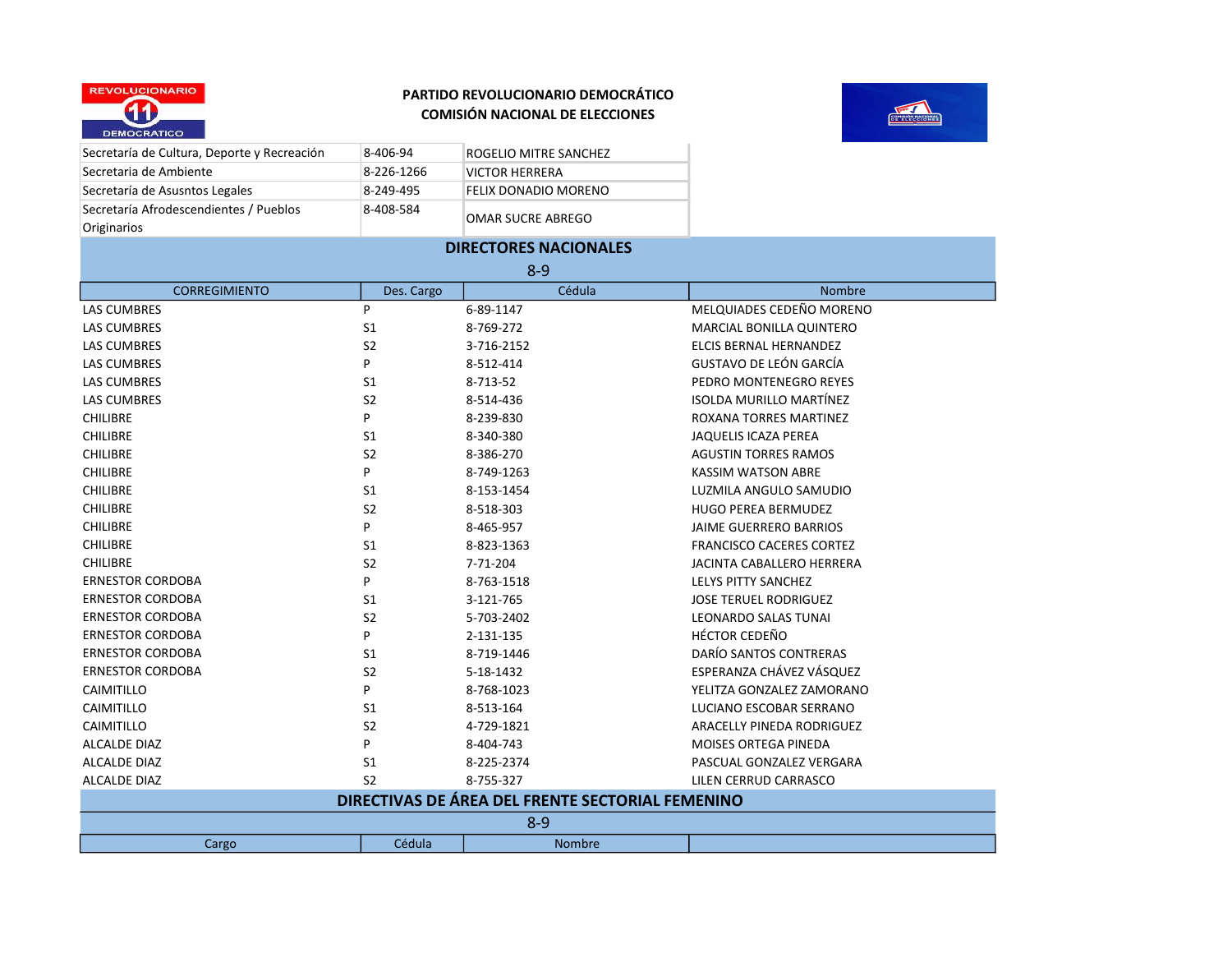

Secretaría de Cultura, Deporte y Recreación 8-406-94 ROGELIO MITRE SANCHEZ



| Secretaria de Ambiente                           | 8-226-1266     | <b>VICTOR HERRERA</b>        |                                  |  |  |
|--------------------------------------------------|----------------|------------------------------|----------------------------------|--|--|
| Secretaría de Asusntos Legales                   | 8-249-495      | FELIX DONADIO MORENO         |                                  |  |  |
| Secretaría Afrodescendientes / Pueblos           | 8-408-584      |                              |                                  |  |  |
| Originarios                                      |                | OMAR SUCRE ABREGO            |                                  |  |  |
|                                                  |                | <b>DIRECTORES NACIONALES</b> |                                  |  |  |
|                                                  |                | $8 - 9$                      |                                  |  |  |
| <b>CORREGIMIENTO</b>                             | Des. Cargo     | Cédula                       | Nombre                           |  |  |
| <b>LAS CUMBRES</b>                               | P              | 6-89-1147                    | MELQUIADES CEDEÑO MORENO         |  |  |
| <b>LAS CUMBRES</b>                               | S <sub>1</sub> | 8-769-272                    | MARCIAL BONILLA QUINTERO         |  |  |
| <b>LAS CUMBRES</b>                               | S <sub>2</sub> | 3-716-2152                   | ELCIS BERNAL HERNANDEZ           |  |  |
| <b>LAS CUMBRES</b>                               | P              | 8-512-414                    | GUSTAVO DE LEÓN GARCÍA           |  |  |
| <b>LAS CUMBRES</b>                               | S1             | 8-713-52                     | PEDRO MONTENEGRO REYES           |  |  |
| <b>LAS CUMBRES</b>                               | S <sub>2</sub> | 8-514-436                    | <b>ISOLDA MURILLO MARTÍNEZ</b>   |  |  |
| <b>CHILIBRE</b>                                  | P              | 8-239-830                    | ROXANA TORRES MARTINEZ           |  |  |
| <b>CHILIBRE</b>                                  | S1             | 8-340-380                    | <b>JAQUELIS ICAZA PEREA</b>      |  |  |
| <b>CHILIBRE</b>                                  | S <sub>2</sub> | 8-386-270                    | <b>AGUSTIN TORRES RAMOS</b>      |  |  |
| <b>CHILIBRE</b>                                  | P              | 8-749-1263                   | <b>KASSIM WATSON ABRE</b>        |  |  |
| <b>CHILIBRE</b>                                  | S1             | 8-153-1454                   | LUZMILA ANGULO SAMUDIO           |  |  |
| <b>CHILIBRE</b>                                  | S <sub>2</sub> | 8-518-303                    | <b>HUGO PEREA BERMUDEZ</b>       |  |  |
| <b>CHILIBRE</b>                                  | P              | 8-465-957                    | <b>JAIME GUERRERO BARRIOS</b>    |  |  |
| <b>CHILIBRE</b>                                  | S1             | 8-823-1363                   | <b>FRANCISCO CACERES CORTEZ</b>  |  |  |
| <b>CHILIBRE</b>                                  | S <sub>2</sub> | 7-71-204                     | <b>JACINTA CABALLERO HERRERA</b> |  |  |
| <b>ERNESTOR CORDOBA</b>                          | P              | 8-763-1518                   | <b>LELYS PITTY SANCHEZ</b>       |  |  |
| <b>ERNESTOR CORDOBA</b>                          | S1             | 3-121-765                    | <b>JOSE TERUEL RODRIGUEZ</b>     |  |  |
| <b>ERNESTOR CORDOBA</b>                          | S <sub>2</sub> | 5-703-2402                   | <b>LEONARDO SALAS TUNAI</b>      |  |  |
| <b>ERNESTOR CORDOBA</b>                          | P              | 2-131-135                    | <b>HÉCTOR CEDEÑO</b>             |  |  |
| <b>ERNESTOR CORDOBA</b>                          | S1             | 8-719-1446                   | DARÍO SANTOS CONTRERAS           |  |  |
| <b>ERNESTOR CORDOBA</b>                          | S <sub>2</sub> | 5-18-1432                    | ESPERANZA CHÁVEZ VÁSQUEZ         |  |  |
| CAIMITILLO                                       | P              | 8-768-1023                   | YELITZA GONZALEZ ZAMORANO        |  |  |
| CAIMITILLO                                       | S1             | 8-513-164                    | LUCIANO ESCOBAR SERRANO          |  |  |
| CAIMITILLO                                       | S <sub>2</sub> | 4-729-1821                   | ARACELLY PINEDA RODRIGUEZ        |  |  |
| <b>ALCALDE DIAZ</b>                              | P              | 8-404-743                    | <b>MOISES ORTEGA PINEDA</b>      |  |  |
| ALCALDE DIAZ                                     | S1             | 8-225-2374                   | PASCUAL GONZALEZ VERGARA         |  |  |
| <b>ALCALDE DIAZ</b>                              | S <sub>2</sub> | 8-755-327                    | LILEN CERRUD CARRASCO            |  |  |
| DIRECTIVAS DE ÁREA DEL FRENTE SECTORIAL FEMENINO |                |                              |                                  |  |  |
| $8 - 9$                                          |                |                              |                                  |  |  |
| Cargo                                            | Cédula         | <b>Nombre</b>                |                                  |  |  |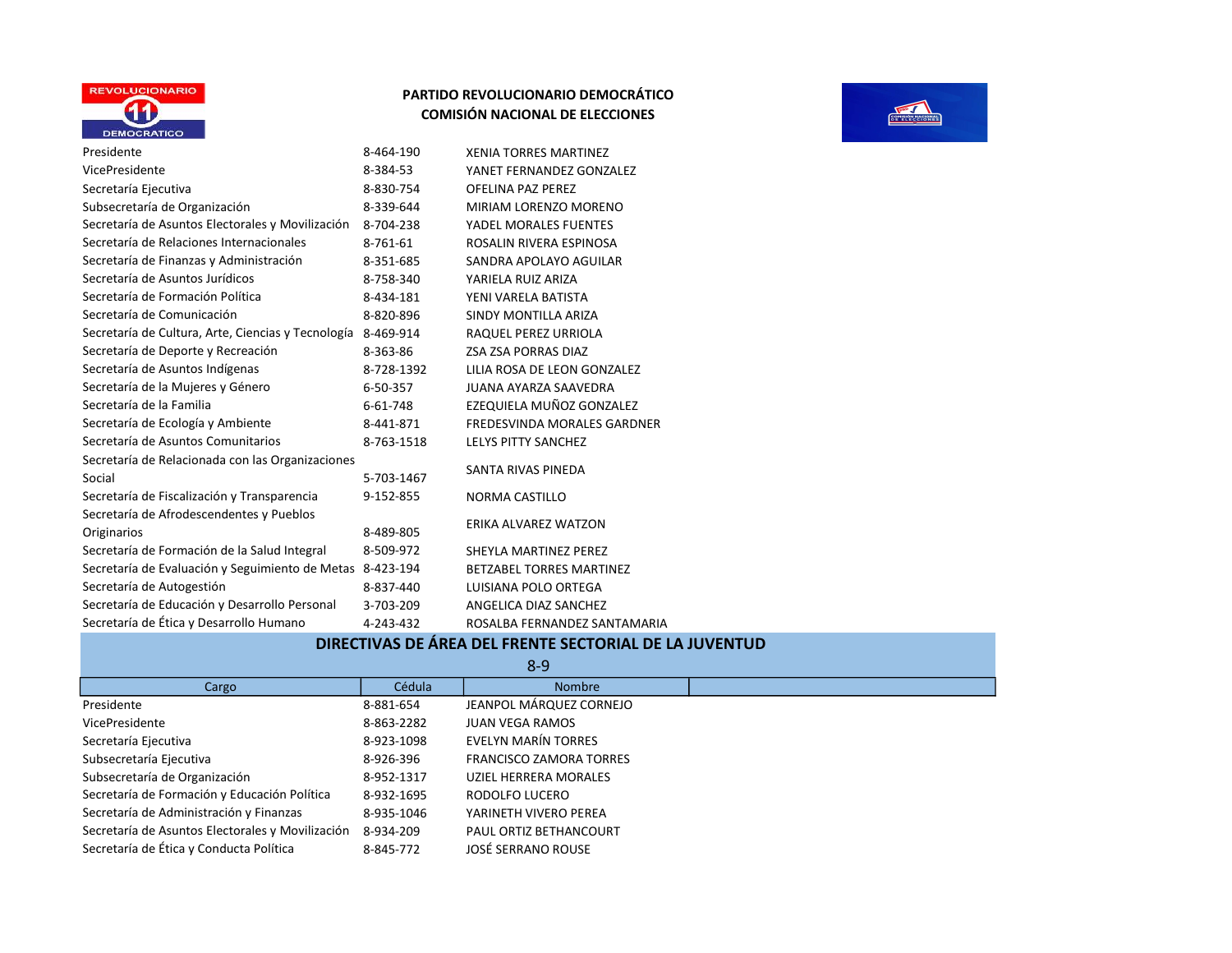

**PERSONAL PROPERTY** 

| Presidente                                                   | 8-464-190  | <b>XENIA TORRES MARTINEZ</b>    |
|--------------------------------------------------------------|------------|---------------------------------|
| VicePresidente                                               | 8-384-53   | YANET FERNANDEZ GONZALEZ        |
| Secretaría Ejecutiva                                         | 8-830-754  | <b>OFELINA PAZ PEREZ</b>        |
| Subsecretaría de Organización                                | 8-339-644  | MIRIAM LORENZO MORENO           |
| Secretaría de Asuntos Electorales y Movilización             | 8-704-238  | YADEL MORALES FUENTES           |
| Secretaría de Relaciones Internacionales                     | 8-761-61   | ROSALIN RIVERA ESPINOSA         |
| Secretaría de Finanzas y Administración                      | 8-351-685  | SANDRA APOLAYO AGUILAR          |
| Secretaría de Asuntos Jurídicos                              | 8-758-340  | YARIELA RUIZ ARIZA              |
| Secretaría de Formación Política                             | 8-434-181  | YENI VARELA BATISTA             |
| Secretaría de Comunicación                                   | 8-820-896  | SINDY MONTILLA ARIZA            |
| Secretaría de Cultura, Arte, Ciencias y Tecnología 8-469-914 |            | RAQUEL PEREZ URRIOLA            |
| Secretaría de Deporte y Recreación                           | 8-363-86   | ZSA ZSA PORRAS DIAZ             |
| Secretaría de Asuntos Indígenas                              | 8-728-1392 | LILIA ROSA DE LEON GONZALEZ     |
| Secretaría de la Mujeres y Género                            | 6-50-357   | JUANA AYARZA SAAVEDRA           |
| Secretaría de la Familia                                     | 6-61-748   | EZEQUIELA MUÑOZ GONZALEZ        |
| Secretaría de Ecología y Ambiente                            | 8-441-871  | FREDESVINDA MORALES GARDNER     |
| Secretaría de Asuntos Comunitarios                           | 8-763-1518 | LELYS PITTY SANCHEZ             |
| Secretaría de Relacionada con las Organizaciones             |            | SANTA RIVAS PINEDA              |
| Social                                                       | 5-703-1467 |                                 |
| Secretaría de Fiscalización y Transparencia                  | 9-152-855  | NORMA CASTILLO                  |
| Secretaría de Afrodescendentes y Pueblos                     |            | ERIKA ALVAREZ WATZON            |
| Originarios                                                  | 8-489-805  |                                 |
| Secretaría de Formación de la Salud Integral                 | 8-509-972  | SHEYLA MARTINEZ PEREZ           |
| Secretaría de Evaluación y Seguimiento de Metas 8-423-194    |            | <b>BETZABEL TORRES MARTINEZ</b> |
| Secretaría de Autogestión                                    | 8-837-440  | LUISIANA POLO ORTEGA            |
| Secretaría de Educación y Desarrollo Personal                | 3-703-209  | ANGELICA DIAZ SANCHEZ           |
| Secretaría de Ética y Desarrollo Humano                      | 4-243-432  | ROSALBA FERNANDEZ SANTAMARIA    |

# DIRECTIVAS DE ÁREA DEL FRENTE SECTORIAL DE LA JUVENTUD

| $8-9$                                            |            |                                |  |
|--------------------------------------------------|------------|--------------------------------|--|
| Cargo                                            | Cédula     | <b>Nombre</b>                  |  |
| Presidente                                       | 8-881-654  | JEANPOL MÁRQUEZ CORNEJO        |  |
| VicePresidente                                   | 8-863-2282 | <b>JUAN VEGA RAMOS</b>         |  |
| Secretaría Ejecutiva                             | 8-923-1098 | EVELYN MARÍN TORRES            |  |
| Subsecretaría Ejecutiva                          | 8-926-396  | <b>FRANCISCO ZAMORA TORRES</b> |  |
| Subsecretaría de Organización                    | 8-952-1317 | UZIEL HERRERA MORALES          |  |
| Secretaría de Formación y Educación Política     | 8-932-1695 | RODOLFO LUCERO                 |  |
| Secretaría de Administración y Finanzas          | 8-935-1046 | YARINETH VIVERO PEREA          |  |
| Secretaría de Asuntos Electorales y Movilización | 8-934-209  | PAUL ORTIZ BETHANCOURT         |  |
| Secretaría de Ética y Conducta Política          | 8-845-772  | JOSÉ SERRANO ROUSE             |  |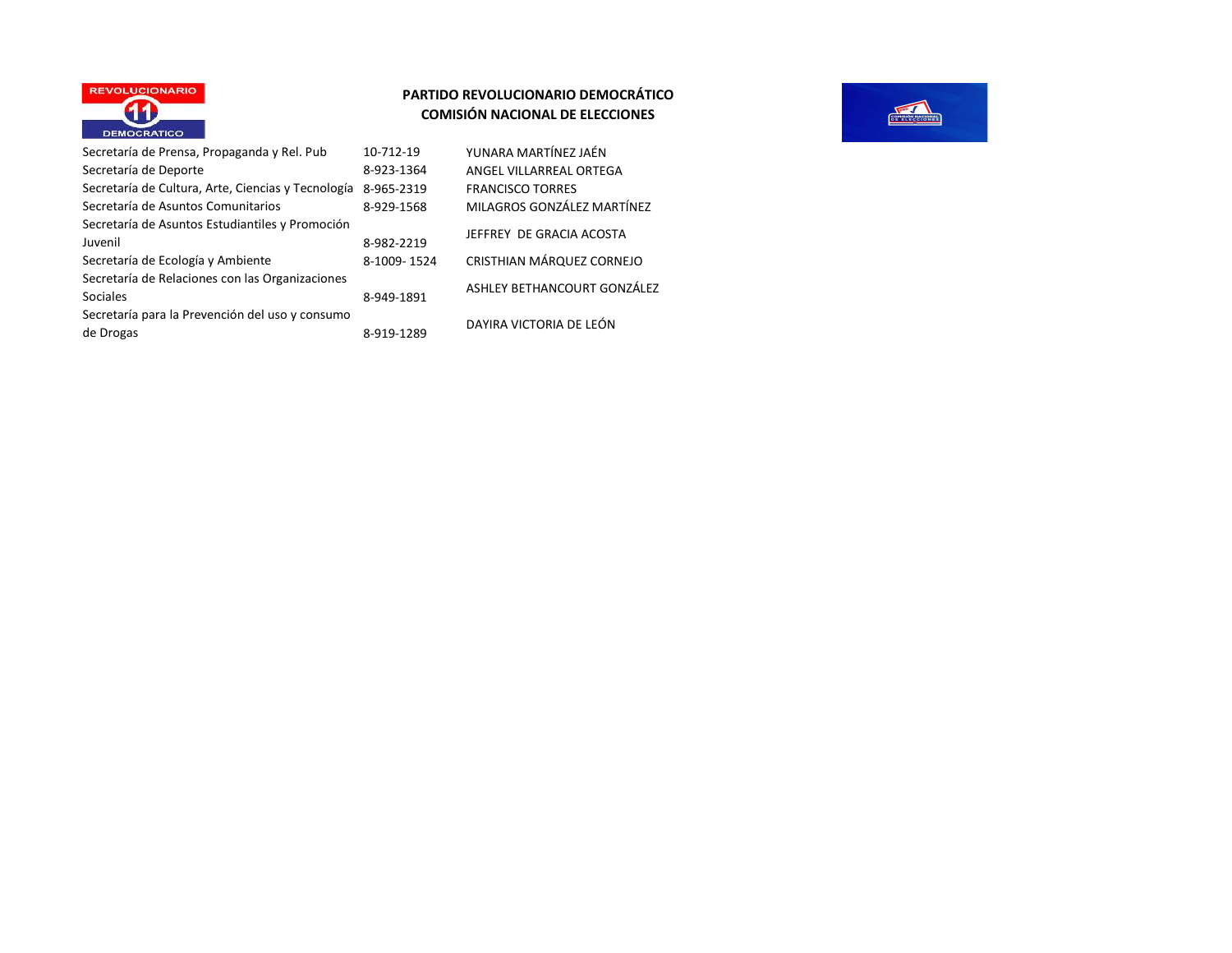

| Secretaría de Prensa, Propaganda y Rel. Pub        | 10-712-19   |
|----------------------------------------------------|-------------|
| Secretaría de Deporte                              | 8-923-1364  |
| Secretaría de Cultura, Arte, Ciencias y Tecnología | 8-965-2319  |
| Secretaría de Asuntos Comunitarios                 | 8-929-1568  |
| Secretaría de Asuntos Estudiantiles y Promoción    |             |
| Juvenil                                            | 8-982-2219  |
| Secretaría de Ecología y Ambiente                  | 8-1009-1524 |
| Secretaría de Relaciones con las Organizaciones    |             |
| <b>Sociales</b>                                    | 8-949-1891  |
| Secretaría para la Prevención del uso y consumo    |             |
| de Drogas                                          | 8-919-1289  |

YUNARA MARTÍNEZ JAÉN ANGEL VILLARREAL ORTEGA FRANCISCO TORRES MILAGROS GONZÁLEZ MARTÍNEZ JEFFREY DE GRACIA ACOSTA CRISTHIAN MÁRQUEZ CORNEJO ASHLEY BETHANCOURT GONZÁLEZ

DAYIRA VICTORIA DE LEÓN